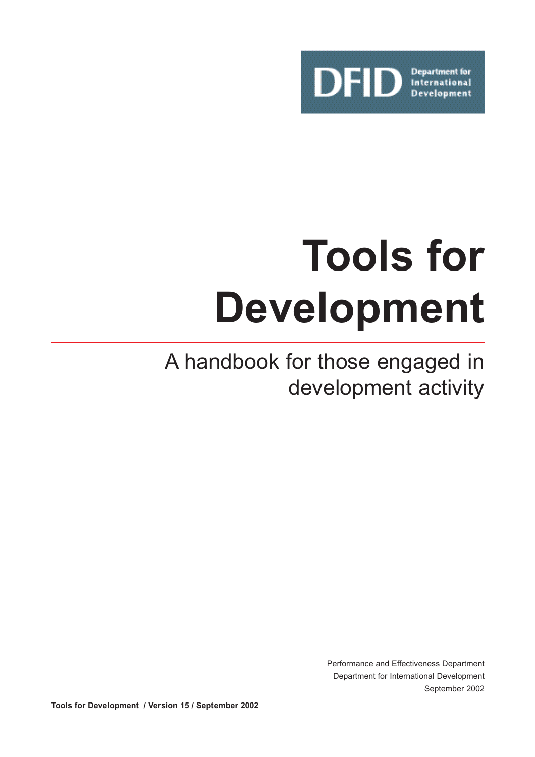

**Tools for Development**

# A handbook for those engaged in development activity

Performance and Effectiveness Department Department for International Development September 2002

**Tools for Development / Version 15 / September 2002**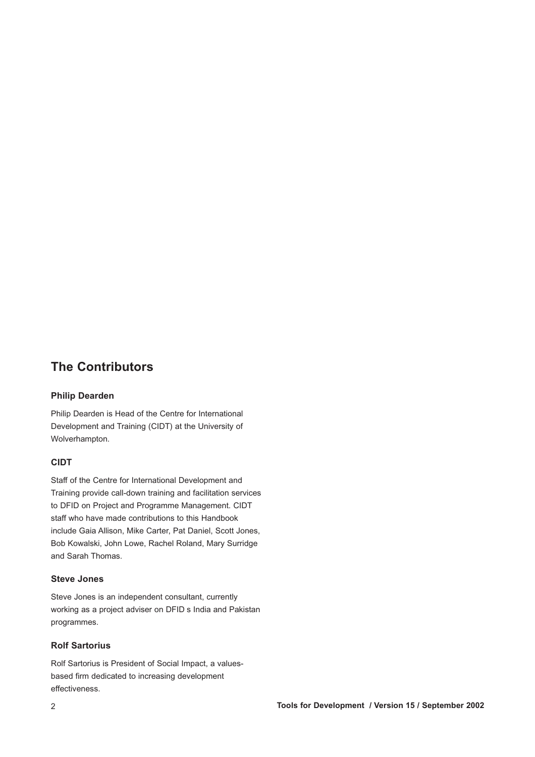### **The Contributors**

#### **Philip Dearden**

Philip Dearden is Head of the Centre for International Development and Training (CIDT) at the University of Wolverhampton.

#### **CIDT**

Staff of the Centre for International Development and Training provide call-down training and facilitation services to DFID on Project and Programme Management. CIDT staff who have made contributions to this Handbook include Gaia Allison, Mike Carter, Pat Daniel, Scott Jones, Bob Kowalski, John Lowe, Rachel Roland, Mary Surridge and Sarah Thomas.

#### **Steve Jones**

Steve Jones is an independent consultant, currently working as a project adviser on DFID s India and Pakistan programmes.

#### **Rolf Sartorius**

Rolf Sartorius is President of Social Impact, a valuesbased firm dedicated to increasing development effectiveness.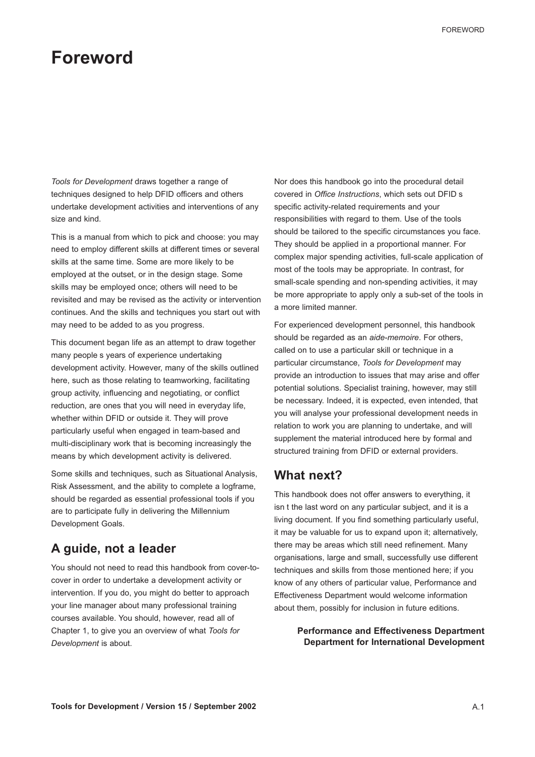## **Foreword**

*Tools for Development* draws together a range of techniques designed to help DFID officers and others undertake development activities and interventions of any size and kind.

This is a manual from which to pick and choose: you may need to employ different skills at different times or several skills at the same time. Some are more likely to be employed at the outset, or in the design stage. Some skills may be employed once; others will need to be revisited and may be revised as the activity or intervention continues. And the skills and techniques you start out with may need to be added to as you progress.

This document began life as an attempt to draw together many people s years of experience undertaking development activity. However, many of the skills outlined here, such as those relating to teamworking, facilitating group activity, influencing and negotiating, or conflict reduction, are ones that you will need in everyday life, whether within DFID or outside it. They will prove particularly useful when engaged in team-based and multi-disciplinary work that is becoming increasingly the means by which development activity is delivered.

Some skills and techniques, such as Situational Analysis, Risk Assessment, and the ability to complete a logframe, should be regarded as essential professional tools if you are to participate fully in delivering the Millennium Development Goals.

#### **A guide, not a leader**

You should not need to read this handbook from cover-tocover in order to undertake a development activity or intervention. If you do, you might do better to approach your line manager about many professional training courses available. You should, however, read all of Chapter 1, to give you an overview of what *Tools for Development* is about.

Nor does this handbook go into the procedural detail covered in *Office Instructions*, which sets out DFID s specific activity-related requirements and your responsibilities with regard to them. Use of the tools should be tailored to the specific circumstances you face. They should be applied in a proportional manner. For complex major spending activities, full-scale application of most of the tools may be appropriate. In contrast, for small-scale spending and non-spending activities, it may be more appropriate to apply only a sub-set of the tools in a more limited manner.

For experienced development personnel, this handbook should be regarded as an *aide-memoire*. For others, called on to use a particular skill or technique in a particular circumstance, *Tools for Development* may provide an introduction to issues that may arise and offer potential solutions. Specialist training, however, may still be necessary. Indeed, it is expected, even intended, that you will analyse your professional development needs in relation to work you are planning to undertake, and will supplement the material introduced here by formal and structured training from DFID or external providers.

#### **What next?**

This handbook does not offer answers to everything, it isn t the last word on any particular subject, and it is a living document. If you find something particularly useful, it may be valuable for us to expand upon it; alternatively, there may be areas which still need refinement. Many organisations, large and small, successfully use different techniques and skills from those mentioned here; if you know of any others of particular value, Performance and Effectiveness Department would welcome information about them, possibly for inclusion in future editions.

> **Performance and Effectiveness Department Department for International Development**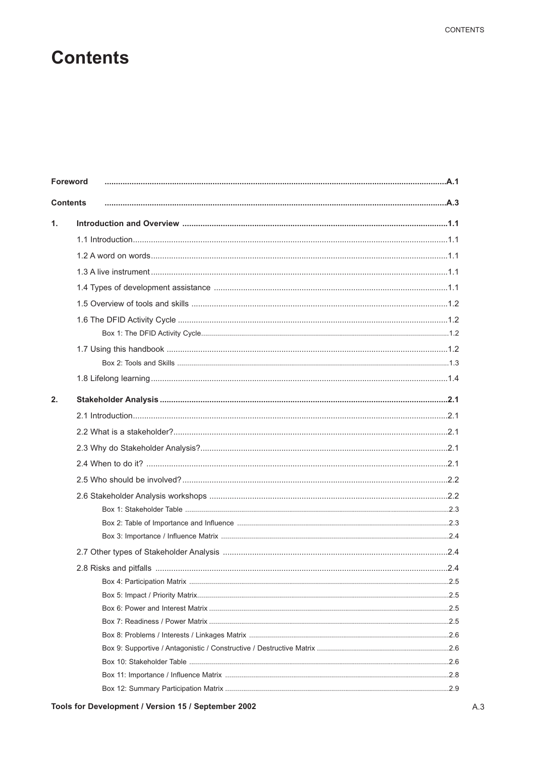## **Contents**

| <b>Foreword</b> |  |
|-----------------|--|
| <b>Contents</b> |  |
| $\mathbf{1}$    |  |
|                 |  |
|                 |  |
|                 |  |
|                 |  |
|                 |  |
|                 |  |
|                 |  |
|                 |  |
|                 |  |
|                 |  |
| 2.              |  |
|                 |  |
|                 |  |
|                 |  |
|                 |  |
|                 |  |
|                 |  |
|                 |  |
|                 |  |
|                 |  |
|                 |  |
|                 |  |
|                 |  |
|                 |  |
|                 |  |
|                 |  |
|                 |  |
|                 |  |
|                 |  |
|                 |  |
|                 |  |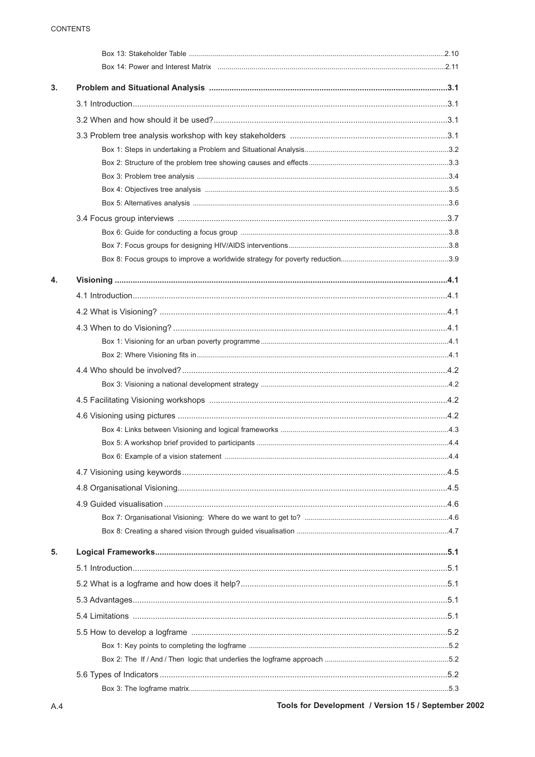| 3. |  |
|----|--|
|    |  |
|    |  |
|    |  |
|    |  |
|    |  |
|    |  |
|    |  |
|    |  |
|    |  |
|    |  |
|    |  |
|    |  |
| 4. |  |
|    |  |
|    |  |
|    |  |
|    |  |
|    |  |
|    |  |
|    |  |
|    |  |
|    |  |
|    |  |
|    |  |
|    |  |
|    |  |
|    |  |
|    |  |
|    |  |
|    |  |
| 5. |  |
|    |  |
|    |  |
|    |  |
|    |  |
|    |  |
|    |  |
|    |  |
|    |  |
|    |  |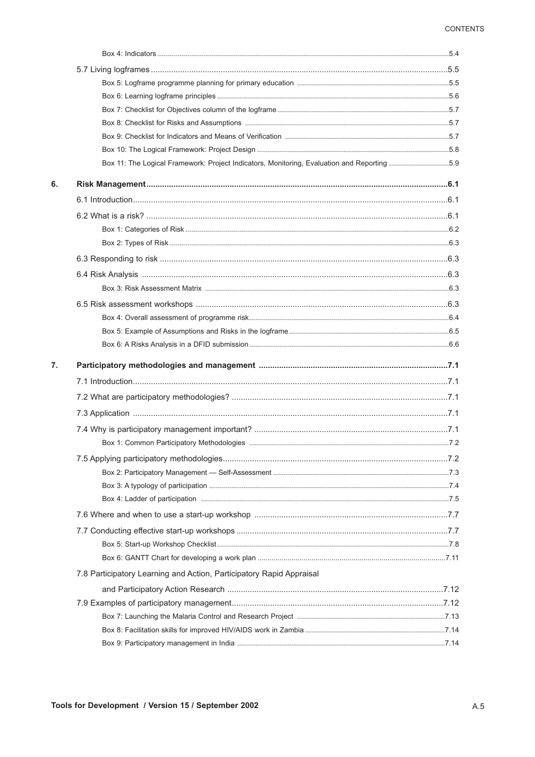|    | Box 11: The Logical Framework: Project Indicators, Monitoring, Evaluation and Reporting 5.9 |  |
|----|---------------------------------------------------------------------------------------------|--|
| 6. |                                                                                             |  |
|    |                                                                                             |  |
|    |                                                                                             |  |
|    |                                                                                             |  |
|    |                                                                                             |  |
|    |                                                                                             |  |
|    |                                                                                             |  |
|    |                                                                                             |  |
|    |                                                                                             |  |
|    |                                                                                             |  |
|    |                                                                                             |  |
|    |                                                                                             |  |
| 7. |                                                                                             |  |
|    |                                                                                             |  |
|    |                                                                                             |  |
|    |                                                                                             |  |
|    |                                                                                             |  |
|    |                                                                                             |  |
|    |                                                                                             |  |
|    |                                                                                             |  |
|    |                                                                                             |  |
|    |                                                                                             |  |
|    |                                                                                             |  |
|    |                                                                                             |  |
|    |                                                                                             |  |
|    |                                                                                             |  |
|    | 7.8 Participatory Learning and Action, Participatory Rapid Appraisal                        |  |
|    |                                                                                             |  |
|    |                                                                                             |  |
|    |                                                                                             |  |
|    |                                                                                             |  |
|    |                                                                                             |  |
|    |                                                                                             |  |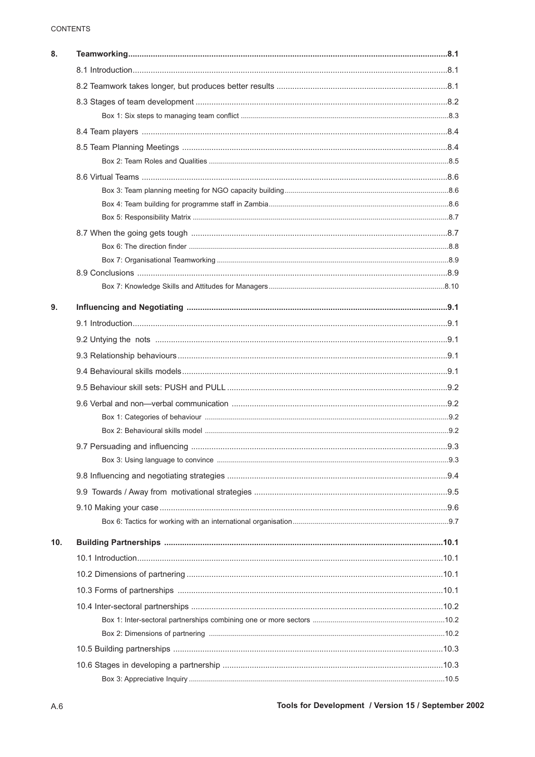| 8.  |  |
|-----|--|
|     |  |
|     |  |
|     |  |
|     |  |
|     |  |
|     |  |
|     |  |
|     |  |
|     |  |
|     |  |
|     |  |
|     |  |
|     |  |
|     |  |
|     |  |
|     |  |
| 9.  |  |
|     |  |
|     |  |
|     |  |
|     |  |
|     |  |
|     |  |
|     |  |
|     |  |
|     |  |
|     |  |
|     |  |
|     |  |
|     |  |
|     |  |
| 10. |  |
|     |  |
|     |  |
|     |  |
|     |  |
|     |  |
|     |  |
|     |  |
|     |  |
|     |  |
|     |  |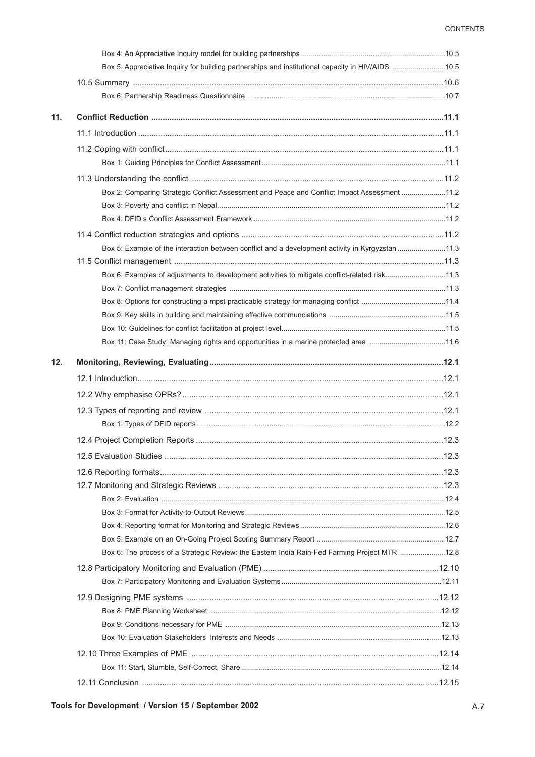|     | Box 5: Appreciative Inquiry for building partnerships and institutional capacity in HIV/AIDS 10.5 |  |
|-----|---------------------------------------------------------------------------------------------------|--|
|     |                                                                                                   |  |
|     |                                                                                                   |  |
| 11. |                                                                                                   |  |
|     |                                                                                                   |  |
|     |                                                                                                   |  |
|     |                                                                                                   |  |
|     |                                                                                                   |  |
|     | Box 2: Comparing Strategic Conflict Assessment and Peace and Conflict Impact Assessment 11.2      |  |
|     |                                                                                                   |  |
|     |                                                                                                   |  |
|     |                                                                                                   |  |
|     | Box 5: Example of the interaction between conflict and a development activity in Kyrgyzstan 11.3  |  |
|     |                                                                                                   |  |
|     | Box 6: Examples of adjustments to development activities to mitigate conflict-related risk11.3    |  |
|     |                                                                                                   |  |
|     |                                                                                                   |  |
|     |                                                                                                   |  |
|     |                                                                                                   |  |
|     |                                                                                                   |  |
| 12. |                                                                                                   |  |
|     |                                                                                                   |  |
|     |                                                                                                   |  |
|     |                                                                                                   |  |
|     |                                                                                                   |  |
|     |                                                                                                   |  |
|     |                                                                                                   |  |
|     |                                                                                                   |  |
|     |                                                                                                   |  |
|     |                                                                                                   |  |
|     |                                                                                                   |  |
|     |                                                                                                   |  |
|     |                                                                                                   |  |
|     |                                                                                                   |  |
|     | Box 6: The process of a Strategic Review: the Eastern India Rain-Fed Farming Project MTR 12.8     |  |
|     |                                                                                                   |  |
|     |                                                                                                   |  |
|     |                                                                                                   |  |
|     |                                                                                                   |  |
|     |                                                                                                   |  |
|     |                                                                                                   |  |
|     |                                                                                                   |  |
|     |                                                                                                   |  |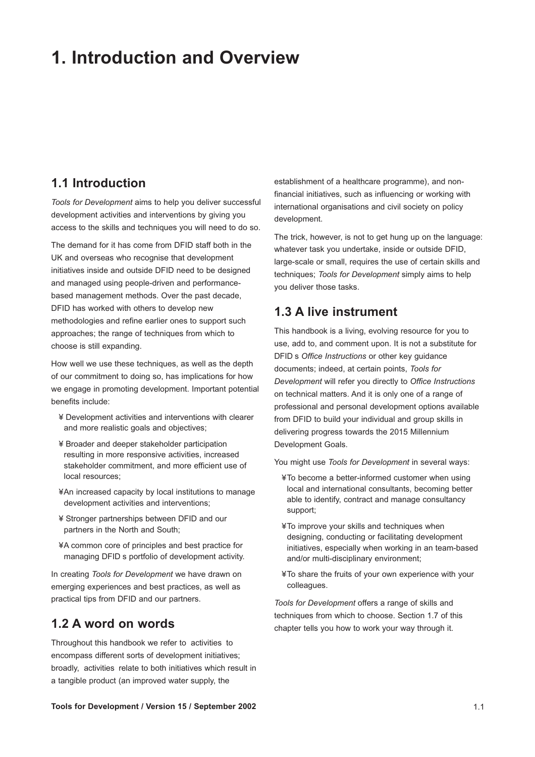## **1. Introduction and Overview**

#### **1.1 Introduction**

*Tools for Development* aims to help you deliver successful development activities and interventions by giving you access to the skills and techniques you will need to do so.

The demand for it has come from DFID staff both in the UK and overseas who recognise that development initiatives inside and outside DFID need to be designed and managed using people-driven and performancebased management methods. Over the past decade, DFID has worked with others to develop new methodologies and refine earlier ones to support such approaches; the range of techniques from which to choose is still expanding.

How well we use these techniques, as well as the depth of our commitment to doing so, has implications for how we engage in promoting development. Important potential benefits include:

- ¥ Development activities and interventions with clearer and more realistic goals and objectives;
- ¥ Broader and deeper stakeholder participation resulting in more responsive activities, increased stakeholder commitment, and more efficient use of local resources;
- ¥ An increased capacity by local institutions to manage development activities and interventions;
- ¥ Stronger partnerships between DFID and our partners in the North and South;
- ¥A common core of principles and best practice for managing DFID s portfolio of development activity.

In creating *Tools for Development* we have drawn on emerging experiences and best practices, as well as practical tips from DFID and our partners.

#### **1.2 A word on words**

Throughout this handbook we refer to activities to encompass different sorts of development initiatives; broadly, activities relate to both initiatives which result in a tangible product (an improved water supply, the

establishment of a healthcare programme), and nonfinancial initiatives, such as influencing or working with international organisations and civil society on policy development.

The trick, however, is not to get hung up on the language: whatever task you undertake, inside or outside DFID, large-scale or small, requires the use of certain skills and techniques; *Tools for Development* simply aims to help you deliver those tasks.

#### **1.3 A live instrument**

This handbook is a living, evolving resource for you to use, add to, and comment upon. It is not a substitute for DFID s *Office Instructions* or other key guidance documents; indeed, at certain points, *Tools for Development* will refer you directly to *Office Instructions* on technical matters. And it is only one of a range of professional and personal development options available from DFID to build your individual and group skills in delivering progress towards the 2015 Millennium Development Goals.

You might use *Tools for Development* in several ways:

- ¥ To become a better-informed customer when using local and international consultants, becoming better able to identify, contract and manage consultancy support;
- ¥ To improve your skills and techniques when designing, conducting or facilitating development initiatives, especially when working in an team-based and/or multi-disciplinary environment;
- ¥ To share the fruits of your own experience with your colleagues.

*Tools for Development* offers a range of skills and techniques from which to choose. Section 1.7 of this chapter tells you how to work your way through it.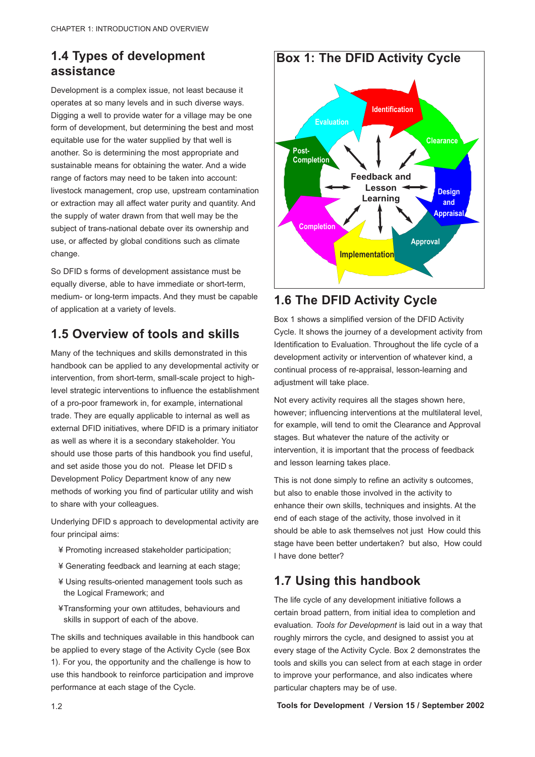### **1.4 Types of development assistance**

Development is a complex issue, not least because it operates at so many levels and in such diverse ways. Digging a well to provide water for a village may be one form of development, but determining the best and most equitable use for the water supplied by that well is another. So is determining the most appropriate and sustainable means for obtaining the water. And a wide range of factors may need to be taken into account: livestock management, crop use, upstream contamination or extraction may all affect water purity and quantity. And the supply of water drawn from that well may be the subject of trans-national debate over its ownership and use, or affected by global conditions such as climate change.

So DFID s forms of development assistance must be equally diverse, able to have immediate or short-term, medium- or long-term impacts. And they must be capable of application at a variety of levels.

### **1.5 Overview of tools and skills**

Many of the techniques and skills demonstrated in this handbook can be applied to any developmental activity or intervention, from short-term, small-scale project to highlevel strategic interventions to influence the establishment of a pro-poor framework in, for example, international trade. They are equally applicable to internal as well as external DFID initiatives, where DFID is a primary initiator as well as where it is a secondary stakeholder. You should use those parts of this handbook you find useful, and set aside those you do not. Please let DFID s Development Policy Department know of any new methods of working you find of particular utility and wish to share with your colleagues.

Underlying DFID s approach to developmental activity are four principal aims:

- ¥ Promoting increased stakeholder participation;
- ¥ Generating feedback and learning at each stage;
- ¥ Using results-oriented management tools such as the Logical Framework; and
- ¥ Transforming your own attitudes, behaviours and skills in support of each of the above.

The skills and techniques available in this handbook can be applied to every stage of the Activity Cycle (see Box 1). For you, the opportunity and the challenge is how to use this handbook to reinforce participation and improve performance at each stage of the Cycle.



### **1.6 The DFID Activity Cycle**

Box 1 shows a simplified version of the DFID Activity Cycle. It shows the journey of a development activity from Identification to Evaluation. Throughout the life cycle of a development activity or intervention of whatever kind, a continual process of re-appraisal, lesson-learning and adjustment will take place.

Not every activity requires all the stages shown here, however; influencing interventions at the multilateral level, for example, will tend to omit the Clearance and Approval stages. But whatever the nature of the activity or intervention, it is important that the process of feedback and lesson learning takes place.

This is not done simply to refine an activity s outcomes, but also to enable those involved in the activity to enhance their own skills, techniques and insights. At the end of each stage of the activity, those involved in it should be able to ask themselves not just How could this stage have been better undertaken? but also, How could I have done better?

### **1.7 Using this handbook**

The life cycle of any development initiative follows a certain broad pattern, from initial idea to completion and evaluation. *Tools for Development* is laid out in a way that roughly mirrors the cycle, and designed to assist you at every stage of the Activity Cycle. Box 2 demonstrates the tools and skills you can select from at each stage in order to improve your performance, and also indicates where particular chapters may be of use.

#### **Tools for Development / Version 15 / September 2002**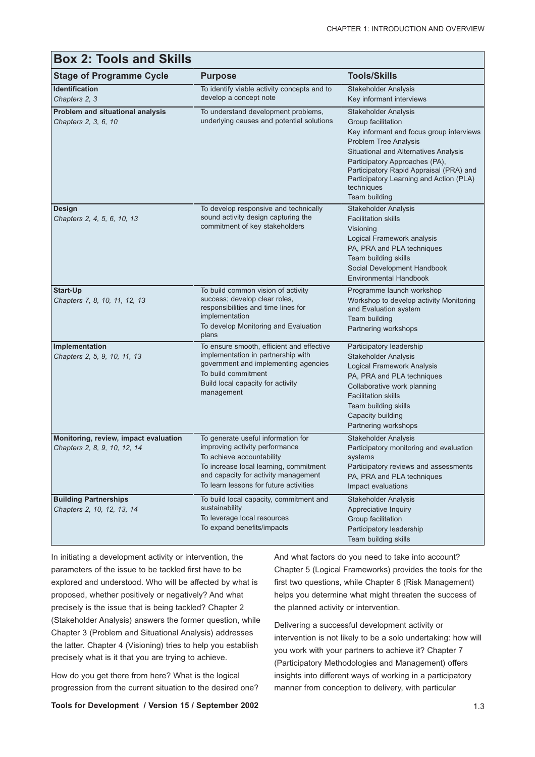| <b>Stage of Programme Cycle</b>                                       | <b>Purpose</b>                                                                                                                                                                                                                | <b>Tools/Skills</b>                                                                                                                                                                                                                                                                                                           |
|-----------------------------------------------------------------------|-------------------------------------------------------------------------------------------------------------------------------------------------------------------------------------------------------------------------------|-------------------------------------------------------------------------------------------------------------------------------------------------------------------------------------------------------------------------------------------------------------------------------------------------------------------------------|
| <b>Identification</b><br>Chapters 2, 3                                | To identify viable activity concepts and to<br>develop a concept note                                                                                                                                                         | <b>Stakeholder Analysis</b><br>Key informant interviews                                                                                                                                                                                                                                                                       |
| Problem and situational analysis<br>Chapters 2, 3, 6, 10              | To understand development problems,<br>underlying causes and potential solutions                                                                                                                                              | <b>Stakeholder Analysis</b><br>Group facilitation<br>Key informant and focus group interviews<br>Problem Tree Analysis<br><b>Situational and Alternatives Analysis</b><br>Participatory Approaches (PA),<br>Participatory Rapid Appraisal (PRA) and<br>Participatory Learning and Action (PLA)<br>techniques<br>Team building |
| <b>Design</b><br>Chapters 2, 4, 5, 6, 10, 13                          | To develop responsive and technically<br>sound activity design capturing the<br>commitment of key stakeholders                                                                                                                | <b>Stakeholder Analysis</b><br><b>Facilitation skills</b><br>Visioning<br>Logical Framework analysis<br>PA, PRA and PLA techniques<br>Team building skills<br>Social Development Handbook<br>Environmental Handbook                                                                                                           |
| <b>Start-Up</b><br>Chapters 7, 8, 10, 11, 12, 13                      | To build common vision of activity<br>success; develop clear roles,<br>responsibilities and time lines for<br>implementation<br>To develop Monitoring and Evaluation<br>plans                                                 | Programme launch workshop<br>Workshop to develop activity Monitoring<br>and Evaluation system<br>Team building<br>Partnering workshops                                                                                                                                                                                        |
| Implementation<br>Chapters 2, 5, 9, 10, 11, 13                        | To ensure smooth, efficient and effective<br>implementation in partnership with<br>government and implementing agencies<br>To build commitment<br>Build local capacity for activity<br>management                             | Participatory leadership<br><b>Stakeholder Analysis</b><br>Logical Framework Analysis<br>PA, PRA and PLA techniques<br>Collaborative work planning<br><b>Facilitation skills</b><br>Team building skills<br>Capacity building<br>Partnering workshops                                                                         |
| Monitoring, review, impact evaluation<br>Chapters 2, 8, 9, 10, 12, 14 | To generate useful information for<br>improving activity performance<br>To achieve accountability<br>To increase local learning, commitment<br>and capacity for activity management<br>To learn lessons for future activities | <b>Stakeholder Analysis</b><br>Participatory monitoring and evaluation<br>systems<br>Participatory reviews and assessments<br>PA, PRA and PLA techniques<br>Impact evaluations                                                                                                                                                |
| <b>Building Partnerships</b><br>Chapters 2, 10, 12, 13, 14            | To build local capacity, commitment and<br>sustainability<br>To leverage local resources<br>To expand benefits/impacts                                                                                                        | <b>Stakeholder Analysis</b><br>Appreciative Inquiry<br>Group facilitation<br>Participatory leadership<br>Team building skills                                                                                                                                                                                                 |

In initiating a development activity or intervention, the parameters of the issue to be tackled first have to be explored and understood. Who will be affected by what is proposed, whether positively or negatively? And what precisely is the issue that is being tackled? Chapter 2 (Stakeholder Analysis) answers the former question, while Chapter 3 (Problem and Situational Analysis) addresses the latter. Chapter 4 (Visioning) tries to help you establish precisely what is it that you are trying to achieve.

How do you get there from here? What is the logical progression from the current situation to the desired one?

**Tools for Development / Version 15 / September 2002**

And what factors do you need to take into account? Chapter 5 (Logical Frameworks) provides the tools for the first two questions, while Chapter 6 (Risk Management) helps you determine what might threaten the success of the planned activity or intervention.

Delivering a successful development activity or intervention is not likely to be a solo undertaking: how will you work with your partners to achieve it? Chapter 7 (Participatory Methodologies and Management) offers insights into different ways of working in a participatory manner from conception to delivery, with particular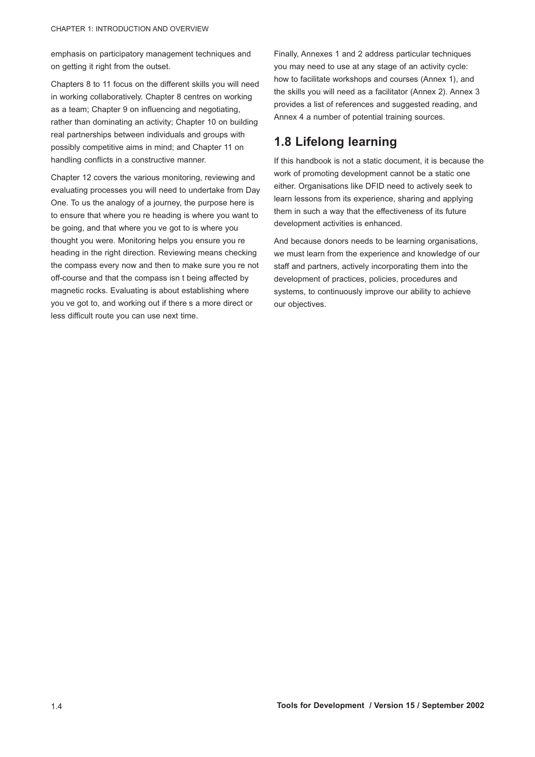emphasis on participatory management techniques and on getting it right from the outset.

Chapters 8 to 11 focus on the different skills you will need in working collaboratively. Chapter 8 centres on working as a team; Chapter 9 on influencing and negotiating, rather than dominating an activity; Chapter 10 on building real partnerships between individuals and groups with possibly competitive aims in mind; and Chapter 11 on handling conflicts in a constructive manner.

Chapter 12 covers the various monitoring, reviewing and evaluating processes you will need to undertake from Day One. To us the analogy of a journey, the purpose here is to ensure that where you re heading is where you want to be going, and that where you ve got to is where you thought you were. Monitoring helps you ensure you re heading in the right direction. Reviewing means checking the compass every now and then to make sure you re not off-course and that the compass isn t being affected by magnetic rocks. Evaluating is about establishing where you ve got to, and working out if there s a more direct or less difficult route you can use next time.

Finally, Annexes 1 and 2 address particular techniques you may need to use at any stage of an activity cycle: how to facilitate workshops and courses (Annex 1), and the skills you will need as a facilitator (Annex 2). Annex 3 provides a list of references and suggested reading, and Annex 4 a number of potential training sources.

### **1.8 Lifelong learning**

If this handbook is not a static document, it is because the work of promoting development cannot be a static one either. Organisations like DFID need to actively seek to learn lessons from its experience, sharing and applying them in such a way that the effectiveness of its future development activities is enhanced.

And because donors needs to be learning organisations, we must learn from the experience and knowledge of our staff and partners, actively incorporating them into the development of practices, policies, procedures and systems, to continuously improve our ability to achieve our objectives.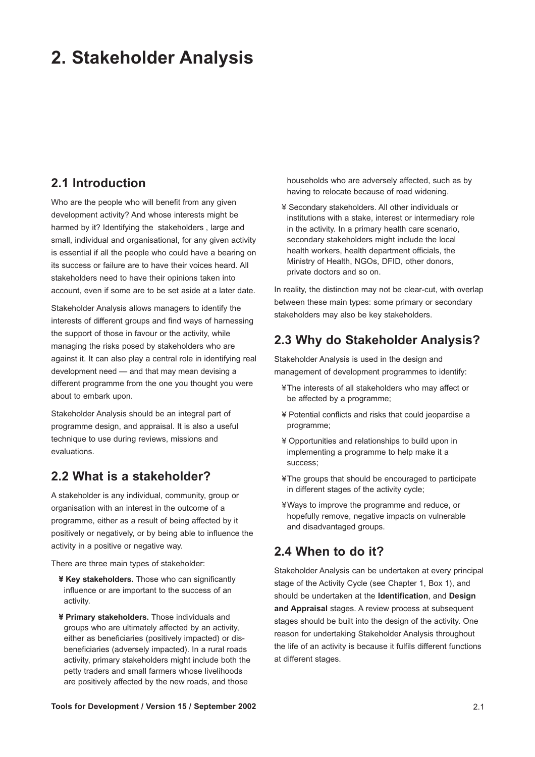## **2. Stakeholder Analysis**

#### **2.1 Introduction**

Who are the people who will benefit from any given development activity? And whose interests might be harmed by it? Identifying the stakeholders , large and small, individual and organisational, for any given activity is essential if all the people who could have a bearing on its success or failure are to have their voices heard. All stakeholders need to have their opinions taken into account, even if some are to be set aside at a later date.

Stakeholder Analysis allows managers to identify the interests of different groups and find ways of harnessing the support of those in favour or the activity, while managing the risks posed by stakeholders who are against it. It can also play a central role in identifying real development need — and that may mean devising a different programme from the one you thought you were about to embark upon.

Stakeholder Analysis should be an integral part of programme design, and appraisal. It is also a useful technique to use during reviews, missions and evaluations.

#### **2.2 What is a stakeholder?**

A stakeholder is any individual, community, group or organisation with an interest in the outcome of a programme, either as a result of being affected by it positively or negatively, or by being able to influence the activity in a positive or negative way.

There are three main types of stakeholder:

- **¥ Key stakeholders.** Those who can significantly influence or are important to the success of an activity.
- **¥ Primary stakeholders.** Those individuals and groups who are ultimately affected by an activity, either as beneficiaries (positively impacted) or disbeneficiaries (adversely impacted). In a rural roads activity, primary stakeholders might include both the petty traders and small farmers whose livelihoods are positively affected by the new roads, and those

households who are adversely affected, such as by having to relocate because of road widening.

¥ Secondary stakeholders. All other individuals or institutions with a stake, interest or intermediary role in the activity. In a primary health care scenario, secondary stakeholders might include the local health workers, health department officials, the Ministry of Health, NGOs, DFID, other donors, private doctors and so on.

In reality, the distinction may not be clear-cut, with overlap between these main types: some primary or secondary stakeholders may also be key stakeholders.

#### **2.3 Why do Stakeholder Analysis?**

Stakeholder Analysis is used in the design and management of development programmes to identify:

- ¥ The interests of all stakeholders who may affect or be affected by a programme;
- ¥ Potential conflicts and risks that could jeopardise a programme;
- ¥ Opportunities and relationships to build upon in implementing a programme to help make it a success;
- ¥ The groups that should be encouraged to participate in different stages of the activity cycle;
- ¥ Ways to improve the programme and reduce, or hopefully remove, negative impacts on vulnerable and disadvantaged groups.

#### **2.4 When to do it?**

Stakeholder Analysis can be undertaken at every principal stage of the Activity Cycle (see Chapter 1, Box 1), and should be undertaken at the **Identification**, and **Design and Appraisal** stages. A review process at subsequent stages should be built into the design of the activity. One reason for undertaking Stakeholder Analysis throughout the life of an activity is because it fulfils different functions at different stages.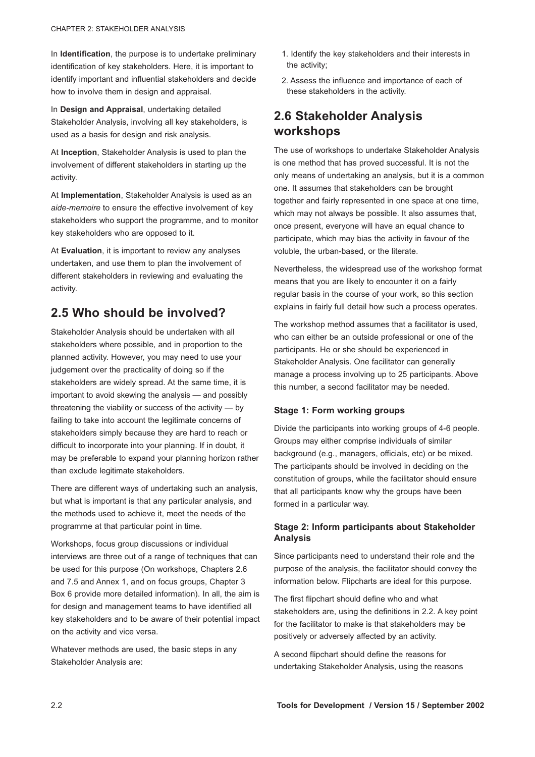In **Identification**, the purpose is to undertake preliminary identification of key stakeholders. Here, it is important to identify important and influential stakeholders and decide how to involve them in design and appraisal.

In **Design and Appraisal**, undertaking detailed Stakeholder Analysis, involving all key stakeholders, is used as a basis for design and risk analysis.

At **Inception**, Stakeholder Analysis is used to plan the involvement of different stakeholders in starting up the activity.

At **Implementation**, Stakeholder Analysis is used as an *aide-memoire* to ensure the effective involvement of key stakeholders who support the programme, and to monitor key stakeholders who are opposed to it.

At **Evaluation**, it is important to review any analyses undertaken, and use them to plan the involvement of different stakeholders in reviewing and evaluating the activity.

#### **2.5 Who should be involved?**

Stakeholder Analysis should be undertaken with all stakeholders where possible, and in proportion to the planned activity. However, you may need to use your judgement over the practicality of doing so if the stakeholders are widely spread. At the same time, it is important to avoid skewing the analysis — and possibly threatening the viability or success of the activity — by failing to take into account the legitimate concerns of stakeholders simply because they are hard to reach or difficult to incorporate into your planning. If in doubt, it may be preferable to expand your planning horizon rather than exclude legitimate stakeholders.

There are different ways of undertaking such an analysis, but what is important is that any particular analysis, and the methods used to achieve it, meet the needs of the programme at that particular point in time.

Workshops, focus group discussions or individual interviews are three out of a range of techniques that can be used for this purpose (On workshops, Chapters 2.6 and 7.5 and Annex 1, and on focus groups, Chapter 3 Box 6 provide more detailed information). In all, the aim is for design and management teams to have identified all key stakeholders and to be aware of their potential impact on the activity and vice versa.

Whatever methods are used, the basic steps in any Stakeholder Analysis are:

- 1. Identify the key stakeholders and their interests in the activity;
- 2. Assess the influence and importance of each of these stakeholders in the activity.

#### **2.6 Stakeholder Analysis workshops**

The use of workshops to undertake Stakeholder Analysis is one method that has proved successful. It is not the only means of undertaking an analysis, but it is a common one. It assumes that stakeholders can be brought together and fairly represented in one space at one time, which may not always be possible. It also assumes that, once present, everyone will have an equal chance to participate, which may bias the activity in favour of the voluble, the urban-based, or the literate.

Nevertheless, the widespread use of the workshop format means that you are likely to encounter it on a fairly regular basis in the course of your work, so this section explains in fairly full detail how such a process operates.

The workshop method assumes that a facilitator is used, who can either be an outside professional or one of the participants. He or she should be experienced in Stakeholder Analysis. One facilitator can generally manage a process involving up to 25 participants. Above this number, a second facilitator may be needed.

#### **Stage 1: Form working groups**

Divide the participants into working groups of 4-6 people. Groups may either comprise individuals of similar background (e.g., managers, officials, etc) or be mixed. The participants should be involved in deciding on the constitution of groups, while the facilitator should ensure that all participants know why the groups have been formed in a particular way.

#### **Stage 2: Inform participants about Stakeholder Analysis**

Since participants need to understand their role and the purpose of the analysis, the facilitator should convey the information below. Flipcharts are ideal for this purpose.

The first flipchart should define who and what stakeholders are, using the definitions in 2.2. A key point for the facilitator to make is that stakeholders may be positively or adversely affected by an activity.

A second flipchart should define the reasons for undertaking Stakeholder Analysis, using the reasons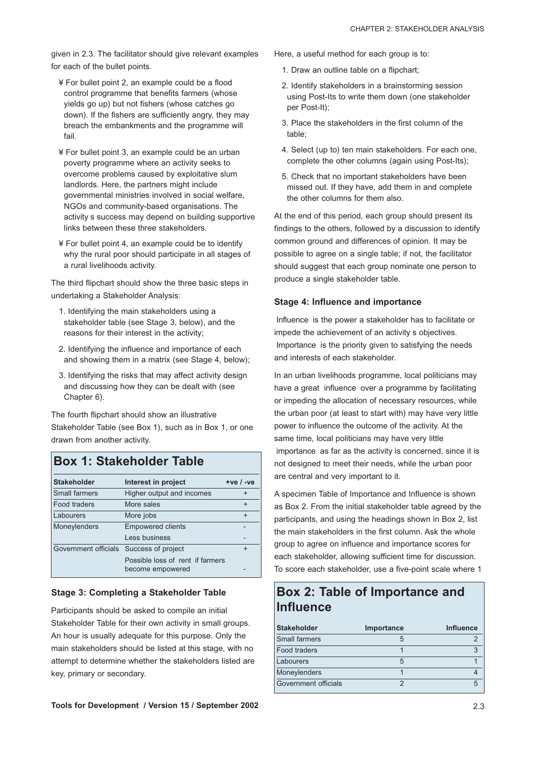given in 2.3. The facilitator should give relevant examples for each of the bullet points.

- ¥ For bullet point 2, an example could be a flood control programme that benefits farmers (whose yields go up) but not fishers (whose catches go down). If the fishers are sufficiently angry, they may breach the embankments and the programme will fail.
- ¥ For bullet point 3, an example could be an urban poverty programme where an activity seeks to overcome problems caused by exploitative slum landlords. Here, the partners might include governmental ministries involved in social welfare, NGOs and community-based organisations. The activity s success may depend on building supportive links between these three stakeholders.
- ¥ For bullet point 4, an example could be to identify why the rural poor should participate in all stages of a rural livelihoods activity.

The third flipchart should show the three basic steps in undertaking a Stakeholder Analysis:

- 1. Identifying the main stakeholders using a stakeholder table (see Stage 3, below), and the reasons for their interest in the activity;
- 2. Identifying the influence and importance of each and showing them in a matrix (see Stage 4, below);
- 3. Identifying the risks that may affect activity design and discussing how they can be dealt with (see Chapter 6).

The fourth flipchart should show an illustrative Stakeholder Table (see Box 1), such as in Box 1, or one drawn from another activity.

|                      | <b>Box 1: Stakeholder Table</b>                      |             |
|----------------------|------------------------------------------------------|-------------|
| <b>Stakeholder</b>   | Interest in project                                  | $+ve / -ve$ |
| Small farmers        | Higher output and incomes                            |             |
| Food traders         | More sales                                           | $\div$      |
| Labourers            | More jobs                                            | $\ddot{}$   |
| Moneylenders         | <b>Empowered clients</b>                             |             |
|                      | Less business                                        |             |
| Government officials | Success of project                                   |             |
|                      | Possible loss of rent if farmers<br>become empowered |             |

#### **Stage 3: Completing a Stakeholder Table**

Participants should be asked to compile an initial Stakeholder Table for their own activity in small groups. An hour is usually adequate for this purpose. Only the main stakeholders should be listed at this stage, with no attempt to determine whether the stakeholders listed are key, primary or secondary.

Here, a useful method for each group is to:

- 1. Draw an outline table on a flipchart;
- 2. Identify stakeholders in a brainstorming session using Post-Its to write them down (one stakeholder per Post-It);
- 3. Place the stakeholders in the first column of the table;
- 4. Select (up to) ten main stakeholders. For each one, complete the other columns (again using Post-Its);
- 5. Check that no important stakeholders have been missed out. If they have, add them in and complete the other columns for them also.

At the end of this period, each group should present its findings to the others, followed by a discussion to identify common ground and differences of opinion. It may be possible to agree on a single table; if not, the facilitator should suggest that each group nominate one person to produce a single stakeholder table.

#### **Stage 4: Influence and importance**

Influence is the power a stakeholder has to facilitate or impede the achievement of an activity s objectives. Importance is the priority given to satisfying the needs and interests of each stakeholder.

In an urban livelihoods programme, local politicians may have a great influence over a programme by facilitating or impeding the allocation of necessary resources, while the urban poor (at least to start with) may have very little power to influence the outcome of the activity. At the same time, local politicians may have very little importance as far as the activity is concerned, since it is not designed to meet their needs, while the urban poor are central and very important to it.

A specimen Table of Importance and Influence is shown as Box 2. From the initial stakeholder table agreed by the participants, and using the headings shown in Box 2, list the main stakeholders in the first column. Ask the whole group to agree on influence and importance scores for each stakeholder, allowing sufficient time for discussion. To score each stakeholder, use a five-point scale where 1

### **Box 2: Table of Importance and Influence**

| <b>Stakeholder</b>   | Importance | <b>Influence</b> |
|----------------------|------------|------------------|
| <b>Small farmers</b> |            |                  |
| <b>Food traders</b>  |            |                  |
| Labourers            |            |                  |
| Moneylenders         |            |                  |
| Government officials |            |                  |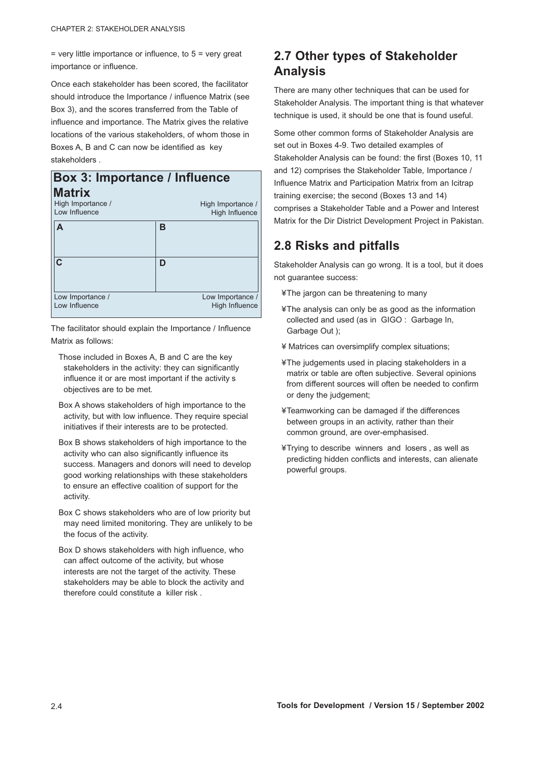$=$  very little importance or influence, to  $5 =$  very great importance or influence.

Once each stakeholder has been scored, the facilitator should introduce the Importance / influence Matrix (see Box 3), and the scores transferred from the Table of influence and importance. The Matrix gives the relative locations of the various stakeholders, of whom those in Boxes A, B and C can now be identified as key stakeholders .

### **Box 3: Importance / Influence Matrix**

| .<br>High Importance /<br>Low Influence | High Importance /<br>High Influence |  |
|-----------------------------------------|-------------------------------------|--|
|                                         | В                                   |  |
| C                                       | D                                   |  |
| Low Importance /<br>Low Influence       | Low Importance /<br>High Influence  |  |

The facilitator should explain the Importance / Influence Matrix as follows:

- Those included in Boxes A, B and C are the key stakeholders in the activity: they can significantly influence it or are most important if the activity s objectives are to be met.
- Box A shows stakeholders of high importance to the activity, but with low influence. They require special initiatives if their interests are to be protected.
- Box B shows stakeholders of high importance to the activity who can also significantly influence its success. Managers and donors will need to develop good working relationships with these stakeholders to ensure an effective coalition of support for the activity.
- Box C shows stakeholders who are of low priority but may need limited monitoring. They are unlikely to be the focus of the activity.

Box D shows stakeholders with high influence, who can affect outcome of the activity, but whose interests are not the target of the activity. These stakeholders may be able to block the activity and therefore could constitute a killer risk .

### **2.7 Other types of Stakeholder Analysis**

There are many other techniques that can be used for Stakeholder Analysis. The important thing is that whatever technique is used, it should be one that is found useful.

Some other common forms of Stakeholder Analysis are set out in Boxes 4-9. Two detailed examples of Stakeholder Analysis can be found: the first (Boxes 10, 11 and 12) comprises the Stakeholder Table, Importance / Influence Matrix and Participation Matrix from an Icitrap training exercise; the second (Boxes 13 and 14) comprises a Stakeholder Table and a Power and Interest Matrix for the Dir District Development Project in Pakistan.

### **2.8 Risks and pitfalls**

Stakeholder Analysis can go wrong. It is a tool, but it does not guarantee success:

- ¥ The jargon can be threatening to many
- ¥ The analysis can only be as good as the information collected and used (as in GIGO : Garbage In, Garbage Out );
- ¥ Matrices can oversimplify complex situations;
- ¥ The judgements used in placing stakeholders in a matrix or table are often subjective. Several opinions from different sources will often be needed to confirm or deny the judgement;
- ¥ Teamworking can be damaged if the differences between groups in an activity, rather than their common ground, are over-emphasised.
- ¥ Trying to describe winners and losers , as well as predicting hidden conflicts and interests, can alienate powerful groups.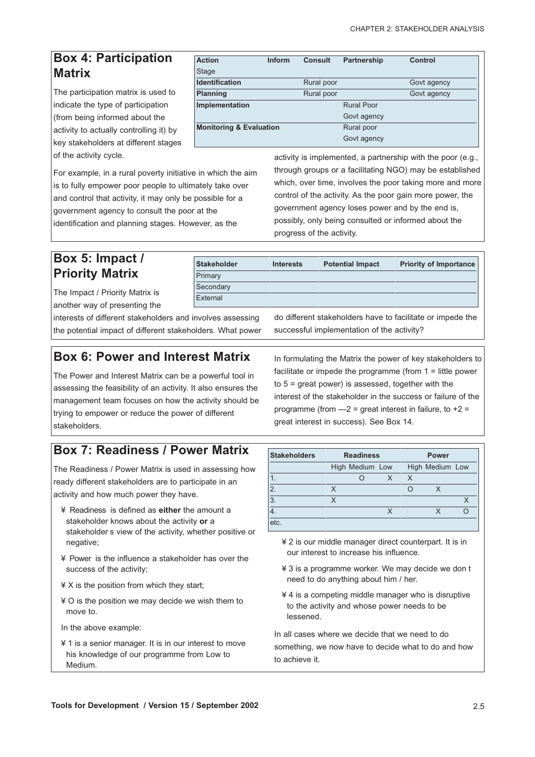### **Box 4: Participation Matrix**

The participation matrix is used to indicate the type of participation (from being informed about the activity to actually controlling it) by key stakeholders at different stages of the activity cycle.

For example, in a rural poverty initiative in which the aim is to fully empower poor people to ultimately take over and control that activity, it may only be possible for a government agency to consult the poor at the identification and planning stages. However, as the

| <b>Action</b>                      | <b>Inform</b> | <b>Consult</b> | <b>Partnership</b> | <b>Control</b> |
|------------------------------------|---------------|----------------|--------------------|----------------|
| <b>Stage</b>                       |               |                |                    |                |
| <b>Identification</b>              |               | Rural poor     |                    | Govt agency    |
| <b>Planning</b>                    |               | Rural poor     |                    | Govt agency    |
| Implementation                     |               |                | <b>Rural Poor</b>  |                |
|                                    |               |                | Govt agency        |                |
| <b>Monitoring &amp; Evaluation</b> |               |                | Rural poor         |                |
|                                    |               |                | Govt agency        |                |

activity is implemented, a partnership with the poor (e.g., through groups or a facilitating NGO) may be established which, over time, involves the poor taking more and more control of the activity. As the poor gain more power, the government agency loses power and by the end is, possibly, only being consulted or informed about the progress of the activity.

### **Box 5: Impact / Priority Matrix**

Stakeholder **Interests** Potential Impact Priority of Importance Primary **Secondary External** 

successful implementation of the activity?

The Impact / Priority Matrix is another way of presenting the

interests of different stakeholders and involves assessing the potential impact of different stakeholders. What power

### **Box 6: Power and Interest Matrix**

The Power and Interest Matrix can be a powerful tool in assessing the feasibility of an activity. It also ensures the management team focuses on how the activity should be trying to empower or reduce the power of different stakeholders.

### **Box 7: Readiness / Power Matrix**

The Readiness / Power Matrix is used in assessing how ready different stakeholders are to participate in an activity and how much power they have.

- ¥ Readiness is defined as **either** the amount a stakeholder knows about the activity **or** a stakeholder s view of the activity, whether positive or negative;
- ¥ Power is the influence a stakeholder has over the success of the activity;
- ¥ X is the position from which they start;
- ¥ O is the position we may decide we wish them to move to.
- In the above example:
- ¥ 1 is a senior manager. It is in our interest to move his knowledge of our programme from Low to Medium.

In formulating the Matrix the power of key stakeholders to facilitate or impede the programme (from 1 = little power to 5 = great power) is assessed, together with the

do different stakeholders have to facilitate or impede the

interest of the stakeholder in the success or failure of the programme (from  $-2$  = great interest in failure, to  $+2$  = great interest in success). See Box 14.

| <b>Stakeholders</b> | <b>Readiness</b> |  | <b>Power</b> |                 |  |
|---------------------|------------------|--|--------------|-----------------|--|
|                     | High Medium Low  |  |              | High Medium Low |  |
|                     |                  |  | X            |                 |  |
| 2.                  |                  |  |              |                 |  |
| 3.                  |                  |  |              |                 |  |
| 4.                  |                  |  |              |                 |  |
| etc.                |                  |  |              |                 |  |

- ¥ 2 is our middle manager direct counterpart. It is in our interest to increase his influence.
- ¥ 3 is a programme worker. We may decide we don t need to do anything about him / her.
- ¥ 4 is a competing middle manager who is disruptive to the activity and whose power needs to be lessened.

In all cases where we decide that we need to do something, we now have to decide what to do and how to achieve it.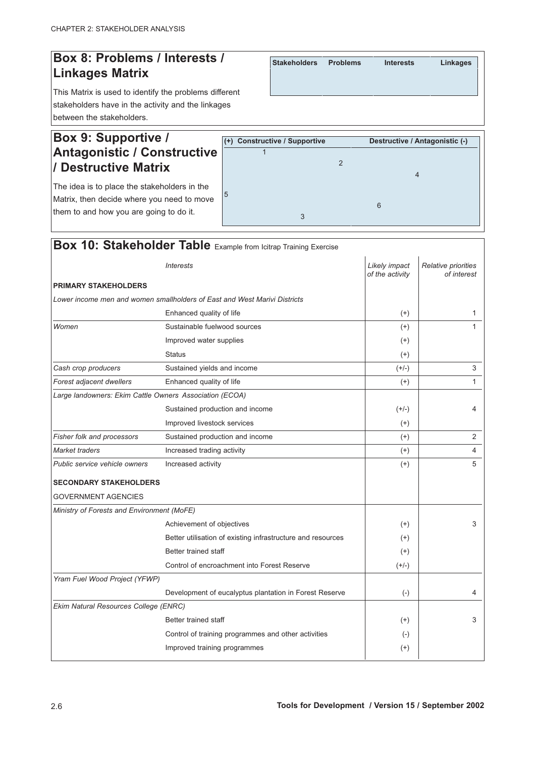### **Box 8: Problems / Interests / Linkages Matrix**

This Matrix is used to identify the problems different stakeholders have in the activity and the linkages between the stakeholders.

#### **Stakeholders Problems Interests Linkages**

| <b>Box 9: Supportive /</b>                                                                                                            | <b>Constructive / Supportive</b> | Destructive / Antagonistic (-) |
|---------------------------------------------------------------------------------------------------------------------------------------|----------------------------------|--------------------------------|
| <b>Antagonistic / Constructive</b><br>// Destructive Matrix                                                                           |                                  |                                |
| The idea is to place the stakeholders in the<br>Matrix, then decide where you need to move<br>them to and how you are going to do it. |                                  | 6                              |

#### **Box 10: Stakeholder Table** Example from Icitrap Training Exercise *Interests Likely impact Relative priorities of the activity of interest* **PRIMARY STAKEHOLDERS** *Lower income men and women smallholders of East and West Marivi Districts* Enhanced quality of life the contract of the contract of the contract of the contract of the contract of the contract of the contract of the contract of the contract of the contract of the contract of the contract of the c *Women* **Sustainable fuelwood sources** (+) (+) 1 Improved water supplies (+) Status (+) *Cash crop producers* Sustained yields and income (+/-) 3 *Forest adjacent dwellers* Enhanced quality of life (the life of the life of the life of the life of the life of the life of the life of the life of the life of the life of the life of the life of the life of the life of t *Large landowners: Ekim Cattle Owners Association (ECOA)* Sustained production and income  $(+/-)$   $(+/-)$  4 Improved livestock services (+) *Fisher folk and processors* Sustained production and income (+) 2 *Market traders* **Increased trading activity A** (+) 4 4 4 *Public service vehicle owners* Increased activity **1998 1998 1999 1999 1999 1999 1999 1999 1999 1999 1999 1999 1999 1999 1999 1999 1999 1999 1999 1999 1999 1999 1999 1999 19 SECONDARY STAKEHOLDERS** GOVERNMENT AGENCIES *Ministry of Forests and Environment (MoFE)* Achievement of objectives and the set of the set of objectives and the set of the set of the set of the set of the set of the set of the set of the set of the set of the set of the set of the set of the set of the set of t Better utilisation of existing infrastructure and resources (+) Better trained staff (+) Control of encroachment into Forest Reserve (+/-) *Yram Fuel Wood Project (YFWP)* Development of eucalyptus plantation in Forest Reserve (-) (-) (-) 4 *Ekim Natural Resources College (ENRC)* Better trained staff and the state of the state of the state of the state of the state of the state of the state of the state of the state of the state of the state of the state of the state of the state of the state of th Control of training programmes and other activities (-) Improved training programmes (+)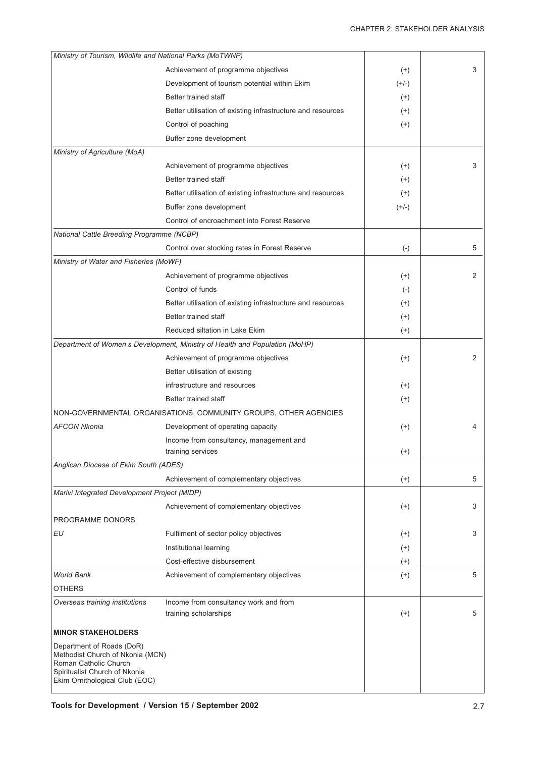| Ministry of Tourism, Wildlife and National Parks (MoTWNP)                                                                                                 |                                                                  |          |   |
|-----------------------------------------------------------------------------------------------------------------------------------------------------------|------------------------------------------------------------------|----------|---|
|                                                                                                                                                           | Achievement of programme objectives                              | $^{(+)}$ | 3 |
|                                                                                                                                                           | Development of tourism potential within Ekim                     | $(+/-)$  |   |
|                                                                                                                                                           | Better trained staff                                             | $^{(+)}$ |   |
|                                                                                                                                                           | Better utilisation of existing infrastructure and resources      | $^{(+)}$ |   |
|                                                                                                                                                           | Control of poaching                                              | $^{(+)}$ |   |
|                                                                                                                                                           | Buffer zone development                                          |          |   |
| Ministry of Agriculture (MoA)                                                                                                                             |                                                                  |          |   |
|                                                                                                                                                           | Achievement of programme objectives                              | $^{(+)}$ | 3 |
|                                                                                                                                                           | Better trained staff                                             | $^{(+)}$ |   |
|                                                                                                                                                           | Better utilisation of existing infrastructure and resources      | $^{(+)}$ |   |
|                                                                                                                                                           | Buffer zone development                                          | $(+/-)$  |   |
|                                                                                                                                                           | Control of encroachment into Forest Reserve                      |          |   |
| National Cattle Breeding Programme (NCBP)                                                                                                                 |                                                                  |          |   |
|                                                                                                                                                           | Control over stocking rates in Forest Reserve                    | $(-)$    | 5 |
| Ministry of Water and Fisheries (MoWF)                                                                                                                    |                                                                  |          |   |
|                                                                                                                                                           | Achievement of programme objectives                              | $^{(+)}$ | 2 |
|                                                                                                                                                           | Control of funds                                                 | $(-)$    |   |
|                                                                                                                                                           | Better utilisation of existing infrastructure and resources      | $^{(+)}$ |   |
|                                                                                                                                                           | Better trained staff                                             | $^{(+)}$ |   |
|                                                                                                                                                           | Reduced siltation in Lake Ekim                                   | $^{(+)}$ |   |
| Department of Women s Development, Ministry of Health and Population (MoHP)                                                                               |                                                                  |          |   |
|                                                                                                                                                           | Achievement of programme objectives                              | $^{(+)}$ | 2 |
|                                                                                                                                                           | Better utilisation of existing                                   |          |   |
|                                                                                                                                                           | infrastructure and resources                                     | $^{(+)}$ |   |
|                                                                                                                                                           | Better trained staff                                             | $^{(+)}$ |   |
|                                                                                                                                                           | NON-GOVERNMENTAL ORGANISATIONS, COMMUNITY GROUPS, OTHER AGENCIES |          |   |
| <b>AFCON Nkonia</b>                                                                                                                                       | Development of operating capacity                                | $^{(+)}$ | 4 |
|                                                                                                                                                           | Income from consultancy, management and                          |          |   |
|                                                                                                                                                           | training services                                                | $^{(+)}$ |   |
| Anglican Diocese of Ekim South (ADES)                                                                                                                     |                                                                  |          |   |
|                                                                                                                                                           | Achievement of complementary objectives                          | $^{(+)}$ | 5 |
| Marivi Integrated Development Project (MIDP)                                                                                                              |                                                                  |          |   |
|                                                                                                                                                           | Achievement of complementary objectives                          | $^{(+)}$ | 3 |
| PROGRAMME DONORS                                                                                                                                          |                                                                  |          |   |
| EU                                                                                                                                                        | Fulfilment of sector policy objectives                           | $^{(+)}$ | 3 |
|                                                                                                                                                           | Institutional learning                                           | $^{(+)}$ |   |
|                                                                                                                                                           | Cost-effective disbursement                                      | $^{(+)}$ |   |
| <b>World Bank</b>                                                                                                                                         | Achievement of complementary objectives                          | $^{(+)}$ | 5 |
| <b>OTHERS</b>                                                                                                                                             |                                                                  |          |   |
| Overseas training institutions                                                                                                                            | Income from consultancy work and from                            |          |   |
|                                                                                                                                                           | training scholarships                                            | $^{(+)}$ | 5 |
| <b>MINOR STAKEHOLDERS</b>                                                                                                                                 |                                                                  |          |   |
| Department of Roads (DoR)<br>Methodist Church of Nkonia (MCN)<br>Roman Catholic Church<br>Spiritualist Church of Nkonia<br>Ekim Ornithological Club (EOC) |                                                                  |          |   |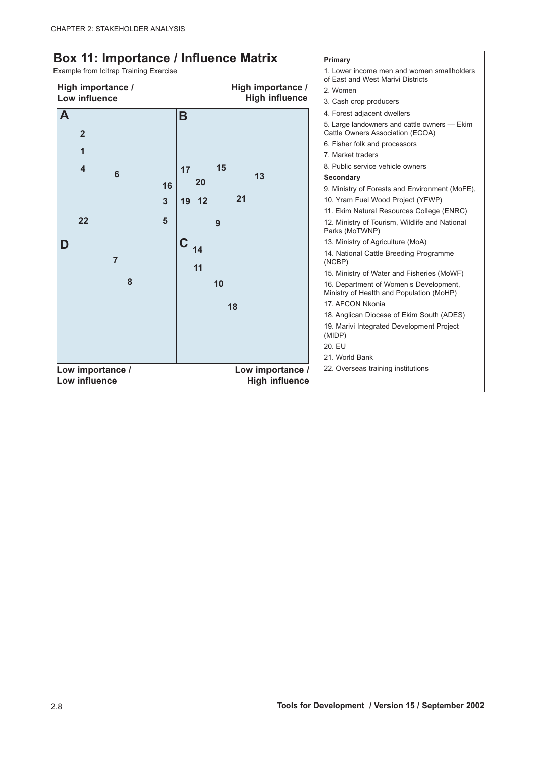#### **Box 11: Importance / Influence Matrix**

Example from Icitrap Training Exercise

| High importance /<br>Low influence                                               | High importance /<br><b>High influence</b> | of East and West Marivi Districts<br>2. Women<br>3. Cash crop producers                                                                                                                                                                                                                                                                                                                                      |
|----------------------------------------------------------------------------------|--------------------------------------------|--------------------------------------------------------------------------------------------------------------------------------------------------------------------------------------------------------------------------------------------------------------------------------------------------------------------------------------------------------------------------------------------------------------|
| Β<br>Α<br>$\overline{2}$<br>1<br>4<br>17<br>6<br>16<br>$\overline{3}$<br>22<br>5 | 15<br>13<br>20<br>21<br>12<br>19<br>9      | 4. Forest adjacent dwellers<br>5. Large landowners and cattle owners - Ekim<br>Cattle Owners Association (ECOA)<br>6. Fisher folk and processors<br>7. Market traders<br>8. Public service vehicle owners<br>Secondary<br>9. Ministry of Forests and Environment (MoFE),<br>10. Yram Fuel Wood Project (YFWP)<br>11. Ekim Natural Resources College (ENRC)<br>12. Ministry of Tourism, Wildlife and National |
| C<br>D<br>$\overline{7}$<br>8                                                    | 14<br>11<br>10<br>18                       | Parks (MoTWNP)<br>13. Ministry of Agriculture (MoA)<br>14. National Cattle Breeding Programme<br>(NCBP)<br>15. Ministry of Water and Fisheries (MoWF)<br>16. Department of Women s Development,<br>Ministry of Health and Population (MoHP)<br>17. AFCON Nkonia<br>18. Anglican Diocese of Ekim South (ADES)<br>19. Marivi Integrated Development Project<br>(MIDP)<br>20. EU<br>21. World Bank              |
| Low importance /<br>Low influence                                                | Low importance /<br><b>High influence</b>  | 22. Overseas training institutions                                                                                                                                                                                                                                                                                                                                                                           |

**Primary**

1. Lower income men and women smallholders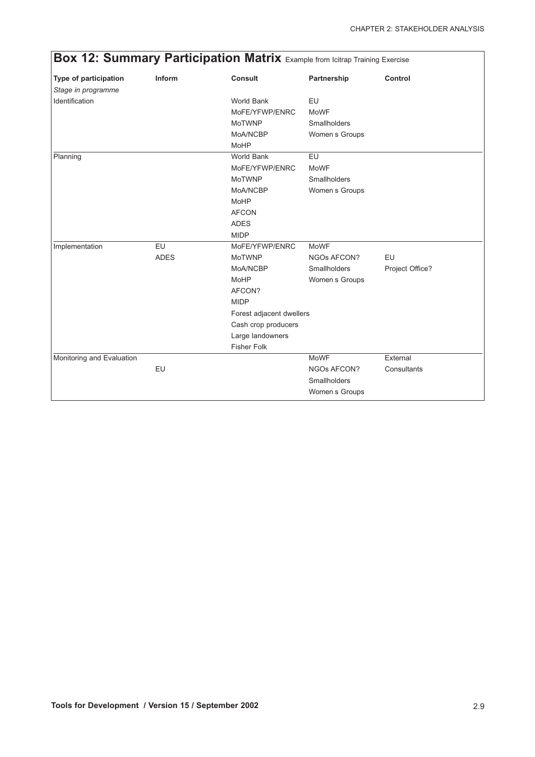| <b>BOX 1Z: SUMMAFY PAFTICIDATION MATFIX</b> Example from Icitrap Training Exercise |             |                          |                |                 |
|------------------------------------------------------------------------------------|-------------|--------------------------|----------------|-----------------|
| Type of participation<br>Stage in programme                                        | Inform      | <b>Consult</b>           | Partnership    | Control         |
| Identification                                                                     |             | <b>World Bank</b>        | <b>EU</b>      |                 |
|                                                                                    |             | MoFE/YFWP/ENRC           | <b>MoWF</b>    |                 |
|                                                                                    |             | <b>MoTWNP</b>            | Smallholders   |                 |
|                                                                                    |             | MoA/NCBP                 | Women s Groups |                 |
|                                                                                    |             | MoHP                     |                |                 |
| Planning                                                                           |             | World Bank               | EU             |                 |
|                                                                                    |             | MoFE/YFWP/ENRC           | <b>MoWF</b>    |                 |
|                                                                                    |             | <b>MoTWNP</b>            | Smallholders   |                 |
|                                                                                    |             | MoA/NCBP                 | Women s Groups |                 |
|                                                                                    |             | MoHP                     |                |                 |
|                                                                                    |             | <b>AFCON</b>             |                |                 |
|                                                                                    |             | <b>ADES</b>              |                |                 |
|                                                                                    |             | <b>MIDP</b>              |                |                 |
| Implementation                                                                     | EU          | MoFE/YFWP/ENRC           | <b>MoWF</b>    |                 |
|                                                                                    | <b>ADES</b> | <b>MoTWNP</b>            | NGOs AFCON?    | EU              |
|                                                                                    |             | MoA/NCBP                 | Smallholders   | Project Office? |
|                                                                                    |             | MoHP                     | Women s Groups |                 |
|                                                                                    |             | AFCON?                   |                |                 |
|                                                                                    |             | <b>MIDP</b>              |                |                 |
|                                                                                    |             | Forest adjacent dwellers |                |                 |
|                                                                                    |             | Cash crop producers      |                |                 |
|                                                                                    |             | Large landowners         |                |                 |
|                                                                                    |             | <b>Fisher Folk</b>       |                |                 |
| Monitoring and Evaluation                                                          |             |                          | <b>MoWF</b>    | External        |
|                                                                                    | EU          |                          | NGOs AFCON?    | Consultants     |
|                                                                                    |             |                          | Smallholders   |                 |
|                                                                                    |             |                          | Women s Groups |                 |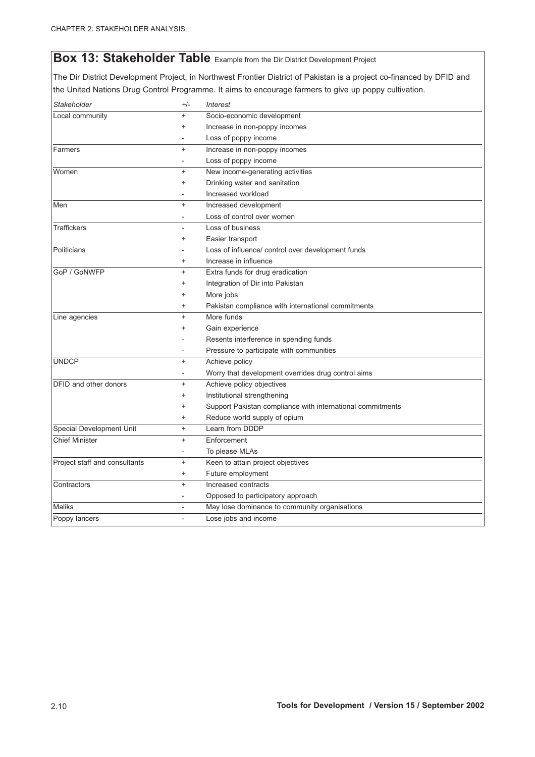## **Box 13: Stakeholder Table** Example from the Dir District Development Project

The Dir District Development Project, in Northwest Frontier District of Pakistan is a project co-financed by DFID and the United Nations Drug Control Programme. It aims to encourage farmers to give up poppy cultivation.

| <b>Stakeholder</b>            | $+/-$                    | <b>Interest</b>                                            |
|-------------------------------|--------------------------|------------------------------------------------------------|
| Local community               | $\ddot{}$                | Socio-economic development                                 |
|                               | +                        | Increase in non-poppy incomes                              |
|                               |                          | Loss of poppy income                                       |
| Farmers                       | $\ddot{}$                | Increase in non-poppy incomes                              |
|                               |                          | Loss of poppy income                                       |
| Women                         | $\ddot{}$                | New income-generating activities                           |
|                               | ÷                        | Drinking water and sanitation                              |
|                               |                          | Increased workload                                         |
| Men                           | $\ddot{}$                | Increased development                                      |
|                               |                          | Loss of control over women                                 |
| <b>Traffickers</b>            | $\overline{\phantom{a}}$ | Loss of business                                           |
|                               | $\ddot{}$                | Easier transport                                           |
| Politicians                   |                          | Loss of influence/ control over development funds          |
|                               | $\ddot{}$                | Increase in influence                                      |
| GoP / GoNWFP                  | $\ddot{}$                | Extra funds for drug eradication                           |
|                               | ÷                        | Integration of Dir into Pakistan                           |
|                               | +                        | More jobs                                                  |
|                               | $\ddot{}$                | Pakistan compliance with international commitments         |
| Line agencies                 | $\ddot{}$                | More funds                                                 |
|                               | $\ddot{}$                | Gain experience                                            |
|                               |                          | Resents interference in spending funds                     |
|                               |                          | Pressure to participate with communities                   |
| <b>UNDCP</b>                  | $\ddot{}$                | Achieve policy                                             |
|                               |                          | Worry that development overrides drug control aims         |
| DFID and other donors         | $\ddot{}$                | Achieve policy objectives                                  |
|                               | +                        | Institutional strengthening                                |
|                               | +                        | Support Pakistan compliance with international commitments |
|                               | $\ddot{}$                | Reduce world supply of opium                               |
| Special Development Unit      | $\ddot{}$                | Learn from DDDP                                            |
| <b>Chief Minister</b>         | $\ddot{}$                | Enforcement                                                |
|                               |                          | To please MLAs                                             |
| Project staff and consultants | $\ddot{}$                | Keen to attain project objectives                          |
|                               | $\ddot{}$                | Future employment                                          |
| Contractors                   | $\ddot{}$                | Increased contracts                                        |
|                               |                          | Opposed to participatory approach                          |
| <b>Maliks</b>                 |                          | May lose dominance to community organisations              |
| Poppy lancers                 |                          | Lose jobs and income                                       |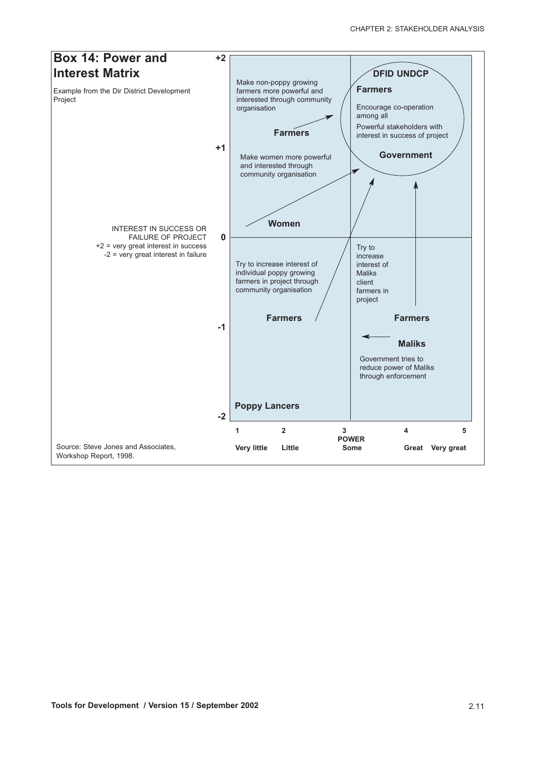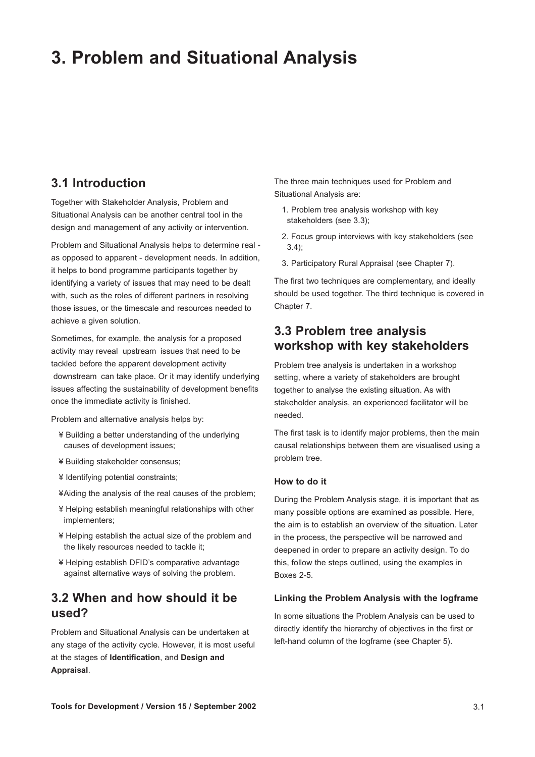## **3. Problem and Situational Analysis**

#### **3.1 Introduction**

Together with Stakeholder Analysis, Problem and Situational Analysis can be another central tool in the design and management of any activity or intervention.

Problem and Situational Analysis helps to determine real as opposed to apparent - development needs. In addition, it helps to bond programme participants together by identifying a variety of issues that may need to be dealt with, such as the roles of different partners in resolving those issues, or the timescale and resources needed to achieve a given solution.

Sometimes, for example, the analysis for a proposed activity may reveal upstream issues that need to be tackled before the apparent development activity downstream can take place. Or it may identify underlying issues affecting the sustainability of development benefits once the immediate activity is finished.

Problem and alternative analysis helps by:

- ¥ Building a better understanding of the underlying causes of development issues;
- ¥ Building stakeholder consensus;
- ¥ Identifying potential constraints;
- ¥ Aiding the analysis of the real causes of the problem;
- ¥ Helping establish meaningful relationships with other implementers;
- ¥ Helping establish the actual size of the problem and the likely resources needed to tackle it;
- ¥ Helping establish DFID's comparative advantage against alternative ways of solving the problem.

#### **3.2 When and how should it be used?**

Problem and Situational Analysis can be undertaken at any stage of the activity cycle. However, it is most useful at the stages of **Identification**, and **Design and Appraisal**.

The three main techniques used for Problem and Situational Analysis are:

- 1. Problem tree analysis workshop with key stakeholders (see 3.3);
- 2. Focus group interviews with key stakeholders (see 3.4);
- 3. Participatory Rural Appraisal (see Chapter 7).

The first two techniques are complementary, and ideally should be used together. The third technique is covered in Chapter 7.

#### **3.3 Problem tree analysis workshop with key stakeholders**

Problem tree analysis is undertaken in a workshop setting, where a variety of stakeholders are brought together to analyse the existing situation. As with stakeholder analysis, an experienced facilitator will be needed.

The first task is to identify major problems, then the main causal relationships between them are visualised using a problem tree.

#### **How to do it**

During the Problem Analysis stage, it is important that as many possible options are examined as possible. Here, the aim is to establish an overview of the situation. Later in the process, the perspective will be narrowed and deepened in order to prepare an activity design. To do this, follow the steps outlined, using the examples in Boxes 2-5.

#### **Linking the Problem Analysis with the logframe**

In some situations the Problem Analysis can be used to directly identify the hierarchy of objectives in the first or left-hand column of the logframe (see Chapter 5).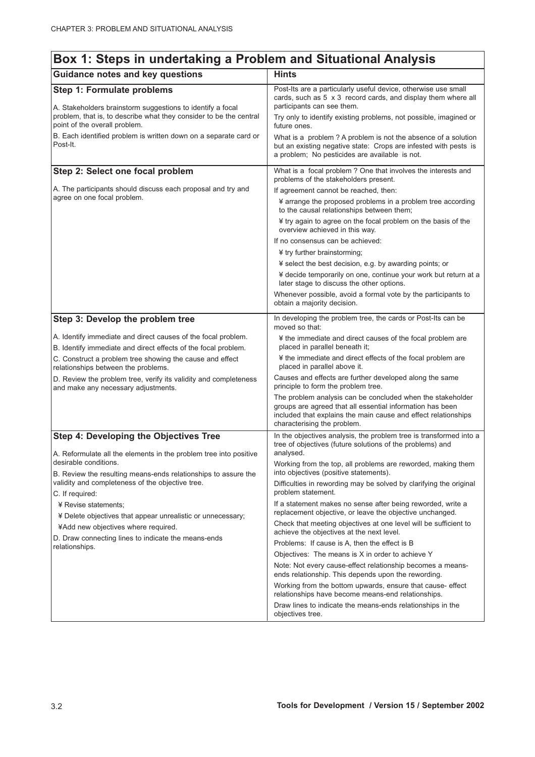## **Box 1: Steps in undertaking a Problem and Situational Analysis**

| <b>Guidance notes and key questions</b>                                                                                                                                                                                                                                                                      | <b>Hints</b>                                                                                                                                                                                                                       |
|--------------------------------------------------------------------------------------------------------------------------------------------------------------------------------------------------------------------------------------------------------------------------------------------------------------|------------------------------------------------------------------------------------------------------------------------------------------------------------------------------------------------------------------------------------|
| Step 1: Formulate problems<br>A. Stakeholders brainstorm suggestions to identify a focal<br>problem, that is, to describe what they consider to be the central                                                                                                                                               | Post-Its are a particularly useful device, otherwise use small<br>cards, such as 5 x 3 record cards, and display them where all<br>participants can see them.<br>Try only to identify existing problems, not possible, imagined or |
| point of the overall problem.<br>B. Each identified problem is written down on a separate card or<br>Post-It.                                                                                                                                                                                                | future ones.<br>What is a problem? A problem is not the absence of a solution<br>but an existing negative state: Crops are infested with pests is<br>a problem; No pesticides are available is not.                                |
| Step 2: Select one focal problem                                                                                                                                                                                                                                                                             | What is a focal problem? One that involves the interests and<br>problems of the stakeholders present.                                                                                                                              |
| A. The participants should discuss each proposal and try and                                                                                                                                                                                                                                                 | If agreement cannot be reached, then:                                                                                                                                                                                              |
| agree on one focal problem.                                                                                                                                                                                                                                                                                  | ¥ arrange the proposed problems in a problem tree according<br>to the causal relationships between them;                                                                                                                           |
|                                                                                                                                                                                                                                                                                                              | ¥ try again to agree on the focal problem on the basis of the<br>overview achieved in this way.                                                                                                                                    |
|                                                                                                                                                                                                                                                                                                              | If no consensus can be achieved:                                                                                                                                                                                                   |
|                                                                                                                                                                                                                                                                                                              | ¥ try further brainstorming;                                                                                                                                                                                                       |
|                                                                                                                                                                                                                                                                                                              | ¥ select the best decision, e.g. by awarding points; or                                                                                                                                                                            |
|                                                                                                                                                                                                                                                                                                              | ¥ decide temporarily on one, continue your work but return at a<br>later stage to discuss the other options.                                                                                                                       |
|                                                                                                                                                                                                                                                                                                              | Whenever possible, avoid a formal vote by the participants to<br>obtain a majority decision.                                                                                                                                       |
| Step 3: Develop the problem tree                                                                                                                                                                                                                                                                             | In developing the problem tree, the cards or Post-Its can be<br>moved so that:                                                                                                                                                     |
| A. Identify immediate and direct causes of the focal problem.<br>B. Identify immediate and direct effects of the focal problem.                                                                                                                                                                              | ¥ the immediate and direct causes of the focal problem are<br>placed in parallel beneath it;                                                                                                                                       |
| C. Construct a problem tree showing the cause and effect<br>relationships between the problems.                                                                                                                                                                                                              | ¥ the immediate and direct effects of the focal problem are<br>placed in parallel above it.                                                                                                                                        |
| D. Review the problem tree, verify its validity and completeness<br>and make any necessary adjustments.                                                                                                                                                                                                      | Causes and effects are further developed along the same<br>principle to form the problem tree.                                                                                                                                     |
|                                                                                                                                                                                                                                                                                                              | The problem analysis can be concluded when the stakeholder<br>groups are agreed that all essential information has been<br>included that explains the main cause and effect relationships<br>characterising the problem.           |
| <b>Step 4: Developing the Objectives Tree</b><br>A. Reformulate all the elements in the problem tree into positive<br>desirable conditions.<br>B. Review the resulting means-ends relationships to assure the<br>validity and completeness of the objective tree.<br>C. If required:<br>¥ Revise statements; | In the objectives analysis, the problem tree is transformed into a<br>tree of objectives (future solutions of the problems) and<br>analysed.                                                                                       |
|                                                                                                                                                                                                                                                                                                              | Working from the top, all problems are reworded, making them<br>into objectives (positive statements).                                                                                                                             |
|                                                                                                                                                                                                                                                                                                              | Difficulties in rewording may be solved by clarifying the original<br>problem statement.                                                                                                                                           |
|                                                                                                                                                                                                                                                                                                              | If a statement makes no sense after being reworded, write a<br>replacement objective, or leave the objective unchanged.                                                                                                            |
| ¥ Delete objectives that appear unrealistic or unnecessary;                                                                                                                                                                                                                                                  | Check that meeting objectives at one level will be sufficient to                                                                                                                                                                   |
| ¥Add new objectives where required.<br>D. Draw connecting lines to indicate the means-ends<br>relationships.                                                                                                                                                                                                 | achieve the objectives at the next level.                                                                                                                                                                                          |
|                                                                                                                                                                                                                                                                                                              | Problems: If cause is A, then the effect is B                                                                                                                                                                                      |
|                                                                                                                                                                                                                                                                                                              | Objectives: The means is X in order to achieve Y                                                                                                                                                                                   |
|                                                                                                                                                                                                                                                                                                              | Note: Not every cause-effect relationship becomes a means-<br>ends relationship. This depends upon the rewording.                                                                                                                  |
|                                                                                                                                                                                                                                                                                                              | Working from the bottom upwards, ensure that cause- effect<br>relationships have become means-end relationships.                                                                                                                   |
|                                                                                                                                                                                                                                                                                                              | Draw lines to indicate the means-ends relationships in the<br>objectives tree.                                                                                                                                                     |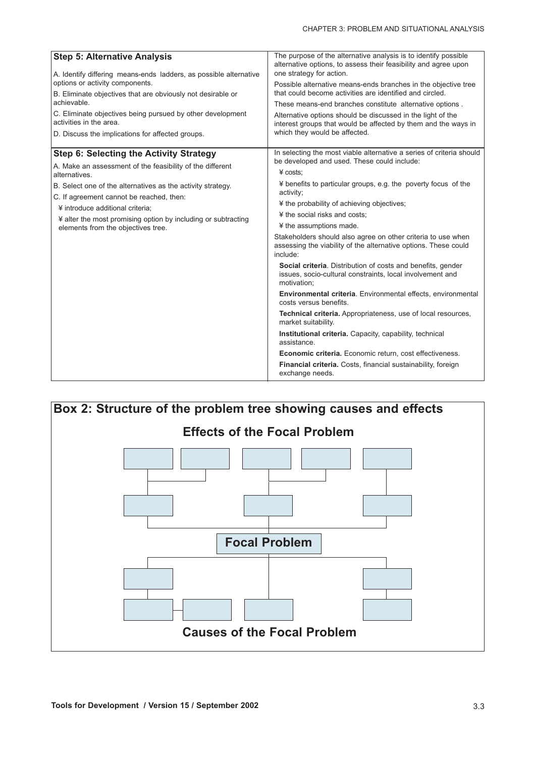| <b>Step 5: Alternative Analysis</b><br>A. Identify differing means-ends ladders, as possible alternative<br>options or activity components.<br>B. Eliminate objectives that are obviously not desirable or                                                                                                                                   | The purpose of the alternative analysis is to identify possible<br>alternative options, to assess their feasibility and agree upon<br>one strategy for action. |  |  |
|----------------------------------------------------------------------------------------------------------------------------------------------------------------------------------------------------------------------------------------------------------------------------------------------------------------------------------------------|----------------------------------------------------------------------------------------------------------------------------------------------------------------|--|--|
|                                                                                                                                                                                                                                                                                                                                              | Possible alternative means-ends branches in the objective tree<br>that could become activities are identified and circled.                                     |  |  |
|                                                                                                                                                                                                                                                                                                                                              |                                                                                                                                                                |  |  |
| C. Eliminate objectives being pursued by other development<br>activities in the area.                                                                                                                                                                                                                                                        | Alternative options should be discussed in the light of the<br>interest groups that would be affected by them and the ways in                                  |  |  |
| D. Discuss the implications for affected groups.                                                                                                                                                                                                                                                                                             | which they would be affected.                                                                                                                                  |  |  |
| <b>Step 6: Selecting the Activity Strategy</b><br>A. Make an assessment of the feasibility of the different<br>alternatives.<br>B. Select one of the alternatives as the activity strategy.<br>C. If agreement cannot be reached, then:<br>¥ introduce additional criteria;<br>¥ alter the most promising option by including or subtracting | In selecting the most viable alternative a series of criteria should<br>be developed and used. These could include:                                            |  |  |
|                                                                                                                                                                                                                                                                                                                                              | $4$ costs:                                                                                                                                                     |  |  |
|                                                                                                                                                                                                                                                                                                                                              | ¥ benefits to particular groups, e.g. the poverty focus of the<br>activity;                                                                                    |  |  |
|                                                                                                                                                                                                                                                                                                                                              | ¥ the probability of achieving objectives;                                                                                                                     |  |  |
|                                                                                                                                                                                                                                                                                                                                              | ¥ the social risks and costs:                                                                                                                                  |  |  |
| elements from the objectives tree.                                                                                                                                                                                                                                                                                                           | ¥ the assumptions made.                                                                                                                                        |  |  |
|                                                                                                                                                                                                                                                                                                                                              | Stakeholders should also agree on other criteria to use when<br>assessing the viability of the alternative options. These could<br>include:                    |  |  |
|                                                                                                                                                                                                                                                                                                                                              | Social criteria. Distribution of costs and benefits, gender<br>issues, socio-cultural constraints, local involvement and<br>motivation;                        |  |  |
|                                                                                                                                                                                                                                                                                                                                              | Environmental criteria. Environmental effects, environmental<br>costs versus benefits.                                                                         |  |  |
|                                                                                                                                                                                                                                                                                                                                              | Technical criteria. Appropriateness, use of local resources,<br>market suitability.                                                                            |  |  |
|                                                                                                                                                                                                                                                                                                                                              | Institutional criteria. Capacity, capability, technical<br>assistance.                                                                                         |  |  |
|                                                                                                                                                                                                                                                                                                                                              | Economic criteria. Economic return, cost effectiveness.                                                                                                        |  |  |
|                                                                                                                                                                                                                                                                                                                                              | Financial criteria. Costs, financial sustainability, foreign<br>exchange needs.                                                                                |  |  |

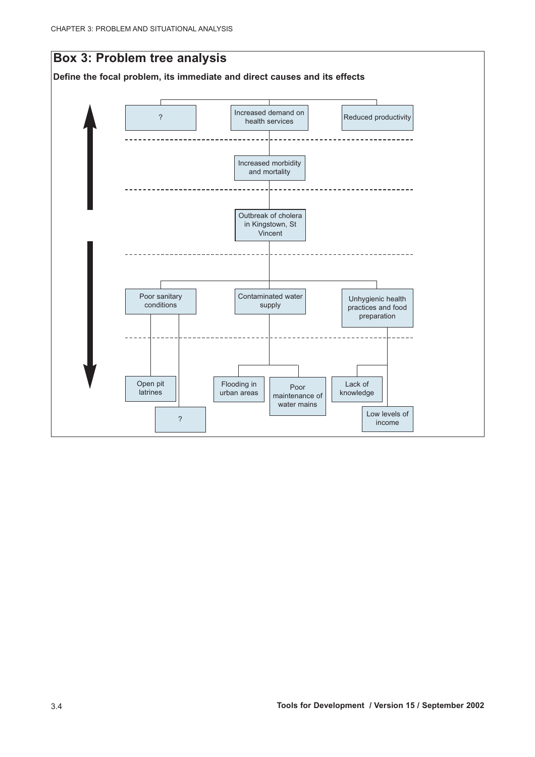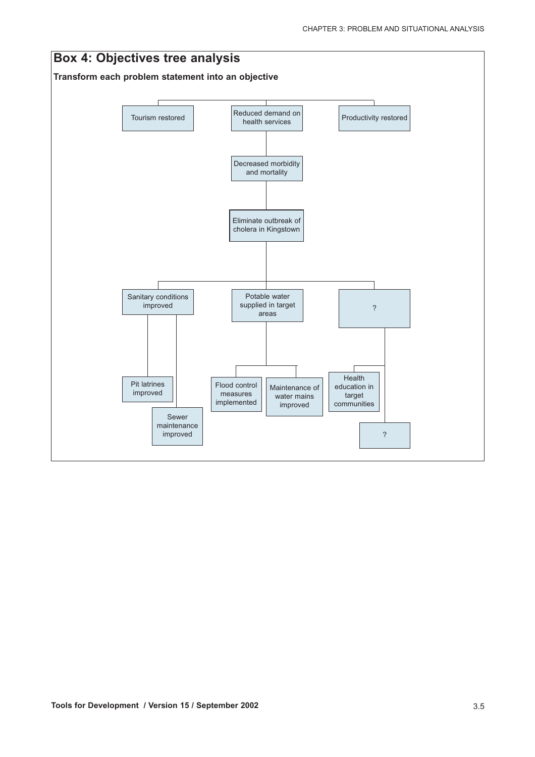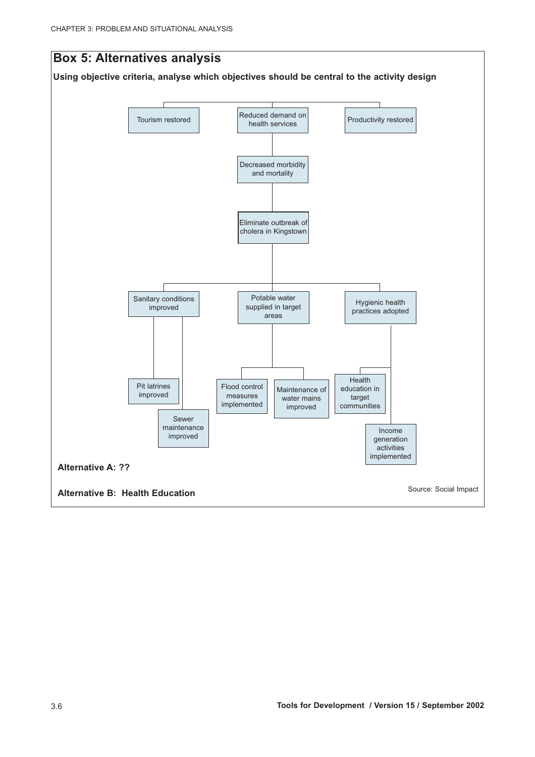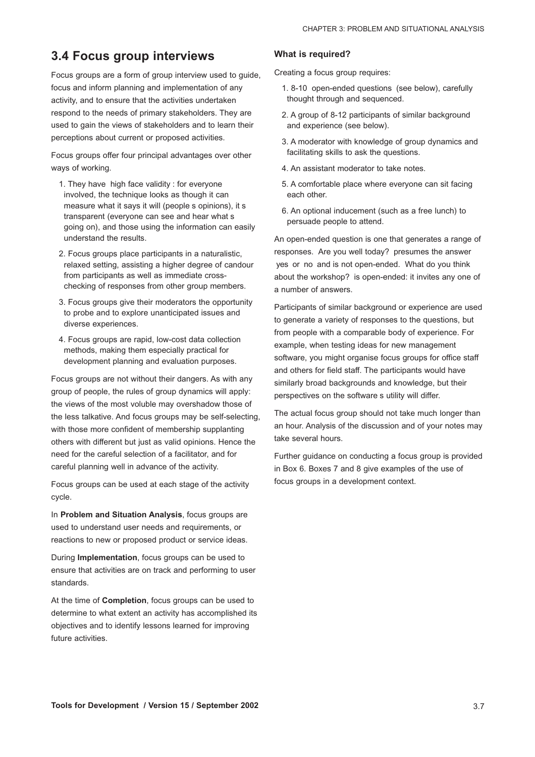#### **3.4 Focus group interviews**

Focus groups are a form of group interview used to guide. focus and inform planning and implementation of any activity, and to ensure that the activities undertaken respond to the needs of primary stakeholders. They are used to gain the views of stakeholders and to learn their perceptions about current or proposed activities.

Focus groups offer four principal advantages over other ways of working.

- 1. They have high face validity : for everyone involved, the technique looks as though it can measure what it says it will (people s opinions), it s transparent (everyone can see and hear what s going on), and those using the information can easily understand the results.
- 2. Focus groups place participants in a naturalistic, relaxed setting, assisting a higher degree of candour from participants as well as immediate crosschecking of responses from other group members.
- 3. Focus groups give their moderators the opportunity to probe and to explore unanticipated issues and diverse experiences.
- 4. Focus groups are rapid, low-cost data collection methods, making them especially practical for development planning and evaluation purposes.

Focus groups are not without their dangers. As with any group of people, the rules of group dynamics will apply: the views of the most voluble may overshadow those of the less talkative. And focus groups may be self-selecting, with those more confident of membership supplanting others with different but just as valid opinions. Hence the need for the careful selection of a facilitator, and for careful planning well in advance of the activity.

Focus groups can be used at each stage of the activity cycle.

In **Problem and Situation Analysis**, focus groups are used to understand user needs and requirements, or reactions to new or proposed product or service ideas.

During **Implementation**, focus groups can be used to ensure that activities are on track and performing to user standards.

At the time of **Completion**, focus groups can be used to determine to what extent an activity has accomplished its objectives and to identify lessons learned for improving future activities.

#### **What is required?**

Creating a focus group requires:

- 1. 8-10 open-ended questions (see below), carefully thought through and sequenced.
- 2. A group of 8-12 participants of similar background and experience (see below).
- 3. A moderator with knowledge of group dynamics and facilitating skills to ask the questions.
- 4. An assistant moderator to take notes.
- 5. A comfortable place where everyone can sit facing each other.
- 6. An optional inducement (such as a free lunch) to persuade people to attend.

An open-ended question is one that generates a range of responses. Are you well today? presumes the answer yes or no and is not open-ended. What do you think about the workshop? is open-ended: it invites any one of a number of answers.

Participants of similar background or experience are used to generate a variety of responses to the questions, but from people with a comparable body of experience. For example, when testing ideas for new management software, you might organise focus groups for office staff and others for field staff. The participants would have similarly broad backgrounds and knowledge, but their perspectives on the software s utility will differ.

The actual focus group should not take much longer than an hour. Analysis of the discussion and of your notes may take several hours.

Further guidance on conducting a focus group is provided in Box 6. Boxes 7 and 8 give examples of the use of focus groups in a development context.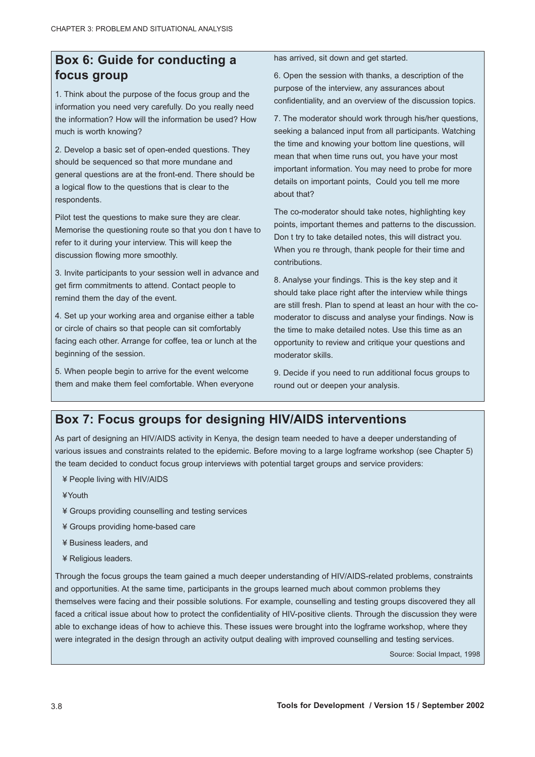### **Box 6: Guide for conducting a focus group**

1. Think about the purpose of the focus group and the information you need very carefully. Do you really need the information? How will the information be used? How much is worth knowing?

2. Develop a basic set of open-ended questions. They should be sequenced so that more mundane and general questions are at the front-end. There should be a logical flow to the questions that is clear to the respondents.

Pilot test the questions to make sure they are clear. Memorise the questioning route so that you don t have to refer to it during your interview. This will keep the discussion flowing more smoothly.

3. Invite participants to your session well in advance and get firm commitments to attend. Contact people to remind them the day of the event.

4. Set up your working area and organise either a table or circle of chairs so that people can sit comfortably facing each other. Arrange for coffee, tea or lunch at the beginning of the session.

5. When people begin to arrive for the event welcome them and make them feel comfortable. When everyone has arrived, sit down and get started.

6. Open the session with thanks, a description of the purpose of the interview, any assurances about confidentiality, and an overview of the discussion topics.

7. The moderator should work through his/her questions, seeking a balanced input from all participants. Watching the time and knowing your bottom line questions, will mean that when time runs out, you have your most important information. You may need to probe for more details on important points, Could you tell me more about that?

The co-moderator should take notes, highlighting key points, important themes and patterns to the discussion. Don t try to take detailed notes, this will distract you. When you re through, thank people for their time and contributions.

8. Analyse your findings. This is the key step and it should take place right after the interview while things are still fresh. Plan to spend at least an hour with the comoderator to discuss and analyse your findings. Now is the time to make detailed notes. Use this time as an opportunity to review and critique your questions and moderator skills.

9. Decide if you need to run additional focus groups to round out or deepen your analysis.

### **Box 7: Focus groups for designing HIV/AIDS interventions**

As part of designing an HIV/AIDS activity in Kenya, the design team needed to have a deeper understanding of various issues and constraints related to the epidemic. Before moving to a large logframe workshop (see Chapter 5) the team decided to conduct focus group interviews with potential target groups and service providers:

¥ People living with HIV/AIDS

¥ Youth

- ¥ Groups providing counselling and testing services
- ¥ Groups providing home-based care
- ¥ Business leaders, and
- ¥ Religious leaders.

Through the focus groups the team gained a much deeper understanding of HIV/AIDS-related problems, constraints and opportunities. At the same time, participants in the groups learned much about common problems they themselves were facing and their possible solutions. For example, counselling and testing groups discovered they all faced a critical issue about how to protect the confidentiality of HIV-positive clients. Through the discussion they were able to exchange ideas of how to achieve this. These issues were brought into the logframe workshop, where they were integrated in the design through an activity output dealing with improved counselling and testing services.

Source: Social Impact, 1998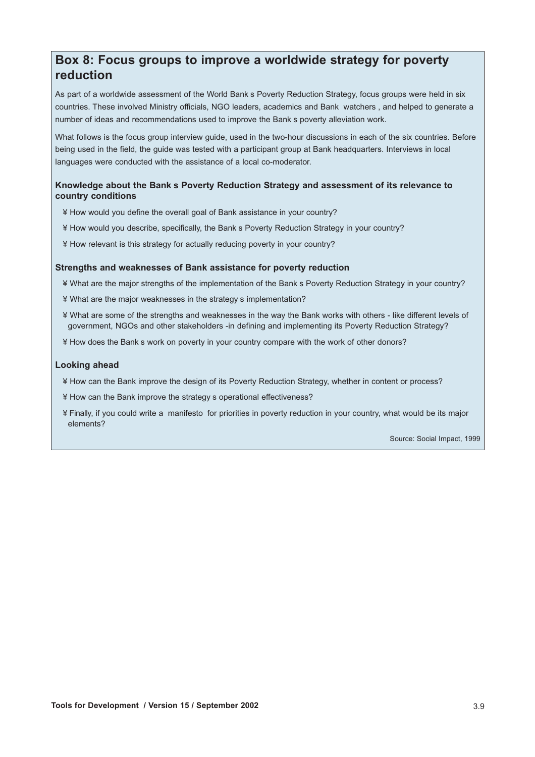### **Box 8: Focus groups to improve a worldwide strategy for poverty reduction**

As part of a worldwide assessment of the World Bank s Poverty Reduction Strategy, focus groups were held in six countries. These involved Ministry officials, NGO leaders, academics and Bank watchers , and helped to generate a number of ideas and recommendations used to improve the Bank s poverty alleviation work.

What follows is the focus group interview guide, used in the two-hour discussions in each of the six countries. Before being used in the field, the guide was tested with a participant group at Bank headquarters. Interviews in local languages were conducted with the assistance of a local co-moderator.

#### **Knowledge about the Bank s Poverty Reduction Strategy and assessment of its relevance to country conditions**

- ¥ How would you define the overall goal of Bank assistance in your country?
- ¥ How would you describe, specifically, the Bank s Poverty Reduction Strategy in your country?
- ¥ How relevant is this strategy for actually reducing poverty in your country?

#### **Strengths and weaknesses of Bank assistance for poverty reduction**

- ¥ What are the major strengths of the implementation of the Bank s Poverty Reduction Strategy in your country?
- ¥ What are the major weaknesses in the strategy s implementation?
- ¥ What are some of the strengths and weaknesses in the way the Bank works with others like different levels of government, NGOs and other stakeholders -in defining and implementing its Poverty Reduction Strategy?
- ¥ How does the Bank s work on poverty in your country compare with the work of other donors?

#### **Looking ahead**

- ¥ How can the Bank improve the design of its Poverty Reduction Strategy, whether in content or process?
- ¥ How can the Bank improve the strategy s operational effectiveness?
- ¥ Finally, if you could write a manifesto for priorities in poverty reduction in your country, what would be its major elements?

Source: Social Impact, 1999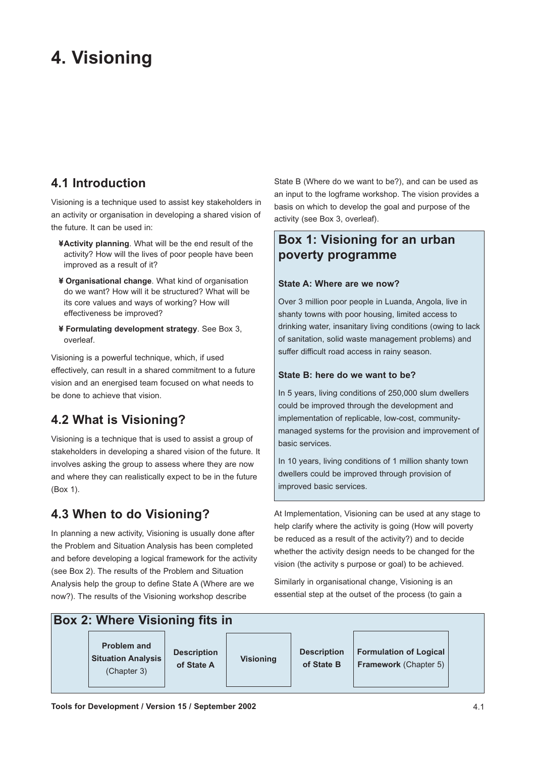# **4. Visioning**

### **4.1 Introduction**

Visioning is a technique used to assist key stakeholders in an activity or organisation in developing a shared vision of the future. It can be used in:

- **¥ Activity planning**. What will be the end result of the activity? How will the lives of poor people have been improved as a result of it?
- **¥ Organisational change**. What kind of organisation do we want? How will it be structured? What will be its core values and ways of working? How will effectiveness be improved?
- **¥ Formulating development strategy**. See Box 3, overleaf.

Visioning is a powerful technique, which, if used effectively, can result in a shared commitment to a future vision and an energised team focused on what needs to be done to achieve that vision.

### **4.2 What is Visioning?**

Visioning is a technique that is used to assist a group of stakeholders in developing a shared vision of the future. It involves asking the group to assess where they are now and where they can realistically expect to be in the future (Box 1).

### **4.3 When to do Visioning?**

In planning a new activity, Visioning is usually done after the Problem and Situation Analysis has been completed and before developing a logical framework for the activity (see Box 2). The results of the Problem and Situation Analysis help the group to define State A (Where are we now?). The results of the Visioning workshop describe

State B (Where do we want to be?), and can be used as an input to the logframe workshop. The vision provides a basis on which to develop the goal and purpose of the activity (see Box 3, overleaf).

### **Box 1: Visioning for an urban poverty programme**

#### **State A: Where are we now?**

Over 3 million poor people in Luanda, Angola, live in shanty towns with poor housing, limited access to drinking water, insanitary living conditions (owing to lack of sanitation, solid waste management problems) and suffer difficult road access in rainy season.

### **State B: here do we want to be?**

In 5 years, living conditions of 250,000 slum dwellers could be improved through the development and implementation of replicable, low-cost, communitymanaged systems for the provision and improvement of basic services.

In 10 years, living conditions of 1 million shanty town dwellers could be improved through provision of improved basic services.

At Implementation, Visioning can be used at any stage to help clarify where the activity is going (How will poverty be reduced as a result of the activity?) and to decide whether the activity design needs to be changed for the vision (the activity s purpose or goal) to be achieved.

Similarly in organisational change, Visioning is an essential step at the outset of the process (to gain a

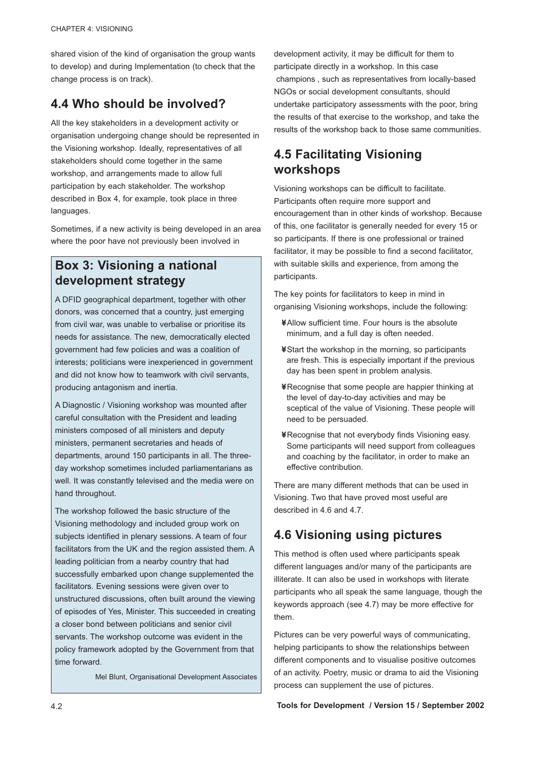shared vision of the kind of organisation the group wants to develop) and during Implementation (to check that the change process is on track).

### **4.4 Who should be involved?**

All the key stakeholders in a development activity or organisation undergoing change should be represented in the Visioning workshop. Ideally, representatives of all stakeholders should come together in the same workshop, and arrangements made to allow full participation by each stakeholder. The workshop described in Box 4, for example, took place in three languages.

Sometimes, if a new activity is being developed in an area where the poor have not previously been involved in

### **Box 3: Visioning a national development strategy**

A DFID geographical department, together with other donors, was concerned that a country, just emerging from civil war, was unable to verbalise or prioritise its needs for assistance. The new, democratically elected government had few policies and was a coalition of interests; politicians were inexperienced in government and did not know how to teamwork with civil servants, producing antagonism and inertia.

A Diagnostic / Visioning workshop was mounted after careful consultation with the President and leading ministers composed of all ministers and deputy ministers, permanent secretaries and heads of departments, around 150 participants in all. The threeday workshop sometimes included parliamentarians as well. It was constantly televised and the media were on hand throughout.

The workshop followed the basic structure of the Visioning methodology and included group work on subjects identified in plenary sessions. A team of four facilitators from the UK and the region assisted them. A leading politician from a nearby country that had successfully embarked upon change supplemented the facilitators. Evening sessions were given over to unstructured discussions, often built around the viewing of episodes of Yes, Minister. This succeeded in creating a closer bond between politicians and senior civil servants. The workshop outcome was evident in the policy framework adopted by the Government from that time forward.

Mel Blunt, Organisational Development Associates

development activity, it may be difficult for them to participate directly in a workshop. In this case champions , such as representatives from locally-based NGOs or social development consultants, should undertake participatory assessments with the poor, bring the results of that exercise to the workshop, and take the results of the workshop back to those same communities.

### **4.5 Facilitating Visioning workshops**

Visioning workshops can be difficult to facilitate. Participants often require more support and encouragement than in other kinds of workshop. Because of this, one facilitator is generally needed for every 15 or so participants. If there is one professional or trained facilitator, it may be possible to find a second facilitator, with suitable skills and experience, from among the participants.

The key points for facilitators to keep in mind in organising Visioning workshops, include the following:

- **¥** Allow sufficient time. Four hours is the absolute minimum, and a full day is often needed.
- **¥** Start the workshop in the morning, so participants are fresh. This is especially important if the previous day has been spent in problem analysis.
- **¥** Recognise that some people are happier thinking at the level of day-to-day activities and may be sceptical of the value of Visioning. These people will need to be persuaded.
- **¥** Recognise that not everybody finds Visioning easy. Some participants will need support from colleagues and coaching by the facilitator, in order to make an effective contribution.

There are many different methods that can be used in Visioning. Two that have proved most useful are described in 4.6 and 4.7.

### **4.6 Visioning using pictures**

This method is often used where participants speak different languages and/or many of the participants are illiterate. It can also be used in workshops with literate participants who all speak the same language, though the keywords approach (see 4.7) may be more effective for them.

Pictures can be very powerful ways of communicating, helping participants to show the relationships between different components and to visualise positive outcomes of an activity. Poetry, music or drama to aid the Visioning process can supplement the use of pictures.

4.2 **Tools for Development / Version 15 / September 2002**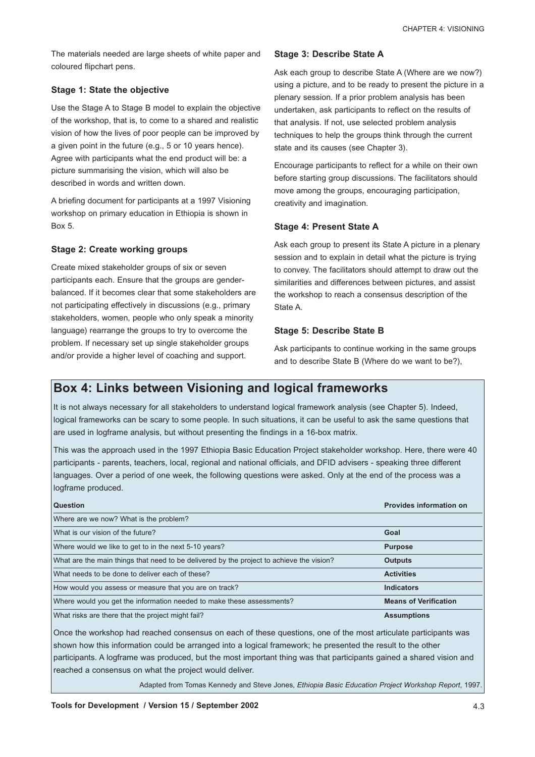The materials needed are large sheets of white paper and coloured flipchart pens.

#### **Stage 1: State the objective**

Use the Stage A to Stage B model to explain the objective of the workshop, that is, to come to a shared and realistic vision of how the lives of poor people can be improved by a given point in the future (e.g., 5 or 10 years hence). Agree with participants what the end product will be: a picture summarising the vision, which will also be described in words and written down.

A briefing document for participants at a 1997 Visioning workshop on primary education in Ethiopia is shown in Box 5.

#### **Stage 2: Create working groups**

Create mixed stakeholder groups of six or seven participants each. Ensure that the groups are genderbalanced. If it becomes clear that some stakeholders are not participating effectively in discussions (e.g., primary stakeholders, women, people who only speak a minority language) rearrange the groups to try to overcome the problem. If necessary set up single stakeholder groups and/or provide a higher level of coaching and support.

#### **Stage 3: Describe State A**

Ask each group to describe State A (Where are we now?) using a picture, and to be ready to present the picture in a plenary session. If a prior problem analysis has been undertaken, ask participants to reflect on the results of that analysis. If not, use selected problem analysis techniques to help the groups think through the current state and its causes (see Chapter 3).

Encourage participants to reflect for a while on their own before starting group discussions. The facilitators should move among the groups, encouraging participation, creativity and imagination.

#### **Stage 4: Present State A**

Ask each group to present its State A picture in a plenary session and to explain in detail what the picture is trying to convey. The facilitators should attempt to draw out the similarities and differences between pictures, and assist the workshop to reach a consensus description of the State A.

#### **Stage 5: Describe State B**

Ask participants to continue working in the same groups and to describe State B (Where do we want to be?),

### **Box 4: Links between Visioning and logical frameworks**

It is not always necessary for all stakeholders to understand logical framework analysis (see Chapter 5). Indeed, logical frameworks can be scary to some people. In such situations, it can be useful to ask the same questions that are used in logframe analysis, but without presenting the findings in a 16-box matrix.

This was the approach used in the 1997 Ethiopia Basic Education Project stakeholder workshop. Here, there were 40 participants - parents, teachers, local, regional and national officials, and DFID advisers - speaking three different languages. Over a period of one week, the following questions were asked. Only at the end of the process was a logframe produced.

| <b>Question</b>                                                                          | <b>Provides information on</b> |
|------------------------------------------------------------------------------------------|--------------------------------|
| Where are we now? What is the problem?                                                   |                                |
| What is our vision of the future?                                                        | Goal                           |
| Where would we like to get to in the next 5-10 years?                                    | <b>Purpose</b>                 |
| What are the main things that need to be delivered by the project to achieve the vision? | <b>Outputs</b>                 |
| What needs to be done to deliver each of these?                                          | <b>Activities</b>              |
| How would you assess or measure that you are on track?                                   | <b>Indicators</b>              |
| Where would you get the information needed to make these assessments?                    | <b>Means of Verification</b>   |
| What risks are there that the project might fail?                                        | <b>Assumptions</b>             |

Once the workshop had reached consensus on each of these questions, one of the most articulate participants was shown how this information could be arranged into a logical framework; he presented the result to the other participants. A logframe was produced, but the most important thing was that participants gained a shared vision and reached a consensus on what the project would deliver.

Adapted from Tomas Kennedy and Steve Jones, *Ethiopia Basic Education Project Workshop Report*, 1997.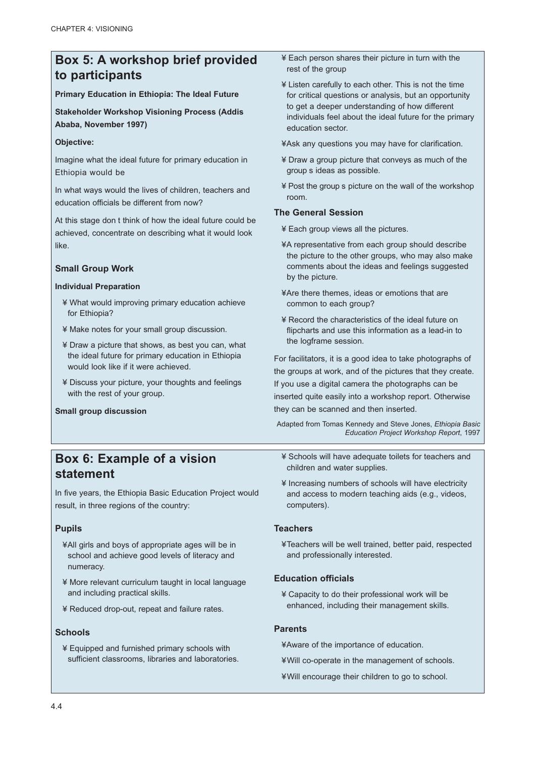### **Box 5: A workshop brief provided to participants**

**Primary Education in Ethiopia: The Ideal Future**

**Stakeholder Workshop Visioning Process (Addis Ababa, November 1997)**

### **Objective:**

Imagine what the ideal future for primary education in Ethiopia would be

In what ways would the lives of children, teachers and education officials be different from now?

At this stage don t think of how the ideal future could be achieved, concentrate on describing what it would look like.

### **Small Group Work**

#### **Individual Preparation**

- ¥ What would improving primary education achieve for Ethiopia?
- ¥ Make notes for your small group discussion.
- ¥ Draw a picture that shows, as best you can, what the ideal future for primary education in Ethiopia would look like if it were achieved.
- ¥ Discuss your picture, your thoughts and feelings with the rest of your group.

#### **Small group discussion**

- ¥ Each person shares their picture in turn with the rest of the group
- ¥ Listen carefully to each other. This is not the time for critical questions or analysis, but an opportunity to get a deeper understanding of how different individuals feel about the ideal future for the primary education sector.
- ¥ Ask any questions you may have for clarification.
- ¥ Draw a group picture that conveys as much of the group s ideas as possible.
- ¥ Post the group s picture on the wall of the workshop room.

### **The General Session**

- ¥ Each group views all the pictures.
- ¥A representative from each group should describe the picture to the other groups, who may also make comments about the ideas and feelings suggested by the picture.
- ¥ Are there themes, ideas or emotions that are common to each group?
- ¥ Record the characteristics of the ideal future on flipcharts and use this information as a lead-in to the logframe session.

For facilitators, it is a good idea to take photographs of the groups at work, and of the pictures that they create. If you use a digital camera the photographs can be inserted quite easily into a workshop report. Otherwise they can be scanned and then inserted.

Adapted from Tomas Kennedy and Steve Jones, *Ethiopia Basic Education Project Workshop Report*, 1997

### **Box 6: Example of a vision statement**

In five years, the Ethiopia Basic Education Project would result, in three regions of the country:

### **Pupils**

- ¥ All girls and boys of appropriate ages will be in school and achieve good levels of literacy and numeracy.
- ¥ More relevant curriculum taught in local language and including practical skills.
- ¥ Reduced drop-out, repeat and failure rates.

#### **Schools**

¥ Equipped and furnished primary schools with sufficient classrooms, libraries and laboratories.

- ¥ Schools will have adequate toilets for teachers and children and water supplies.
- ¥ Increasing numbers of schools will have electricity and access to modern teaching aids (e.g., videos, computers).

### **Teachers**

¥ Teachers will be well trained, better paid, respected and professionally interested.

### **Education officials**

¥ Capacity to do their professional work will be enhanced, including their management skills.

#### **Parents**

- ¥ Aware of the importance of education.
- ¥ Will co-operate in the management of schools.
- ¥ Will encourage their children to go to school.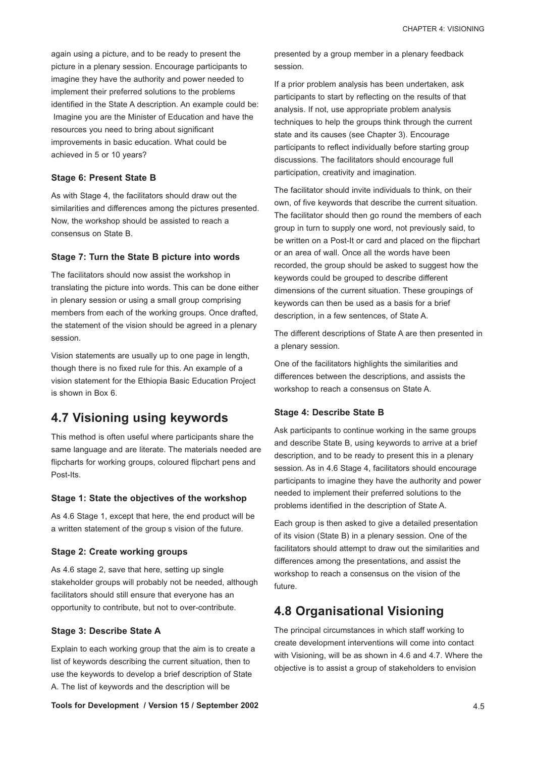again using a picture, and to be ready to present the picture in a plenary session. Encourage participants to imagine they have the authority and power needed to implement their preferred solutions to the problems identified in the State A description. An example could be: Imagine you are the Minister of Education and have the resources you need to bring about significant improvements in basic education. What could be achieved in 5 or 10 years?

#### **Stage 6: Present State B**

As with Stage 4, the facilitators should draw out the similarities and differences among the pictures presented. Now, the workshop should be assisted to reach a consensus on State B.

#### **Stage 7: Turn the State B picture into words**

The facilitators should now assist the workshop in translating the picture into words. This can be done either in plenary session or using a small group comprising members from each of the working groups. Once drafted, the statement of the vision should be agreed in a plenary session.

Vision statements are usually up to one page in length, though there is no fixed rule for this. An example of a vision statement for the Ethiopia Basic Education Project is shown in Box 6.

### **4.7 Visioning using keywords**

This method is often useful where participants share the same language and are literate. The materials needed are flipcharts for working groups, coloured flipchart pens and Post-Its.

#### **Stage 1: State the objectives of the workshop**

As 4.6 Stage 1, except that here, the end product will be a written statement of the group s vision of the future.

#### **Stage 2: Create working groups**

As 4.6 stage 2, save that here, setting up single stakeholder groups will probably not be needed, although facilitators should still ensure that everyone has an opportunity to contribute, but not to over-contribute.

#### **Stage 3: Describe State A**

Explain to each working group that the aim is to create a list of keywords describing the current situation, then to use the keywords to develop a brief description of State A. The list of keywords and the description will be

presented by a group member in a plenary feedback session.

If a prior problem analysis has been undertaken, ask participants to start by reflecting on the results of that analysis. If not, use appropriate problem analysis techniques to help the groups think through the current state and its causes (see Chapter 3). Encourage participants to reflect individually before starting group discussions. The facilitators should encourage full participation, creativity and imagination.

The facilitator should invite individuals to think, on their own, of five keywords that describe the current situation. The facilitator should then go round the members of each group in turn to supply one word, not previously said, to be written on a Post-It or card and placed on the flipchart or an area of wall. Once all the words have been recorded, the group should be asked to suggest how the keywords could be grouped to describe different dimensions of the current situation. These groupings of keywords can then be used as a basis for a brief description, in a few sentences, of State A.

The different descriptions of State A are then presented in a plenary session.

One of the facilitators highlights the similarities and differences between the descriptions, and assists the workshop to reach a consensus on State A.

#### **Stage 4: Describe State B**

Ask participants to continue working in the same groups and describe State B, using keywords to arrive at a brief description, and to be ready to present this in a plenary session. As in 4.6 Stage 4, facilitators should encourage participants to imagine they have the authority and power needed to implement their preferred solutions to the problems identified in the description of State A.

Each group is then asked to give a detailed presentation of its vision (State B) in a plenary session. One of the facilitators should attempt to draw out the similarities and differences among the presentations, and assist the workshop to reach a consensus on the vision of the future.

### **4.8 Organisational Visioning**

The principal circumstances in which staff working to create development interventions will come into contact with Visioning, will be as shown in 4.6 and 4.7. Where the objective is to assist a group of stakeholders to envision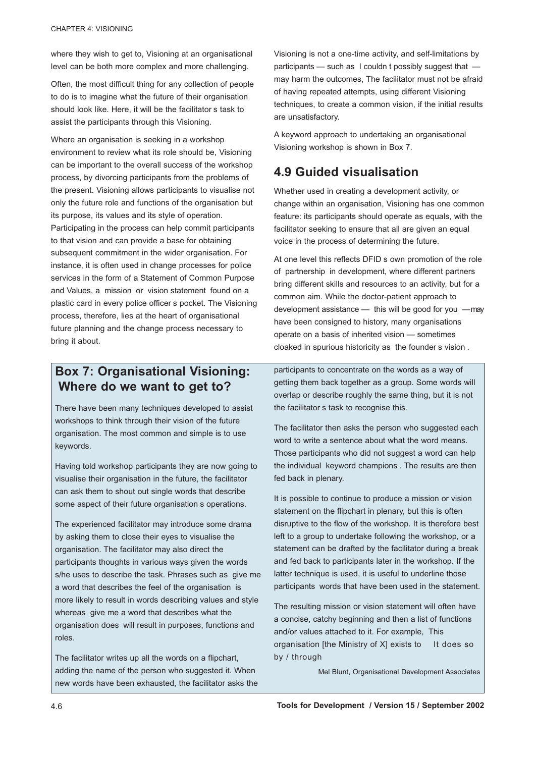where they wish to get to, Visioning at an organisational level can be both more complex and more challenging.

Often, the most difficult thing for any collection of people to do is to imagine what the future of their organisation should look like. Here, it will be the facilitator s task to assist the participants through this Visioning.

Where an organisation is seeking in a workshop environment to review what its role should be, Visioning can be important to the overall success of the workshop process, by divorcing participants from the problems of the present. Visioning allows participants to visualise not only the future role and functions of the organisation but its purpose, its values and its style of operation. Participating in the process can help commit participants to that vision and can provide a base for obtaining subsequent commitment in the wider organisation. For instance, it is often used in change processes for police services in the form of a Statement of Common Purpose and Values, a mission or vision statement found on a plastic card in every police officer s pocket. The Visioning process, therefore, lies at the heart of organisational future planning and the change process necessary to bring it about.

Visioning is not a one-time activity, and self-limitations by participants — such as I couldn t possibly suggest that may harm the outcomes, The facilitator must not be afraid of having repeated attempts, using different Visioning techniques, to create a common vision, if the initial results are unsatisfactory.

A keyword approach to undertaking an organisational Visioning workshop is shown in Box 7.

### **4.9 Guided visualisation**

Whether used in creating a development activity, or change within an organisation, Visioning has one common feature: its participants should operate as equals, with the facilitator seeking to ensure that all are given an equal voice in the process of determining the future.

At one level this reflects DFID s own promotion of the role of partnership in development, where different partners bring different skills and resources to an activity, but for a common aim. While the doctor-patient approach to development assistance — this will be good for you — may have been consigned to history, many organisations operate on a basis of inherited vision — sometimes cloaked in spurious historicity as the founder s vision .

### **Box 7: Organisational Visioning: Where do we want to get to?**

There have been many techniques developed to assist workshops to think through their vision of the future organisation. The most common and simple is to use keywords.

Having told workshop participants they are now going to visualise their organisation in the future, the facilitator can ask them to shout out single words that describe some aspect of their future organisation s operations.

The experienced facilitator may introduce some drama by asking them to close their eyes to visualise the organisation. The facilitator may also direct the participants thoughts in various ways given the words s/he uses to describe the task. Phrases such as give me a word that describes the feel of the organisation is more likely to result in words describing values and style whereas give me a word that describes what the organisation does will result in purposes, functions and roles.

The facilitator writes up all the words on a flipchart, adding the name of the person who suggested it. When new words have been exhausted, the facilitator asks the

participants to concentrate on the words as a way of getting them back together as a group. Some words will overlap or describe roughly the same thing, but it is not the facilitator s task to recognise this.

The facilitator then asks the person who suggested each word to write a sentence about what the word means. Those participants who did not suggest a word can help the individual keyword champions . The results are then fed back in plenary.

It is possible to continue to produce a mission or vision statement on the flipchart in plenary, but this is often disruptive to the flow of the workshop. It is therefore best left to a group to undertake following the workshop, or a statement can be drafted by the facilitator during a break and fed back to participants later in the workshop. If the latter technique is used, it is useful to underline those participants words that have been used in the statement.

The resulting mission or vision statement will often have a concise, catchy beginning and then a list of functions and/or values attached to it. For example, This organisation [the Ministry of X] exists to It does so by / through

Mel Blunt, Organisational Development Associates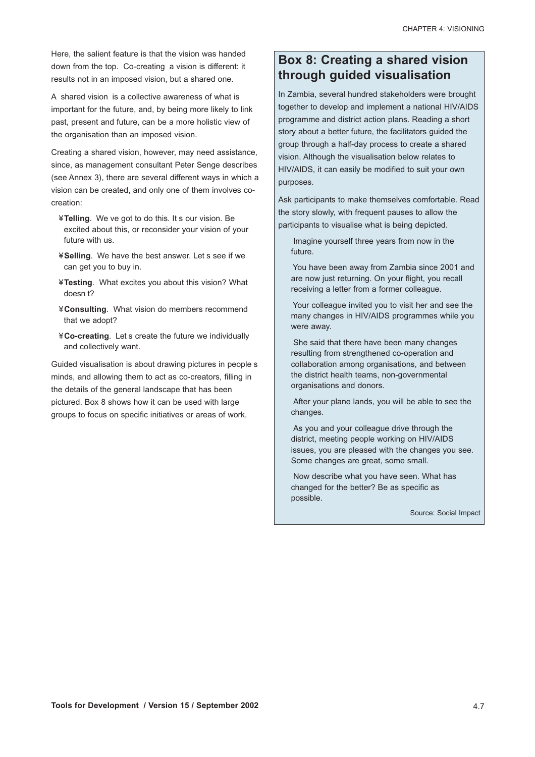Here, the salient feature is that the vision was handed down from the top. Co-creating a vision is different: it results not in an imposed vision, but a shared one.

A shared vision is a collective awareness of what is important for the future, and, by being more likely to link past, present and future, can be a more holistic view of the organisation than an imposed vision.

Creating a shared vision, however, may need assistance, since, as management consultant Peter Senge describes (see Annex 3), there are several different ways in which a vision can be created, and only one of them involves cocreation:

- ¥ **Telling**. We ve got to do this. It s our vision. Be excited about this, or reconsider your vision of your future with us.
- ¥ **Selling**. We have the best answer. Let s see if we can get you to buy in.
- ¥ **Testing**. What excites you about this vision? What doesn t?
- ¥ **Consulting**. What vision do members recommend that we adopt?
- ¥ **Co-creating**. Let s create the future we individually and collectively want.

Guided visualisation is about drawing pictures in people s minds, and allowing them to act as co-creators, filling in the details of the general landscape that has been pictured. Box 8 shows how it can be used with large groups to focus on specific initiatives or areas of work.

### **Box 8: Creating a shared vision through guided visualisation**

In Zambia, several hundred stakeholders were brought together to develop and implement a national HIV/AIDS programme and district action plans. Reading a short story about a better future, the facilitators guided the group through a half-day process to create a shared vision. Although the visualisation below relates to HIV/AIDS, it can easily be modified to suit your own purposes.

Ask participants to make themselves comfortable. Read the story slowly, with frequent pauses to allow the participants to visualise what is being depicted.

Imagine yourself three years from now in the future.

You have been away from Zambia since 2001 and are now just returning. On your flight, you recall receiving a letter from a former colleague.

Your colleague invited you to visit her and see the many changes in HIV/AIDS programmes while you were away.

She said that there have been many changes resulting from strengthened co-operation and collaboration among organisations, and between the district health teams, non-governmental organisations and donors.

After your plane lands, you will be able to see the changes.

As you and your colleague drive through the district, meeting people working on HIV/AIDS issues, you are pleased with the changes you see. Some changes are great, some small.

Now describe what you have seen. What has changed for the better? Be as specific as possible.

Source: Social Impact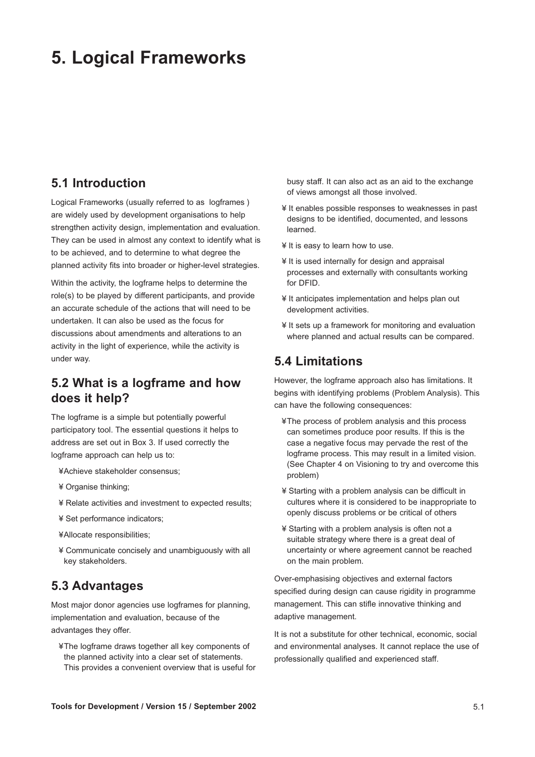# **5. Logical Frameworks**

### **5.1 Introduction**

Logical Frameworks (usually referred to as logframes ) are widely used by development organisations to help strengthen activity design, implementation and evaluation. They can be used in almost any context to identify what is to be achieved, and to determine to what degree the planned activity fits into broader or higher-level strategies.

Within the activity, the logframe helps to determine the role(s) to be played by different participants, and provide an accurate schedule of the actions that will need to be undertaken. It can also be used as the focus for discussions about amendments and alterations to an activity in the light of experience, while the activity is under way.

### **5.2 What is a logframe and how does it help?**

The logframe is a simple but potentially powerful participatory tool. The essential questions it helps to address are set out in Box 3. If used correctly the logframe approach can help us to:

¥ Achieve stakeholder consensus;

- ¥ Organise thinking;
- ¥ Relate activities and investment to expected results;
- ¥ Set performance indicators;
- ¥ Allocate responsibilities;
- ¥ Communicate concisely and unambiguously with all key stakeholders.

### **5.3 Advantages**

Most major donor agencies use logframes for planning, implementation and evaluation, because of the advantages they offer.

¥ The logframe draws together all key components of the planned activity into a clear set of statements. This provides a convenient overview that is useful for

busy staff. It can also act as an aid to the exchange of views amongst all those involved.

- ¥ It enables possible responses to weaknesses in past designs to be identified, documented, and lessons learned.
- ¥ It is easy to learn how to use.
- ¥ It is used internally for design and appraisal processes and externally with consultants working for DFID.
- ¥ It anticipates implementation and helps plan out development activities.
- ¥ It sets up a framework for monitoring and evaluation where planned and actual results can be compared.

### **5.4 Limitations**

However, the logframe approach also has limitations. It begins with identifying problems (Problem Analysis). This can have the following consequences:

- ¥ The process of problem analysis and this process can sometimes produce poor results. If this is the case a negative focus may pervade the rest of the logframe process. This may result in a limited vision. (See Chapter 4 on Visioning to try and overcome this problem)
- ¥ Starting with a problem analysis can be difficult in cultures where it is considered to be inappropriate to openly discuss problems or be critical of others
- ¥ Starting with a problem analysis is often not a suitable strategy where there is a great deal of uncertainty or where agreement cannot be reached on the main problem.

Over-emphasising objectives and external factors specified during design can cause rigidity in programme management. This can stifle innovative thinking and adaptive management.

It is not a substitute for other technical, economic, social and environmental analyses. It cannot replace the use of professionally qualified and experienced staff.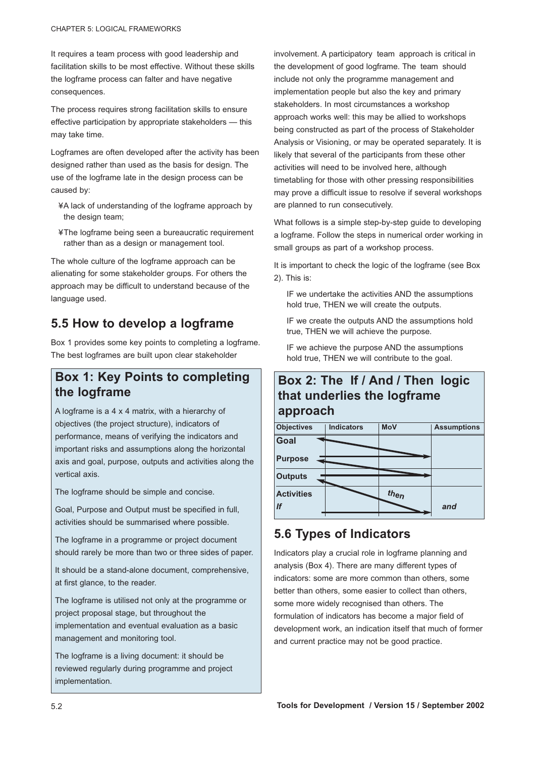It requires a team process with good leadership and facilitation skills to be most effective. Without these skills the logframe process can falter and have negative consequences.

The process requires strong facilitation skills to ensure effective participation by appropriate stakeholders — this may take time.

Logframes are often developed after the activity has been designed rather than used as the basis for design. The use of the logframe late in the design process can be caused by:

- ¥A lack of understanding of the logframe approach by the design team;
- ¥ The logframe being seen a bureaucratic requirement rather than as a design or management tool.

The whole culture of the logframe approach can be alienating for some stakeholder groups. For others the approach may be difficult to understand because of the language used.

### **5.5 How to develop a logframe**

Box 1 provides some key points to completing a logframe. The best logframes are built upon clear stakeholder

### **Box 1: Key Points to completing the logframe**

A logframe is a 4 x 4 matrix, with a hierarchy of objectives (the project structure), indicators of performance, means of verifying the indicators and important risks and assumptions along the horizontal axis and goal, purpose, outputs and activities along the vertical axis.

The logframe should be simple and concise.

Goal, Purpose and Output must be specified in full, activities should be summarised where possible.

The logframe in a programme or project document should rarely be more than two or three sides of paper.

It should be a stand-alone document, comprehensive, at first glance, to the reader.

The logframe is utilised not only at the programme or project proposal stage, but throughout the implementation and eventual evaluation as a basic management and monitoring tool.

The logframe is a living document: it should be reviewed regularly during programme and project implementation.

involvement. A participatory team approach is critical in the development of good logframe. The team should include not only the programme management and implementation people but also the key and primary stakeholders. In most circumstances a workshop approach works well: this may be allied to workshops being constructed as part of the process of Stakeholder Analysis or Visioning, or may be operated separately. It is likely that several of the participants from these other activities will need to be involved here, although timetabling for those with other pressing responsibilities may prove a difficult issue to resolve if several workshops are planned to run consecutively.

What follows is a simple step-by-step guide to developing a logframe. Follow the steps in numerical order working in small groups as part of a workshop process.

It is important to check the logic of the logframe (see Box 2). This is:

IF we undertake the activities AND the assumptions hold true, THEN we will create the outputs.

IF we create the outputs AND the assumptions hold true, THEN we will achieve the purpose.

IF we achieve the purpose AND the assumptions hold true, THEN we will contribute to the goal.

### **Box 2: The If / And / Then logic that underlies the logframe approach**

| <b>Indicators</b> | <b>MoV</b> | <b>Assumptions</b> |
|-------------------|------------|--------------------|
|                   |            |                    |
|                   |            |                    |
|                   |            |                    |
|                   | then       |                    |
|                   |            | and                |
|                   |            |                    |

### **5.6 Types of Indicators**

Indicators play a crucial role in logframe planning and analysis (Box 4). There are many different types of indicators: some are more common than others, some better than others, some easier to collect than others, some more widely recognised than others. The formulation of indicators has become a major field of development work, an indication itself that much of former and current practice may not be good practice.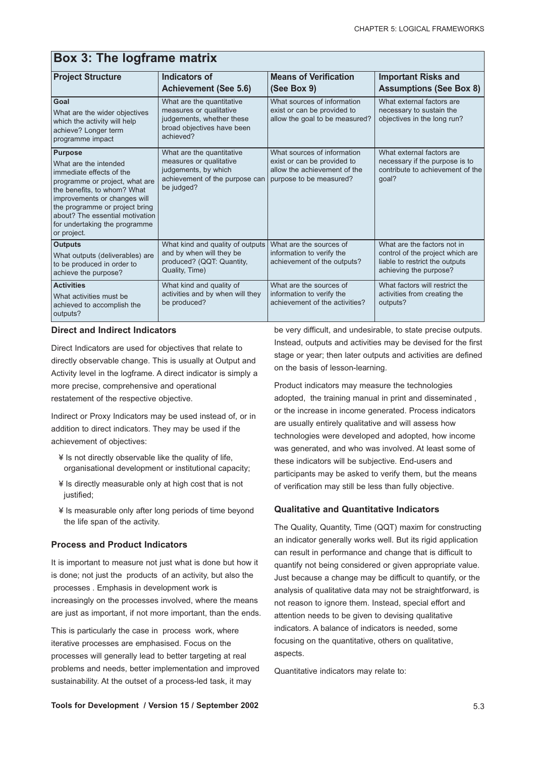| <b>Project Structure</b>                                                                                                                                                                                                                                                                  | Indicators of<br><b>Achievement (See 5.6)</b>                                                                                | <b>Means of Verification</b><br>(See Box 9)                                                                           | <b>Important Risks and</b><br><b>Assumptions (See Box 8)</b>                                                                |
|-------------------------------------------------------------------------------------------------------------------------------------------------------------------------------------------------------------------------------------------------------------------------------------------|------------------------------------------------------------------------------------------------------------------------------|-----------------------------------------------------------------------------------------------------------------------|-----------------------------------------------------------------------------------------------------------------------------|
| Goal<br>What are the wider objectives<br>which the activity will help<br>achieve? Longer term<br>programme impact                                                                                                                                                                         | What are the quantitative<br>measures or qualitative<br>judgements, whether these<br>broad objectives have been<br>achieved? | What sources of information<br>exist or can be provided to<br>allow the goal to be measured?                          | What external factors are<br>necessary to sustain the<br>objectives in the long run?                                        |
| <b>Purpose</b><br>What are the intended<br>immediate effects of the<br>programme or project, what are<br>the benefits, to whom? What<br>improvements or changes will<br>the programme or project bring<br>about? The essential motivation<br>for undertaking the programme<br>or project. | What are the quantitative<br>measures or qualitative<br>judgements, by which<br>achievement of the purpose can<br>be judged? | What sources of information<br>exist or can be provided to<br>allow the achievement of the<br>purpose to be measured? | What external factors are<br>necessary if the purpose is to<br>contribute to achievement of the<br>goal?                    |
| <b>Outputs</b><br>What outputs (deliverables) are<br>to be produced in order to<br>achieve the purpose?                                                                                                                                                                                   | What kind and quality of outputs<br>and by when will they be<br>produced? (QQT: Quantity,<br>Quality, Time)                  | What are the sources of<br>information to verify the<br>achievement of the outputs?                                   | What are the factors not in<br>control of the project which are<br>liable to restrict the outputs<br>achieving the purpose? |
| <b>Activities</b><br>What activities must be<br>achieved to accomplish the<br>outputs?                                                                                                                                                                                                    | What kind and quality of<br>activities and by when will they<br>be produced?                                                 | What are the sources of<br>information to verify the<br>achievement of the activities?                                | What factors will restrict the<br>activities from creating the<br>outputs?                                                  |

### **Box 3: The logframe matrix**

#### **Direct and Indirect Indicators**

Direct Indicators are used for objectives that relate to directly observable change. This is usually at Output and Activity level in the logframe. A direct indicator is simply a more precise, comprehensive and operational restatement of the respective objective.

Indirect or Proxy Indicators may be used instead of, or in addition to direct indicators. They may be used if the achievement of objectives:

- ¥ Is not directly observable like the quality of life, organisational development or institutional capacity;
- ¥ Is directly measurable only at high cost that is not justified:
- ¥ Is measurable only after long periods of time beyond the life span of the activity.

### **Process and Product Indicators**

It is important to measure not just what is done but how it is done; not just the products of an activity, but also the processes . Emphasis in development work is increasingly on the processes involved, where the means are just as important, if not more important, than the ends.

This is particularly the case in process work, where iterative processes are emphasised. Focus on the processes will generally lead to better targeting at real problems and needs, better implementation and improved sustainability. At the outset of a process-led task, it may

be very difficult, and undesirable, to state precise outputs. Instead, outputs and activities may be devised for the first stage or year; then later outputs and activities are defined on the basis of lesson-learning.

Product indicators may measure the technologies adopted, the training manual in print and disseminated , or the increase in income generated. Process indicators are usually entirely qualitative and will assess how technologies were developed and adopted, how income was generated, and who was involved. At least some of these indicators will be subjective. End-users and participants may be asked to verify them, but the means of verification may still be less than fully objective.

### **Qualitative and Quantitative Indicators**

The Quality, Quantity, Time (QQT) maxim for constructing an indicator generally works well. But its rigid application can result in performance and change that is difficult to quantify not being considered or given appropriate value. Just because a change may be difficult to quantify, or the analysis of qualitative data may not be straightforward, is not reason to ignore them. Instead, special effort and attention needs to be given to devising qualitative indicators. A balance of indicators is needed, some focusing on the quantitative, others on qualitative, aspects.

Quantitative indicators may relate to: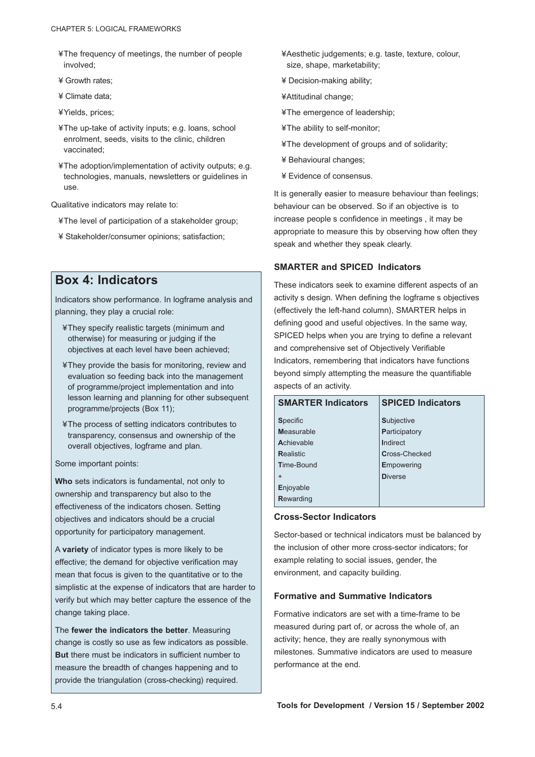- ¥ The frequency of meetings, the number of people involved;
- ¥ Growth rates;
- ¥ Climate data;
- ¥ Yields, prices;
- ¥ The up-take of activity inputs; e.g. loans, school enrolment, seeds, visits to the clinic, children vaccinated;
- ¥ The adoption/implementation of activity outputs; e.g. technologies, manuals, newsletters or guidelines in use.

Qualitative indicators may relate to:

- ¥ The level of participation of a stakeholder group;
- ¥ Stakeholder/consumer opinions; satisfaction;

### **Box 4: Indicators**

Indicators show performance. In logframe analysis and planning, they play a crucial role:

- ¥ They specify realistic targets (minimum and otherwise) for measuring or judging if the objectives at each level have been achieved;
- ¥ They provide the basis for monitoring, review and evaluation so feeding back into the management of programme/project implementation and into lesson learning and planning for other subsequent programme/projects (Box 11);
- ¥ The process of setting indicators contributes to transparency, consensus and ownership of the overall objectives, logframe and plan.

Some important points:

**Who** sets indicators is fundamental, not only to ownership and transparency but also to the effectiveness of the indicators chosen. Setting objectives and indicators should be a crucial opportunity for participatory management.

A **variety** of indicator types is more likely to be effective; the demand for objective verification may mean that focus is given to the quantitative or to the simplistic at the expense of indicators that are harder to verify but which may better capture the essence of the change taking place.

The **fewer the indicators the better**. Measuring change is costly so use as few indicators as possible. **But** there must be indicators in sufficient number to measure the breadth of changes happening and to provide the triangulation (cross-checking) required.

¥ Aesthetic judgements; e.g. taste, texture, colour, size, shape, marketability;

- ¥ Decision-making ability;
- ¥ Attitudinal change;
- ¥ The emergence of leadership;
- ¥ The ability to self-monitor;
- ¥ The development of groups and of solidarity;
- ¥ Behavioural changes;
- ¥ Evidence of consensus.

It is generally easier to measure behaviour than feelings; behaviour can be observed. So if an objective is to increase people s confidence in meetings , it may be appropriate to measure this by observing how often they speak and whether they speak clearly.

### **SMARTER and SPICED Indicators**

These indicators seek to examine different aspects of an activity s design. When defining the logframe s objectives (effectively the left-hand column), SMARTER helps in defining good and useful objectives. In the same way, SPICED helps when you are trying to define a relevant and comprehensive set of Objectively Verifiable Indicators, remembering that indicators have functions beyond simply attempting the measure the quantifiable aspects of an activity.

| <b>SMARTER Indicators</b> | <b>SPICED Indicators</b> |
|---------------------------|--------------------------|
| <b>Specific</b>           | <b>Subjective</b>        |
| Measurable                | Participatory            |
| Achievable                | Indirect                 |
| <b>Realistic</b>          | Cross-Checked            |
| <b>Time-Bound</b>         | <b>Empowering</b>        |
| $\ddot{}$                 | <b>Diverse</b>           |
| Enjoyable                 |                          |
| Rewarding                 |                          |

#### **Cross-Sector Indicators**

Sector-based or technical indicators must be balanced by the inclusion of other more cross-sector indicators; for example relating to social issues, gender, the environment, and capacity building.

### **Formative and Summative Indicators**

Formative indicators are set with a time-frame to be measured during part of, or across the whole of, an activity; hence, they are really synonymous with milestones. Summative indicators are used to measure performance at the end.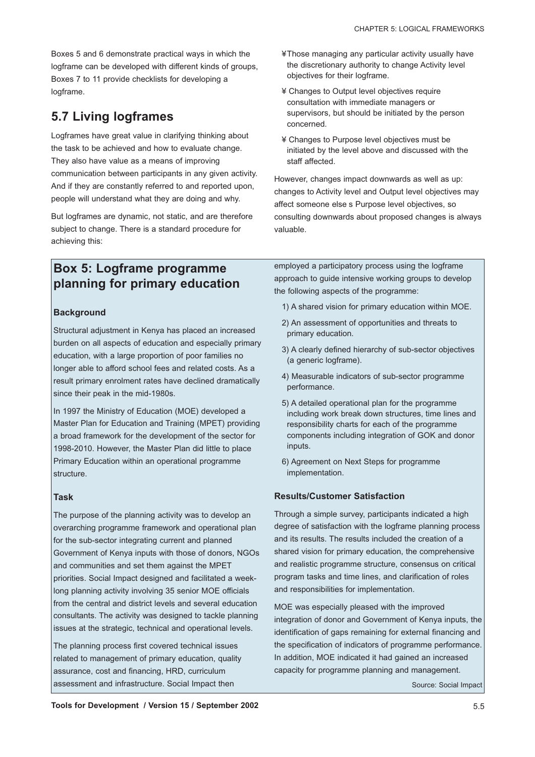Boxes 5 and 6 demonstrate practical ways in which the logframe can be developed with different kinds of groups, Boxes 7 to 11 provide checklists for developing a logframe.

### **5.7 Living logframes**

Logframes have great value in clarifying thinking about the task to be achieved and how to evaluate change. They also have value as a means of improving communication between participants in any given activity. And if they are constantly referred to and reported upon, people will understand what they are doing and why.

But logframes are dynamic, not static, and are therefore subject to change. There is a standard procedure for achieving this:

- ¥ Those managing any particular activity usually have the discretionary authority to change Activity level objectives for their logframe.
- ¥ Changes to Output level objectives require consultation with immediate managers or supervisors, but should be initiated by the person concerned.
- ¥ Changes to Purpose level objectives must be initiated by the level above and discussed with the staff affected.

However, changes impact downwards as well as up: changes to Activity level and Output level objectives may affect someone else s Purpose level objectives, so consulting downwards about proposed changes is always valuable.

### **Box 5: Logframe programme planning for primary education**

### **Background**

Structural adjustment in Kenya has placed an increased burden on all aspects of education and especially primary education, with a large proportion of poor families no longer able to afford school fees and related costs. As a result primary enrolment rates have declined dramatically since their peak in the mid-1980s.

In 1997 the Ministry of Education (MOE) developed a Master Plan for Education and Training (MPET) providing a broad framework for the development of the sector for 1998-2010. However, the Master Plan did little to place Primary Education within an operational programme structure.

### **Task**

The purpose of the planning activity was to develop an overarching programme framework and operational plan for the sub-sector integrating current and planned Government of Kenya inputs with those of donors, NGOs and communities and set them against the MPET priorities. Social Impact designed and facilitated a weeklong planning activity involving 35 senior MOE officials from the central and district levels and several education consultants. The activity was designed to tackle planning issues at the strategic, technical and operational levels.

The planning process first covered technical issues related to management of primary education, quality assurance, cost and financing, HRD, curriculum assessment and infrastructure. Social Impact then

employed a participatory process using the logframe approach to guide intensive working groups to develop the following aspects of the programme:

- 1) A shared vision for primary education within MOE.
- 2) An assessment of opportunities and threats to primary education.
- 3) A clearly defined hierarchy of sub-sector objectives (a generic logframe).
- 4) Measurable indicators of sub-sector programme performance.
- 5) A detailed operational plan for the programme including work break down structures, time lines and responsibility charts for each of the programme components including integration of GOK and donor inputs.
- 6) Agreement on Next Steps for programme implementation.

### **Results/Customer Satisfaction**

Through a simple survey, participants indicated a high degree of satisfaction with the logframe planning process and its results. The results included the creation of a shared vision for primary education, the comprehensive and realistic programme structure, consensus on critical program tasks and time lines, and clarification of roles and responsibilities for implementation.

MOE was especially pleased with the improved integration of donor and Government of Kenya inputs, the identification of gaps remaining for external financing and the specification of indicators of programme performance. In addition, MOE indicated it had gained an increased capacity for programme planning and management.

Source: Social Impact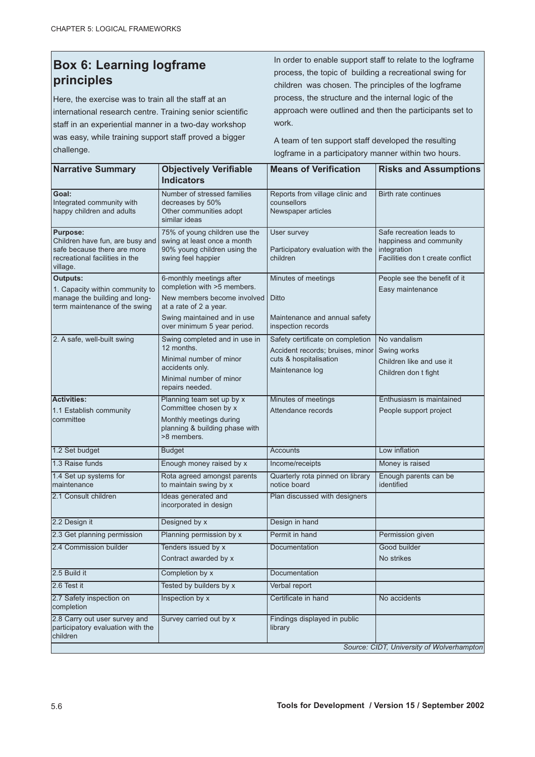### **Box 6: Learning logframe principles**

Here, the exercise was to train all the staff at an international research centre. Training senior scientific staff in an experiential manner in a two-day workshop was easy, while training support staff proved a bigger challenge.

In order to enable support staff to relate to the logframe process, the topic of building a recreational swing for children was chosen. The principles of the logframe process, the structure and the internal logic of the approach were outlined and then the participants set to work.

A team of ten support staff developed the resulting logframe in a participatory manner within two hours.

| <b>Objectively Verifiable</b><br><b>Indicators</b>                                                                                                                             | <b>Means of Verification</b>                                                                                      | <b>Risks and Assumptions</b>                                                                           |
|--------------------------------------------------------------------------------------------------------------------------------------------------------------------------------|-------------------------------------------------------------------------------------------------------------------|--------------------------------------------------------------------------------------------------------|
| Number of stressed families<br>decreases by 50%<br>Other communities adopt<br>similar ideas                                                                                    | Reports from village clinic and<br>counsellors<br>Newspaper articles                                              | Birth rate continues                                                                                   |
| 75% of young children use the<br>swing at least once a month<br>90% young children using the<br>swing feel happier                                                             | User survey<br>Participatory evaluation with the<br>children                                                      | Safe recreation leads to<br>happiness and community<br>integration<br>Facilities don t create conflict |
| 6-monthly meetings after<br>completion with >5 members.<br>New members become involved<br>at a rate of 2 a year.<br>Swing maintained and in use<br>over minimum 5 year period. | Minutes of meetings<br><b>Ditto</b><br>Maintenance and annual safety<br>inspection records                        | People see the benefit of it<br>Easy maintenance                                                       |
| Swing completed and in use in<br>12 months.<br>Minimal number of minor<br>accidents only.<br>Minimal number of minor<br>repairs needed.                                        | Safety certificate on completion<br>Accident records; bruises, minor<br>cuts & hospitalisation<br>Maintenance log | No vandalism<br>Swing works<br>Children like and use it<br>Children don t fight                        |
| Planning team set up by x<br>Committee chosen by x<br>Monthly meetings during<br>planning & building phase with<br>>8 members.                                                 | Minutes of meetings<br>Attendance records                                                                         | Enthusiasm is maintained<br>People support project                                                     |
| <b>Budget</b>                                                                                                                                                                  | <b>Accounts</b>                                                                                                   | Low inflation                                                                                          |
| Enough money raised by x                                                                                                                                                       | Income/receipts                                                                                                   | Money is raised                                                                                        |
| Rota agreed amongst parents<br>to maintain swing by x                                                                                                                          | Quarterly rota pinned on library<br>notice board                                                                  | Enough parents can be<br>identified                                                                    |
| Ideas generated and<br>incorporated in design                                                                                                                                  | Plan discussed with designers                                                                                     |                                                                                                        |
| Designed by x                                                                                                                                                                  | Design in hand                                                                                                    |                                                                                                        |
| Planning permission by x                                                                                                                                                       | Permit in hand                                                                                                    | Permission given                                                                                       |
| Tenders issued by x<br>Contract awarded by x                                                                                                                                   | Documentation                                                                                                     | Good builder<br>No strikes                                                                             |
| Completion by x                                                                                                                                                                | Documentation                                                                                                     |                                                                                                        |
| Tested by builders by x                                                                                                                                                        | Verbal report                                                                                                     |                                                                                                        |
| Inspection by x                                                                                                                                                                | Certificate in hand                                                                                               | No accidents                                                                                           |
| Survey carried out by x                                                                                                                                                        | Findings displayed in public<br>library                                                                           | Source: CIDT, University of Wolverhampton                                                              |
|                                                                                                                                                                                |                                                                                                                   |                                                                                                        |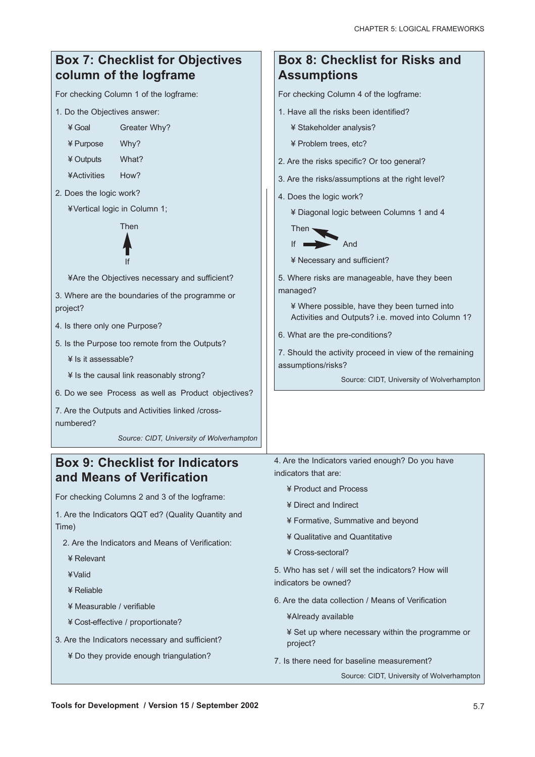

¥ Do they provide enough triangulation?

Source: CIDT, University of Wolverhampton

7. Is there need for baseline measurement?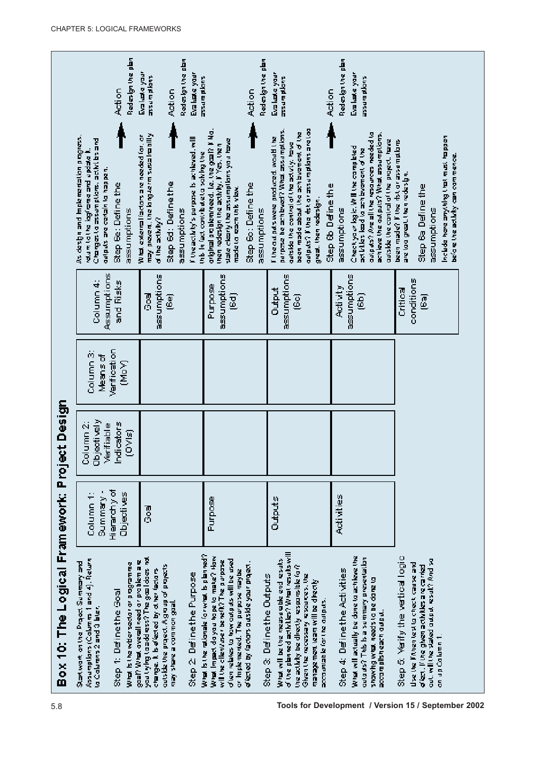| Box 10: The Logical Framework: Project Design                                                                                                                                                                                                                                            |                                                                 |                                                                |                                               |                                       |                                                                                                                                                                                                                                                                       |                                                                              |
|------------------------------------------------------------------------------------------------------------------------------------------------------------------------------------------------------------------------------------------------------------------------------------------|-----------------------------------------------------------------|----------------------------------------------------------------|-----------------------------------------------|---------------------------------------|-----------------------------------------------------------------------------------------------------------------------------------------------------------------------------------------------------------------------------------------------------------------------|------------------------------------------------------------------------------|
| Assumptions (Columns: 1 and 4). Return<br>Sartwork on the Project Summary and<br>With it is with sector or pagramme<br>Step 1: Define the Goal<br>to Columns 2 and 3 bler.                                                                                                               | Hierarchy of<br>Summary -<br>Objectives<br>Column <sub>1:</sub> | Objectively<br>Column 2:<br>Indicators<br>Verifiable<br>(QV S) | Verification<br>Column 3:<br>Meansof<br>(MoV) | Assumptions<br>Column 4:<br>and Risks | As design and implementation progress.<br>Changes to assumptions, activities and<br>which he smalled with measure.<br>autputs are certain to happen.<br>Step Se: Define the<br>assumptions                                                                            | Redesign the plan<br>Action                                                  |
| you tying to add ess? The goal does not<br>gaaf? What overall need or problem are<br>autside the project. A group of projects<br>change. It is diected by alter factors<br>Step 2: Define the Purpose<br>leog rommon e svery yem.                                                        | eog                                                             |                                                                |                                               | assumptions<br>a<br>G<br>E            | may pravent. the long-term structurality<br>What external factors are needed for, or<br>like activity's purpose is achieved will<br>this in fact contribute to solving the<br>Step 6d: Define the<br>assumptions<br><b>Number out of</b>                              | Redesign the plan<br>Evaluate your<br>Evaluale your<br>assumptions<br>Action |
| With its live railonale for with its planed?<br>With Impact doyou hape to make? How<br>dien relates to how outputs will be used<br>will the cilentaser benefit? The purpose<br>dieted by ladors outside your project.<br>or implemented. The purpose maybe<br>Step 3: Define the Outputs | Purpose                                                         |                                                                |                                               | assumptions<br>Purpose<br>Teg         | original problemineed. Le, the grain if Not<br>sveri nov suggunase svi Aresio sjeva<br>then redesign the activity. If Yes, then<br>Step 6c: Define the<br>made to leach this view.<br>assumptions                                                                     | Redesign the plan<br>assumptions<br>Action                                   |
| of the planed activities? What results will<br>With will be the measurable and results<br>the activity be directly responsible ion<br>Given the necessary resources. the<br>management learn will be directly<br>accountable for the outputs.                                            | <b>Outputs</b>                                                  |                                                                |                                               | assumptions<br><b>Dutput</b><br>මූ    | autputs? If the risk or assumptions are too<br>purpose be achieved? What assumptions.<br>been made about the achievement of the<br>Fine autiputs were produced, would the<br>autside the control of the activity, have<br>Step 6b Define the<br>great. then redesign. | Evaluale your<br>assumptions<br>Action                                       |
| What will actually be done to achieve the<br>notations or year more of the Travision<br>Step 4: Definethe Activities<br>showing what needs to be done to<br>accomplish each output.                                                                                                      | Activities                                                      |                                                                |                                               | assumptions<br>Activity<br>66)        | or passes coordered in the over the graphic<br>achileve the outputs? What assumptions.<br>autside the control of the project, have<br>Chect your logic. Will the completed<br>ad kilks kad to achievement of the<br>assumptions                                       | Redesign the plan<br>Evaluate your<br>assumptions                            |
| Step 5: Verify the vertical logic<br>aut, will he stated autput result? And so<br>the the lithen lest to check cause and<br>offect. If the given activities are carried<br>on up Column 1.                                                                                               |                                                                 |                                                                |                                               | conditions<br><b>Critical</b><br>@    | include here anything that must happen<br>been made? If the risk or assumptions<br>before the activity can commence.<br>are too great. Use medes bin<br>Step 6a Define the<br>assumptions                                                                             |                                                                              |
|                                                                                                                                                                                                                                                                                          |                                                                 |                                                                |                                               |                                       |                                                                                                                                                                                                                                                                       |                                                                              |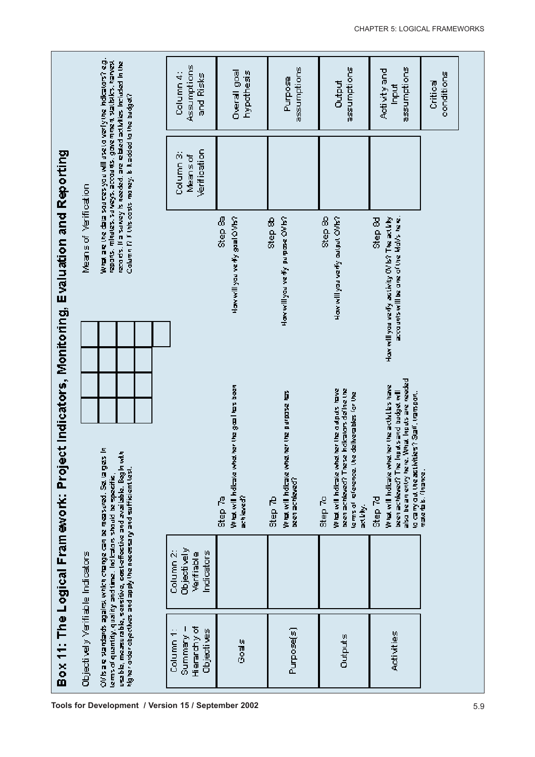What are the child sources you will use to verfy the indicators? e.g., reports, minules, surveys, accounts, government statistics, harvest records. If a survey is needed, are related activities included in the Assumptions assumptions assumptions assumptions Activity and Column 4: Dveral goal hypothesis and Risks conditions Purpose Output Critical te<br>De Column 17 Finit casts manay, is keeded to the budget? Box 11: The Logical Framework: Project Indicators, Monitoring, Evaluation and Reporting Verification Column 3: Means of Means of Verification se an apply and on one of line structors.<br>הא אינט אינו אם סיפ סלואלץ (אינט אפיג).<br>אסא אינו אסט אפילאלץ (אינט אפיג). JSIAO JEOG KINDA POÁTIJM MOH Play will you verify purpose OV is? Step 8c Flow will you ve rify output OVIS? Step 88 88 as 88 Step 8d also be an entry here. What inputs are reeded What will indicate what her the gradinals been What will indicate what her the activities have What will indicate what her the outputs have been achieved? These indicators define the What will indicate what her the purpose has been achieved? The inputs and budget will lams of reference, the deliverables for the la carry aut the setivities? Sall, transport. OV is a cloud and adalms which change can be measured. Set largets in utable, measurable, sensitive, cost-effective and available. Begin with higher order objectives and apply the necessary and sufficient lest. le ms of quantity, quality and time. Indicators should be specific, make tals. (Inance, been achieved? Step 7a achleved? Step 7b Step 70 PZ dep. act kity. Objectively Verifiable Indicators Column 2: Objectively Verifiable Indicators  $Summay -$ Hierarchy of **Objectives** Purpose(s) Column<sub>1:</sub> Activities **Outputs** Goals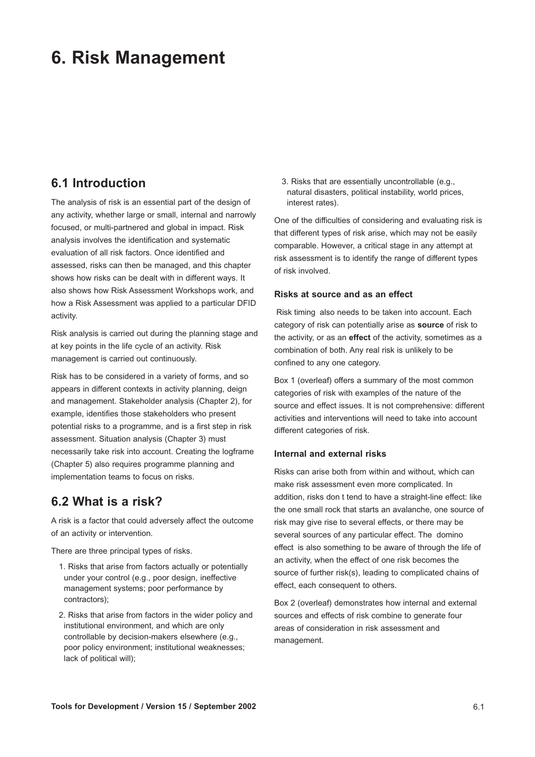# **6. Risk Management**

### **6.1 Introduction**

The analysis of risk is an essential part of the design of any activity, whether large or small, internal and narrowly focused, or multi-partnered and global in impact. Risk analysis involves the identification and systematic evaluation of all risk factors. Once identified and assessed, risks can then be managed, and this chapter shows how risks can be dealt with in different ways. It also shows how Risk Assessment Workshops work, and how a Risk Assessment was applied to a particular DFID activity.

Risk analysis is carried out during the planning stage and at key points in the life cycle of an activity. Risk management is carried out continuously.

Risk has to be considered in a variety of forms, and so appears in different contexts in activity planning, deign and management. Stakeholder analysis (Chapter 2), for example, identifies those stakeholders who present potential risks to a programme, and is a first step in risk assessment. Situation analysis (Chapter 3) must necessarily take risk into account. Creating the logframe (Chapter 5) also requires programme planning and implementation teams to focus on risks.

### **6.2 What is a risk?**

A risk is a factor that could adversely affect the outcome of an activity or intervention.

There are three principal types of risks.

- 1. Risks that arise from factors actually or potentially under your control (e.g., poor design, ineffective management systems; poor performance by contractors);
- 2. Risks that arise from factors in the wider policy and institutional environment, and which are only controllable by decision-makers elsewhere (e.g., poor policy environment; institutional weaknesses; lack of political will);

3. Risks that are essentially uncontrollable (e.g., natural disasters, political instability, world prices, interest rates).

One of the difficulties of considering and evaluating risk is that different types of risk arise, which may not be easily comparable. However, a critical stage in any attempt at risk assessment is to identify the range of different types of risk involved.

#### **Risks at source and as an effect**

Risk timing also needs to be taken into account. Each category of risk can potentially arise as **source** of risk to the activity, or as an **effect** of the activity, sometimes as a combination of both. Any real risk is unlikely to be confined to any one category.

Box 1 (overleaf) offers a summary of the most common categories of risk with examples of the nature of the source and effect issues. It is not comprehensive: different activities and interventions will need to take into account different categories of risk.

#### **Internal and external risks**

Risks can arise both from within and without, which can make risk assessment even more complicated. In addition, risks don t tend to have a straight-line effect: like the one small rock that starts an avalanche, one source of risk may give rise to several effects, or there may be several sources of any particular effect. The domino effect is also something to be aware of through the life of an activity, when the effect of one risk becomes the source of further risk(s), leading to complicated chains of effect, each consequent to others.

Box 2 (overleaf) demonstrates how internal and external sources and effects of risk combine to generate four areas of consideration in risk assessment and management.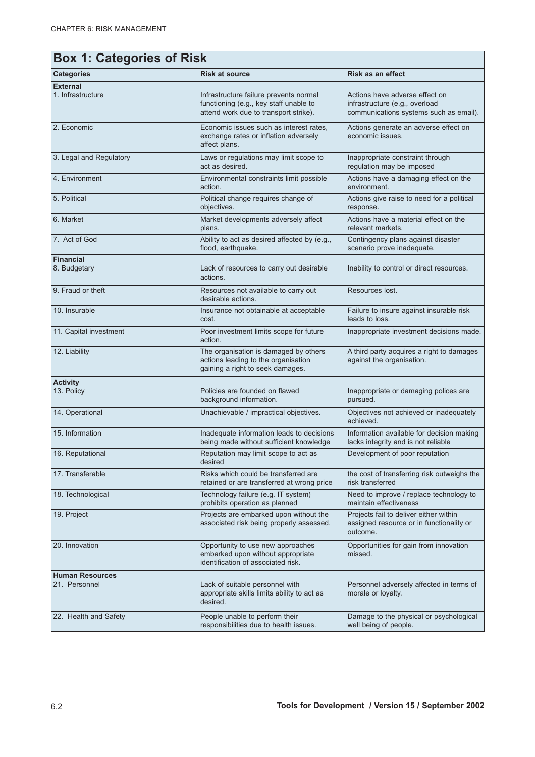| <b>Box 1: Categories of Risk</b>        |                                                                                                                           |                                                                                                            |
|-----------------------------------------|---------------------------------------------------------------------------------------------------------------------------|------------------------------------------------------------------------------------------------------------|
| <b>Categories</b>                       | <b>Risk at source</b>                                                                                                     | Risk as an effect                                                                                          |
| <b>External</b><br>1. Infrastructure    | Infrastructure failure prevents normal<br>functioning (e.g., key staff unable to<br>attend work due to transport strike). | Actions have adverse effect on<br>infrastructure (e.g., overload<br>communications systems such as email). |
| 2. Economic                             | Economic issues such as interest rates,<br>exchange rates or inflation adversely<br>affect plans.                         | Actions generate an adverse effect on<br>economic issues.                                                  |
| 3. Legal and Regulatory                 | Laws or regulations may limit scope to<br>act as desired.                                                                 | Inappropriate constraint through<br>regulation may be imposed                                              |
| 4. Environment                          | Environmental constraints limit possible<br>action.                                                                       | Actions have a damaging effect on the<br>environment.                                                      |
| 5. Political                            | Political change requires change of<br>objectives.                                                                        | Actions give raise to need for a political<br>response.                                                    |
| 6. Market                               | Market developments adversely affect<br>plans.                                                                            | Actions have a material effect on the<br>relevant markets.                                                 |
| 7. Act of God                           | Ability to act as desired affected by (e.g.,<br>flood, earthquake.                                                        | Contingency plans against disaster<br>scenario prove inadequate.                                           |
| <b>Financial</b><br>8. Budgetary        | Lack of resources to carry out desirable<br>actions.                                                                      | Inability to control or direct resources.                                                                  |
| 9. Fraud or theft                       | Resources not available to carry out<br>desirable actions.                                                                | Resources lost.                                                                                            |
| 10. Insurable                           | Insurance not obtainable at acceptable<br>cost.                                                                           | Failure to insure against insurable risk<br>leads to loss.                                                 |
| 11. Capital investment                  | Poor investment limits scope for future<br>action.                                                                        | Inappropriate investment decisions made.                                                                   |
| 12. Liability                           | The organisation is damaged by others<br>actions leading to the organisation<br>gaining a right to seek damages.          | A third party acquires a right to damages<br>against the organisation.                                     |
| <b>Activity</b><br>13. Policy           | Policies are founded on flawed<br>background information.                                                                 | Inappropriate or damaging polices are<br>pursued.                                                          |
| 14. Operational                         | Unachievable / impractical objectives.                                                                                    | Objectives not achieved or inadequately<br>achieved.                                                       |
| 15. Information                         | Inadequate information leads to decisions<br>being made without sufficient knowledge                                      | Information available for decision making<br>lacks integrity and is not reliable                           |
| 16. Reputational                        | Reputation may limit scope to act as<br>desired                                                                           | Development of poor reputation                                                                             |
| 17. Transferable                        | Risks which could be transferred are<br>retained or are transferred at wrong price                                        | the cost of transferring risk outweighs the<br>risk transferred                                            |
| 18. Technological                       | Technology failure (e.g. IT system)<br>prohibits operation as planned                                                     | Need to improve / replace technology to<br>maintain effectiveness                                          |
| 19. Project                             | Projects are embarked upon without the<br>associated risk being properly assessed.                                        | Projects fail to deliver either within<br>assigned resource or in functionality or<br>outcome.             |
| 20. Innovation                          | Opportunity to use new approaches<br>embarked upon without appropriate<br>identification of associated risk.              | Opportunities for gain from innovation<br>missed.                                                          |
| <b>Human Resources</b><br>21. Personnel | Lack of suitable personnel with<br>appropriate skills limits ability to act as<br>desired.                                | Personnel adversely affected in terms of<br>morale or loyalty.                                             |
| 22. Health and Safety                   | People unable to perform their<br>responsibilities due to health issues.                                                  | Damage to the physical or psychological<br>well being of people.                                           |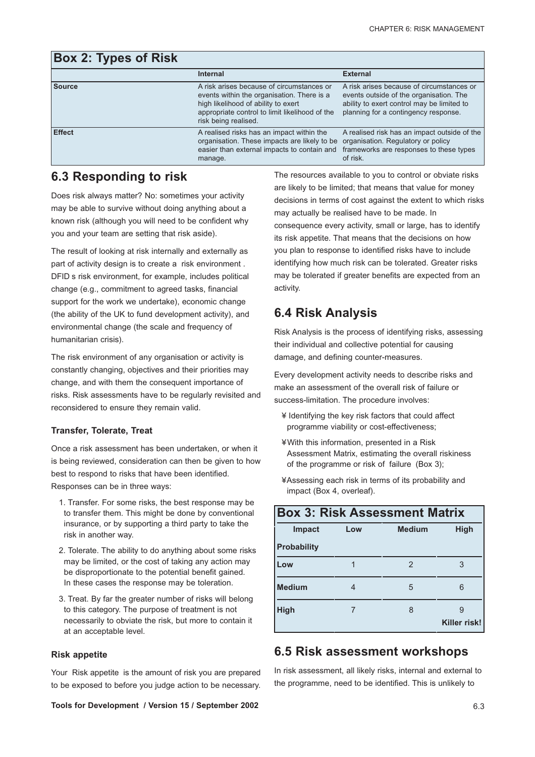| <b>Box 2: Types of Risk</b> |                                                                                                                                                                                                          |                                                                                                                                                                            |
|-----------------------------|----------------------------------------------------------------------------------------------------------------------------------------------------------------------------------------------------------|----------------------------------------------------------------------------------------------------------------------------------------------------------------------------|
|                             | <b>Internal</b>                                                                                                                                                                                          | <b>External</b>                                                                                                                                                            |
| <b>Source</b>               | A risk arises because of circumstances or<br>events within the organisation. There is a<br>high likelihood of ability to exert<br>appropriate control to limit likelihood of the<br>risk being realised. | A risk arises because of circumstances or<br>events outside of the organisation. The<br>ability to exert control may be limited to<br>planning for a contingency response. |
| <b>Effect</b>               | A realised risks has an impact within the<br>organisation. These impacts are likely to be<br>easier than external impacts to contain and<br>manage.                                                      | A realised risk has an impact outside of the<br>organisation. Regulatory or policy<br>frameworks are responses to these types<br>of risk.                                  |

### **6.3 Responding to risk**

Does risk always matter? No: sometimes your activity may be able to survive without doing anything about a known risk (although you will need to be confident why you and your team are setting that risk aside).

The result of looking at risk internally and externally as part of activity design is to create a risk environment . DFID s risk environment, for example, includes political change (e.g., commitment to agreed tasks, financial support for the work we undertake), economic change (the ability of the UK to fund development activity), and environmental change (the scale and frequency of humanitarian crisis).

The risk environment of any organisation or activity is constantly changing, objectives and their priorities may change, and with them the consequent importance of risks. Risk assessments have to be regularly revisited and reconsidered to ensure they remain valid.

### **Transfer, Tolerate, Treat**

Once a risk assessment has been undertaken, or when it is being reviewed, consideration can then be given to how best to respond to risks that have been identified. Responses can be in three ways:

- 1. Transfer. For some risks, the best response may be to transfer them. This might be done by conventional insurance, or by supporting a third party to take the risk in another way.
- 2. Tolerate. The ability to do anything about some risks may be limited, or the cost of taking any action may be disproportionate to the potential benefit gained. In these cases the response may be toleration.
- 3. Treat. By far the greater number of risks will belong to this category. The purpose of treatment is not necessarily to obviate the risk, but more to contain it at an acceptable level.

#### **Risk appetite**

Your Risk appetite is the amount of risk you are prepared to be exposed to before you judge action to be necessary.

**Tools for Development / Version 15 / September 2002**

The resources available to you to control or obviate risks are likely to be limited; that means that value for money decisions in terms of cost against the extent to which risks may actually be realised have to be made. In consequence every activity, small or large, has to identify its risk appetite. That means that the decisions on how you plan to response to identified risks have to include identifying how much risk can be tolerated. Greater risks may be tolerated if greater benefits are expected from an activity.

### **6.4 Risk Analysis**

Risk Analysis is the process of identifying risks, assessing their individual and collective potential for causing damage, and defining counter-measures.

Every development activity needs to describe risks and make an assessment of the overall risk of failure or success-limitation. The procedure involves:

- ¥ Identifying the key risk factors that could affect programme viability or cost-effectiveness;
- ¥ With this information, presented in a Risk Assessment Matrix, estimating the overall riskiness of the programme or risk of failure (Box 3);
- ¥ Assessing each risk in terms of its probability and impact (Box 4, overleaf).

|                    |     | <b>Box 3: Risk Assessment Matrix</b> |                   |
|--------------------|-----|--------------------------------------|-------------------|
| <b>Impact</b>      | Low | <b>Medium</b>                        | <b>High</b>       |
| <b>Probability</b> |     |                                      |                   |
| Low                |     | $\mathcal{P}$                        | 3                 |
| <b>Medium</b>      | 4   | 5                                    | 6                 |
| <b>High</b>        |     | 8                                    | g<br>Killer risk! |

### **6.5 Risk assessment workshops**

In risk assessment, all likely risks, internal and external to the programme, need to be identified. This is unlikely to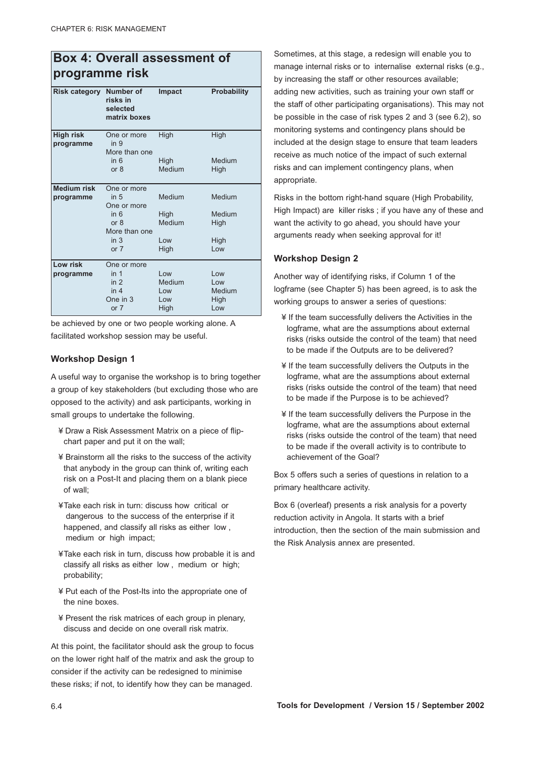### **Box 4: Overall assessment of programme risk**

| <b>Risk category</b>     | Number of<br>risks in<br>selected<br>matrix boxes                        | Impact                              | <b>Probability</b>                  |
|--------------------------|--------------------------------------------------------------------------|-------------------------------------|-------------------------------------|
| High risk<br>programme   | One or more<br>in 9<br>More than one                                     | High                                | High                                |
|                          | in 6<br>or $8$                                                           | High<br>Medium                      | Medium<br>High                      |
| Medium risk<br>programme | One or more<br>in $5$<br>One or more                                     | Medium                              | Medium                              |
|                          | in 6<br>or $8$<br>More than one                                          | High<br>Medium                      | Medium<br>High                      |
|                          | in 3<br>or $7$                                                           | Low<br>High                         | High<br>Low                         |
| Low risk<br>programme    | One or more<br>in <sub>1</sub><br>in $2$<br>in $4$<br>One in 3<br>or $7$ | Low<br>Medium<br>Low<br>Low<br>High | Low<br>Low<br>Medium<br>High<br>Low |

be achieved by one or two people working alone. A facilitated workshop session may be useful.

### **Workshop Design 1**

A useful way to organise the workshop is to bring together a group of key stakeholders (but excluding those who are opposed to the activity) and ask participants, working in small groups to undertake the following.

- ¥ Draw a Risk Assessment Matrix on a piece of flipchart paper and put it on the wall;
- ¥ Brainstorm all the risks to the success of the activity that anybody in the group can think of, writing each risk on a Post-It and placing them on a blank piece of wall;
- ¥ Take each risk in turn: discuss how critical or dangerous to the success of the enterprise if it happened, and classify all risks as either low , medium or high impact:
- ¥ Take each risk in turn, discuss how probable it is and classify all risks as either low , medium or high; probability;
- ¥ Put each of the Post-Its into the appropriate one of the nine boxes.
- ¥ Present the risk matrices of each group in plenary, discuss and decide on one overall risk matrix.

At this point, the facilitator should ask the group to focus on the lower right half of the matrix and ask the group to consider if the activity can be redesigned to minimise these risks; if not, to identify how they can be managed.

Sometimes, at this stage, a redesign will enable you to manage internal risks or to internalise external risks (e.g., by increasing the staff or other resources available; adding new activities, such as training your own staff or the staff of other participating organisations). This may not be possible in the case of risk types 2 and 3 (see 6.2), so monitoring systems and contingency plans should be included at the design stage to ensure that team leaders receive as much notice of the impact of such external risks and can implement contingency plans, when appropriate.

Risks in the bottom right-hand square (High Probability, High Impact) are killer risks ; if you have any of these and want the activity to go ahead, you should have your arguments ready when seeking approval for it!

### **Workshop Design 2**

Another way of identifying risks, if Column 1 of the logframe (see Chapter 5) has been agreed, is to ask the working groups to answer a series of questions:

- ¥ If the team successfully delivers the Activities in the logframe, what are the assumptions about external risks (risks outside the control of the team) that need to be made if the Outputs are to be delivered?
- ¥ If the team successfully delivers the Outputs in the logframe, what are the assumptions about external risks (risks outside the control of the team) that need to be made if the Purpose is to be achieved?
- ¥ If the team successfully delivers the Purpose in the logframe, what are the assumptions about external risks (risks outside the control of the team) that need to be made if the overall activity is to contribute to achievement of the Goal?

Box 5 offers such a series of questions in relation to a primary healthcare activity.

Box 6 (overleaf) presents a risk analysis for a poverty reduction activity in Angola. It starts with a brief introduction, then the section of the main submission and the Risk Analysis annex are presented.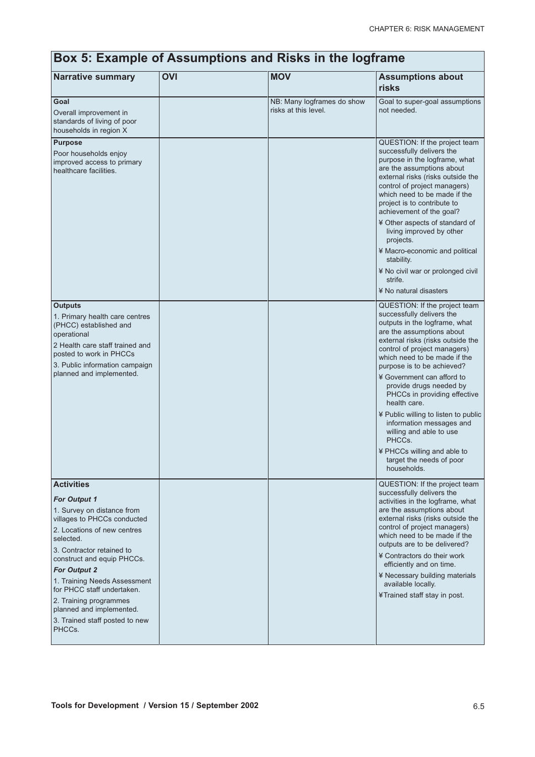#### **Box 5: Example of Assumptions and Risks in the logframe Narrative summary COVI COVICE COVICE Assumptions about risks Goal** Overall improvement in standards of living of poor households in region X NB: Many logframes do show risks at this level. Goal to super-goal assumptions not needed. **Purpose** Poor households enjoy improved access to primary healthcare facilities. QUESTION: If the project team successfully delivers the purpose in the logframe, what are the assumptions about external risks (risks outside the control of project managers) which need to be made if the project is to contribute to achievement of the goal? ¥ Other aspects of standard of living improved by other projects. ¥ Macro-economic and political stability. ¥ No civil war or prolonged civil strife. ¥ No natural disasters **Outputs** 1. Primary health care centres (PHCC) established and operational 2 Health care staff trained and posted to work in PHCCs 3. Public information campaign planned and implemented. QUESTION: If the project team successfully delivers the outputs in the logframe, what are the assumptions about external risks (risks outside the control of project managers) which need to be made if the purpose is to be achieved? ¥ Government can afford to provide drugs needed by PHCCs in providing effective health care. ¥ Public willing to listen to public information messages and willing and able to use PHCCs. ¥ PHCCs willing and able to target the needs of poor households. **Activities**  *For Output 1* 1. Survey on distance from villages to PHCCs conducted 2. Locations of new centres selected. 3. Contractor retained to construct and equip PHCCs. *For Output 2* 1. Training Needs Assessment for PHCC staff undertaken. 2. Training programmes planned and implemented. 3. Trained staff posted to new PHCCs. QUESTION: If the project team successfully delivers the activities in the logframe, what are the assumptions about external risks (risks outside the control of project managers) which need to be made if the outputs are to be delivered? ¥ Contractors do their work efficiently and on time. ¥ Necessary building materials available locally. ¥ Trained staff stay in post.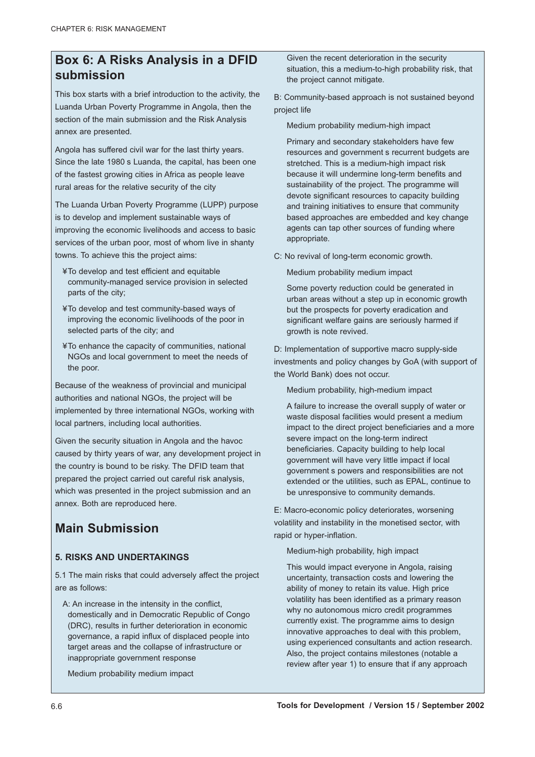### **Box 6: A Risks Analysis in a DFID submission**

This box starts with a brief introduction to the activity, the Luanda Urban Poverty Programme in Angola, then the section of the main submission and the Risk Analysis annex are presented.

Angola has suffered civil war for the last thirty years. Since the late 1980 s Luanda, the capital, has been one of the fastest growing cities in Africa as people leave rural areas for the relative security of the city

The Luanda Urban Poverty Programme (LUPP) purpose is to develop and implement sustainable ways of improving the economic livelihoods and access to basic services of the urban poor, most of whom live in shanty towns. To achieve this the project aims:

- ¥ To develop and test efficient and equitable community-managed service provision in selected parts of the city;
- ¥ To develop and test community-based ways of improving the economic livelihoods of the poor in selected parts of the city; and
- ¥ To enhance the capacity of communities, national NGOs and local government to meet the needs of the poor.

Because of the weakness of provincial and municipal authorities and national NGOs, the project will be implemented by three international NGOs, working with local partners, including local authorities.

Given the security situation in Angola and the havoc caused by thirty years of war, any development project in the country is bound to be risky. The DFID team that prepared the project carried out careful risk analysis, which was presented in the project submission and an annex. Both are reproduced here.

## **Main Submission**

### **5. RISKS AND UNDERTAKINGS**

5.1 The main risks that could adversely affect the project are as follows:

A: An increase in the intensity in the conflict, domestically and in Democratic Republic of Congo (DRC), results in further deterioration in economic governance, a rapid influx of displaced people into target areas and the collapse of infrastructure or inappropriate government response

Medium probability medium impact

Given the recent deterioration in the security situation, this a medium-to-high probability risk, that the project cannot mitigate.

B: Community-based approach is not sustained beyond project life

Medium probability medium-high impact

Primary and secondary stakeholders have few resources and government s recurrent budgets are stretched. This is a medium-high impact risk because it will undermine long-term benefits and sustainability of the project. The programme will devote significant resources to capacity building and training initiatives to ensure that community based approaches are embedded and key change agents can tap other sources of funding where appropriate.

C: No revival of long-term economic growth.

Medium probability medium impact

Some poverty reduction could be generated in urban areas without a step up in economic growth but the prospects for poverty eradication and significant welfare gains are seriously harmed if growth is note revived.

D: Implementation of supportive macro supply-side investments and policy changes by GoA (with support of the World Bank) does not occur.

Medium probability, high-medium impact

A failure to increase the overall supply of water or waste disposal facilities would present a medium impact to the direct project beneficiaries and a more severe impact on the long-term indirect beneficiaries. Capacity building to help local government will have very little impact if local government s powers and responsibilities are not extended or the utilities, such as EPAL, continue to be unresponsive to community demands.

E: Macro-economic policy deteriorates, worsening volatility and instability in the monetised sector, with rapid or hyper-inflation.

Medium-high probability, high impact

This would impact everyone in Angola, raising uncertainty, transaction costs and lowering the ability of money to retain its value. High price volatility has been identified as a primary reason why no autonomous micro credit programmes currently exist. The programme aims to design innovative approaches to deal with this problem, using experienced consultants and action research. Also, the project contains milestones (notable a review after year 1) to ensure that if any approach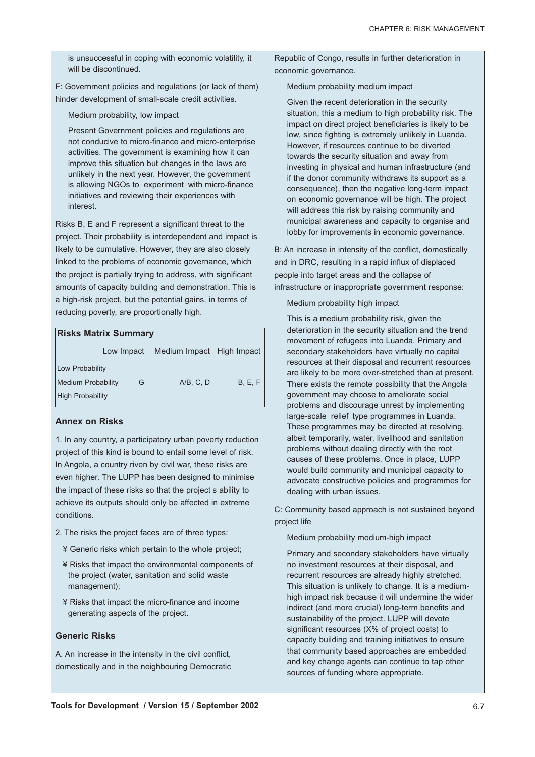is unsuccessful in coping with economic volatility, it will be discontinued.

F: Government policies and regulations (or lack of them) hinder development of small-scale credit activities.

Medium probability, low impact

Present Government policies and regulations are not conducive to micro-finance and micro-enterprise activities. The government is examining how it can improve this situation but changes in the laws are unlikely in the next year. However, the government is allowing NGOs to experiment with micro-finance initiatives and reviewing their experiences with interest.

Risks B, E and F represent a significant threat to the project. Their probability is interdependent and impact is likely to be cumulative. However, they are also closely linked to the problems of economic governance, which the project is partially trying to address, with significant amounts of capacity building and demonstration. This is a high-risk project, but the potential gains, in terms of reducing poverty, are proportionally high.

#### **Risks Matrix Summary**

|                           |   | Low Impact Medium Impact High Impact |         |
|---------------------------|---|--------------------------------------|---------|
| Low Probability           |   |                                      |         |
| <b>Medium Probability</b> | G | $A/B$ . C. D                         | B, E, F |
| <b>High Probability</b>   |   |                                      |         |

#### **Annex on Risks**

1. In any country, a participatory urban poverty reduction project of this kind is bound to entail some level of risk. In Angola, a country riven by civil war, these risks are even higher. The LUPP has been designed to minimise the impact of these risks so that the project s ability to achieve its outputs should only be affected in extreme conditions.

- 2. The risks the project faces are of three types:
	- ¥ Generic risks which pertain to the whole project;
	- ¥ Risks that impact the environmental components of the project (water, sanitation and solid waste management);
	- ¥ Risks that impact the micro-finance and income generating aspects of the project.

### **Generic Risks**

A. An increase in the intensity in the civil conflict, domestically and in the neighbouring Democratic Republic of Congo, results in further deterioration in economic governance.

#### Medium probability medium impact

Given the recent deterioration in the security situation, this a medium to high probability risk. The impact on direct project beneficiaries is likely to be low, since fighting is extremely unlikely in Luanda. However, if resources continue to be diverted towards the security situation and away from investing in physical and human infrastructure (and if the donor community withdraws its support as a consequence), then the negative long-term impact on economic governance will be high. The project will address this risk by raising community and municipal awareness and capacity to organise and lobby for improvements in economic governance.

B: An increase in intensity of the conflict, domestically and in DRC, resulting in a rapid influx of displaced people into target areas and the collapse of infrastructure or inappropriate government response:

Medium probability high impact

This is a medium probability risk, given the deterioration in the security situation and the trend movement of refugees into Luanda. Primary and secondary stakeholders have virtually no capital resources at their disposal and recurrent resources are likely to be more over-stretched than at present. There exists the remote possibility that the Angola government may choose to ameliorate social problems and discourage unrest by implementing large-scale relief type programmes in Luanda. These programmes may be directed at resolving, albeit temporarily, water, livelihood and sanitation problems without dealing directly with the root causes of these problems. Once in place, LUPP would build community and municipal capacity to advocate constructive policies and programmes for dealing with urban issues.

C: Community based approach is not sustained beyond project life

Medium probability medium-high impact

Primary and secondary stakeholders have virtually no investment resources at their disposal, and recurrent resources are already highly stretched. This situation is unlikely to change. It is a mediumhigh impact risk because it will undermine the wider indirect (and more crucial) long-term benefits and sustainability of the project. LUPP will devote significant resources (X% of project costs) to capacity building and training initiatives to ensure that community based approaches are embedded and key change agents can continue to tap other sources of funding where appropriate.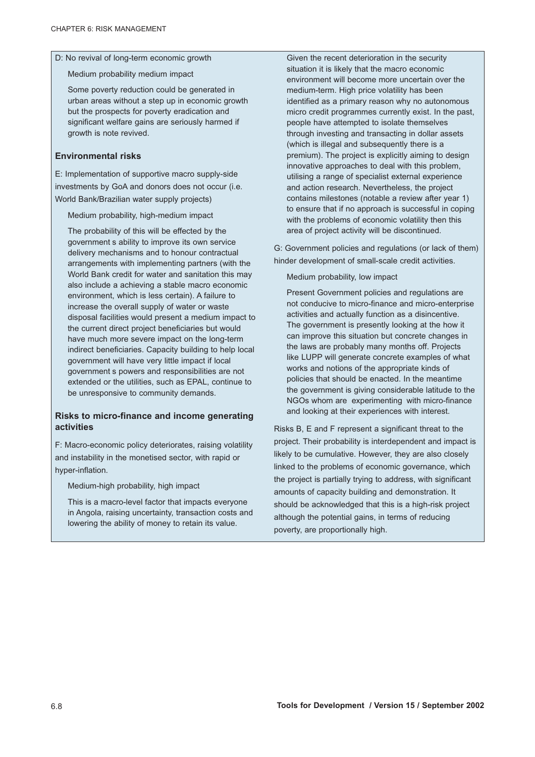#### D: No revival of long-term economic growth

#### Medium probability medium impact

Some poverty reduction could be generated in urban areas without a step up in economic growth but the prospects for poverty eradication and significant welfare gains are seriously harmed if growth is note revived.

#### **Environmental risks**

E: Implementation of supportive macro supply-side investments by GoA and donors does not occur (i.e. World Bank/Brazilian water supply projects)

#### Medium probability, high-medium impact

The probability of this will be effected by the government s ability to improve its own service delivery mechanisms and to honour contractual arrangements with implementing partners (with the World Bank credit for water and sanitation this may also include a achieving a stable macro economic environment, which is less certain). A failure to increase the overall supply of water or waste disposal facilities would present a medium impact to the current direct project beneficiaries but would have much more severe impact on the long-term indirect beneficiaries. Capacity building to help local government will have very little impact if local government s powers and responsibilities are not extended or the utilities, such as EPAL, continue to be unresponsive to community demands.

#### **Risks to micro-finance and income generating activities**

F: Macro-economic policy deteriorates, raising volatility and instability in the monetised sector, with rapid or hyper-inflation.

Medium-high probability, high impact

This is a macro-level factor that impacts everyone in Angola, raising uncertainty, transaction costs and lowering the ability of money to retain its value.

Given the recent deterioration in the security situation it is likely that the macro economic environment will become more uncertain over the medium-term. High price volatility has been identified as a primary reason why no autonomous micro credit programmes currently exist. In the past, people have attempted to isolate themselves through investing and transacting in dollar assets (which is illegal and subsequently there is a premium). The project is explicitly aiming to design innovative approaches to deal with this problem, utilising a range of specialist external experience and action research. Nevertheless, the project contains milestones (notable a review after year 1) to ensure that if no approach is successful in coping with the problems of economic volatility then this area of project activity will be discontinued.

G: Government policies and regulations (or lack of them) hinder development of small-scale credit activities.

#### Medium probability, low impact

Present Government policies and regulations are not conducive to micro-finance and micro-enterprise activities and actually function as a disincentive. The government is presently looking at the how it can improve this situation but concrete changes in the laws are probably many months off. Projects like LUPP will generate concrete examples of what works and notions of the appropriate kinds of policies that should be enacted. In the meantime the government is giving considerable latitude to the NGOs whom are experimenting with micro-finance and looking at their experiences with interest.

Risks B, E and F represent a significant threat to the project. Their probability is interdependent and impact is likely to be cumulative. However, they are also closely linked to the problems of economic governance, which the project is partially trying to address, with significant amounts of capacity building and demonstration. It should be acknowledged that this is a high-risk project although the potential gains, in terms of reducing poverty, are proportionally high.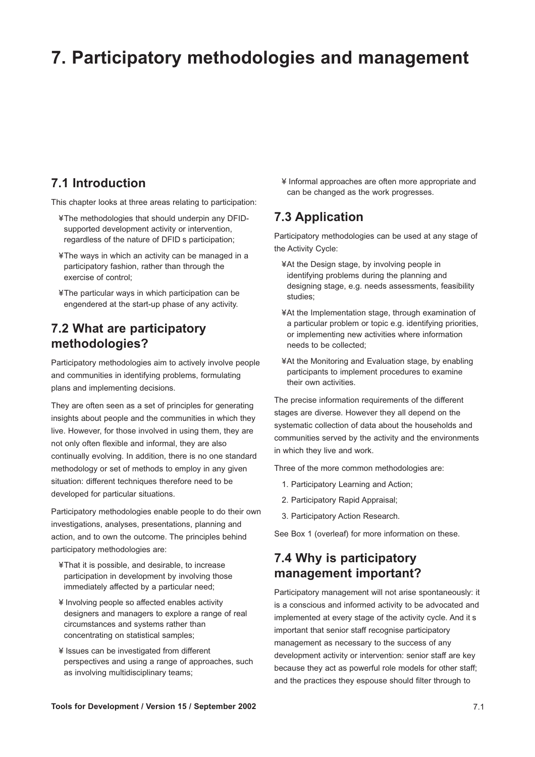# **7. Participatory methodologies and management**

### **7.1 Introduction**

This chapter looks at three areas relating to participation:

- ¥ The methodologies that should underpin any DFIDsupported development activity or intervention, regardless of the nature of DFID s participation;
- ¥ The ways in which an activity can be managed in a participatory fashion, rather than through the exercise of control;
- ¥ The particular ways in which participation can be engendered at the start-up phase of any activity.

### **7.2 What are participatory methodologies?**

Participatory methodologies aim to actively involve people and communities in identifying problems, formulating plans and implementing decisions.

They are often seen as a set of principles for generating insights about people and the communities in which they live. However, for those involved in using them, they are not only often flexible and informal, they are also continually evolving. In addition, there is no one standard methodology or set of methods to employ in any given situation: different techniques therefore need to be developed for particular situations.

Participatory methodologies enable people to do their own investigations, analyses, presentations, planning and action, and to own the outcome. The principles behind participatory methodologies are:

- ¥ That it is possible, and desirable, to increase participation in development by involving those immediately affected by a particular need;
- ¥ Involving people so affected enables activity designers and managers to explore a range of real circumstances and systems rather than concentrating on statistical samples;
- ¥ Issues can be investigated from different perspectives and using a range of approaches, such as involving multidisciplinary teams;

¥ Informal approaches are often more appropriate and can be changed as the work progresses.

### **7.3 Application**

Participatory methodologies can be used at any stage of the Activity Cycle:

- ¥ At the Design stage, by involving people in identifying problems during the planning and designing stage, e.g. needs assessments, feasibility studies;
- ¥ At the Implementation stage, through examination of a particular problem or topic e.g. identifying priorities, or implementing new activities where information needs to be collected;
- ¥ At the Monitoring and Evaluation stage, by enabling participants to implement procedures to examine their own activities.

The precise information requirements of the different stages are diverse. However they all depend on the systematic collection of data about the households and communities served by the activity and the environments in which they live and work.

Three of the more common methodologies are:

- 1. Participatory Learning and Action;
- 2. Participatory Rapid Appraisal;
- 3. Participatory Action Research.

See Box 1 (overleaf) for more information on these.

### **7.4 Why is participatory management important?**

Participatory management will not arise spontaneously: it is a conscious and informed activity to be advocated and implemented at every stage of the activity cycle. And it s important that senior staff recognise participatory management as necessary to the success of any development activity or intervention: senior staff are key because they act as powerful role models for other staff; and the practices they espouse should filter through to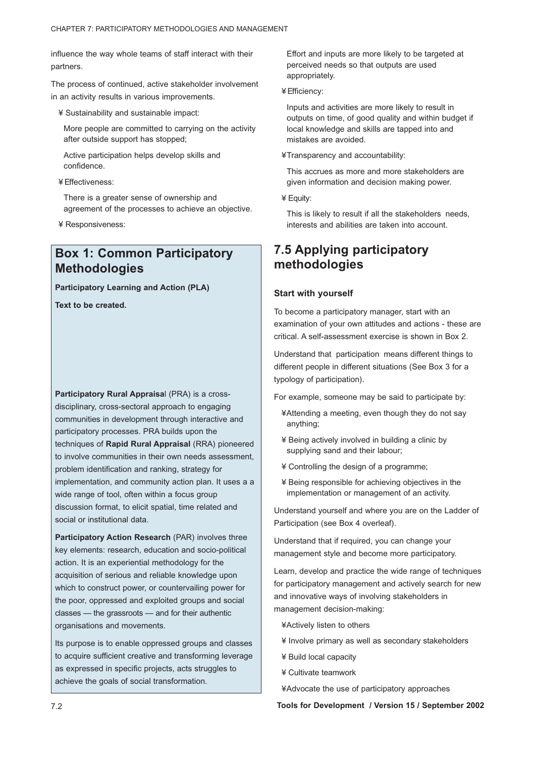influence the way whole teams of staff interact with their partners.

The process of continued, active stakeholder involvement in an activity results in various improvements.

¥ Sustainability and sustainable impact:

More people are committed to carrying on the activity after outside support has stopped;

Active participation helps develop skills and confidence.

¥ Effectiveness:

There is a greater sense of ownership and agreement of the processes to achieve an objective.

¥ Responsiveness:

### **Box 1: Common Participatory Methodologies**

**Participatory Learning and Action (PLA)**

**Text to be created.**

**Participatory Rural Appraisa**l (PRA) is a crossdisciplinary, cross-sectoral approach to engaging communities in development through interactive and participatory processes. PRA builds upon the techniques of **Rapid Rural Appraisal** (RRA) pioneered to involve communities in their own needs assessment, problem identification and ranking, strategy for implementation, and community action plan. It uses a a wide range of tool, often within a focus group discussion format, to elicit spatial, time related and social or institutional data.

**Participatory Action Research** (PAR) involves three key elements: research, education and socio-political action. It is an experiential methodology for the acquisition of serious and reliable knowledge upon which to construct power, or countervailing power for the poor, oppressed and exploited groups and social classes — the grassroots — and for their authentic organisations and movements.

Its purpose is to enable oppressed groups and classes to acquire sufficient creative and transforming leverage as expressed in specific projects, acts struggles to achieve the goals of social transformation.

Effort and inputs are more likely to be targeted at perceived needs so that outputs are used appropriately.

#### ¥ Efficiency:

Inputs and activities are more likely to result in outputs on time, of good quality and within budget if local knowledge and skills are tapped into and mistakes are avoided.

#### ¥ Transparency and accountability:

This accrues as more and more stakeholders are given information and decision making power.

¥ Equity:

This is likely to result if all the stakeholders needs, interests and abilities are taken into account.

### **7.5 Applying participatory methodologies**

#### **Start with yourself**

To become a participatory manager, start with an examination of your own attitudes and actions - these are critical. A self-assessment exercise is shown in Box 2.

Understand that participation means different things to different people in different situations (See Box 3 for a typology of participation).

For example, someone may be said to participate by:

- ¥ Attending a meeting, even though they do not say anything;
- ¥ Being actively involved in building a clinic by supplying sand and their labour;
- ¥ Controlling the design of a programme;
- ¥ Being responsible for achieving objectives in the implementation or management of an activity.

Understand yourself and where you are on the Ladder of Participation (see Box 4 overleaf).

Understand that if required, you can change your management style and become more participatory.

Learn, develop and practice the wide range of techniques for participatory management and actively search for new and innovative ways of involving stakeholders in management decision-making:

¥ Actively listen to others

- ¥ Involve primary as well as secondary stakeholders
- ¥ Build local capacity
- ¥ Cultivate teamwork
- ¥ Advocate the use of participatory approaches

**Tools for Development / Version 15 / September 2002**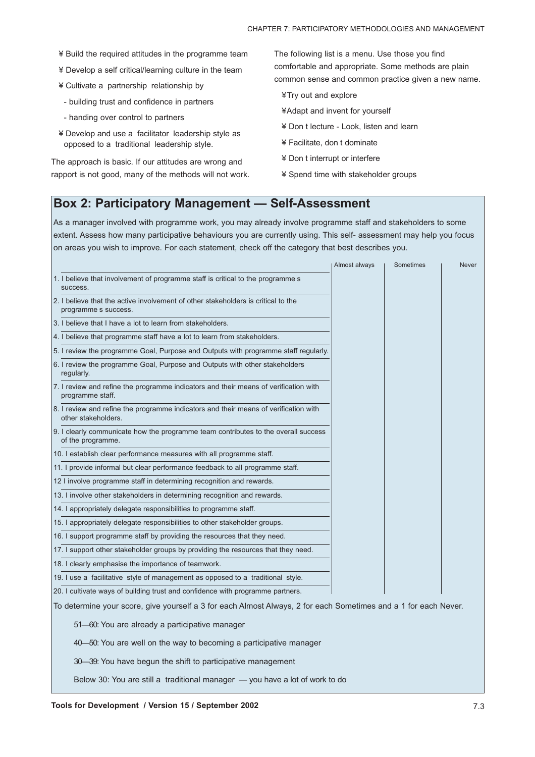- ¥ Build the required attitudes in the programme team
- ¥ Develop a self critical/learning culture in the team
- ¥ Cultivate a partnership relationship by
- building trust and confidence in partners
- handing over control to partners
- ¥ Develop and use a facilitator leadership style as opposed to a traditional leadership style.

The approach is basic. If our attitudes are wrong and rapport is not good, many of the methods will not work. The following list is a menu. Use those you find comfortable and appropriate. Some methods are plain common sense and common practice given a new name.

- ¥ Try out and explore
- ¥ Adapt and invent for yourself
- ¥ Don t lecture Look, listen and learn
- ¥ Facilitate, don t dominate
- ¥ Don t interrupt or interfere
- ¥ Spend time with stakeholder groups

### **Box 2: Participatory Management — Self-Assessment**

As a manager involved with programme work, you may already involve programme staff and stakeholders to some extent. Assess how many participative behaviours you are currently using. This self- assessment may help you focus on areas you wish to improve. For each statement, check off the category that best describes you.

|                                                                                                             | Almost always | Sometimes | <b>Never</b> |
|-------------------------------------------------------------------------------------------------------------|---------------|-----------|--------------|
| 1. I believe that involvement of programme staff is critical to the programme s<br>success.                 |               |           |              |
| 2. I believe that the active involvement of other stakeholders is critical to the<br>programme s success.   |               |           |              |
| 3. I believe that I have a lot to learn from stakeholders.                                                  |               |           |              |
| 4. I believe that programme staff have a lot to learn from stakeholders.                                    |               |           |              |
| 5. I review the programme Goal, Purpose and Outputs with programme staff regularly.                         |               |           |              |
| 6. I review the programme Goal, Purpose and Outputs with other stakeholders<br>regularly.                   |               |           |              |
| 7. I review and refine the programme indicators and their means of verification with<br>programme staff.    |               |           |              |
| 8. I review and refine the programme indicators and their means of verification with<br>other stakeholders. |               |           |              |
| 9. I clearly communicate how the programme team contributes to the overall success<br>of the programme.     |               |           |              |
| 10. I establish clear performance measures with all programme staff.                                        |               |           |              |
| 11. I provide informal but clear performance feedback to all programme staff.                               |               |           |              |
| 12 I involve programme staff in determining recognition and rewards.                                        |               |           |              |
| 13. I involve other stakeholders in determining recognition and rewards.                                    |               |           |              |
| 14. I appropriately delegate responsibilities to programme staff.                                           |               |           |              |
| 15. I appropriately delegate responsibilities to other stakeholder groups.                                  |               |           |              |
| 16. I support programme staff by providing the resources that they need.                                    |               |           |              |
| 17. I support other stakeholder groups by providing the resources that they need.                           |               |           |              |
| 18. I clearly emphasise the importance of teamwork.                                                         |               |           |              |
| 19. I use a facilitative style of management as opposed to a traditional style.                             |               |           |              |
| 20. I cultivate ways of building trust and confidence with programme partners.                              |               |           |              |
|                                                                                                             |               |           |              |

To determine your score, give yourself a 3 for each Almost Always, 2 for each Sometimes and a 1 for each Never.

51—60: You are already a participative manager

40—50: You are well on the way to becoming a participative manager

30—39: You have begun the shift to participative management

Below 30: You are still a traditional manager — you have a lot of work to do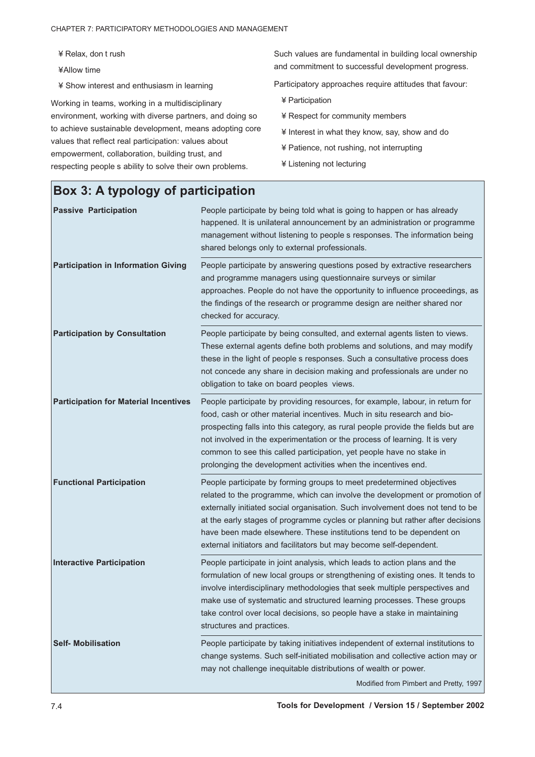- ¥ Relax, don t rush
- ¥ Allow time
- ¥ Show interest and enthusiasm in learning

Working in teams, working in a multidisciplinary environment, working with diverse partners, and doing so to achieve sustainable development, means adopting core values that reflect real participation: values about empowerment, collaboration, building trust, and respecting people s ability to solve their own problems.

Such values are fundamental in building local ownership and commitment to successful development progress.

Participatory approaches require attitudes that favour:

- ¥ Participation
- ¥ Respect for community members
- ¥ Interest in what they know, say, show and do
- ¥ Patience, not rushing, not interrupting
- ¥ Listening not lecturing

### **Box 3: A typology of participation**

| <b>Passive Participation</b>                 | People participate by being told what is going to happen or has already<br>happened. It is unilateral announcement by an administration or programme<br>management without listening to people s responses. The information being<br>shared belongs only to external professionals.                                                                                                                                                                                     |
|----------------------------------------------|-------------------------------------------------------------------------------------------------------------------------------------------------------------------------------------------------------------------------------------------------------------------------------------------------------------------------------------------------------------------------------------------------------------------------------------------------------------------------|
| <b>Participation in Information Giving</b>   | People participate by answering questions posed by extractive researchers<br>and programme managers using questionnaire surveys or similar<br>approaches. People do not have the opportunity to influence proceedings, as<br>the findings of the research or programme design are neither shared nor<br>checked for accuracy.                                                                                                                                           |
| <b>Participation by Consultation</b>         | People participate by being consulted, and external agents listen to views.<br>These external agents define both problems and solutions, and may modify<br>these in the light of people s responses. Such a consultative process does<br>not concede any share in decision making and professionals are under no<br>obligation to take on board peoples views.                                                                                                          |
| <b>Participation for Material Incentives</b> | People participate by providing resources, for example, labour, in return for<br>food, cash or other material incentives. Much in situ research and bio-<br>prospecting falls into this category, as rural people provide the fields but are<br>not involved in the experimentation or the process of learning. It is very<br>common to see this called participation, yet people have no stake in<br>prolonging the development activities when the incentives end.    |
| <b>Functional Participation</b>              | People participate by forming groups to meet predetermined objectives<br>related to the programme, which can involve the development or promotion of<br>externally initiated social organisation. Such involvement does not tend to be<br>at the early stages of programme cycles or planning but rather after decisions<br>have been made elsewhere. These institutions tend to be dependent on<br>external initiators and facilitators but may become self-dependent. |
| <b>Interactive Participation</b>             | People participate in joint analysis, which leads to action plans and the<br>formulation of new local groups or strengthening of existing ones. It tends to<br>involve interdisciplinary methodologies that seek multiple perspectives and<br>make use of systematic and structured learning processes. These groups<br>take control over local decisions, so people have a stake in maintaining<br>structures and practices.                                           |
| <b>Self- Mobilisation</b>                    | People participate by taking initiatives independent of external institutions to<br>change systems. Such self-initiated mobilisation and collective action may or<br>may not challenge inequitable distributions of wealth or power.<br>Modified from Pimbert and Pretty, 1997                                                                                                                                                                                          |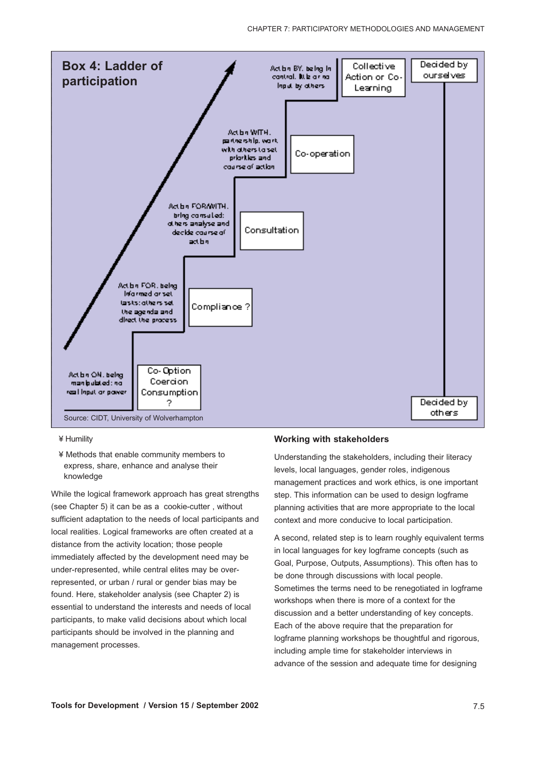

#### ¥ Humility

¥ Methods that enable community members to express, share, enhance and analyse their knowledge

While the logical framework approach has great strengths (see Chapter 5) it can be as a cookie-cutter , without sufficient adaptation to the needs of local participants and local realities. Logical frameworks are often created at a distance from the activity location; those people immediately affected by the development need may be under-represented, while central elites may be overrepresented, or urban / rural or gender bias may be found. Here, stakeholder analysis (see Chapter 2) is essential to understand the interests and needs of local participants, to make valid decisions about which local participants should be involved in the planning and management processes.

#### **Working with stakeholders**

Understanding the stakeholders, including their literacy levels, local languages, gender roles, indigenous management practices and work ethics, is one important step. This information can be used to design logframe planning activities that are more appropriate to the local context and more conducive to local participation.

A second, related step is to learn roughly equivalent terms in local languages for key logframe concepts (such as Goal, Purpose, Outputs, Assumptions). This often has to be done through discussions with local people. Sometimes the terms need to be renegotiated in logframe workshops when there is more of a context for the discussion and a better understanding of key concepts. Each of the above require that the preparation for logframe planning workshops be thoughtful and rigorous, including ample time for stakeholder interviews in advance of the session and adequate time for designing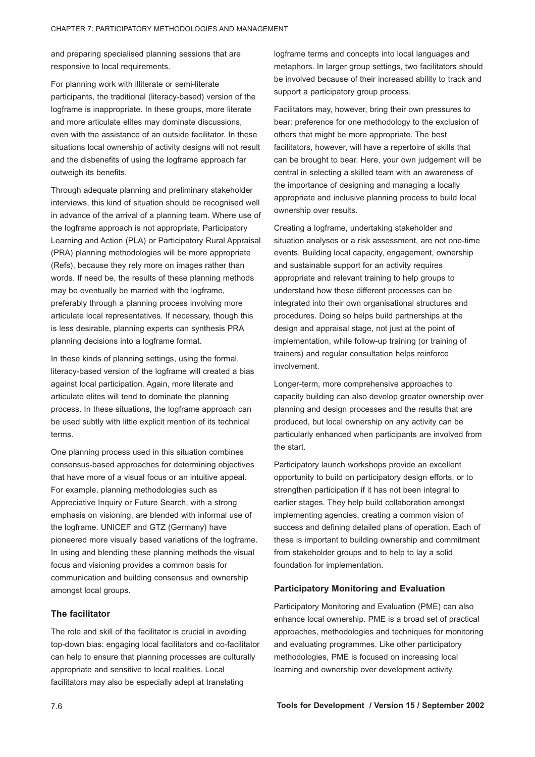and preparing specialised planning sessions that are responsive to local requirements.

For planning work with illiterate or semi-literate participants, the traditional (literacy-based) version of the logframe is inappropriate. In these groups, more literate and more articulate elites may dominate discussions, even with the assistance of an outside facilitator. In these situations local ownership of activity designs will not result and the disbenefits of using the logframe approach far outweigh its benefits.

Through adequate planning and preliminary stakeholder interviews, this kind of situation should be recognised well in advance of the arrival of a planning team. Where use of the logframe approach is not appropriate, Participatory Learning and Action (PLA) or Participatory Rural Appraisal (PRA) planning methodologies will be more appropriate (Refs), because they rely more on images rather than words. If need be, the results of these planning methods may be eventually be married with the logframe, preferably through a planning process involving more articulate local representatives. If necessary, though this is less desirable, planning experts can synthesis PRA planning decisions into a logframe format.

In these kinds of planning settings, using the formal, literacy-based version of the logframe will created a bias against local participation. Again, more literate and articulate elites will tend to dominate the planning process. In these situations, the logframe approach can be used subtly with little explicit mention of its technical terms.

One planning process used in this situation combines consensus-based approaches for determining objectives that have more of a visual focus or an intuitive appeal. For example, planning methodologies such as Appreciative Inquiry or Future Search, with a strong emphasis on visioning, are blended with informal use of the logframe. UNICEF and GTZ (Germany) have pioneered more visually based variations of the logframe. In using and blending these planning methods the visual focus and visioning provides a common basis for communication and building consensus and ownership amongst local groups.

#### **The facilitator**

The role and skill of the facilitator is crucial in avoiding top-down bias: engaging local facilitators and co-facilitator can help to ensure that planning processes are culturally appropriate and sensitive to local realities. Local facilitators may also be especially adept at translating

logframe terms and concepts into local languages and metaphors. In larger group settings, two facilitators should be involved because of their increased ability to track and support a participatory group process.

Facilitators may, however, bring their own pressures to bear: preference for one methodology to the exclusion of others that might be more appropriate. The best facilitators, however, will have a repertoire of skills that can be brought to bear. Here, your own judgement will be central in selecting a skilled team with an awareness of the importance of designing and managing a locally appropriate and inclusive planning process to build local ownership over results.

Creating a logframe, undertaking stakeholder and situation analyses or a risk assessment, are not one-time events. Building local capacity, engagement, ownership and sustainable support for an activity requires appropriate and relevant training to help groups to understand how these different processes can be integrated into their own organisational structures and procedures. Doing so helps build partnerships at the design and appraisal stage, not just at the point of implementation, while follow-up training (or training of trainers) and regular consultation helps reinforce involvement.

Longer-term, more comprehensive approaches to capacity building can also develop greater ownership over planning and design processes and the results that are produced, but local ownership on any activity can be particularly enhanced when participants are involved from the start.

Participatory launch workshops provide an excellent opportunity to build on participatory design efforts, or to strengthen participation if it has not been integral to earlier stages. They help build collaboration amongst implementing agencies, creating a common vision of success and defining detailed plans of operation. Each of these is important to building ownership and commitment from stakeholder groups and to help to lay a solid foundation for implementation.

#### **Participatory Monitoring and Evaluation**

Participatory Monitoring and Evaluation (PME) can also enhance local ownership. PME is a broad set of practical approaches, methodologies and techniques for monitoring and evaluating programmes. Like other participatory methodologies, PME is focused on increasing local learning and ownership over development activity.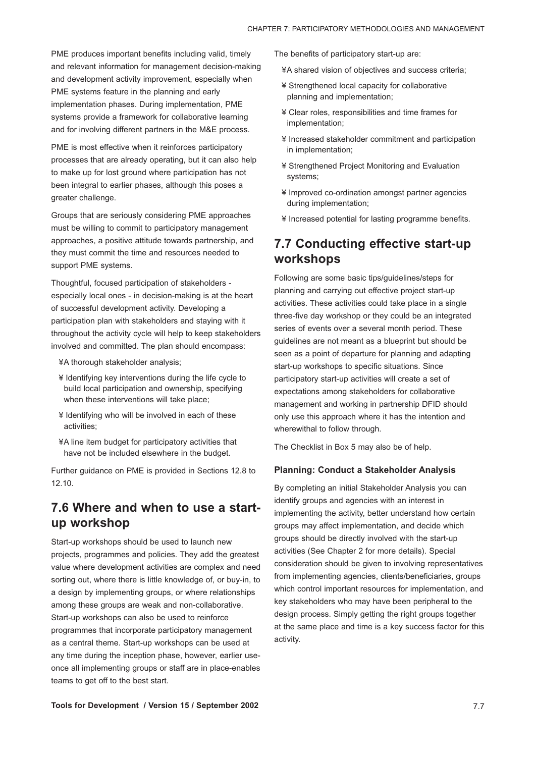PME produces important benefits including valid, timely and relevant information for management decision-making and development activity improvement, especially when PME systems feature in the planning and early implementation phases. During implementation, PME systems provide a framework for collaborative learning and for involving different partners in the M&E process.

PME is most effective when it reinforces participatory processes that are already operating, but it can also help to make up for lost ground where participation has not been integral to earlier phases, although this poses a greater challenge.

Groups that are seriously considering PME approaches must be willing to commit to participatory management approaches, a positive attitude towards partnership, and they must commit the time and resources needed to support PME systems.

Thoughtful, focused participation of stakeholders especially local ones - in decision-making is at the heart of successful development activity. Developing a participation plan with stakeholders and staying with it throughout the activity cycle will help to keep stakeholders involved and committed. The plan should encompass:

¥ A thorough stakeholder analysis;

- ¥ Identifying key interventions during the life cycle to build local participation and ownership, specifying when these interventions will take place;
- ¥ Identifying who will be involved in each of these activities;
- ¥A line item budget for participatory activities that have not be included elsewhere in the budget.

Further guidance on PME is provided in Sections 12.8 to 12.10.

### **7.6 Where and when to use a startup workshop**

Start-up workshops should be used to launch new projects, programmes and policies. They add the greatest value where development activities are complex and need sorting out, where there is little knowledge of, or buy-in, to a design by implementing groups, or where relationships among these groups are weak and non-collaborative. Start-up workshops can also be used to reinforce programmes that incorporate participatory management as a central theme. Start-up workshops can be used at any time during the inception phase, however, earlier useonce all implementing groups or staff are in place-enables teams to get off to the best start.

The benefits of participatory start-up are:

¥A shared vision of objectives and success criteria;

- ¥ Strengthened local capacity for collaborative planning and implementation;
- ¥ Clear roles, responsibilities and time frames for implementation;
- ¥ Increased stakeholder commitment and participation in implementation;
- ¥ Strengthened Project Monitoring and Evaluation systems;
- ¥ Improved co-ordination amongst partner agencies during implementation;
- ¥ Increased potential for lasting programme benefits.

### **7.7 Conducting effective start-up workshops**

Following are some basic tips/guidelines/steps for planning and carrying out effective project start-up activities. These activities could take place in a single three-five day workshop or they could be an integrated series of events over a several month period. These guidelines are not meant as a blueprint but should be seen as a point of departure for planning and adapting start-up workshops to specific situations. Since participatory start-up activities will create a set of expectations among stakeholders for collaborative management and working in partnership DFID should only use this approach where it has the intention and wherewithal to follow through.

The Checklist in Box 5 may also be of help.

#### **Planning: Conduct a Stakeholder Analysis**

By completing an initial Stakeholder Analysis you can identify groups and agencies with an interest in implementing the activity, better understand how certain groups may affect implementation, and decide which groups should be directly involved with the start-up activities (See Chapter 2 for more details). Special consideration should be given to involving representatives from implementing agencies, clients/beneficiaries, groups which control important resources for implementation, and key stakeholders who may have been peripheral to the design process. Simply getting the right groups together at the same place and time is a key success factor for this activity.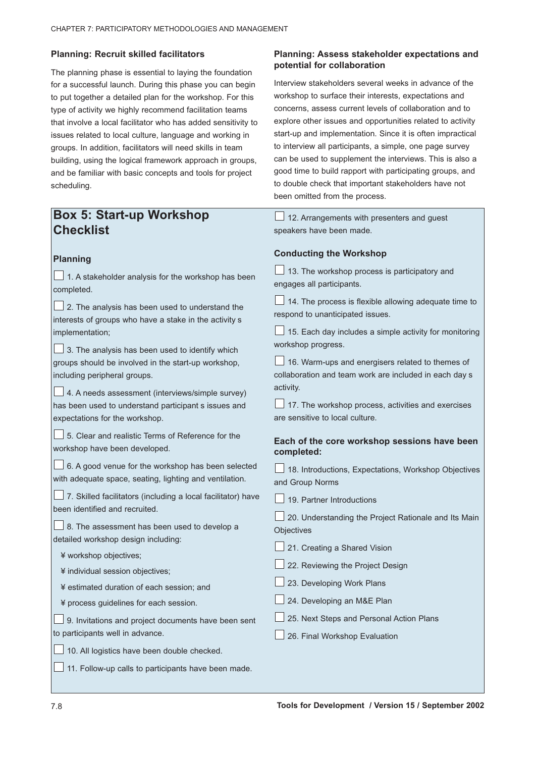### **Planning: Recruit skilled facilitators**

The planning phase is essential to laying the foundation for a successful launch. During this phase you can begin to put together a detailed plan for the workshop. For this type of activity we highly recommend facilitation teams that involve a local facilitator who has added sensitivity to issues related to local culture, language and working in groups. In addition, facilitators will need skills in team building, using the logical framework approach in groups, and be familiar with basic concepts and tools for project scheduling.

### **Box 5: Start-up Workshop Checklist**

| <b>Planning</b>                                                                                                      | <b>Conducting the Workshop</b>                                                                   |
|----------------------------------------------------------------------------------------------------------------------|--------------------------------------------------------------------------------------------------|
| $\Box$ 1. A stakeholder analysis for the workshop has been<br>completed.                                             | $\Box$ 13. The workshop process is participatory and<br>engages all participants.                |
| $\Box$ 2. The analysis has been used to understand the<br>interests of groups who have a stake in the activity s     | $\Box$ 14. The process is flexible allowing adequate time to<br>respond to unanticipated issues. |
| implementation;                                                                                                      | 15. Each day includes a simple activity for monitoring                                           |
| $\Box$ 3. The analysis has been used to identify which                                                               | workshop progress.                                                                               |
| groups should be involved in the start-up workshop,                                                                  | 16. Warm-ups and energisers related to themes of                                                 |
| including peripheral groups.                                                                                         | collaboration and team work are included in each day s<br>activity.                              |
| $\Box$ 4. A needs assessment (interviews/simple survey)                                                              |                                                                                                  |
| has been used to understand participant s issues and<br>expectations for the workshop.                               | $\Box$ 17. The workshop process, activities and exercises<br>are sensitive to local culture.     |
| $\Box$ 5. Clear and realistic Terms of Reference for the                                                             |                                                                                                  |
| workshop have been developed.                                                                                        | Each of the core workshop sessions have been<br>completed:                                       |
| $\Box$ 6. A good venue for the workshop has been selected<br>with adequate space, seating, lighting and ventilation. | 18. Introductions, Expectations, Workshop Objectives<br>and Group Norms                          |
| $\perp$ 7. Skilled facilitators (including a local facilitator) have<br>been identified and recruited.               | 19. Partner Introductions                                                                        |
| $\Box$ 8. The assessment has been used to develop a                                                                  | 20. Understanding the Project Rationale and Its Main<br>Objectives                               |
| detailed workshop design including:                                                                                  | 21. Creating a Shared Vision                                                                     |
| ¥ workshop objectives;                                                                                               | 22. Reviewing the Project Design                                                                 |
| ¥ individual session objectives;                                                                                     | 23. Developing Work Plans                                                                        |
| ¥ estimated duration of each session; and                                                                            |                                                                                                  |
| ¥ process guidelines for each session.                                                                               | 24. Developing an M&E Plan                                                                       |
| $\Box$ 9. Invitations and project documents have been sent                                                           | 25. Next Steps and Personal Action Plans                                                         |
| to participants well in advance.                                                                                     | 26. Final Workshop Evaluation                                                                    |
| $\Box$ 10. All logistics have been double checked.                                                                   |                                                                                                  |
| 11. Follow-up calls to participants have been made.                                                                  |                                                                                                  |

### **Planning: Assess stakeholder expectations and potential for collaboration**

Interview stakeholders several weeks in advance of the workshop to surface their interests, expectations and concerns, assess current levels of collaboration and to explore other issues and opportunities related to activity start-up and implementation. Since it is often impractical to interview all participants, a simple, one page survey can be used to supplement the interviews. This is also a good time to build rapport with participating groups, and to double check that important stakeholders have not been omitted from the process.

12. Arrangements with presenters and guest

speakers have been made.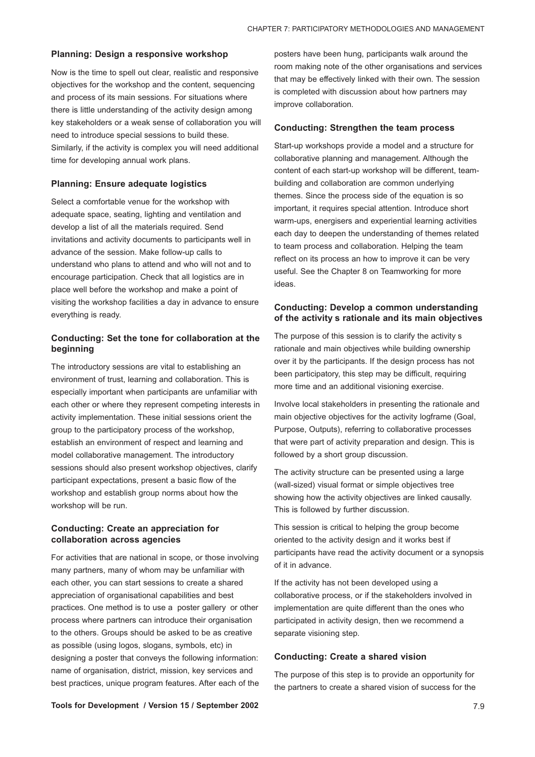#### **Planning: Design a responsive workshop**

Now is the time to spell out clear, realistic and responsive objectives for the workshop and the content, sequencing and process of its main sessions. For situations where there is little understanding of the activity design among key stakeholders or a weak sense of collaboration you will need to introduce special sessions to build these. Similarly, if the activity is complex you will need additional time for developing annual work plans.

#### **Planning: Ensure adequate logistics**

Select a comfortable venue for the workshop with adequate space, seating, lighting and ventilation and develop a list of all the materials required. Send invitations and activity documents to participants well in advance of the session. Make follow-up calls to understand who plans to attend and who will not and to encourage participation. Check that all logistics are in place well before the workshop and make a point of visiting the workshop facilities a day in advance to ensure everything is ready.

### **Conducting: Set the tone for collaboration at the beginning**

The introductory sessions are vital to establishing an environment of trust, learning and collaboration. This is especially important when participants are unfamiliar with each other or where they represent competing interests in activity implementation. These initial sessions orient the group to the participatory process of the workshop, establish an environment of respect and learning and model collaborative management. The introductory sessions should also present workshop objectives, clarify participant expectations, present a basic flow of the workshop and establish group norms about how the workshop will be run.

#### **Conducting: Create an appreciation for collaboration across agencies**

For activities that are national in scope, or those involving many partners, many of whom may be unfamiliar with each other, you can start sessions to create a shared appreciation of organisational capabilities and best practices. One method is to use a poster gallery or other process where partners can introduce their organisation to the others. Groups should be asked to be as creative as possible (using logos, slogans, symbols, etc) in designing a poster that conveys the following information: name of organisation, district, mission, key services and best practices, unique program features. After each of the posters have been hung, participants walk around the room making note of the other organisations and services that may be effectively linked with their own. The session is completed with discussion about how partners may improve collaboration.

#### **Conducting: Strengthen the team process**

Start-up workshops provide a model and a structure for collaborative planning and management. Although the content of each start-up workshop will be different, teambuilding and collaboration are common underlying themes. Since the process side of the equation is so important, it requires special attention. Introduce short warm-ups, energisers and experiential learning activities each day to deepen the understanding of themes related to team process and collaboration. Helping the team reflect on its process an how to improve it can be very useful. See the Chapter 8 on Teamworking for more ideas.

#### **Conducting: Develop a common understanding of the activity s rationale and its main objectives**

The purpose of this session is to clarify the activity s rationale and main objectives while building ownership over it by the participants. If the design process has not been participatory, this step may be difficult, requiring more time and an additional visioning exercise.

Involve local stakeholders in presenting the rationale and main objective objectives for the activity logframe (Goal, Purpose, Outputs), referring to collaborative processes that were part of activity preparation and design. This is followed by a short group discussion.

The activity structure can be presented using a large (wall-sized) visual format or simple objectives tree showing how the activity objectives are linked causally. This is followed by further discussion.

This session is critical to helping the group become oriented to the activity design and it works best if participants have read the activity document or a synopsis of it in advance.

If the activity has not been developed using a collaborative process, or if the stakeholders involved in implementation are quite different than the ones who participated in activity design, then we recommend a separate visioning step.

#### **Conducting: Create a shared vision**

The purpose of this step is to provide an opportunity for the partners to create a shared vision of success for the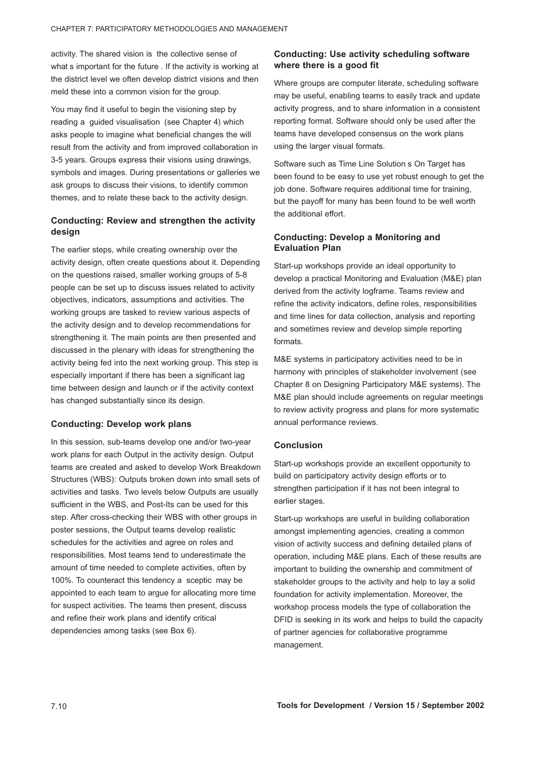activity. The shared vision is the collective sense of what s important for the future . If the activity is working at the district level we often develop district visions and then meld these into a common vision for the group.

You may find it useful to begin the visioning step by reading a guided visualisation (see Chapter 4) which asks people to imagine what beneficial changes the will result from the activity and from improved collaboration in 3-5 years. Groups express their visions using drawings, symbols and images. During presentations or galleries we ask groups to discuss their visions, to identify common themes, and to relate these back to the activity design.

### **Conducting: Review and strengthen the activity design**

The earlier steps, while creating ownership over the activity design, often create questions about it. Depending on the questions raised, smaller working groups of 5-8 people can be set up to discuss issues related to activity objectives, indicators, assumptions and activities. The working groups are tasked to review various aspects of the activity design and to develop recommendations for strengthening it. The main points are then presented and discussed in the plenary with ideas for strengthening the activity being fed into the next working group. This step is especially important if there has been a significant lag time between design and launch or if the activity context has changed substantially since its design.

#### **Conducting: Develop work plans**

In this session, sub-teams develop one and/or two-year work plans for each Output in the activity design. Output teams are created and asked to develop Work Breakdown Structures (WBS): Outputs broken down into small sets of activities and tasks. Two levels below Outputs are usually sufficient in the WBS, and Post-Its can be used for this step. After cross-checking their WBS with other groups in poster sessions, the Output teams develop realistic schedules for the activities and agree on roles and responsibilities. Most teams tend to underestimate the amount of time needed to complete activities, often by 100%. To counteract this tendency a sceptic may be appointed to each team to argue for allocating more time for suspect activities. The teams then present, discuss and refine their work plans and identify critical dependencies among tasks (see Box 6).

### **Conducting: Use activity scheduling software where there is a good fit**

Where groups are computer literate, scheduling software may be useful, enabling teams to easily track and update activity progress, and to share information in a consistent reporting format. Software should only be used after the teams have developed consensus on the work plans using the larger visual formats.

Software such as Time Line Solution s On Target has been found to be easy to use yet robust enough to get the job done. Software requires additional time for training, but the payoff for many has been found to be well worth the additional effort.

### **Conducting: Develop a Monitoring and Evaluation Plan**

Start-up workshops provide an ideal opportunity to develop a practical Monitoring and Evaluation (M&E) plan derived from the activity logframe. Teams review and refine the activity indicators, define roles, responsibilities and time lines for data collection, analysis and reporting and sometimes review and develop simple reporting formats.

M&E systems in participatory activities need to be in harmony with principles of stakeholder involvement (see Chapter 8 on Designing Participatory M&E systems). The M&E plan should include agreements on regular meetings to review activity progress and plans for more systematic annual performance reviews.

#### **Conclusion**

Start-up workshops provide an excellent opportunity to build on participatory activity design efforts or to strengthen participation if it has not been integral to earlier stages.

Start-up workshops are useful in building collaboration amongst implementing agencies, creating a common vision of activity success and defining detailed plans of operation, including M&E plans. Each of these results are important to building the ownership and commitment of stakeholder groups to the activity and help to lay a solid foundation for activity implementation. Moreover, the workshop process models the type of collaboration the DFID is seeking in its work and helps to build the capacity of partner agencies for collaborative programme management.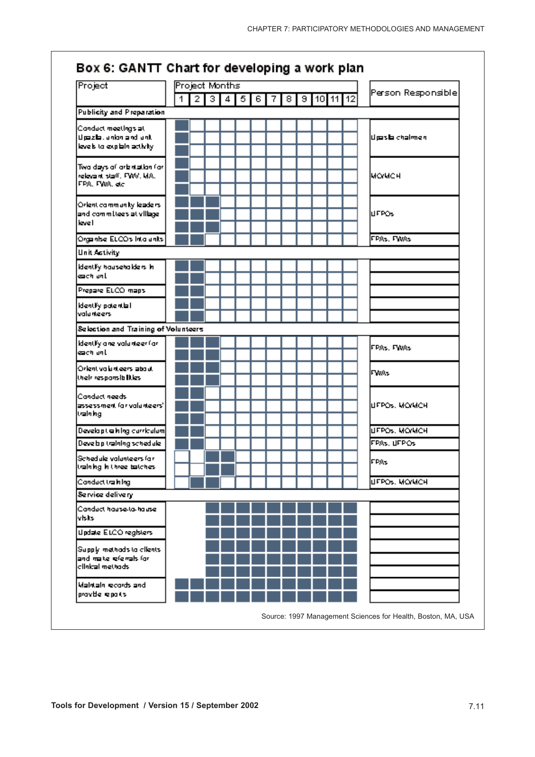| Project                              | <b>Project Months</b> |   |   |   |   |    |  |   |   |    |    |    |                    |
|--------------------------------------|-----------------------|---|---|---|---|----|--|---|---|----|----|----|--------------------|
|                                      | 1                     | 2 | з | 4 | 5 | 6. |  | 8 | э | 10 | 11 | 12 | Person Responsible |
| Publicity and Preparation            |                       |   |   |   |   |    |  |   |   |    |    |    |                    |
| Conduct meetings at                  |                       |   |   |   |   |    |  |   |   |    |    |    |                    |
| Upezia, union and unit               |                       |   |   |   |   |    |  |   |   |    |    |    | Umshichalmen       |
| levels to explain activity.          |                       |   |   |   |   |    |  |   |   |    |    |    |                    |
| Two days of orbitation for           |                       |   |   |   |   |    |  |   |   |    |    |    |                    |
| relevant staff, FWV, MA.             |                       |   |   |   |   |    |  |   |   |    |    |    | імолисн            |
| FPA, FWA, etc.                       |                       |   |   |   |   |    |  |   |   |    |    |    |                    |
| Orlent community leaders.            |                       |   |   |   |   |    |  |   |   |    |    |    |                    |
| and committees at village.           |                       |   |   |   |   |    |  |   |   |    |    |    | шл¤⊙s              |
| level                                |                       |   |   |   |   |    |  |   |   |    |    |    |                    |
| Organise ELCO's Into anks.           |                       |   |   |   |   |    |  |   |   |    |    |    | FPAS, FWAS         |
| Unit Activity                        |                       |   |   |   |   |    |  |   |   |    |    |    |                    |
| idently hausehalders in              |                       |   |   |   |   |    |  |   |   |    |    |    |                    |
| each unl                             |                       |   |   |   |   |    |  |   |   |    |    |    |                    |
| Prepare ELCO maps                    |                       |   |   |   |   |    |  |   |   |    |    |    |                    |
| idently potential.                   |                       |   |   |   |   |    |  |   |   |    |    |    |                    |
| valunteers                           |                       |   |   |   |   |    |  |   |   |    |    |    |                    |
| Selection and Training of Volunteers |                       |   |   |   |   |    |  |   |   |    |    |    |                    |
| idently and valunteer for            |                       |   |   |   |   |    |  |   |   |    |    |    | FPAS, FWAS         |
| each unl                             |                       |   |   |   |   |    |  |   |   |    |    |    |                    |
| Orlent valunt eers abaut.            |                       |   |   |   |   |    |  |   |   |    |    |    | FWAS               |
| their responsibilities.              |                       |   |   |   |   |    |  |   |   |    |    |    |                    |
| Canduct needs:                       |                       |   |   |   |   |    |  |   |   |    |    |    |                    |
| assessment for valunteers"           |                       |   |   |   |   |    |  |   |   |    |    |    | ШЕРО». МОЛИСН      |
| training                             |                       |   |   |   |   |    |  |   |   |    |    |    |                    |
| Developt whiling curriculum          |                       |   |   |   |   |    |  |   |   |    |    |    | ШЕРО», МОЛИСН      |
| Deve bip training schedule           |                       |   |   |   |   |    |  |   |   |    |    |    | IFPAS, UFPOS       |
| Schedule valunteers fan              |                       |   |   |   |   |    |  |   |   |    |    |    | FPAs               |
| training in three batches.           |                       |   |   |   |   |    |  |   |   |    |    |    |                    |
| Canduct training                     |                       |   |   |   |   |    |  |   |   |    |    |    | ЦЕРОУ, МОЛИСН      |
| Service delivery.                    |                       |   |   |   |   |    |  |   |   |    |    |    |                    |
| Canduct hause ta hause.              |                       |   |   |   |   |    |  |   |   |    |    |    |                    |
| visks.                               |                       |   |   |   |   |    |  |   |   |    |    |    |                    |
| Update ELCO registers                |                       |   |   |   |   |    |  |   |   |    |    |    |                    |
| Supply methods to clients.           |                       |   |   |   |   |    |  |   |   |    |    |    |                    |
| and make referrals for               |                       |   |   |   |   |    |  |   |   |    |    |    |                    |
| clinical methods.                    |                       |   |   |   |   |    |  |   |   |    |    |    |                    |
| Malntain records and                 |                       |   |   |   |   |    |  |   |   |    |    |    |                    |
| provide sports.                      |                       |   |   |   |   |    |  |   |   |    |    |    |                    |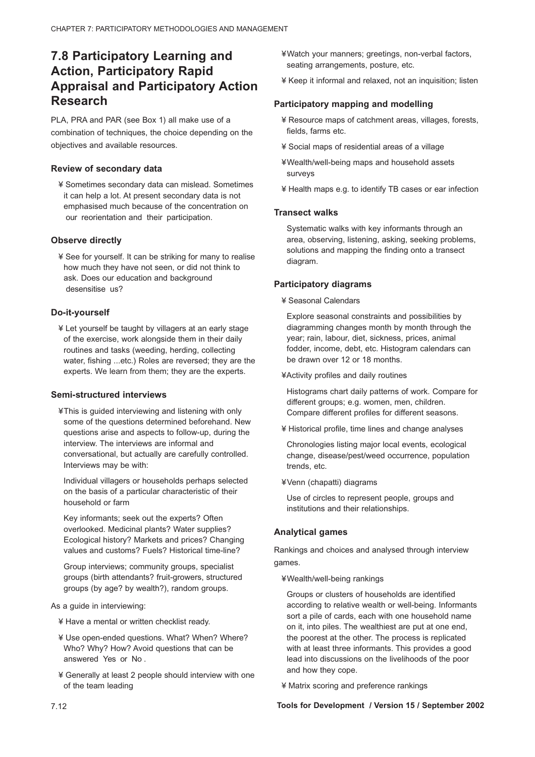# **7.8 Participatory Learning and Action, Participatory Rapid Appraisal and Participatory Action Research**

PLA, PRA and PAR (see Box 1) all make use of a combination of techniques, the choice depending on the objectives and available resources.

### **Review of secondary data**

¥ Sometimes secondary data can mislead. Sometimes it can help a lot. At present secondary data is not emphasised much because of the concentration on our reorientation and their participation.

### **Observe directly**

¥ See for yourself. It can be striking for many to realise how much they have not seen, or did not think to ask. Does our education and background desensitise us?

### **Do-it-yourself**

¥ Let yourself be taught by villagers at an early stage of the exercise, work alongside them in their daily routines and tasks (weeding, herding, collecting water, fishing ...etc.) Roles are reversed; they are the experts. We learn from them; they are the experts.

### **Semi-structured interviews**

¥ This is guided interviewing and listening with only some of the questions determined beforehand. New questions arise and aspects to follow-up, during the interview. The interviews are informal and conversational, but actually are carefully controlled. Interviews may be with:

Individual villagers or households perhaps selected on the basis of a particular characteristic of their household or farm

Key informants; seek out the experts? Often overlooked. Medicinal plants? Water supplies? Ecological history? Markets and prices? Changing values and customs? Fuels? Historical time-line?

Group interviews; community groups, specialist groups (birth attendants? fruit-growers, structured groups (by age? by wealth?), random groups.

As a guide in interviewing:

¥ Have a mental or written checklist ready.

- ¥ Use open-ended questions. What? When? Where? Who? Why? How? Avoid questions that can be answered Yes or No .
- ¥ Generally at least 2 people should interview with one of the team leading

¥ Watch your manners; greetings, non-verbal factors, seating arrangements, posture, etc.

¥ Keep it informal and relaxed, not an inquisition; listen

### **Participatory mapping and modelling**

- ¥ Resource maps of catchment areas, villages, forests, fields, farms etc.
- ¥ Social maps of residential areas of a village
- ¥ Wealth/well-being maps and household assets surveys
- ¥ Health maps e.g. to identify TB cases or ear infection

### **Transect walks**

Systematic walks with key informants through an area, observing, listening, asking, seeking problems, solutions and mapping the finding onto a transect diagram.

### **Participatory diagrams**

¥ Seasonal Calendars

Explore seasonal constraints and possibilities by diagramming changes month by month through the year; rain, labour, diet, sickness, prices, animal fodder, income, debt, etc. Histogram calendars can be drawn over 12 or 18 months.

¥ Activity profiles and daily routines

Histograms chart daily patterns of work. Compare for different groups; e.g. women, men, children. Compare different profiles for different seasons.

¥ Historical profile, time lines and change analyses

Chronologies listing major local events, ecological change, disease/pest/weed occurrence, population trends, etc.

¥ Venn (chapatti) diagrams

Use of circles to represent people, groups and institutions and their relationships.

### **Analytical games**

Rankings and choices and analysed through interview games.

### ¥ Wealth/well-being rankings

Groups or clusters of households are identified according to relative wealth or well-being. Informants sort a pile of cards, each with one household name on it, into piles. The wealthiest are put at one end, the poorest at the other. The process is replicated with at least three informants. This provides a good lead into discussions on the livelihoods of the poor and how they cope.

¥ Matrix scoring and preference rankings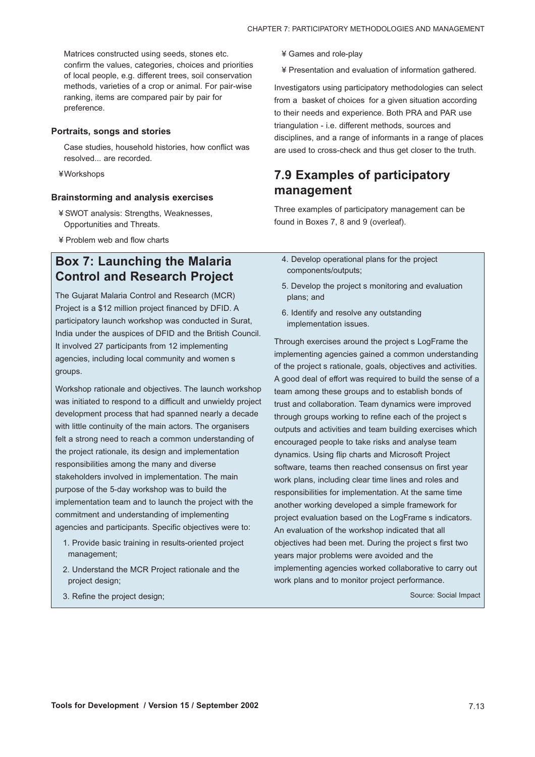Matrices constructed using seeds, stones etc. confirm the values, categories, choices and priorities of local people, e.g. different trees, soil conservation methods, varieties of a crop or animal. For pair-wise ranking, items are compared pair by pair for preference.

#### **Portraits, songs and stories**

Case studies, household histories, how conflict was resolved... are recorded.

¥ Workshops

#### **Brainstorming and analysis exercises**

¥ SWOT analysis: Strengths, Weaknesses, Opportunities and Threats.

¥ Problem web and flow charts

### **Box 7: Launching the Malaria Control and Research Project**

The Gujarat Malaria Control and Research (MCR) Project is a \$12 million project financed by DFID. A participatory launch workshop was conducted in Surat, India under the auspices of DFID and the British Council. It involved 27 participants from 12 implementing agencies, including local community and women s groups.

Workshop rationale and objectives. The launch workshop was initiated to respond to a difficult and unwieldy project development process that had spanned nearly a decade with little continuity of the main actors. The organisers felt a strong need to reach a common understanding of the project rationale, its design and implementation responsibilities among the many and diverse stakeholders involved in implementation. The main purpose of the 5-day workshop was to build the implementation team and to launch the project with the commitment and understanding of implementing agencies and participants. Specific objectives were to:

- 1. Provide basic training in results-oriented project management;
- 2. Understand the MCR Project rationale and the project design;
- 3. Refine the project design;

¥ Games and role-play

¥ Presentation and evaluation of information gathered.

Investigators using participatory methodologies can select from a basket of choices for a given situation according to their needs and experience. Both PRA and PAR use triangulation - i.e. different methods, sources and disciplines, and a range of informants in a range of places are used to cross-check and thus get closer to the truth.

# **7.9 Examples of participatory management**

Three examples of participatory management can be found in Boxes 7, 8 and 9 (overleaf).

- 4. Develop operational plans for the project components/outputs;
- 5. Develop the project s monitoring and evaluation plans; and
- 6. Identify and resolve any outstanding implementation issues.

Through exercises around the project s LogFrame the implementing agencies gained a common understanding of the project s rationale, goals, objectives and activities. A good deal of effort was required to build the sense of a team among these groups and to establish bonds of trust and collaboration. Team dynamics were improved through groups working to refine each of the project s outputs and activities and team building exercises which encouraged people to take risks and analyse team dynamics. Using flip charts and Microsoft Project software, teams then reached consensus on first year work plans, including clear time lines and roles and responsibilities for implementation. At the same time another working developed a simple framework for project evaluation based on the LogFrame s indicators. An evaluation of the workshop indicated that all objectives had been met. During the project s first two years major problems were avoided and the implementing agencies worked collaborative to carry out work plans and to monitor project performance.

Source: Social Impact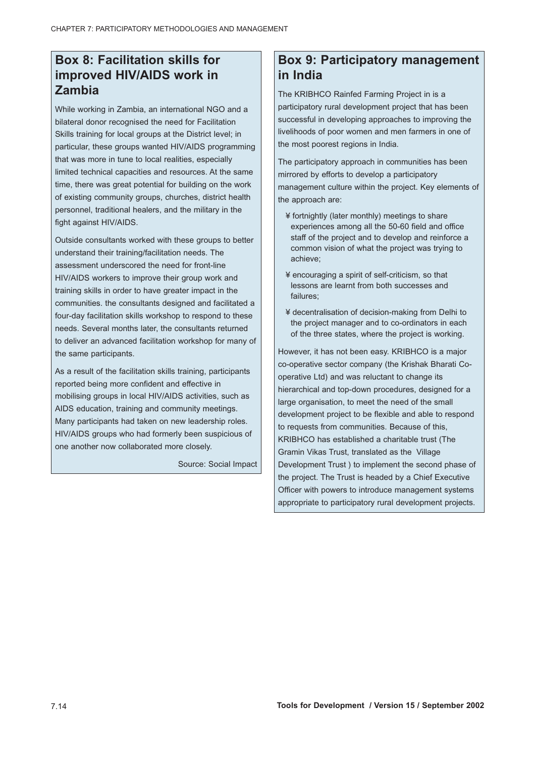# **Box 8: Facilitation skills for improved HIV/AIDS work in Zambia**

While working in Zambia, an international NGO and a bilateral donor recognised the need for Facilitation Skills training for local groups at the District level; in particular, these groups wanted HIV/AIDS programming that was more in tune to local realities, especially limited technical capacities and resources. At the same time, there was great potential for building on the work of existing community groups, churches, district health personnel, traditional healers, and the military in the fight against HIV/AIDS.

Outside consultants worked with these groups to better understand their training/facilitation needs. The assessment underscored the need for front-line HIV/AIDS workers to improve their group work and training skills in order to have greater impact in the communities. the consultants designed and facilitated a four-day facilitation skills workshop to respond to these needs. Several months later, the consultants returned to deliver an advanced facilitation workshop for many of the same participants.

As a result of the facilitation skills training, participants reported being more confident and effective in mobilising groups in local HIV/AIDS activities, such as AIDS education, training and community meetings. Many participants had taken on new leadership roles. HIV/AIDS groups who had formerly been suspicious of one another now collaborated more closely.

Source: Social Impact

# **Box 9: Participatory management in India**

The KRIBHCO Rainfed Farming Project in is a participatory rural development project that has been successful in developing approaches to improving the livelihoods of poor women and men farmers in one of the most poorest regions in India.

The participatory approach in communities has been mirrored by efforts to develop a participatory management culture within the project. Key elements of the approach are:

- ¥ fortnightly (later monthly) meetings to share experiences among all the 50-60 field and office staff of the project and to develop and reinforce a common vision of what the project was trying to achieve;
- ¥ encouraging a spirit of self-criticism, so that lessons are learnt from both successes and failures;
- ¥ decentralisation of decision-making from Delhi to the project manager and to co-ordinators in each of the three states, where the project is working.

However, it has not been easy. KRIBHCO is a major co-operative sector company (the Krishak Bharati Cooperative Ltd) and was reluctant to change its hierarchical and top-down procedures, designed for a large organisation, to meet the need of the small development project to be flexible and able to respond to requests from communities. Because of this, KRIBHCO has established a charitable trust (The Gramin Vikas Trust, translated as the Village Development Trust ) to implement the second phase of the project. The Trust is headed by a Chief Executive Officer with powers to introduce management systems appropriate to participatory rural development projects.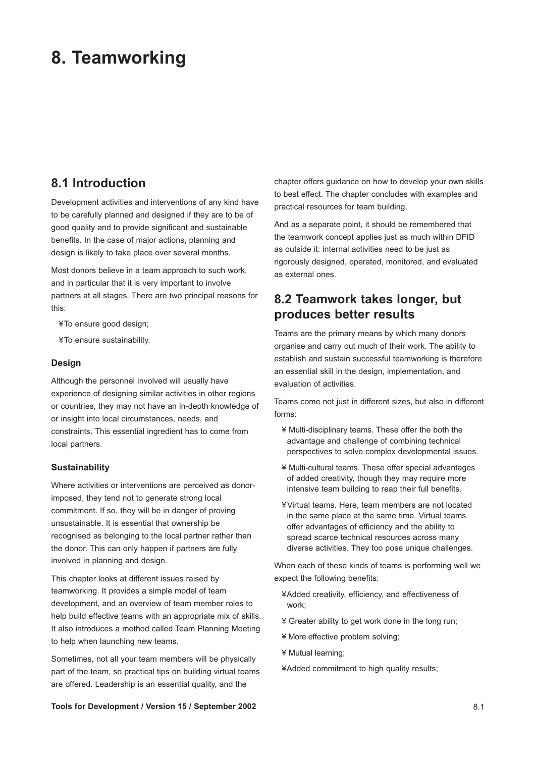# **8. Teamworking**

### **8.1 Introduction**

Development activities and interventions of any kind have to be carefully planned and designed if they are to be of good quality and to provide significant and sustainable benefits. In the case of major actions, planning and design is likely to take place over several months.

Most donors believe in a team approach to such work, and in particular that it is very important to involve partners at all stages. There are two principal reasons for this:

¥ To ensure good design;

¥ To ensure sustainability.

#### **Design**

Although the personnel involved will usually have experience of designing similar activities in other regions or countries, they may not have an in-depth knowledge of or insight into local circumstances, needs, and constraints. This essential ingredient has to come from local partners.

### **Sustainability**

Where activities or interventions are perceived as donorimposed, they tend not to generate strong local commitment. If so, they will be in danger of proving unsustainable. It is essential that ownership be recognised as belonging to the local partner rather than the donor. This can only happen if partners are fully involved in planning and design.

This chapter looks at different issues raised by teamworking. It provides a simple model of team development, and an overview of team member roles to help build effective teams with an appropriate mix of skills. It also introduces a method called Team Planning Meeting to help when launching new teams.

Sometimes, not all your team members will be physically part of the team, so practical tips on building virtual teams are offered. Leadership is an essential quality, and the

chapter offers guidance on how to develop your own skills to best effect. The chapter concludes with examples and practical resources for team building.

And as a separate point, it should be remembered that the teamwork concept applies just as much within DFID as outside it: internal activities need to be just as rigorously designed, operated, monitored, and evaluated as external ones.

### **8.2 Teamwork takes longer, but produces better results**

Teams are the primary means by which many donors organise and carry out much of their work. The ability to establish and sustain successful teamworking is therefore an essential skill in the design, implementation, and evaluation of activities.

Teams come not just in different sizes, but also in different forms:

- ¥ Multi-disciplinary teams. These offer the both the advantage and challenge of combining technical perspectives to solve complex developmental issues.
- ¥ Multi-cultural teams. These offer special advantages of added creativity, though they may require more intensive team building to reap their full benefits.
- ¥ Virtual teams. Here, team members are not located in the same place at the same time. Virtual teams offer advantages of efficiency and the ability to spread scarce technical resources across many diverse activities. They too pose unique challenges.

When each of these kinds of teams is performing well we expect the following benefits:

- ¥ Added creativity, efficiency, and effectiveness of work;
- ¥ Greater ability to get work done in the long run;
- ¥ More effective problem solving;
- ¥ Mutual learning;
- ¥ Added commitment to high quality results;

**Tools for Development / Version 15 / September 2002**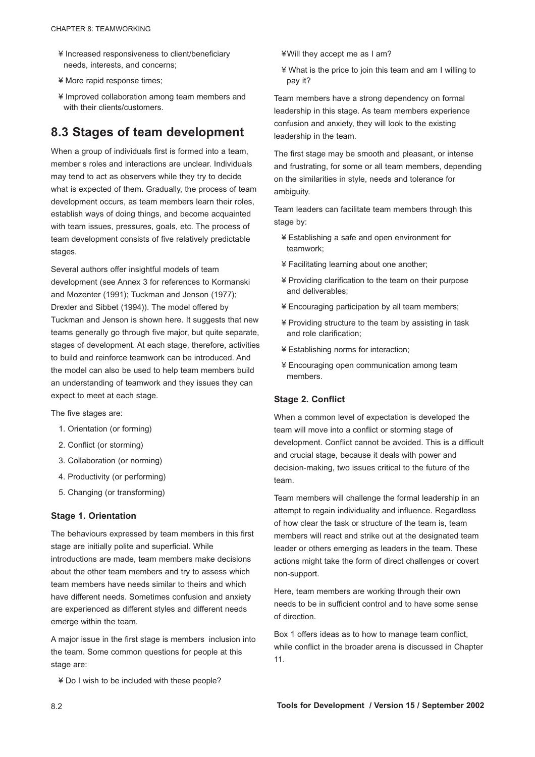- ¥ Increased responsiveness to client/beneficiary needs, interests, and concerns;
- ¥ More rapid response times;
- ¥ Improved collaboration among team members and with their clients/customers.

### **8.3 Stages of team development**

When a group of individuals first is formed into a team, member s roles and interactions are unclear. Individuals may tend to act as observers while they try to decide what is expected of them. Gradually, the process of team development occurs, as team members learn their roles, establish ways of doing things, and become acquainted with team issues, pressures, goals, etc. The process of team development consists of five relatively predictable stages.

Several authors offer insightful models of team development (see Annex 3 for references to Kormanski and Mozenter (1991); Tuckman and Jenson (1977); Drexler and Sibbet (1994)). The model offered by Tuckman and Jenson is shown here. It suggests that new teams generally go through five major, but quite separate, stages of development. At each stage, therefore, activities to build and reinforce teamwork can be introduced. And the model can also be used to help team members build an understanding of teamwork and they issues they can expect to meet at each stage.

The five stages are:

- 1. Orientation (or forming)
- 2. Conflict (or storming)
- 3. Collaboration (or norming)
- 4. Productivity (or performing)
- 5. Changing (or transforming)

#### **Stage 1. Orientation**

The behaviours expressed by team members in this first stage are initially polite and superficial. While introductions are made, team members make decisions about the other team members and try to assess which team members have needs similar to theirs and which have different needs. Sometimes confusion and anxiety are experienced as different styles and different needs emerge within the team.

A major issue in the first stage is members inclusion into the team. Some common questions for people at this stage are:

¥ Do I wish to be included with these people?

¥ Will they accept me as I am?

¥ What is the price to join this team and am I willing to pay it?

Team members have a strong dependency on formal leadership in this stage. As team members experience confusion and anxiety, they will look to the existing leadership in the team.

The first stage may be smooth and pleasant, or intense and frustrating, for some or all team members, depending on the similarities in style, needs and tolerance for ambiguity.

Team leaders can facilitate team members through this stage by:

- ¥ Establishing a safe and open environment for teamwork;
- ¥ Facilitating learning about one another;
- ¥ Providing clarification to the team on their purpose and deliverables;
- ¥ Encouraging participation by all team members;
- ¥ Providing structure to the team by assisting in task and role clarification;
- ¥ Establishing norms for interaction;
- ¥ Encouraging open communication among team members.

#### **Stage 2. Conflict**

When a common level of expectation is developed the team will move into a conflict or storming stage of development. Conflict cannot be avoided. This is a difficult and crucial stage, because it deals with power and decision-making, two issues critical to the future of the team.

Team members will challenge the formal leadership in an attempt to regain individuality and influence. Regardless of how clear the task or structure of the team is, team members will react and strike out at the designated team leader or others emerging as leaders in the team. These actions might take the form of direct challenges or covert non-support.

Here, team members are working through their own needs to be in sufficient control and to have some sense of direction.

Box 1 offers ideas as to how to manage team conflict, while conflict in the broader arena is discussed in Chapter 11.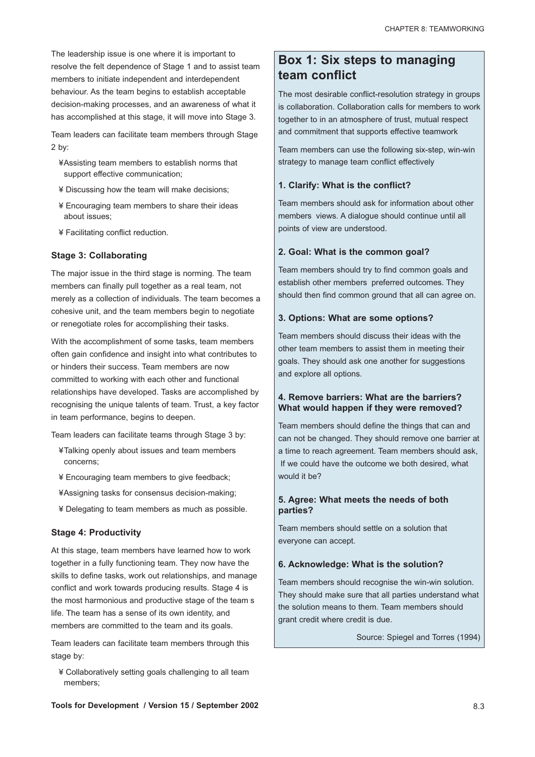The leadership issue is one where it is important to resolve the felt dependence of Stage 1 and to assist team members to initiate independent and interdependent behaviour. As the team begins to establish acceptable decision-making processes, and an awareness of what it has accomplished at this stage, it will move into Stage 3.

Team leaders can facilitate team members through Stage 2 by:

- ¥ Assisting team members to establish norms that support effective communication;
- ¥ Discussing how the team will make decisions;
- ¥ Encouraging team members to share their ideas about issues;
- ¥ Facilitating conflict reduction.

### **Stage 3: Collaborating**

The major issue in the third stage is norming. The team members can finally pull together as a real team, not merely as a collection of individuals. The team becomes a cohesive unit, and the team members begin to negotiate or renegotiate roles for accomplishing their tasks.

With the accomplishment of some tasks, team members often gain confidence and insight into what contributes to or hinders their success. Team members are now committed to working with each other and functional relationships have developed. Tasks are accomplished by recognising the unique talents of team. Trust, a key factor in team performance, begins to deepen.

Team leaders can facilitate teams through Stage 3 by:

- ¥ Talking openly about issues and team members concerns;
- ¥ Encouraging team members to give feedback;

¥ Assigning tasks for consensus decision-making;

¥ Delegating to team members as much as possible.

#### **Stage 4: Productivity**

At this stage, team members have learned how to work together in a fully functioning team. They now have the skills to define tasks, work out relationships, and manage conflict and work towards producing results. Stage 4 is the most harmonious and productive stage of the team s life. The team has a sense of its own identity, and members are committed to the team and its goals.

Team leaders can facilitate team members through this stage by:

¥ Collaboratively setting goals challenging to all team members;

# **Box 1: Six steps to managing team conflict**

The most desirable conflict-resolution strategy in groups is collaboration. Collaboration calls for members to work together to in an atmosphere of trust, mutual respect and commitment that supports effective teamwork

Team members can use the following six-step, win-win strategy to manage team conflict effectively

#### **1. Clarify: What is the conflict?**

Team members should ask for information about other members views. A dialogue should continue until all points of view are understood.

#### **2. Goal: What is the common goal?**

Team members should try to find common goals and establish other members preferred outcomes. They should then find common ground that all can agree on.

#### **3. Options: What are some options?**

Team members should discuss their ideas with the other team members to assist them in meeting their goals. They should ask one another for suggestions and explore all options.

### **4. Remove barriers: What are the barriers? What would happen if they were removed?**

Team members should define the things that can and can not be changed. They should remove one barrier at a time to reach agreement. Team members should ask, If we could have the outcome we both desired, what would it be?

### **5. Agree: What meets the needs of both parties?**

Team members should settle on a solution that everyone can accept.

#### **6. Acknowledge: What is the solution?**

Team members should recognise the win-win solution. They should make sure that all parties understand what the solution means to them. Team members should grant credit where credit is due.

Source: Spiegel and Torres (1994)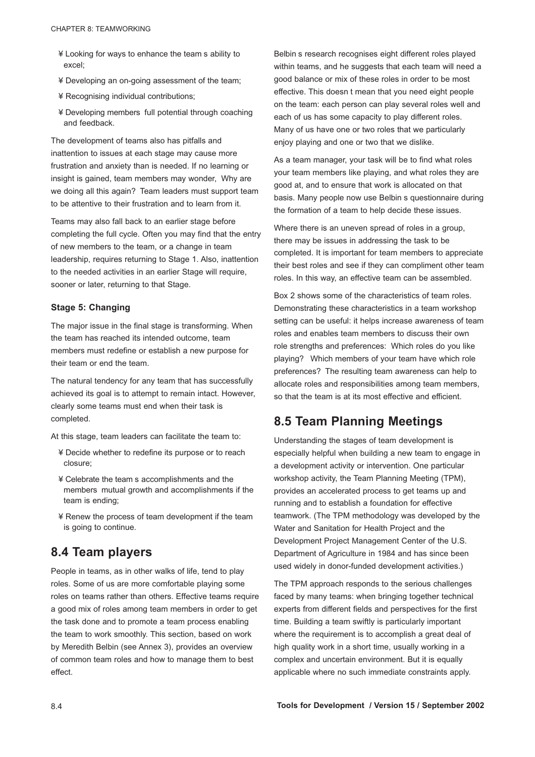- ¥ Looking for ways to enhance the team s ability to excel;
- ¥ Developing an on-going assessment of the team;
- ¥ Recognising individual contributions;
- ¥ Developing members full potential through coaching and feedback.

The development of teams also has pitfalls and inattention to issues at each stage may cause more frustration and anxiety than is needed. If no learning or insight is gained, team members may wonder, Why are we doing all this again? Team leaders must support team to be attentive to their frustration and to learn from it.

Teams may also fall back to an earlier stage before completing the full cycle. Often you may find that the entry of new members to the team, or a change in team leadership, requires returning to Stage 1. Also, inattention to the needed activities in an earlier Stage will require, sooner or later, returning to that Stage.

#### **Stage 5: Changing**

The major issue in the final stage is transforming. When the team has reached its intended outcome, team members must redefine or establish a new purpose for their team or end the team.

The natural tendency for any team that has successfully achieved its goal is to attempt to remain intact. However, clearly some teams must end when their task is completed.

At this stage, team leaders can facilitate the team to:

- ¥ Decide whether to redefine its purpose or to reach closure;
- ¥ Celebrate the team s accomplishments and the members mutual growth and accomplishments if the team is ending;
- ¥ Renew the process of team development if the team is going to continue.

### **8.4 Team players**

People in teams, as in other walks of life, tend to play roles. Some of us are more comfortable playing some roles on teams rather than others. Effective teams require a good mix of roles among team members in order to get the task done and to promote a team process enabling the team to work smoothly. This section, based on work by Meredith Belbin (see Annex 3), provides an overview of common team roles and how to manage them to best effect.

Belbin s research recognises eight different roles played within teams, and he suggests that each team will need a good balance or mix of these roles in order to be most effective. This doesn t mean that you need eight people on the team: each person can play several roles well and each of us has some capacity to play different roles. Many of us have one or two roles that we particularly enjoy playing and one or two that we dislike.

As a team manager, your task will be to find what roles your team members like playing, and what roles they are good at, and to ensure that work is allocated on that basis. Many people now use Belbin s questionnaire during the formation of a team to help decide these issues.

Where there is an uneven spread of roles in a group, there may be issues in addressing the task to be completed. It is important for team members to appreciate their best roles and see if they can compliment other team roles. In this way, an effective team can be assembled.

Box 2 shows some of the characteristics of team roles. Demonstrating these characteristics in a team workshop setting can be useful: it helps increase awareness of team roles and enables team members to discuss their own role strengths and preferences: Which roles do you like playing? Which members of your team have which role preferences? The resulting team awareness can help to allocate roles and responsibilities among team members, so that the team is at its most effective and efficient.

### **8.5 Team Planning Meetings**

Understanding the stages of team development is especially helpful when building a new team to engage in a development activity or intervention. One particular workshop activity, the Team Planning Meeting (TPM), provides an accelerated process to get teams up and running and to establish a foundation for effective teamwork. (The TPM methodology was developed by the Water and Sanitation for Health Project and the Development Project Management Center of the U.S. Department of Agriculture in 1984 and has since been used widely in donor-funded development activities.)

The TPM approach responds to the serious challenges faced by many teams: when bringing together technical experts from different fields and perspectives for the first time. Building a team swiftly is particularly important where the requirement is to accomplish a great deal of high quality work in a short time, usually working in a complex and uncertain environment. But it is equally applicable where no such immediate constraints apply.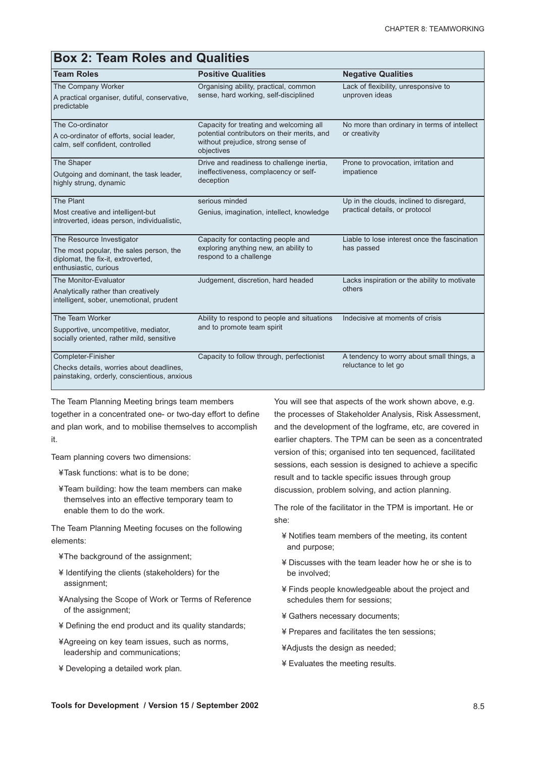### **Box 2: Team Roles and Qualities**

| <b>Team Roles</b>                                                                                      | <b>Positive Qualities</b>                                                                                                                  | <b>Negative Qualities</b>                                                  |  |
|--------------------------------------------------------------------------------------------------------|--------------------------------------------------------------------------------------------------------------------------------------------|----------------------------------------------------------------------------|--|
| The Company Worker<br>A practical organiser, dutiful, conservative,<br>predictable                     | Organising ability, practical, common<br>sense, hard working, self-disciplined                                                             | Lack of flexibility, unresponsive to<br>unproven ideas                     |  |
| The Co-ordinator<br>A co-ordinator of efforts, social leader,<br>calm, self confident, controlled      | Capacity for treating and welcoming all<br>potential contributors on their merits, and<br>without prejudice, strong sense of<br>objectives | No more than ordinary in terms of intellect<br>or creativity               |  |
| The Shaper<br>Outgoing and dominant, the task leader,<br>highly strung, dynamic                        | Drive and readiness to challenge inertia,<br>ineffectiveness, complacency or self-<br>deception                                            | Prone to provocation, irritation and<br>impatience                         |  |
| The Plant                                                                                              | serious minded                                                                                                                             | Up in the clouds, inclined to disregard,<br>practical details, or protocol |  |
| Most creative and intelligent-but<br>introverted, ideas person, individualistic,                       | Genius, imagination, intellect, knowledge                                                                                                  |                                                                            |  |
| The Resource Investigator                                                                              | Capacity for contacting people and                                                                                                         | Liable to lose interest once the fascination                               |  |
| The most popular, the sales person, the<br>diplomat, the fix-it, extroverted,<br>enthusiastic, curious | exploring anything new, an ability to<br>respond to a challenge                                                                            | has passed                                                                 |  |
| The Monitor-Evaluator                                                                                  | Judgement, discretion, hard headed                                                                                                         | Lacks inspiration or the ability to motivate<br>others                     |  |
| Analytically rather than creatively<br>intelligent, sober, unemotional, prudent                        |                                                                                                                                            |                                                                            |  |
| The Team Worker                                                                                        | Ability to respond to people and situations                                                                                                | Indecisive at moments of crisis                                            |  |
| Supportive, uncompetitive, mediator,<br>socially oriented, rather mild, sensitive                      | and to promote team spirit                                                                                                                 |                                                                            |  |
| Completer-Finisher                                                                                     | Capacity to follow through, perfectionist                                                                                                  | A tendency to worry about small things, a<br>reluctance to let go          |  |
| Checks details, worries about deadlines,<br>painstaking, orderly, conscientious, anxious               |                                                                                                                                            |                                                                            |  |

The Team Planning Meeting brings team members together in a concentrated one- or two-day effort to define and plan work, and to mobilise themselves to accomplish it.

Team planning covers two dimensions:

¥ Task functions: what is to be done;

¥ Team building: how the team members can make themselves into an effective temporary team to enable them to do the work.

The Team Planning Meeting focuses on the following elements:

- ¥ The background of the assignment;
- ¥ Identifying the clients (stakeholders) for the assignment;
- ¥ Analysing the Scope of Work or Terms of Reference of the assignment;
- ¥ Defining the end product and its quality standards;
- ¥ Agreeing on key team issues, such as norms, leadership and communications;
- ¥ Developing a detailed work plan.

You will see that aspects of the work shown above, e.g. the processes of Stakeholder Analysis, Risk Assessment, and the development of the logframe, etc, are covered in earlier chapters. The TPM can be seen as a concentrated version of this; organised into ten sequenced, facilitated sessions, each session is designed to achieve a specific result and to tackle specific issues through group discussion, problem solving, and action planning.

The role of the facilitator in the TPM is important. He or she:

- ¥ Notifies team members of the meeting, its content and purpose;
- ¥ Discusses with the team leader how he or she is to be involved;
- ¥ Finds people knowledgeable about the project and schedules them for sessions;
- ¥ Gathers necessary documents;
- ¥ Prepares and facilitates the ten sessions;
- ¥ Adjusts the design as needed;
- ¥ Evaluates the meeting results.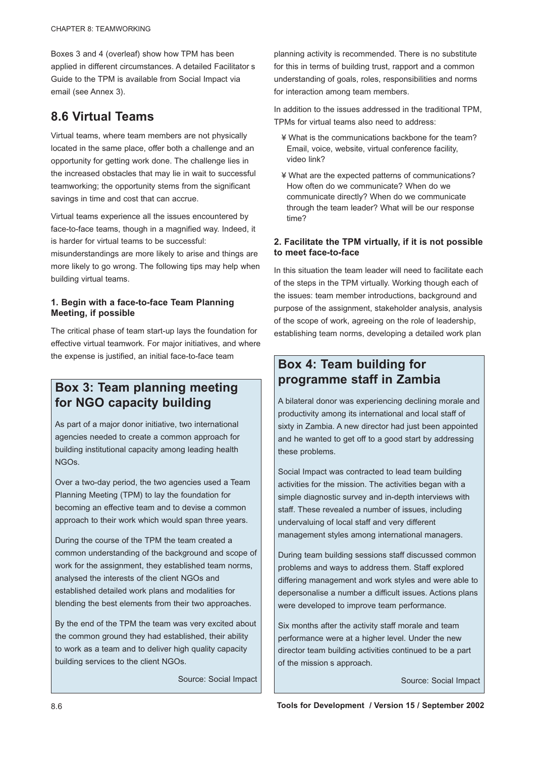Boxes 3 and 4 (overleaf) show how TPM has been applied in different circumstances. A detailed Facilitator s Guide to the TPM is available from Social Impact via email (see Annex 3).

# **8.6 Virtual Teams**

Virtual teams, where team members are not physically located in the same place, offer both a challenge and an opportunity for getting work done. The challenge lies in the increased obstacles that may lie in wait to successful teamworking; the opportunity stems from the significant savings in time and cost that can accrue.

Virtual teams experience all the issues encountered by face-to-face teams, though in a magnified way. Indeed, it is harder for virtual teams to be successful:

misunderstandings are more likely to arise and things are more likely to go wrong. The following tips may help when building virtual teams.

### **1. Begin with a face-to-face Team Planning Meeting, if possible**

The critical phase of team start-up lays the foundation for effective virtual teamwork. For major initiatives, and where the expense is justified, an initial face-to-face team

## **Box 3: Team planning meeting for NGO capacity building**

As part of a major donor initiative, two international agencies needed to create a common approach for building institutional capacity among leading health NGOs.

Over a two-day period, the two agencies used a Team Planning Meeting (TPM) to lay the foundation for becoming an effective team and to devise a common approach to their work which would span three years.

During the course of the TPM the team created a common understanding of the background and scope of work for the assignment, they established team norms, analysed the interests of the client NGOs and established detailed work plans and modalities for blending the best elements from their two approaches.

By the end of the TPM the team was very excited about the common ground they had established, their ability to work as a team and to deliver high quality capacity building services to the client NGOs.

Source: Social Impact

planning activity is recommended. There is no substitute for this in terms of building trust, rapport and a common understanding of goals, roles, responsibilities and norms for interaction among team members.

In addition to the issues addressed in the traditional TPM, TPMs for virtual teams also need to address:

- ¥ What is the communications backbone for the team? Email, voice, website, virtual conference facility, video link?
- ¥ What are the expected patterns of communications? How often do we communicate? When do we communicate directly? When do we communicate through the team leader? What will be our response time?

### **2. Facilitate the TPM virtually, if it is not possible to meet face-to-face**

In this situation the team leader will need to facilitate each of the steps in the TPM virtually. Working though each of the issues: team member introductions, background and purpose of the assignment, stakeholder analysis, analysis of the scope of work, agreeing on the role of leadership, establishing team norms, developing a detailed work plan

# **Box 4: Team building for programme staff in Zambia**

A bilateral donor was experiencing declining morale and productivity among its international and local staff of sixty in Zambia. A new director had just been appointed and he wanted to get off to a good start by addressing these problems.

Social Impact was contracted to lead team building activities for the mission. The activities began with a simple diagnostic survey and in-depth interviews with staff. These revealed a number of issues, including undervaluing of local staff and very different management styles among international managers.

During team building sessions staff discussed common problems and ways to address them. Staff explored differing management and work styles and were able to depersonalise a number a difficult issues. Actions plans were developed to improve team performance.

Six months after the activity staff morale and team performance were at a higher level. Under the new director team building activities continued to be a part of the mission s approach.

Source: Social Impact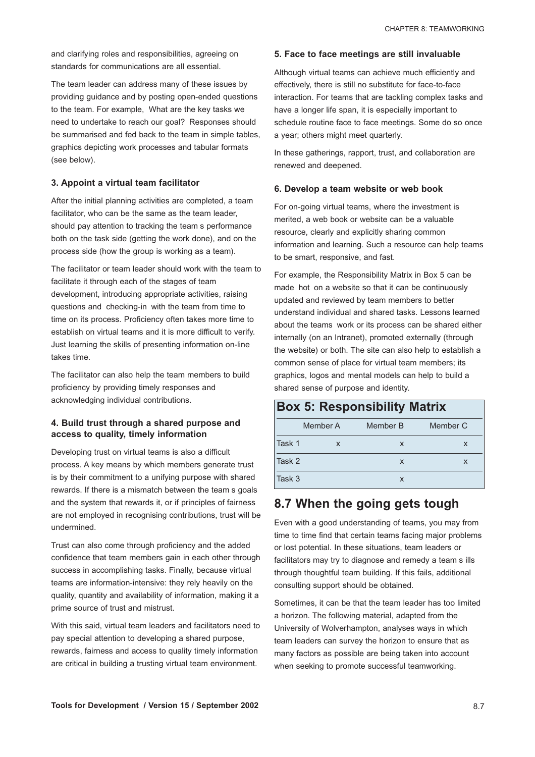and clarifying roles and responsibilities, agreeing on standards for communications are all essential.

The team leader can address many of these issues by providing guidance and by posting open-ended questions to the team. For example, What are the key tasks we need to undertake to reach our goal? Responses should be summarised and fed back to the team in simple tables, graphics depicting work processes and tabular formats (see below).

### **3. Appoint a virtual team facilitator**

After the initial planning activities are completed, a team facilitator, who can be the same as the team leader, should pay attention to tracking the team s performance both on the task side (getting the work done), and on the process side (how the group is working as a team).

The facilitator or team leader should work with the team to facilitate it through each of the stages of team development, introducing appropriate activities, raising questions and checking-in with the team from time to time on its process. Proficiency often takes more time to establish on virtual teams and it is more difficult to verify. Just learning the skills of presenting information on-line takes time.

The facilitator can also help the team members to build proficiency by providing timely responses and acknowledging individual contributions.

### **4. Build trust through a shared purpose and access to quality, timely information**

Developing trust on virtual teams is also a difficult process. A key means by which members generate trust is by their commitment to a unifying purpose with shared rewards. If there is a mismatch between the team s goals and the system that rewards it, or if principles of fairness are not employed in recognising contributions, trust will be undermined.

Trust can also come through proficiency and the added confidence that team members gain in each other through success in accomplishing tasks. Finally, because virtual teams are information-intensive: they rely heavily on the quality, quantity and availability of information, making it a prime source of trust and mistrust.

With this said, virtual team leaders and facilitators need to pay special attention to developing a shared purpose, rewards, fairness and access to quality timely information are critical in building a trusting virtual team environment.

### **5. Face to face meetings are still invaluable**

Although virtual teams can achieve much efficiently and effectively, there is still no substitute for face-to-face interaction. For teams that are tackling complex tasks and have a longer life span, it is especially important to schedule routine face to face meetings. Some do so once a year; others might meet quarterly.

In these gatherings, rapport, trust, and collaboration are renewed and deepened.

### **6. Develop a team website or web book**

For on-going virtual teams, where the investment is merited, a web book or website can be a valuable resource, clearly and explicitly sharing common information and learning. Such a resource can help teams to be smart, responsive, and fast.

For example, the Responsibility Matrix in Box 5 can be made hot on a website so that it can be continuously updated and reviewed by team members to better understand individual and shared tasks. Lessons learned about the teams work or its process can be shared either internally (on an Intranet), promoted externally (through the website) or both. The site can also help to establish a common sense of place for virtual team members; its graphics, logos and mental models can help to build a shared sense of purpose and identity.

# **Box 5: Responsibility Matrix**

|        | Member A | Member B | Member C |  |
|--------|----------|----------|----------|--|
| Task 1 | X        | X        | X        |  |
| Task 2 |          | X        | X        |  |
| Task 3 |          | x        |          |  |

### **8.7 When the going gets tough**

Even with a good understanding of teams, you may from time to time find that certain teams facing major problems or lost potential. In these situations, team leaders or facilitators may try to diagnose and remedy a team s ills through thoughtful team building. If this fails, additional consulting support should be obtained.

Sometimes, it can be that the team leader has too limited a horizon. The following material, adapted from the University of Wolverhampton, analyses ways in which team leaders can survey the horizon to ensure that as many factors as possible are being taken into account when seeking to promote successful teamworking.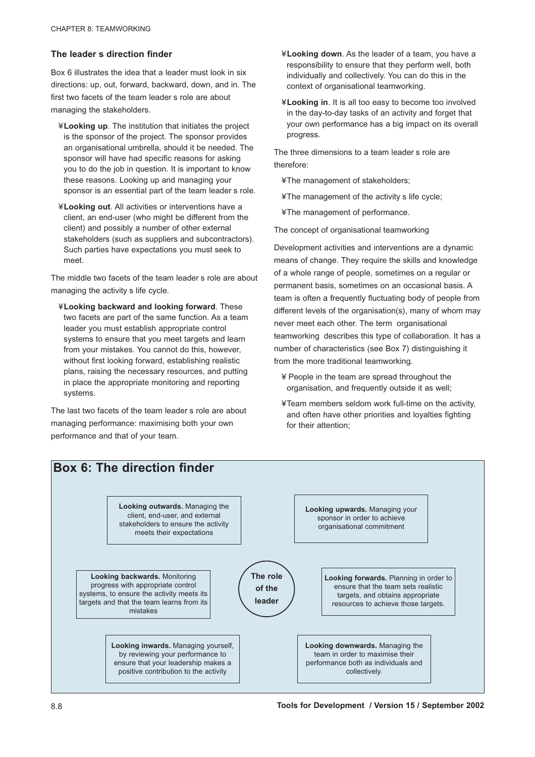### **The leader s direction finder**

Box 6 illustrates the idea that a leader must look in six directions: up, out, forward, backward, down, and in. The first two facets of the team leader s role are about managing the stakeholders.

- ¥ **Looking up**. The institution that initiates the project is the sponsor of the project. The sponsor provides an organisational umbrella, should it be needed. The sponsor will have had specific reasons for asking you to do the job in question. It is important to know these reasons. Looking up and managing your sponsor is an essential part of the team leader s role.
- ¥ **Looking out**. All activities or interventions have a client, an end-user (who might be different from the client) and possibly a number of other external stakeholders (such as suppliers and subcontractors). Such parties have expectations you must seek to meet.

The middle two facets of the team leader s role are about managing the activity s life cycle.

¥ **Looking backward and looking forward**. These two facets are part of the same function. As a team leader you must establish appropriate control systems to ensure that you meet targets and learn from your mistakes. You cannot do this, however, without first looking forward, establishing realistic plans, raising the necessary resources, and putting in place the appropriate monitoring and reporting systems.

The last two facets of the team leader s role are about managing performance: maximising both your own performance and that of your team.

- ¥ **Looking down**. As the leader of a team, you have a responsibility to ensure that they perform well, both individually and collectively. You can do this in the context of organisational teamworking.
- ¥ **Looking in**. It is all too easy to become too involved in the day-to-day tasks of an activity and forget that your own performance has a big impact on its overall progress.

The three dimensions to a team leader s role are therefore:

¥ The management of stakeholders;

¥ The management of the activity s life cycle;

¥ The management of performance.

The concept of organisational teamworking

Development activities and interventions are a dynamic means of change. They require the skills and knowledge of a whole range of people, sometimes on a regular or permanent basis, sometimes on an occasional basis. A team is often a frequently fluctuating body of people from different levels of the organisation(s), many of whom may never meet each other. The term organisational teamworking describes this type of collaboration. It has a number of characteristics (see Box 7) distinguishing it from the more traditional teamworking.

- ¥ People in the team are spread throughout the organisation, and frequently outside it as well;
- ¥ Team members seldom work full-time on the activity, and often have other priorities and loyalties fighting for their attention;

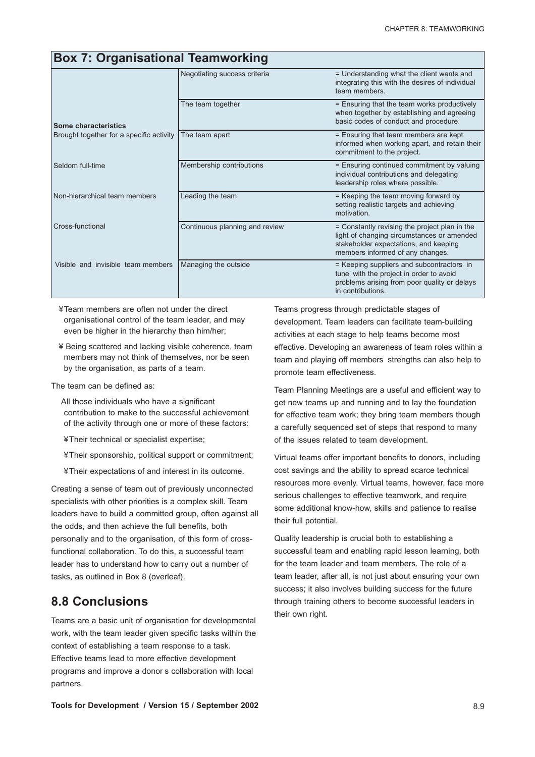### **Box 7: Organisational Teamworking**

|                                          | Negotiating success criteria   | = Understanding what the client wants and<br>integrating this with the desires of individual<br>team members.                                                            |  |  |
|------------------------------------------|--------------------------------|--------------------------------------------------------------------------------------------------------------------------------------------------------------------------|--|--|
| Some characteristics                     | The team together              | = Ensuring that the team works productively<br>when together by establishing and agreeing<br>basic codes of conduct and procedure.                                       |  |  |
| Brought together for a specific activity | The team apart                 | = Ensuring that team members are kept<br>informed when working apart, and retain their<br>commitment to the project.                                                     |  |  |
| Seldom full-time                         | Membership contributions       | = Ensuring continued commitment by valuing<br>individual contributions and delegating<br>leadership roles where possible.                                                |  |  |
| Non-hierarchical team members            | Leading the team               | = Keeping the team moving forward by<br>setting realistic targets and achieving<br>motivation.                                                                           |  |  |
| Cross-functional                         | Continuous planning and review | = Constantly revising the project plan in the<br>light of changing circumstances or amended<br>stakeholder expectations, and keeping<br>members informed of any changes. |  |  |
| Visible and invisible team members       | Managing the outside           | = Keeping suppliers and subcontractors in<br>tune with the project in order to avoid<br>problems arising from poor quality or delays<br>in contributions.                |  |  |

¥ Team members are often not under the direct organisational control of the team leader, and may even be higher in the hierarchy than him/her;

¥ Being scattered and lacking visible coherence, team members may not think of themselves, nor be seen by the organisation, as parts of a team.

The team can be defined as:

All those individuals who have a significant contribution to make to the successful achievement of the activity through one or more of these factors:

- ¥ Their technical or specialist expertise;
- ¥ Their sponsorship, political support or commitment;
- ¥ Their expectations of and interest in its outcome.

Creating a sense of team out of previously unconnected specialists with other priorities is a complex skill. Team leaders have to build a committed group, often against all the odds, and then achieve the full benefits, both personally and to the organisation, of this form of crossfunctional collaboration. To do this, a successful team leader has to understand how to carry out a number of tasks, as outlined in Box 8 (overleaf).

### **8.8 Conclusions**

Teams are a basic unit of organisation for developmental work, with the team leader given specific tasks within the context of establishing a team response to a task. Effective teams lead to more effective development programs and improve a donor s collaboration with local partners.

Teams progress through predictable stages of development. Team leaders can facilitate team-building activities at each stage to help teams become most effective. Developing an awareness of team roles within a team and playing off members strengths can also help to promote team effectiveness.

Team Planning Meetings are a useful and efficient way to get new teams up and running and to lay the foundation for effective team work; they bring team members though a carefully sequenced set of steps that respond to many of the issues related to team development.

Virtual teams offer important benefits to donors, including cost savings and the ability to spread scarce technical resources more evenly. Virtual teams, however, face more serious challenges to effective teamwork, and require some additional know-how, skills and patience to realise their full potential.

Quality leadership is crucial both to establishing a successful team and enabling rapid lesson learning, both for the team leader and team members. The role of a team leader, after all, is not just about ensuring your own success; it also involves building success for the future through training others to become successful leaders in their own right.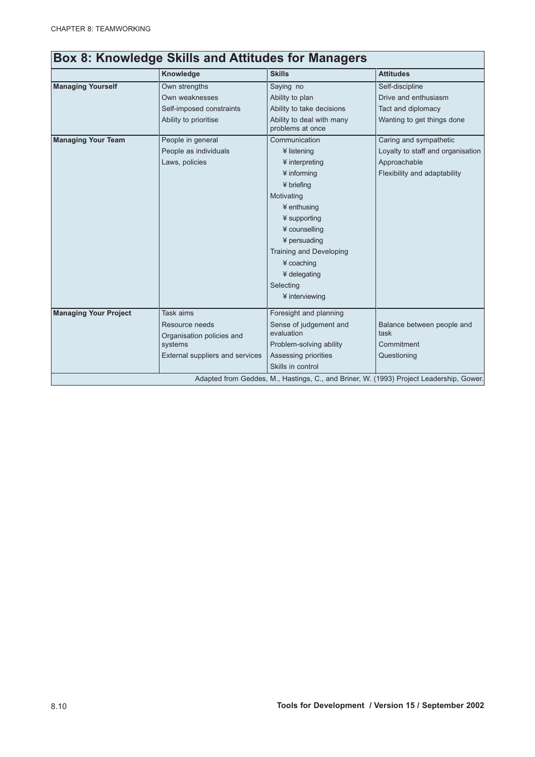# **Box 8: Knowledge Skills and Attitudes for Managers**

|                              | Knowledge                       | <b>Skills</b>                                                                           | <b>Attitudes</b>                  |
|------------------------------|---------------------------------|-----------------------------------------------------------------------------------------|-----------------------------------|
| <b>Managing Yourself</b>     | Own strengths                   | Saying no                                                                               | Self-discipline                   |
|                              | Own weaknesses                  | Ability to plan                                                                         | Drive and enthusiasm              |
|                              | Self-imposed constraints        | Ability to take decisions                                                               | Tact and diplomacy                |
|                              | Ability to prioritise           | Ability to deal with many<br>problems at once                                           | Wanting to get things done        |
| <b>Managing Your Team</b>    | People in general               | Communication                                                                           | Caring and sympathetic            |
|                              | People as individuals           | ¥ listening                                                                             | Loyalty to staff and organisation |
|                              | Laws, policies                  | ¥ interpreting                                                                          | Approachable                      |
|                              |                                 | $\angle$ informing                                                                      | Flexibility and adaptability      |
|                              |                                 | ¥ briefing                                                                              |                                   |
|                              |                                 | Motivating                                                                              |                                   |
|                              |                                 | ¥ enthusing                                                                             |                                   |
|                              |                                 | ¥ supporting                                                                            |                                   |
|                              |                                 | ¥ counselling                                                                           |                                   |
|                              |                                 | ¥ persuading                                                                            |                                   |
|                              |                                 | <b>Training and Developing</b>                                                          |                                   |
|                              |                                 | ¥ coaching                                                                              |                                   |
|                              |                                 | ¥ delegating                                                                            |                                   |
|                              |                                 | Selecting                                                                               |                                   |
|                              |                                 | ¥ interviewing                                                                          |                                   |
| <b>Managing Your Project</b> | Task aims                       | Foresight and planning                                                                  |                                   |
|                              | Resource needs                  | Sense of judgement and                                                                  | Balance between people and        |
|                              | Organisation policies and       | evaluation                                                                              | task                              |
|                              | systems                         | Problem-solving ability                                                                 | Commitment                        |
|                              | External suppliers and services | Assessing priorities                                                                    | Questioning                       |
|                              |                                 | Skills in control                                                                       |                                   |
|                              |                                 | Adapted from Geddes, M., Hastings, C., and Briner, W. (1993) Project Leadership, Gower. |                                   |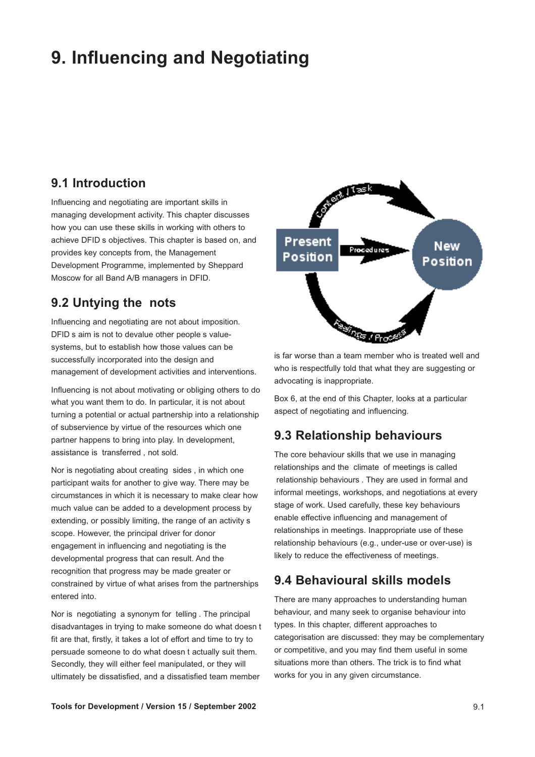# **9. Influencing and Negotiating**

### **9.1 Introduction**

Influencing and negotiating are important skills in managing development activity. This chapter discusses how you can use these skills in working with others to achieve DFID s objectives. This chapter is based on, and provides key concepts from, the Management Development Programme, implemented by Sheppard Moscow for all Band A/B managers in DFID.

### **9.2 Untying the nots**

Influencing and negotiating are not about imposition. DFID s aim is not to devalue other people s valuesystems, but to establish how those values can be successfully incorporated into the design and management of development activities and interventions.

Influencing is not about motivating or obliging others to do what you want them to do. In particular, it is not about turning a potential or actual partnership into a relationship of subservience by virtue of the resources which one partner happens to bring into play. In development, assistance is transferred , not sold.

Nor is negotiating about creating sides , in which one participant waits for another to give way. There may be circumstances in which it is necessary to make clear how much value can be added to a development process by extending, or possibly limiting, the range of an activity s scope. However, the principal driver for donor engagement in influencing and negotiating is the developmental progress that can result. And the recognition that progress may be made greater or constrained by virtue of what arises from the partnerships entered into.

Nor is negotiating a synonym for telling . The principal disadvantages in trying to make someone do what doesn t fit are that, firstly, it takes a lot of effort and time to try to persuade someone to do what doesn t actually suit them. Secondly, they will either feel manipulated, or they will ultimately be dissatisfied, and a dissatisfied team member



is far worse than a team member who is treated well and who is respectfully told that what they are suggesting or advocating is inappropriate.

Box 6, at the end of this Chapter, looks at a particular aspect of negotiating and influencing.

### **9.3 Relationship behaviours**

The core behaviour skills that we use in managing relationships and the climate of meetings is called relationship behaviours . They are used in formal and informal meetings, workshops, and negotiations at every stage of work. Used carefully, these key behaviours enable effective influencing and management of relationships in meetings. Inappropriate use of these relationship behaviours (e.g., under-use or over-use) is likely to reduce the effectiveness of meetings.

### **9.4 Behavioural skills models**

There are many approaches to understanding human behaviour, and many seek to organise behaviour into types. In this chapter, different approaches to categorisation are discussed: they may be complementary or competitive, and you may find them useful in some situations more than others. The trick is to find what works for you in any given circumstance.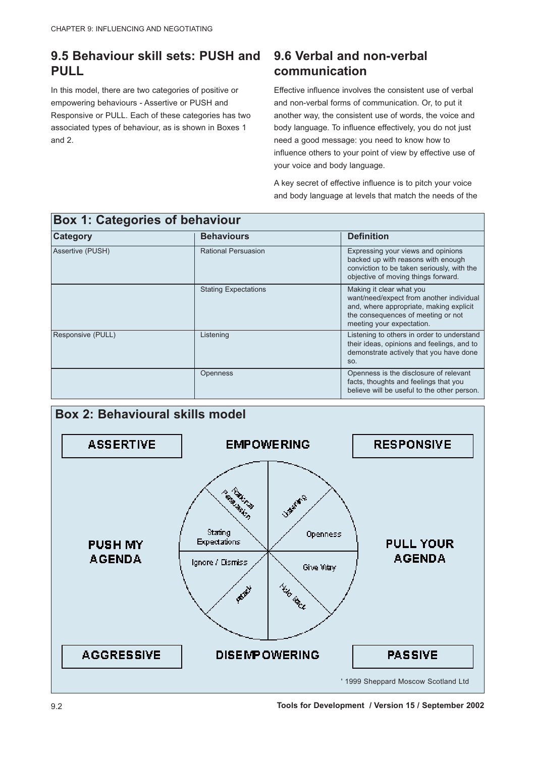# **9.5 Behaviour skill sets: PUSH and PULL**

In this model, there are two categories of positive or empowering behaviours - Assertive or PUSH and Responsive or PULL. Each of these categories has two associated types of behaviour, as is shown in Boxes 1 and 2.

# **9.6 Verbal and non-verbal communication**

Effective influence involves the consistent use of verbal and non-verbal forms of communication. Or, to put it another way, the consistent use of words, the voice and body language. To influence effectively, you do not just need a good message: you need to know how to influence others to your point of view by effective use of your voice and body language.

A key secret of effective influence is to pitch your voice and body language at levels that match the needs of the

| <b>Box 1: Categories of behaviour</b> |                             |                                                                                                                                                                                    |  |  |
|---------------------------------------|-----------------------------|------------------------------------------------------------------------------------------------------------------------------------------------------------------------------------|--|--|
| <b>Category</b>                       | <b>Behaviours</b>           | <b>Definition</b>                                                                                                                                                                  |  |  |
| Assertive (PUSH)                      | <b>Rational Persuasion</b>  | Expressing your views and opinions<br>backed up with reasons with enough<br>conviction to be taken seriously, with the<br>objective of moving things forward.                      |  |  |
|                                       | <b>Stating Expectations</b> | Making it clear what you<br>want/need/expect from another individual<br>and, where appropriate, making explicit<br>the consequences of meeting or not<br>meeting your expectation. |  |  |
| Responsive (PULL)                     | Listening                   | Listening to others in order to understand<br>their ideas, opinions and feelings, and to<br>demonstrate actively that you have done<br>SO.                                         |  |  |
|                                       | <b>Openness</b>             | Openness is the disclosure of relevant<br>facts, thoughts and feelings that you<br>believe will be useful to the other person.                                                     |  |  |



9.2 **Tools for Development / Version 15 / September 2002**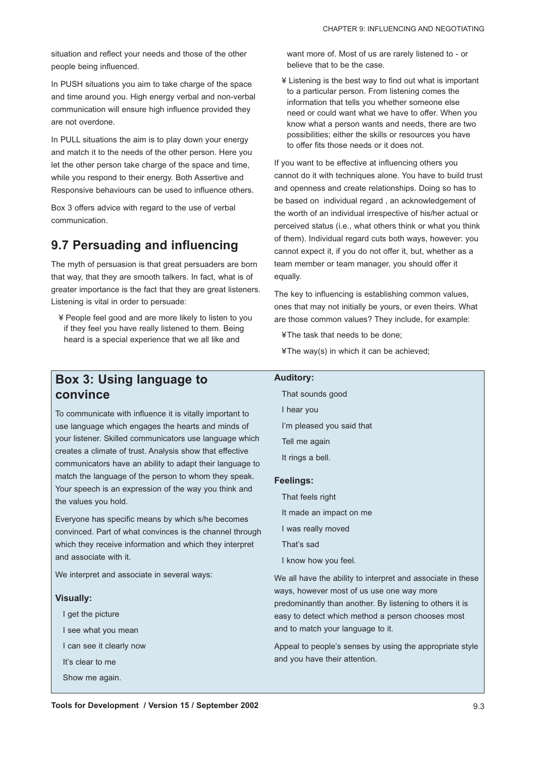situation and reflect your needs and those of the other people being influenced.

In PUSH situations you aim to take charge of the space and time around you. High energy verbal and non-verbal communication will ensure high influence provided they are not overdone.

In PULL situations the aim is to play down your energy and match it to the needs of the other person. Here you let the other person take charge of the space and time, while you respond to their energy. Both Assertive and Responsive behaviours can be used to influence others.

Box 3 offers advice with regard to the use of verbal communication.

### **9.7 Persuading and influencing**

The myth of persuasion is that great persuaders are born that way, that they are smooth talkers. In fact, what is of greater importance is the fact that they are great listeners. Listening is vital in order to persuade:

¥ People feel good and are more likely to listen to you if they feel you have really listened to them. Being heard is a special experience that we all like and

want more of. Most of us are rarely listened to - or believe that to be the case.

¥ Listening is the best way to find out what is important to a particular person. From listening comes the information that tells you whether someone else need or could want what we have to offer. When you know what a person wants and needs, there are two possibilities; either the skills or resources you have to offer fits those needs or it does not.

If you want to be effective at influencing others you cannot do it with techniques alone. You have to build trust and openness and create relationships. Doing so has to be based on individual regard , an acknowledgement of the worth of an individual irrespective of his/her actual or perceived status (i.e., what others think or what you think of them). Individual regard cuts both ways, however: you cannot expect it, if you do not offer it, but, whether as a team member or team manager, you should offer it equally.

The key to influencing is establishing common values, ones that may not initially be yours, or even theirs. What are those common values? They include, for example:

¥ The task that needs to be done;

¥ The way(s) in which it can be achieved;

### **Box 3: Using language to convince**

To communicate with influence it is vitally important to use language which engages the hearts and minds of your listener. Skilled communicators use language which creates a climate of trust. Analysis show that effective communicators have an ability to adapt their language to match the language of the person to whom they speak. Your speech is an expression of the way you think and the values you hold.

Everyone has specific means by which s/he becomes convinced. Part of what convinces is the channel through which they receive information and which they interpret and associate with it.

We interpret and associate in several ways:

#### **Visually:**

- I get the picture
- I see what you mean

I can see it clearly now

- It's clear to me
- Show me again.

#### **Auditory:**

- That sounds good
- I hear you
- I'm pleased you said that
- Tell me again
- It rings a bell.

#### **Feelings:**

That feels right

- It made an impact on me
- I was really moved

That's sad

I know how you feel.

We all have the ability to interpret and associate in these ways, however most of us use one way more predominantly than another. By listening to others it is easy to detect which method a person chooses most and to match your language to it.

Appeal to people's senses by using the appropriate style and you have their attention.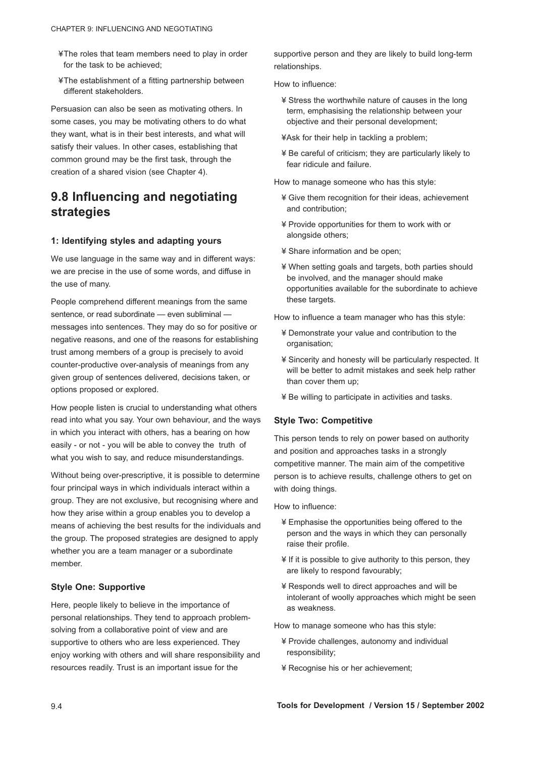- ¥ The roles that team members need to play in order for the task to be achieved;
- ¥ The establishment of a fitting partnership between different stakeholders.

Persuasion can also be seen as motivating others. In some cases, you may be motivating others to do what they want, what is in their best interests, and what will satisfy their values. In other cases, establishing that common ground may be the first task, through the creation of a shared vision (see Chapter 4).

### **9.8 Influencing and negotiating strategies**

#### **1: Identifying styles and adapting yours**

We use language in the same way and in different ways: we are precise in the use of some words, and diffuse in the use of many.

People comprehend different meanings from the same sentence, or read subordinate — even subliminal messages into sentences. They may do so for positive or negative reasons, and one of the reasons for establishing trust among members of a group is precisely to avoid counter-productive over-analysis of meanings from any given group of sentences delivered, decisions taken, or options proposed or explored.

How people listen is crucial to understanding what others read into what you say. Your own behaviour, and the ways in which you interact with others, has a bearing on how easily - or not - you will be able to convey the truth of what you wish to say, and reduce misunderstandings.

Without being over-prescriptive, it is possible to determine four principal ways in which individuals interact within a group. They are not exclusive, but recognising where and how they arise within a group enables you to develop a means of achieving the best results for the individuals and the group. The proposed strategies are designed to apply whether you are a team manager or a subordinate member.

### **Style One: Supportive**

Here, people likely to believe in the importance of personal relationships. They tend to approach problemsolving from a collaborative point of view and are supportive to others who are less experienced. They enjoy working with others and will share responsibility and resources readily. Trust is an important issue for the

supportive person and they are likely to build long-term relationships.

How to influence:

¥ Stress the worthwhile nature of causes in the long term, emphasising the relationship between your objective and their personal development;

¥ Ask for their help in tackling a problem;

¥ Be careful of criticism; they are particularly likely to fear ridicule and failure.

How to manage someone who has this style:

- ¥ Give them recognition for their ideas, achievement and contribution;
- ¥ Provide opportunities for them to work with or alongside others;
- ¥ Share information and be open;
- ¥ When setting goals and targets, both parties should be involved, and the manager should make opportunities available for the subordinate to achieve these targets.

How to influence a team manager who has this style:

- ¥ Demonstrate your value and contribution to the organisation;
- ¥ Sincerity and honesty will be particularly respected. It will be better to admit mistakes and seek help rather than cover them up;
- ¥ Be willing to participate in activities and tasks.

#### **Style Two: Competitive**

This person tends to rely on power based on authority and position and approaches tasks in a strongly competitive manner. The main aim of the competitive person is to achieve results, challenge others to get on with doing things.

How to influence:

- ¥ Emphasise the opportunities being offered to the person and the ways in which they can personally raise their profile.
- ¥ If it is possible to give authority to this person, they are likely to respond favourably;
- ¥ Responds well to direct approaches and will be intolerant of woolly approaches which might be seen as weakness.

How to manage someone who has this style:

- ¥ Provide challenges, autonomy and individual responsibility;
- ¥ Recognise his or her achievement;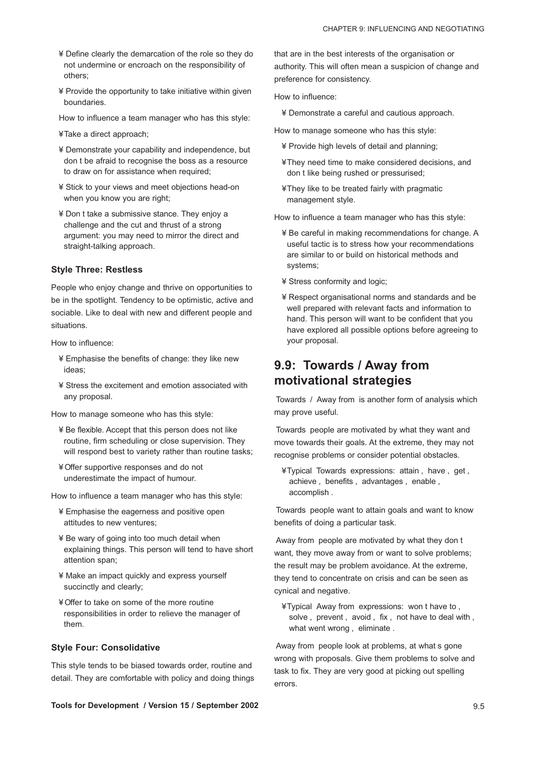- ¥ Define clearly the demarcation of the role so they do not undermine or encroach on the responsibility of others;
- ¥ Provide the opportunity to take initiative within given boundaries.
- How to influence a team manager who has this style:
- ¥ Take a direct approach;
- ¥ Demonstrate your capability and independence, but don t be afraid to recognise the boss as a resource to draw on for assistance when required;
- ¥ Stick to your views and meet objections head-on when you know you are right;
- ¥ Don t take a submissive stance. They enjoy a challenge and the cut and thrust of a strong argument: you may need to mirror the direct and straight-talking approach.

#### **Style Three: Restless**

People who enjoy change and thrive on opportunities to be in the spotlight. Tendency to be optimistic, active and sociable. Like to deal with new and different people and situations.

How to influence:

- ¥ Emphasise the benefits of change: they like new ideas;
- ¥ Stress the excitement and emotion associated with any proposal.

How to manage someone who has this style:

- ¥ Be flexible. Accept that this person does not like routine, firm scheduling or close supervision. They will respond best to variety rather than routine tasks;
- ¥ Offer supportive responses and do not underestimate the impact of humour.

How to influence a team manager who has this style:

- ¥ Emphasise the eagerness and positive open attitudes to new ventures;
- ¥ Be wary of going into too much detail when explaining things. This person will tend to have short attention span;
- ¥ Make an impact quickly and express yourself succinctly and clearly;
- ¥ Offer to take on some of the more routine responsibilities in order to relieve the manager of them.

#### **Style Four: Consolidative**

This style tends to be biased towards order, routine and detail. They are comfortable with policy and doing things that are in the best interests of the organisation or authority. This will often mean a suspicion of change and preference for consistency.

How to influence:

¥ Demonstrate a careful and cautious approach.

How to manage someone who has this style:

- ¥ Provide high levels of detail and planning;
- ¥ They need time to make considered decisions, and don t like being rushed or pressurised;
- ¥ They like to be treated fairly with pragmatic management style.

How to influence a team manager who has this style:

- ¥ Be careful in making recommendations for change. A useful tactic is to stress how your recommendations are similar to or build on historical methods and systems;
- ¥ Stress conformity and logic;
- ¥ Respect organisational norms and standards and be well prepared with relevant facts and information to hand. This person will want to be confident that you have explored all possible options before agreeing to your proposal.

### **9.9: Towards / Away from motivational strategies**

Towards / Away from is another form of analysis which may prove useful.

Towards people are motivated by what they want and move towards their goals. At the extreme, they may not recognise problems or consider potential obstacles.

¥ Typical Towards expressions: attain , have , get , achieve , benefits , advantages , enable , accomplish .

Towards people want to attain goals and want to know benefits of doing a particular task.

Away from people are motivated by what they don t want, they move away from or want to solve problems; the result may be problem avoidance. At the extreme, they tend to concentrate on crisis and can be seen as cynical and negative.

¥ Typical Away from expressions: won t have to , solve , prevent , avoid , fix , not have to deal with , what went wrong , eliminate .

Away from people look at problems, at what s gone wrong with proposals. Give them problems to solve and task to fix. They are very good at picking out spelling errors.

#### **Tools for Development / Version 15 / September 2002**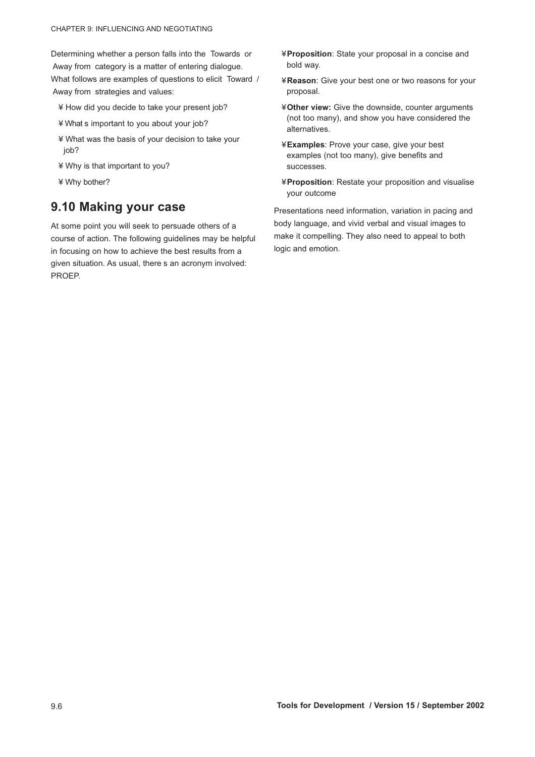Determining whether a person falls into the Towards or Away from category is a matter of entering dialogue. What follows are examples of questions to elicit Toward / Away from strategies and values:

- ¥ How did you decide to take your present job?
- ¥ What s important to you about your job?
- ¥ What was the basis of your decision to take your job?
- ¥ Why is that important to you?
- ¥ Why bother?

## **9.10 Making your case**

At some point you will seek to persuade others of a course of action. The following guidelines may be helpful in focusing on how to achieve the best results from a given situation. As usual, there s an acronym involved: PROEP.

- ¥ **Proposition**: State your proposal in a concise and bold way.
- ¥ **Reason**: Give your best one or two reasons for your proposal.
- ¥ **Other view:** Give the downside, counter arguments (not too many), and show you have considered the alternatives.
- ¥ **Examples**: Prove your case, give your best examples (not too many), give benefits and successes.
- ¥ **Proposition**: Restate your proposition and visualise your outcome

Presentations need information, variation in pacing and body language, and vivid verbal and visual images to make it compelling. They also need to appeal to both logic and emotion.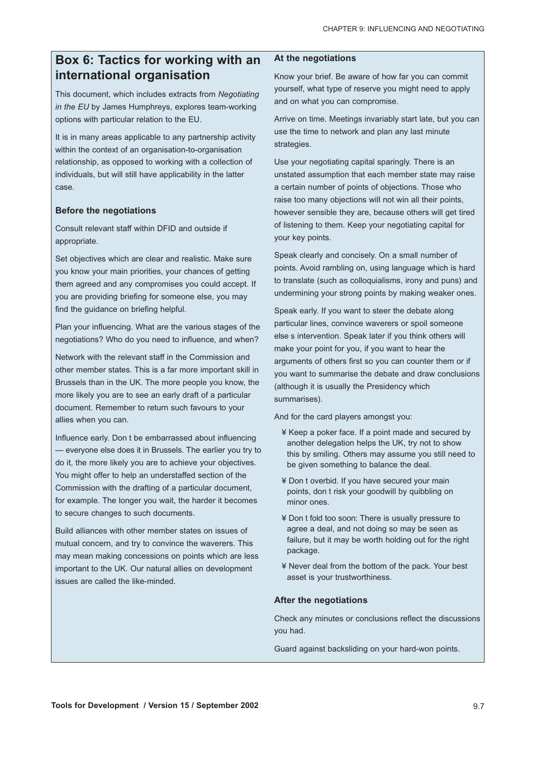### **Box 6: Tactics for working with an international organisation**

This document, which includes extracts from *Negotiating in the EU* by James Humphreys, explores team-working options with particular relation to the EU.

It is in many areas applicable to any partnership activity within the context of an organisation-to-organisation relationship, as opposed to working with a collection of individuals, but will still have applicability in the latter case.

### **Before the negotiations**

Consult relevant staff within DFID and outside if appropriate.

Set objectives which are clear and realistic. Make sure you know your main priorities, your chances of getting them agreed and any compromises you could accept. If you are providing briefing for someone else, you may find the guidance on briefing helpful.

Plan your influencing. What are the various stages of the negotiations? Who do you need to influence, and when?

Network with the relevant staff in the Commission and other member states. This is a far more important skill in Brussels than in the UK. The more people you know, the more likely you are to see an early draft of a particular document. Remember to return such favours to your allies when you can.

Influence early. Don t be embarrassed about influencing — everyone else does it in Brussels. The earlier you try to do it, the more likely you are to achieve your objectives. You might offer to help an understaffed section of the Commission with the drafting of a particular document, for example. The longer you wait, the harder it becomes to secure changes to such documents.

Build alliances with other member states on issues of mutual concern, and try to convince the waverers. This may mean making concessions on points which are less important to the UK. Our natural allies on development issues are called the like-minded.

#### **At the negotiations**

Know your brief. Be aware of how far you can commit yourself, what type of reserve you might need to apply and on what you can compromise.

Arrive on time. Meetings invariably start late, but you can use the time to network and plan any last minute strategies.

Use your negotiating capital sparingly. There is an unstated assumption that each member state may raise a certain number of points of objections. Those who raise too many objections will not win all their points, however sensible they are, because others will get tired of listening to them. Keep your negotiating capital for your key points.

Speak clearly and concisely. On a small number of points. Avoid rambling on, using language which is hard to translate (such as colloquialisms, irony and puns) and undermining your strong points by making weaker ones.

Speak early. If you want to steer the debate along particular lines, convince waverers or spoil someone else s intervention. Speak later if you think others will make your point for you, if you want to hear the arguments of others first so you can counter them or if you want to summarise the debate and draw conclusions (although it is usually the Presidency which summarises).

And for the card players amongst you:

- ¥ Keep a poker face. If a point made and secured by another delegation helps the UK, try not to show this by smiling. Others may assume you still need to be given something to balance the deal.
- ¥ Don t overbid. If you have secured your main points, don t risk your goodwill by quibbling on minor ones.
- ¥ Don t fold too soon: There is usually pressure to agree a deal, and not doing so may be seen as failure, but it may be worth holding out for the right package.
- ¥ Never deal from the bottom of the pack. Your best asset is your trustworthiness.

#### **After the negotiations**

Check any minutes or conclusions reflect the discussions you had.

Guard against backsliding on your hard-won points.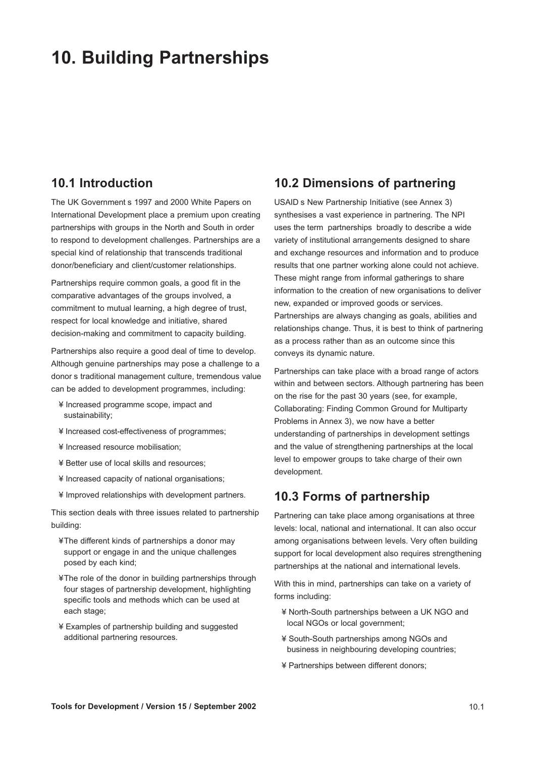# **10. Building Partnerships**

### **10.1 Introduction**

The UK Government s 1997 and 2000 White Papers on International Development place a premium upon creating partnerships with groups in the North and South in order to respond to development challenges. Partnerships are a special kind of relationship that transcends traditional donor/beneficiary and client/customer relationships.

Partnerships require common goals, a good fit in the comparative advantages of the groups involved, a commitment to mutual learning, a high degree of trust, respect for local knowledge and initiative, shared decision-making and commitment to capacity building.

Partnerships also require a good deal of time to develop. Although genuine partnerships may pose a challenge to a donor s traditional management culture, tremendous value can be added to development programmes, including:

- ¥ Increased programme scope, impact and sustainability;
- ¥ Increased cost-effectiveness of programmes;
- ¥ Increased resource mobilisation;
- ¥ Better use of local skills and resources;
- ¥ Increased capacity of national organisations;
- ¥ Improved relationships with development partners.

This section deals with three issues related to partnership building:

- ¥ The different kinds of partnerships a donor may support or engage in and the unique challenges posed by each kind;
- ¥ The role of the donor in building partnerships through four stages of partnership development, highlighting specific tools and methods which can be used at each stage:
- ¥ Examples of partnership building and suggested additional partnering resources.

### **10.2 Dimensions of partnering**

USAID s New Partnership Initiative (see Annex 3) synthesises a vast experience in partnering. The NPI uses the term partnerships broadly to describe a wide variety of institutional arrangements designed to share and exchange resources and information and to produce results that one partner working alone could not achieve. These might range from informal gatherings to share information to the creation of new organisations to deliver new, expanded or improved goods or services. Partnerships are always changing as goals, abilities and relationships change. Thus, it is best to think of partnering as a process rather than as an outcome since this conveys its dynamic nature.

Partnerships can take place with a broad range of actors within and between sectors. Although partnering has been on the rise for the past 30 years (see, for example, Collaborating: Finding Common Ground for Multiparty Problems in Annex 3), we now have a better understanding of partnerships in development settings and the value of strengthening partnerships at the local level to empower groups to take charge of their own development.

### **10.3 Forms of partnership**

Partnering can take place among organisations at three levels: local, national and international. It can also occur among organisations between levels. Very often building support for local development also requires strengthening partnerships at the national and international levels.

With this in mind, partnerships can take on a variety of forms including:

- ¥ North-South partnerships between a UK NGO and local NGOs or local government;
- ¥ South-South partnerships among NGOs and business in neighbouring developing countries;
- ¥ Partnerships between different donors;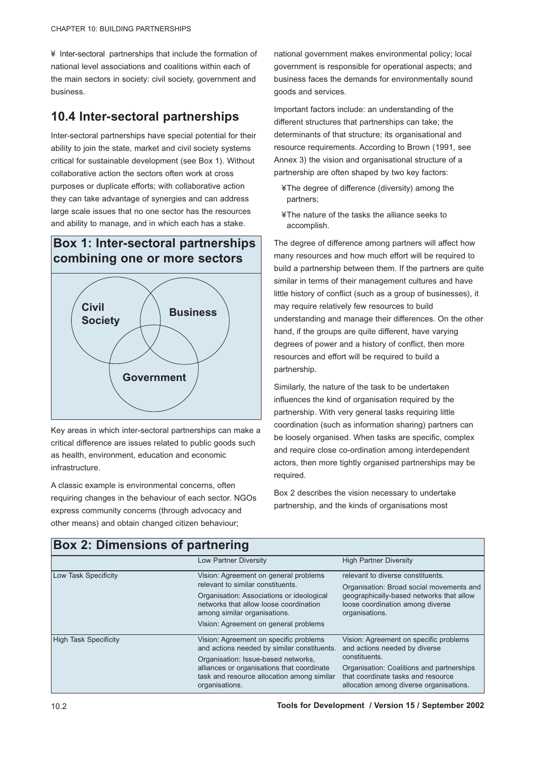¥ Inter-sectoral partnerships that include the formation of national level associations and coalitions within each of the main sectors in society: civil society, government and business.

## **10.4 Inter-sectoral partnerships**

Inter-sectoral partnerships have special potential for their ability to join the state, market and civil society systems critical for sustainable development (see Box 1). Without collaborative action the sectors often work at cross purposes or duplicate efforts; with collaborative action they can take advantage of synergies and can address large scale issues that no one sector has the resources and ability to manage, and in which each has a stake.

### **Box 1: Inter-sectoral partnerships combining one or more sectors**



Key areas in which inter-sectoral partnerships can make a critical difference are issues related to public goods such as health, environment, education and economic infrastructure.

A classic example is environmental concerns, often requiring changes in the behaviour of each sector. NGOs express community concerns (through advocacy and other means) and obtain changed citizen behaviour;

national government makes environmental policy; local government is responsible for operational aspects; and business faces the demands for environmentally sound goods and services.

Important factors include: an understanding of the different structures that partnerships can take; the determinants of that structure; its organisational and resource requirements. According to Brown (1991, see Annex 3) the vision and organisational structure of a partnership are often shaped by two key factors:

- ¥ The degree of difference (diversity) among the partners;
- ¥ The nature of the tasks the alliance seeks to accomplish.

The degree of difference among partners will affect how many resources and how much effort will be required to build a partnership between them. If the partners are quite similar in terms of their management cultures and have little history of conflict (such as a group of businesses), it may require relatively few resources to build understanding and manage their differences. On the other hand, if the groups are quite different, have varying degrees of power and a history of conflict, then more resources and effort will be required to build a partnership.

Similarly, the nature of the task to be undertaken influences the kind of organisation required by the partnership. With very general tasks requiring little coordination (such as information sharing) partners can be loosely organised. When tasks are specific, complex and require close co-ordination among interdependent actors, then more tightly organised partnerships may be required.

Box 2 describes the vision necessary to undertake partnership, and the kinds of organisations most

| $\overline{a}$ . Principlons of partnering |                                                                                                                                                   |                                                                                                                                                                                                                        |  |
|--------------------------------------------|---------------------------------------------------------------------------------------------------------------------------------------------------|------------------------------------------------------------------------------------------------------------------------------------------------------------------------------------------------------------------------|--|
|                                            | <b>Low Partner Diversity</b>                                                                                                                      | <b>High Partner Diversity</b>                                                                                                                                                                                          |  |
| Low Task Specificity                       | Vision: Agreement on general problems<br>relevant to similar constituents.                                                                        | relevant to diverse constituents.<br>Organisation: Broad social movements and<br>geographically-based networks that allow<br>loose coordination among diverse<br>organisations.                                        |  |
|                                            | Organisation: Associations or ideological<br>networks that allow loose coordination<br>among similar organisations.                               |                                                                                                                                                                                                                        |  |
|                                            | Vision: Agreement on general problems                                                                                                             |                                                                                                                                                                                                                        |  |
| <b>High Task Specificity</b>               | Vision: Agreement on specific problems<br>and actions needed by similar constituents.                                                             | Vision: Agreement on specific problems<br>and actions needed by diverse<br>constituents.<br>Organisation: Coalitions and partnerships<br>that coordinate tasks and resource<br>allocation among diverse organisations. |  |
|                                            | Organisation: Issue-based networks,<br>alliances or organisations that coordinate<br>task and resource allocation among similar<br>organisations. |                                                                                                                                                                                                                        |  |

## **Box 2: Dimensions of partnering**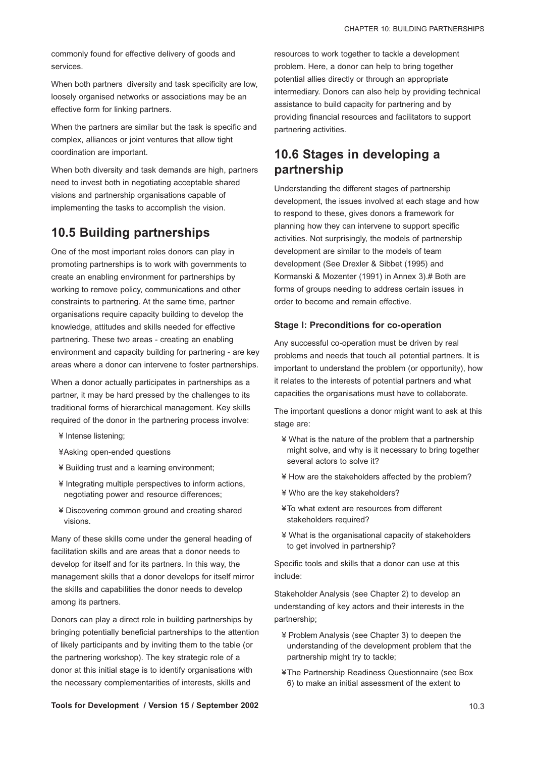commonly found for effective delivery of goods and services.

When both partners diversity and task specificity are low, loosely organised networks or associations may be an effective form for linking partners.

When the partners are similar but the task is specific and complex, alliances or joint ventures that allow tight coordination are important.

When both diversity and task demands are high, partners need to invest both in negotiating acceptable shared visions and partnership organisations capable of implementing the tasks to accomplish the vision.

# **10.5 Building partnerships**

One of the most important roles donors can play in promoting partnerships is to work with governments to create an enabling environment for partnerships by working to remove policy, communications and other constraints to partnering. At the same time, partner organisations require capacity building to develop the knowledge, attitudes and skills needed for effective partnering. These two areas - creating an enabling environment and capacity building for partnering - are key areas where a donor can intervene to foster partnerships.

When a donor actually participates in partnerships as a partner, it may be hard pressed by the challenges to its traditional forms of hierarchical management. Key skills required of the donor in the partnering process involve:

¥ Intense listening;

- ¥ Asking open-ended questions
- ¥ Building trust and a learning environment;
- ¥ Integrating multiple perspectives to inform actions, negotiating power and resource differences;
- ¥ Discovering common ground and creating shared visions.

Many of these skills come under the general heading of facilitation skills and are areas that a donor needs to develop for itself and for its partners. In this way, the management skills that a donor develops for itself mirror the skills and capabilities the donor needs to develop among its partners.

Donors can play a direct role in building partnerships by bringing potentially beneficial partnerships to the attention of likely participants and by inviting them to the table (or the partnering workshop). The key strategic role of a donor at this initial stage is to identify organisations with the necessary complementarities of interests, skills and

resources to work together to tackle a development problem. Here, a donor can help to bring together potential allies directly or through an appropriate intermediary. Donors can also help by providing technical assistance to build capacity for partnering and by providing financial resources and facilitators to support partnering activities.

### **10.6 Stages in developing a partnership**

Understanding the different stages of partnership development, the issues involved at each stage and how to respond to these, gives donors a framework for planning how they can intervene to support specific activities. Not surprisingly, the models of partnership development are similar to the models of team development (See Drexler & Sibbet (1995) and Kormanski & Mozenter (1991) in Annex 3).# Both are forms of groups needing to address certain issues in order to become and remain effective.

#### **Stage I: Preconditions for co-operation**

Any successful co-operation must be driven by real problems and needs that touch all potential partners. It is important to understand the problem (or opportunity), how it relates to the interests of potential partners and what capacities the organisations must have to collaborate.

The important questions a donor might want to ask at this stage are:

- ¥ What is the nature of the problem that a partnership might solve, and why is it necessary to bring together several actors to solve it?
- ¥ How are the stakeholders affected by the problem?
- ¥ Who are the key stakeholders?
- ¥ To what extent are resources from different stakeholders required?
- ¥ What is the organisational capacity of stakeholders to get involved in partnership?

Specific tools and skills that a donor can use at this include:

Stakeholder Analysis (see Chapter 2) to develop an understanding of key actors and their interests in the partnership;

- ¥ Problem Analysis (see Chapter 3) to deepen the understanding of the development problem that the partnership might try to tackle;
- ¥ The Partnership Readiness Questionnaire (see Box 6) to make an initial assessment of the extent to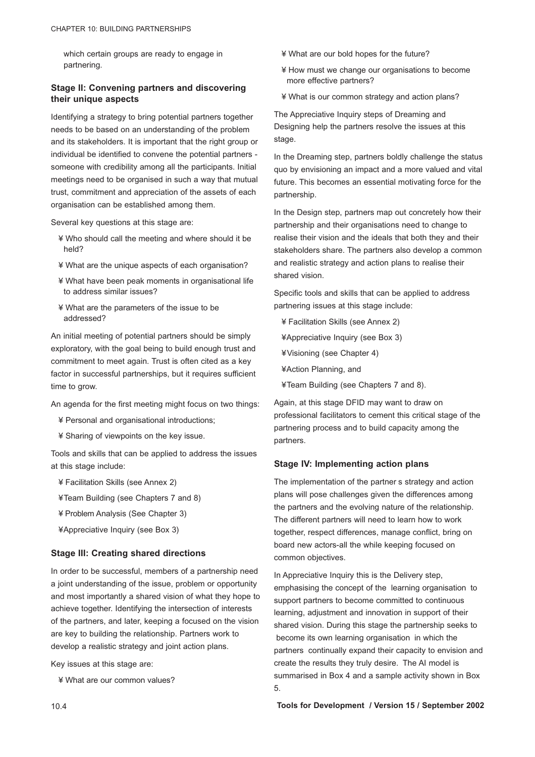which certain groups are ready to engage in partnering.

#### **Stage II: Convening partners and discovering their unique aspects**

Identifying a strategy to bring potential partners together needs to be based on an understanding of the problem and its stakeholders. It is important that the right group or individual be identified to convene the potential partners someone with credibility among all the participants. Initial meetings need to be organised in such a way that mutual trust, commitment and appreciation of the assets of each organisation can be established among them.

Several key questions at this stage are:

- ¥ Who should call the meeting and where should it be held?
- ¥ What are the unique aspects of each organisation?
- ¥ What have been peak moments in organisational life to address similar issues?
- ¥ What are the parameters of the issue to be addressed?

An initial meeting of potential partners should be simply exploratory, with the goal being to build enough trust and commitment to meet again. Trust is often cited as a key factor in successful partnerships, but it requires sufficient time to grow.

An agenda for the first meeting might focus on two things:

¥ Personal and organisational introductions;

¥ Sharing of viewpoints on the key issue.

Tools and skills that can be applied to address the issues at this stage include:

¥ Facilitation Skills (see Annex 2)

¥ Team Building (see Chapters 7 and 8)

¥ Problem Analysis (See Chapter 3)

¥ Appreciative Inquiry (see Box 3)

#### **Stage III: Creating shared directions**

In order to be successful, members of a partnership need a joint understanding of the issue, problem or opportunity and most importantly a shared vision of what they hope to achieve together. Identifying the intersection of interests of the partners, and later, keeping a focused on the vision are key to building the relationship. Partners work to develop a realistic strategy and joint action plans.

Key issues at this stage are:

¥ What are our common values?

- ¥ What are our bold hopes for the future?
- ¥ How must we change our organisations to become more effective partners?
- ¥ What is our common strategy and action plans?

The Appreciative Inquiry steps of Dreaming and Designing help the partners resolve the issues at this stage.

In the Dreaming step, partners boldly challenge the status quo by envisioning an impact and a more valued and vital future. This becomes an essential motivating force for the partnership.

In the Design step, partners map out concretely how their partnership and their organisations need to change to realise their vision and the ideals that both they and their stakeholders share. The partners also develop a common and realistic strategy and action plans to realise their shared vision.

Specific tools and skills that can be applied to address partnering issues at this stage include:

¥ Facilitation Skills (see Annex 2)

¥ Appreciative Inquiry (see Box 3)

¥ Visioning (see Chapter 4)

¥ Action Planning, and

¥ Team Building (see Chapters 7 and 8).

Again, at this stage DFID may want to draw on professional facilitators to cement this critical stage of the partnering process and to build capacity among the partners.

#### **Stage IV: Implementing action plans**

The implementation of the partner s strategy and action plans will pose challenges given the differences among the partners and the evolving nature of the relationship. The different partners will need to learn how to work together, respect differences, manage conflict, bring on board new actors-all the while keeping focused on common objectives.

In Appreciative Inquiry this is the Delivery step, emphasising the concept of the learning organisation to support partners to become committed to continuous learning, adjustment and innovation in support of their shared vision. During this stage the partnership seeks to become its own learning organisation in which the partners continually expand their capacity to envision and create the results they truly desire. The AI model is summarised in Box 4 and a sample activity shown in Box 5.

10.4 **Tools for Development / Version 15 / September 2002**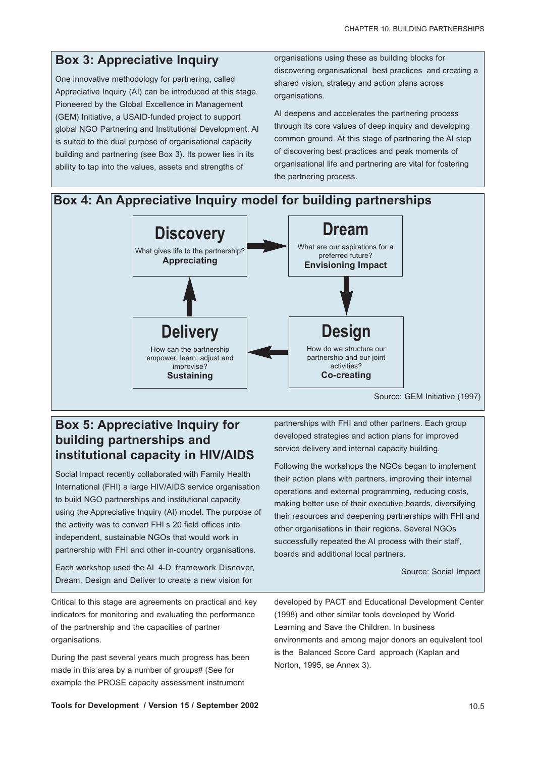### **Box 3: Appreciative Inquiry**

One innovative methodology for partnering, called Appreciative Inquiry (AI) can be introduced at this stage. Pioneered by the Global Excellence in Management (GEM) Initiative, a USAID-funded project to support global NGO Partnering and Institutional Development, AI is suited to the dual purpose of organisational capacity building and partnering (see Box 3). Its power lies in its ability to tap into the values, assets and strengths of

organisations using these as building blocks for discovering organisational best practices and creating a shared vision, strategy and action plans across organisations.

AI deepens and accelerates the partnering process through its core values of deep inquiry and developing common ground. At this stage of partnering the AI step of discovering best practices and peak moments of organisational life and partnering are vital for fostering the partnering process.

### **Box 4: An Appreciative Inquiry model for building partnerships**



### **Box 5: Appreciative Inquiry for building partnerships and institutional capacity in HIV/AIDS**

Social Impact recently collaborated with Family Health International (FHI) a large HIV/AIDS service organisation to build NGO partnerships and institutional capacity using the Appreciative Inquiry (AI) model. The purpose of the activity was to convert FHI s 20 field offices into independent, sustainable NGOs that would work in partnership with FHI and other in-country organisations.

Each workshop used the AI 4-D framework Discover, Dream, Design and Deliver to create a new vision for

Critical to this stage are agreements on practical and key indicators for monitoring and evaluating the performance of the partnership and the capacities of partner organisations.

During the past several years much progress has been made in this area by a number of groups# (See for example the PROSE capacity assessment instrument

partnerships with FHI and other partners. Each group developed strategies and action plans for improved service delivery and internal capacity building.

Following the workshops the NGOs began to implement their action plans with partners, improving their internal operations and external programming, reducing costs, making better use of their executive boards, diversifying their resources and deepening partnerships with FHI and other organisations in their regions. Several NGOs successfully repeated the AI process with their staff, boards and additional local partners.

Source: Social Impact

developed by PACT and Educational Development Center (1998) and other similar tools developed by World Learning and Save the Children. In business environments and among major donors an equivalent tool is the Balanced Score Card approach (Kaplan and Norton, 1995, se Annex 3).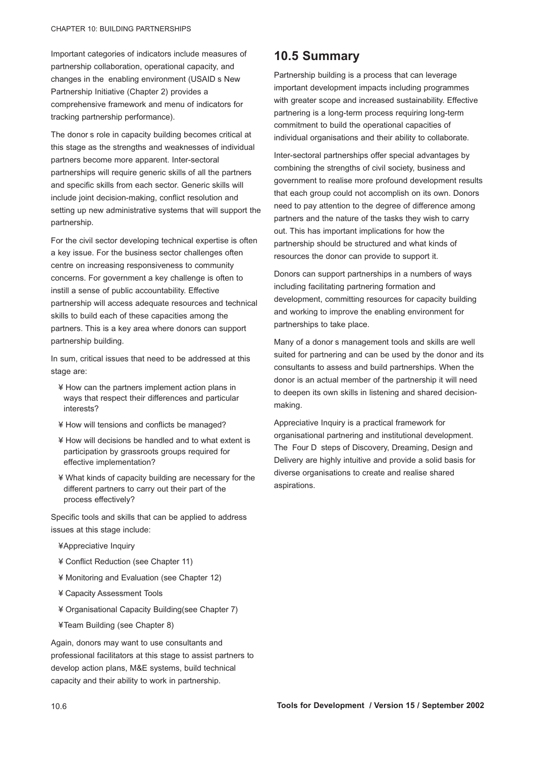Important categories of indicators include measures of partnership collaboration, operational capacity, and changes in the enabling environment (USAID s New Partnership Initiative (Chapter 2) provides a comprehensive framework and menu of indicators for tracking partnership performance).

The donor s role in capacity building becomes critical at this stage as the strengths and weaknesses of individual partners become more apparent. Inter-sectoral partnerships will require generic skills of all the partners and specific skills from each sector. Generic skills will include joint decision-making, conflict resolution and setting up new administrative systems that will support the partnership.

For the civil sector developing technical expertise is often a key issue. For the business sector challenges often centre on increasing responsiveness to community concerns. For government a key challenge is often to instill a sense of public accountability. Effective partnership will access adequate resources and technical skills to build each of these capacities among the partners. This is a key area where donors can support partnership building.

In sum, critical issues that need to be addressed at this stage are:

- ¥ How can the partners implement action plans in ways that respect their differences and particular interests?
- ¥ How will tensions and conflicts be managed?
- ¥ How will decisions be handled and to what extent is participation by grassroots groups required for effective implementation?
- ¥ What kinds of capacity building are necessary for the different partners to carry out their part of the process effectively?

Specific tools and skills that can be applied to address issues at this stage include:

- ¥ Appreciative Inquiry
- ¥ Conflict Reduction (see Chapter 11)
- ¥ Monitoring and Evaluation (see Chapter 12)
- ¥ Capacity Assessment Tools
- ¥ Organisational Capacity Building(see Chapter 7)
- ¥ Team Building (see Chapter 8)

Again, donors may want to use consultants and professional facilitators at this stage to assist partners to develop action plans, M&E systems, build technical capacity and their ability to work in partnership.

### **10.5 Summary**

Partnership building is a process that can leverage important development impacts including programmes with greater scope and increased sustainability. Effective partnering is a long-term process requiring long-term commitment to build the operational capacities of individual organisations and their ability to collaborate.

Inter-sectoral partnerships offer special advantages by combining the strengths of civil society, business and government to realise more profound development results that each group could not accomplish on its own. Donors need to pay attention to the degree of difference among partners and the nature of the tasks they wish to carry out. This has important implications for how the partnership should be structured and what kinds of resources the donor can provide to support it.

Donors can support partnerships in a numbers of ways including facilitating partnering formation and development, committing resources for capacity building and working to improve the enabling environment for partnerships to take place.

Many of a donor s management tools and skills are well suited for partnering and can be used by the donor and its consultants to assess and build partnerships. When the donor is an actual member of the partnership it will need to deepen its own skills in listening and shared decisionmaking.

Appreciative Inquiry is a practical framework for organisational partnering and institutional development. The Four D steps of Discovery, Dreaming, Design and Delivery are highly intuitive and provide a solid basis for diverse organisations to create and realise shared aspirations.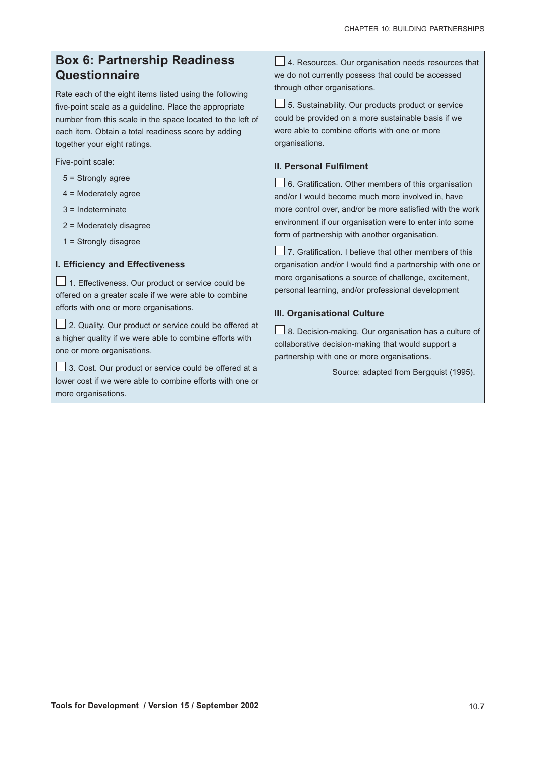## **Box 6: Partnership Readiness Questionnaire**

Rate each of the eight items listed using the following five-point scale as a guideline. Place the appropriate number from this scale in the space located to the left of each item. Obtain a total readiness score by adding together your eight ratings.

Five-point scale:

- 5 = Strongly agree
- 4 = Moderately agree
- 3 = Indeterminate
- 2 = Moderately disagree
- 1 = Strongly disagree

#### **I. Efficiency and Effectiveness**

 $\Box$  1. Effectiveness. Our product or service could be offered on a greater scale if we were able to combine efforts with one or more organisations.

 $\Box$  2. Quality. Our product or service could be offered at a higher quality if we were able to combine efforts with one or more organisations.

3. Cost. Our product or service could be offered at a lower cost if we were able to combine efforts with one or more organisations.

 $\Box$  4. Resources. Our organisation needs resources that we do not currently possess that could be accessed through other organisations.

 $\Box$  5. Sustainability. Our products product or service could be provided on a more sustainable basis if we were able to combine efforts with one or more organisations.

### **II. Personal Fulfilment**

6. Gratification. Other members of this organisation and/or I would become much more involved in, have more control over, and/or be more satisfied with the work environment if our organisation were to enter into some form of partnership with another organisation.

7. Gratification. I believe that other members of this organisation and/or I would find a partnership with one or more organisations a source of challenge, excitement, personal learning, and/or professional development

### **III. Organisational Culture**

 $\Box$  8. Decision-making. Our organisation has a culture of collaborative decision-making that would support a partnership with one or more organisations.

Source: adapted from Bergquist (1995).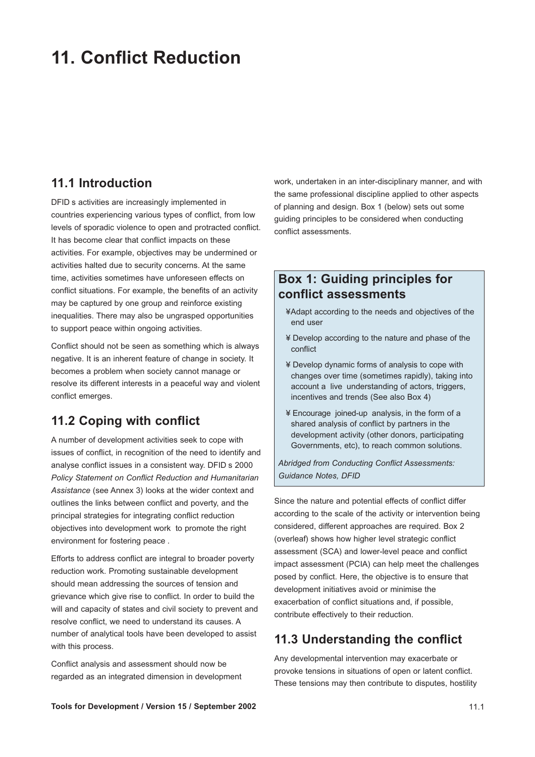# **11. Conflict Reduction**

### **11.1 Introduction**

DFID s activities are increasingly implemented in countries experiencing various types of conflict, from low levels of sporadic violence to open and protracted conflict. It has become clear that conflict impacts on these activities. For example, objectives may be undermined or activities halted due to security concerns. At the same time, activities sometimes have unforeseen effects on conflict situations. For example, the benefits of an activity may be captured by one group and reinforce existing inequalities. There may also be ungrasped opportunities to support peace within ongoing activities.

Conflict should not be seen as something which is always negative. It is an inherent feature of change in society. It becomes a problem when society cannot manage or resolve its different interests in a peaceful way and violent conflict emerges.

### **11.2 Coping with conflict**

A number of development activities seek to cope with issues of conflict, in recognition of the need to identify and analyse conflict issues in a consistent way. DFID s 2000 *Policy Statement on Conflict Reduction and Humanitarian Assistance* (see Annex 3) looks at the wider context and outlines the links between conflict and poverty, and the principal strategies for integrating conflict reduction objectives into development work to promote the right environment for fostering peace .

Efforts to address conflict are integral to broader poverty reduction work. Promoting sustainable development should mean addressing the sources of tension and grievance which give rise to conflict. In order to build the will and capacity of states and civil society to prevent and resolve conflict, we need to understand its causes. A number of analytical tools have been developed to assist with this process.

Conflict analysis and assessment should now be regarded as an integrated dimension in development work, undertaken in an inter-disciplinary manner, and with the same professional discipline applied to other aspects of planning and design. Box 1 (below) sets out some guiding principles to be considered when conducting conflict assessments.

### **Box 1: Guiding principles for conflict assessments**

- ¥ Adapt according to the needs and objectives of the end user
- ¥ Develop according to the nature and phase of the conflict
- ¥ Develop dynamic forms of analysis to cope with changes over time (sometimes rapidly), taking into account a live understanding of actors, triggers, incentives and trends (See also Box 4)
- ¥ Encourage joined-up analysis, in the form of a shared analysis of conflict by partners in the development activity (other donors, participating Governments, etc), to reach common solutions.

*Abridged from Conducting Conflict Assessments: Guidance Notes, DFID*

Since the nature and potential effects of conflict differ according to the scale of the activity or intervention being considered, different approaches are required. Box 2 (overleaf) shows how higher level strategic conflict assessment (SCA) and lower-level peace and conflict impact assessment (PCIA) can help meet the challenges posed by conflict. Here, the objective is to ensure that development initiatives avoid or minimise the exacerbation of conflict situations and, if possible, contribute effectively to their reduction.

### **11.3 Understanding the conflict**

Any developmental intervention may exacerbate or provoke tensions in situations of open or latent conflict. These tensions may then contribute to disputes, hostility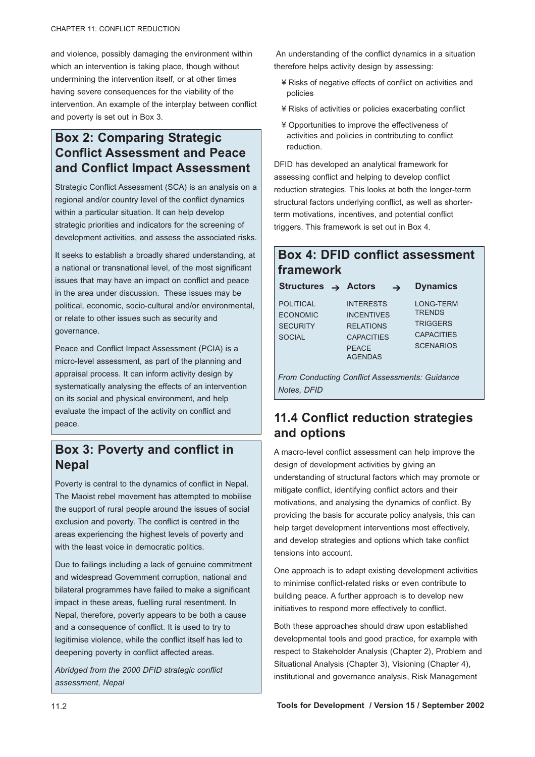and violence, possibly damaging the environment within which an intervention is taking place, though without undermining the intervention itself, or at other times having severe consequences for the viability of the intervention. An example of the interplay between conflict and poverty is set out in Box 3.

# **Box 2: Comparing Strategic Conflict Assessment and Peace and Conflict Impact Assessment**

Strategic Conflict Assessment (SCA) is an analysis on a regional and/or country level of the conflict dynamics within a particular situation. It can help develop strategic priorities and indicators for the screening of development activities, and assess the associated risks.

It seeks to establish a broadly shared understanding, at a national or transnational level, of the most significant issues that may have an impact on conflict and peace in the area under discussion. These issues may be political, economic, socio-cultural and/or environmental, or relate to other issues such as security and governance.

Peace and Conflict Impact Assessment (PCIA) is a micro-level assessment, as part of the planning and appraisal process. It can inform activity design by systematically analysing the effects of an intervention on its social and physical environment, and help evaluate the impact of the activity on conflict and peace.

## **Box 3: Poverty and conflict in Nepal**

Poverty is central to the dynamics of conflict in Nepal. The Maoist rebel movement has attempted to mobilise the support of rural people around the issues of social exclusion and poverty. The conflict is centred in the areas experiencing the highest levels of poverty and with the least voice in democratic politics.

Due to failings including a lack of genuine commitment and widespread Government corruption, national and bilateral programmes have failed to make a significant impact in these areas, fuelling rural resentment. In Nepal, therefore, poverty appears to be both a cause and a consequence of conflict. It is used to try to legitimise violence, while the conflict itself has led to deepening poverty in conflict affected areas.

*Abridged from the 2000 DFID strategic conflict assessment, Nepal*

An understanding of the conflict dynamics in a situation therefore helps activity design by assessing:

- ¥ Risks of negative effects of conflict on activities and policies
- ¥ Risks of activities or policies exacerbating conflict
- ¥ Opportunities to improve the effectiveness of activities and policies in contributing to conflict reduction.

DFID has developed an analytical framework for assessing conflict and helping to develop conflict reduction strategies. This looks at both the longer-term structural factors underlying conflict, as well as shorterterm motivations, incentives, and potential conflict triggers. This framework is set out in Box 4.

# **Box 4: DFID conflict assessment framework**

| Structures $\rightarrow$ Actors    |                                                     | $\rightarrow$ | <b>Dynamics</b>                       |
|------------------------------------|-----------------------------------------------------|---------------|---------------------------------------|
| POLITICAL                          | <b>INTERESTS</b>                                    |               | <b>LONG-TERM</b><br><b>TRENDS</b>     |
| <b>ECONOMIC</b><br><b>SECURITY</b> | <b>INCENTIVES</b><br><b>RELATIONS</b>               |               | <b>TRIGGERS</b>                       |
| SOCIAL                             | <b>CAPACITIES</b><br><b>PEACE</b><br><b>AGENDAS</b> |               | <b>CAPACITIES</b><br><b>SCENARIOS</b> |
|                                    |                                                     |               |                                       |

*From Conducting Conflict Assessments: Guidance Notes, DFID*

# **11.4 Conflict reduction strategies and options**

A macro-level conflict assessment can help improve the design of development activities by giving an understanding of structural factors which may promote or mitigate conflict, identifying conflict actors and their motivations, and analysing the dynamics of conflict. By providing the basis for accurate policy analysis, this can help target development interventions most effectively, and develop strategies and options which take conflict tensions into account.

One approach is to adapt existing development activities to minimise conflict-related risks or even contribute to building peace. A further approach is to develop new initiatives to respond more effectively to conflict.

Both these approaches should draw upon established developmental tools and good practice, for example with respect to Stakeholder Analysis (Chapter 2), Problem and Situational Analysis (Chapter 3), Visioning (Chapter 4), institutional and governance analysis, Risk Management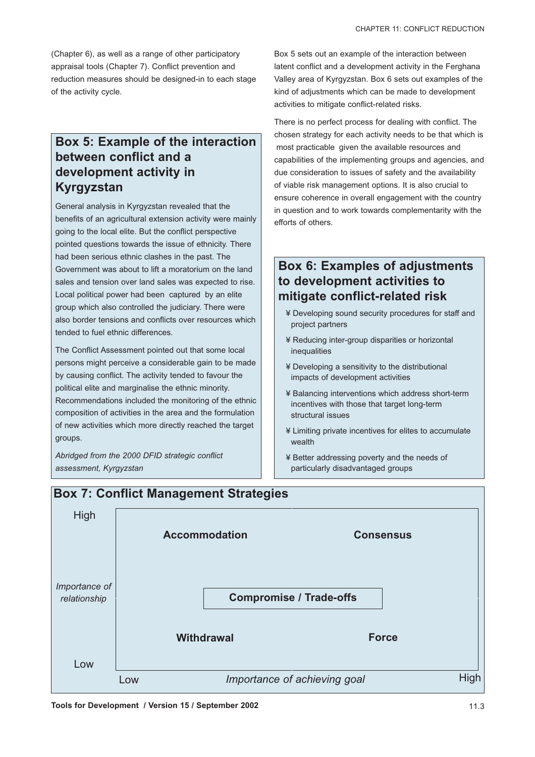(Chapter 6), as well as a range of other participatory appraisal tools (Chapter 7). Conflict prevention and reduction measures should be designed-in to each stage of the activity cycle.

## **Box 5: Example of the interaction between conflict and a development activity in Kyrgyzstan**

General analysis in Kyrgyzstan revealed that the benefits of an agricultural extension activity were mainly going to the local elite. But the conflict perspective pointed questions towards the issue of ethnicity. There had been serious ethnic clashes in the past. The Government was about to lift a moratorium on the land sales and tension over land sales was expected to rise. Local political power had been captured by an elite group which also controlled the judiciary. There were also border tensions and conflicts over resources which tended to fuel ethnic differences.

The Conflict Assessment pointed out that some local persons might perceive a considerable gain to be made by causing conflict. The activity tended to favour the political elite and marginalise the ethnic minority. Recommendations included the monitoring of the ethnic composition of activities in the area and the formulation of new activities which more directly reached the target groups.

*Abridged from the 2000 DFID strategic conflict assessment, Kyrgyzstan*

Box 5 sets out an example of the interaction between latent conflict and a development activity in the Ferghana Valley area of Kyrgyzstan. Box 6 sets out examples of the kind of adjustments which can be made to development activities to mitigate conflict-related risks.

There is no perfect process for dealing with conflict. The chosen strategy for each activity needs to be that which is most practicable given the available resources and capabilities of the implementing groups and agencies, and due consideration to issues of safety and the availability of viable risk management options. It is also crucial to ensure coherence in overall engagement with the country in question and to work towards complementarity with the efforts of others.

## **Box 6: Examples of adjustments to development activities to mitigate conflict-related risk**

- ¥ Developing sound security procedures for staff and project partners
- ¥ Reducing inter-group disparities or horizontal inequalities
- ¥ Developing a sensitivity to the distributional impacts of development activities
- ¥ Balancing interventions which address short-term incentives with those that target long-term structural issues
- ¥ Limiting private incentives for elites to accumulate wealth
- ¥ Better addressing poverty and the needs of particularly disadvantaged groups

# **Box 7: Conflict Management Strategies High High** *Importance of relationship Importance of achieving goal* Low Low **Accommodation Consensus Withdrawal Force Compromise / Trade-offs**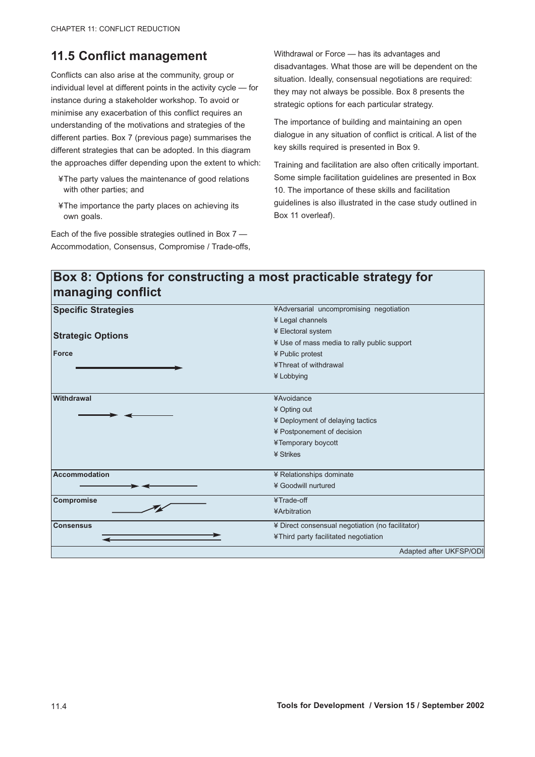## **11.5 Conflict management**

Conflicts can also arise at the community, group or individual level at different points in the activity cycle — for instance during a stakeholder workshop. To avoid or minimise any exacerbation of this conflict requires an understanding of the motivations and strategies of the different parties. Box 7 (previous page) summarises the different strategies that can be adopted. In this diagram the approaches differ depending upon the extent to which:

- ¥ The party values the maintenance of good relations with other parties; and
- ¥ The importance the party places on achieving its own goals.

Each of the five possible strategies outlined in Box 7 — Accommodation, Consensus, Compromise / Trade-offs, Withdrawal or Force — has its advantages and disadvantages. What those are will be dependent on the situation. Ideally, consensual negotiations are required: they may not always be possible. Box 8 presents the strategic options for each particular strategy.

The importance of building and maintaining an open dialogue in any situation of conflict is critical. A list of the key skills required is presented in Box 9.

Training and facilitation are also often critically important. Some simple facilitation guidelines are presented in Box 10. The importance of these skills and facilitation guidelines is also illustrated in the case study outlined in Box 11 overleaf).

### **Box 8: Options for constructing a most practicable strategy for managing conflict**

| <b>Specific Strategies</b> | ¥Adversarial uncompromising negotiation          |
|----------------------------|--------------------------------------------------|
|                            | ¥ Legal channels                                 |
| <b>Strategic Options</b>   | ¥ Electoral system                               |
|                            | ¥ Use of mass media to rally public support      |
| <b>Force</b>               | ¥ Public protest                                 |
|                            | ¥Threat of withdrawal                            |
|                            | ¥ Lobbying                                       |
|                            |                                                  |
| Withdrawal                 | ¥Avoidance                                       |
|                            | ¥ Opting out                                     |
|                            | ¥ Deployment of delaying tactics                 |
|                            | ¥ Postponement of decision                       |
|                            | ¥Temporary boycott                               |
|                            | ¥ Strikes                                        |
|                            |                                                  |
| <b>Accommodation</b>       | ¥ Relationships dominate                         |
|                            | ¥ Goodwill nurtured                              |
| <b>Compromise</b>          | ¥Trade-off                                       |
|                            | ¥Arbitration                                     |
| <b>Consensus</b>           | ¥ Direct consensual negotiation (no facilitator) |
|                            | ¥Third party facilitated negotiation             |
|                            | Adapted after UKFSP/ODI                          |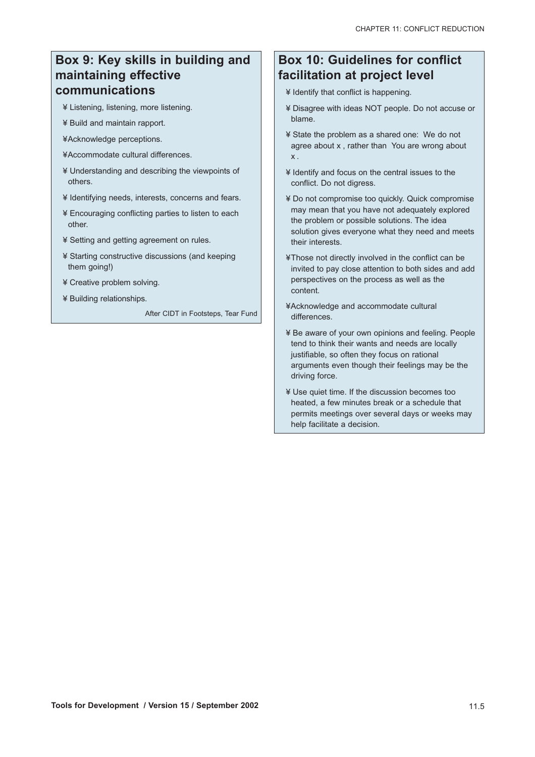## **Box 9: Key skills in building and maintaining effective communications**

- ¥ Listening, listening, more listening.
- ¥ Build and maintain rapport.
- ¥ Acknowledge perceptions.
- ¥ Accommodate cultural differences.
- ¥ Understanding and describing the viewpoints of others.
- ¥ Identifying needs, interests, concerns and fears.
- ¥ Encouraging conflicting parties to listen to each other.
- ¥ Setting and getting agreement on rules.
- ¥ Starting constructive discussions (and keeping them going!)
- ¥ Creative problem solving.
- ¥ Building relationships.

After CIDT in Footsteps, Tear Fund

# **Box 10: Guidelines for conflict facilitation at project level**

- ¥ Identify that conflict is happening.
- ¥ Disagree with ideas NOT people. Do not accuse or blame.
- ¥ State the problem as a shared one: We do not agree about x , rather than You are wrong about x .
- ¥ Identify and focus on the central issues to the conflict. Do not digress.
- ¥ Do not compromise too quickly. Quick compromise may mean that you have not adequately explored the problem or possible solutions. The idea solution gives everyone what they need and meets their interests.
- ¥ Those not directly involved in the conflict can be invited to pay close attention to both sides and add perspectives on the process as well as the content.
- ¥ Acknowledge and accommodate cultural differences.
- ¥ Be aware of your own opinions and feeling. People tend to think their wants and needs are locally justifiable, so often they focus on rational arguments even though their feelings may be the driving force.
- ¥ Use quiet time. If the discussion becomes too heated, a few minutes break or a schedule that permits meetings over several days or weeks may help facilitate a decision.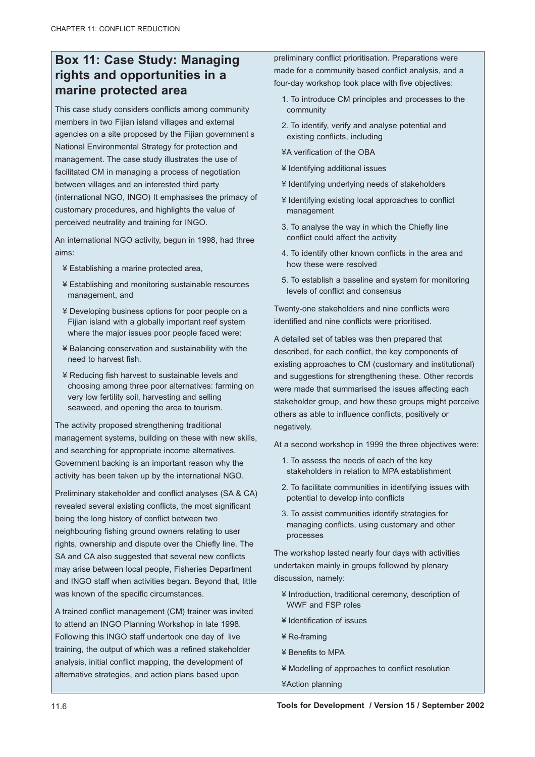# **Box 11: Case Study: Managing rights and opportunities in a marine protected area**

This case study considers conflicts among community members in two Fijian island villages and external agencies on a site proposed by the Fijian government s National Environmental Strategy for protection and management. The case study illustrates the use of facilitated CM in managing a process of negotiation between villages and an interested third party (international NGO, INGO) It emphasises the primacy of customary procedures, and highlights the value of perceived neutrality and training for INGO.

An international NGO activity, begun in 1998, had three aims:

- ¥ Establishing a marine protected area,
- ¥ Establishing and monitoring sustainable resources management, and
- ¥ Developing business options for poor people on a Fijian island with a globally important reef system where the major issues poor people faced were:
- ¥ Balancing conservation and sustainability with the need to harvest fish.
- ¥ Reducing fish harvest to sustainable levels and choosing among three poor alternatives: farming on very low fertility soil, harvesting and selling seaweed, and opening the area to tourism.

The activity proposed strengthening traditional management systems, building on these with new skills, and searching for appropriate income alternatives. Government backing is an important reason why the activity has been taken up by the international NGO.

Preliminary stakeholder and conflict analyses (SA & CA) revealed several existing conflicts, the most significant being the long history of conflict between two neighbouring fishing ground owners relating to user rights, ownership and dispute over the Chiefly line. The SA and CA also suggested that several new conflicts may arise between local people, Fisheries Department and INGO staff when activities began. Beyond that, little was known of the specific circumstances.

A trained conflict management (CM) trainer was invited to attend an INGO Planning Workshop in late 1998. Following this INGO staff undertook one day of live training, the output of which was a refined stakeholder analysis, initial conflict mapping, the development of alternative strategies, and action plans based upon

preliminary conflict prioritisation. Preparations were made for a community based conflict analysis, and a four-day workshop took place with five objectives:

- 1. To introduce CM principles and processes to the community
- 2. To identify, verify and analyse potential and existing conflicts, including
- ¥A verification of the OBA
- ¥ Identifying additional issues
- ¥ Identifying underlying needs of stakeholders
- ¥ Identifying existing local approaches to conflict management
- 3. To analyse the way in which the Chiefly line conflict could affect the activity
- 4. To identify other known conflicts in the area and how these were resolved
- 5. To establish a baseline and system for monitoring levels of conflict and consensus

Twenty-one stakeholders and nine conflicts were identified and nine conflicts were prioritised.

A detailed set of tables was then prepared that described, for each conflict, the key components of existing approaches to CM (customary and institutional) and suggestions for strengthening these. Other records were made that summarised the issues affecting each stakeholder group, and how these groups might perceive others as able to influence conflicts, positively or negatively.

At a second workshop in 1999 the three objectives were:

- 1. To assess the needs of each of the key stakeholders in relation to MPA establishment
- 2. To facilitate communities in identifying issues with potential to develop into conflicts
- 3. To assist communities identify strategies for managing conflicts, using customary and other processes

The workshop lasted nearly four days with activities undertaken mainly in groups followed by plenary discussion, namely:

- ¥ Introduction, traditional ceremony, description of WWF and FSP roles
- ¥ Identification of issues
- ¥ Re-framing
- ¥ Benefits to MPA
- ¥ Modelling of approaches to conflict resolution
- ¥ Action planning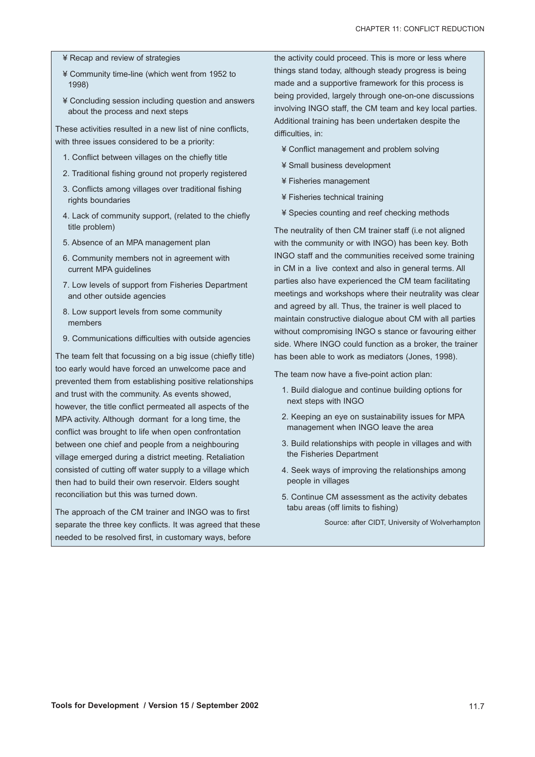- ¥ Recap and review of strategies
- ¥ Community time-line (which went from 1952 to 1998)
- ¥ Concluding session including question and answers about the process and next steps

These activities resulted in a new list of nine conflicts, with three issues considered to be a priority:

- 1. Conflict between villages on the chiefly title
- 2. Traditional fishing ground not properly registered
- 3. Conflicts among villages over traditional fishing rights boundaries
- 4. Lack of community support, (related to the chiefly title problem)
- 5. Absence of an MPA management plan
- 6. Community members not in agreement with current MPA guidelines
- 7. Low levels of support from Fisheries Department and other outside agencies
- 8. Low support levels from some community members
- 9. Communications difficulties with outside agencies

The team felt that focussing on a big issue (chiefly title) too early would have forced an unwelcome pace and prevented them from establishing positive relationships and trust with the community. As events showed, however, the title conflict permeated all aspects of the MPA activity. Although dormant for a long time, the conflict was brought to life when open confrontation between one chief and people from a neighbouring village emerged during a district meeting. Retaliation consisted of cutting off water supply to a village which then had to build their own reservoir. Elders sought reconciliation but this was turned down.

The approach of the CM trainer and INGO was to first separate the three key conflicts. It was agreed that these needed to be resolved first, in customary ways, before

the activity could proceed. This is more or less where things stand today, although steady progress is being made and a supportive framework for this process is being provided, largely through one-on-one discussions involving INGO staff, the CM team and key local parties. Additional training has been undertaken despite the difficulties, in:

- ¥ Conflict management and problem solving
- ¥ Small business development
- ¥ Fisheries management
- ¥ Fisheries technical training
- ¥ Species counting and reef checking methods

The neutrality of then CM trainer staff (i.e not aligned with the community or with INGO) has been key. Both INGO staff and the communities received some training in CM in a live context and also in general terms. All parties also have experienced the CM team facilitating meetings and workshops where their neutrality was clear and agreed by all. Thus, the trainer is well placed to maintain constructive dialogue about CM with all parties without compromising INGO s stance or favouring either side. Where INGO could function as a broker, the trainer has been able to work as mediators (Jones, 1998).

The team now have a five-point action plan:

- 1. Build dialogue and continue building options for next steps with INGO
- 2. Keeping an eye on sustainability issues for MPA management when INGO leave the area
- 3. Build relationships with people in villages and with the Fisheries Department
- 4. Seek ways of improving the relationships among people in villages
- 5. Continue CM assessment as the activity debates tabu areas (off limits to fishing)

Source: after CIDT, University of Wolverhampton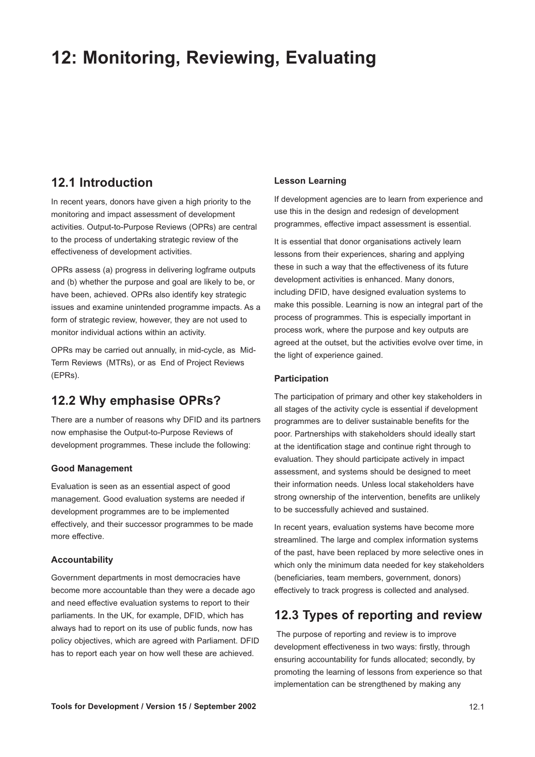# **12: Monitoring, Reviewing, Evaluating**

### **12.1 Introduction**

In recent years, donors have given a high priority to the monitoring and impact assessment of development activities. Output-to-Purpose Reviews (OPRs) are central to the process of undertaking strategic review of the effectiveness of development activities.

OPRs assess (a) progress in delivering logframe outputs and (b) whether the purpose and goal are likely to be, or have been, achieved. OPRs also identify key strategic issues and examine unintended programme impacts. As a form of strategic review, however, they are not used to monitor individual actions within an activity.

OPRs may be carried out annually, in mid-cycle, as Mid-Term Reviews (MTRs), or as End of Project Reviews (EPRs).

# **12.2 Why emphasise OPRs?**

There are a number of reasons why DFID and its partners now emphasise the Output-to-Purpose Reviews of development programmes. These include the following:

#### **Good Management**

Evaluation is seen as an essential aspect of good management. Good evaluation systems are needed if development programmes are to be implemented effectively, and their successor programmes to be made more effective.

#### **Accountability**

Government departments in most democracies have become more accountable than they were a decade ago and need effective evaluation systems to report to their parliaments. In the UK, for example, DFID, which has always had to report on its use of public funds, now has policy objectives, which are agreed with Parliament. DFID has to report each year on how well these are achieved.

#### **Lesson Learning**

If development agencies are to learn from experience and use this in the design and redesign of development programmes, effective impact assessment is essential.

It is essential that donor organisations actively learn lessons from their experiences, sharing and applying these in such a way that the effectiveness of its future development activities is enhanced. Many donors, including DFID, have designed evaluation systems to make this possible. Learning is now an integral part of the process of programmes. This is especially important in process work, where the purpose and key outputs are agreed at the outset, but the activities evolve over time, in the light of experience gained.

#### **Participation**

The participation of primary and other key stakeholders in all stages of the activity cycle is essential if development programmes are to deliver sustainable benefits for the poor. Partnerships with stakeholders should ideally start at the identification stage and continue right through to evaluation. They should participate actively in impact assessment, and systems should be designed to meet their information needs. Unless local stakeholders have strong ownership of the intervention, benefits are unlikely to be successfully achieved and sustained.

In recent years, evaluation systems have become more streamlined. The large and complex information systems of the past, have been replaced by more selective ones in which only the minimum data needed for key stakeholders (beneficiaries, team members, government, donors) effectively to track progress is collected and analysed.

### **12.3 Types of reporting and review**

The purpose of reporting and review is to improve development effectiveness in two ways: firstly, through ensuring accountability for funds allocated; secondly, by promoting the learning of lessons from experience so that implementation can be strengthened by making any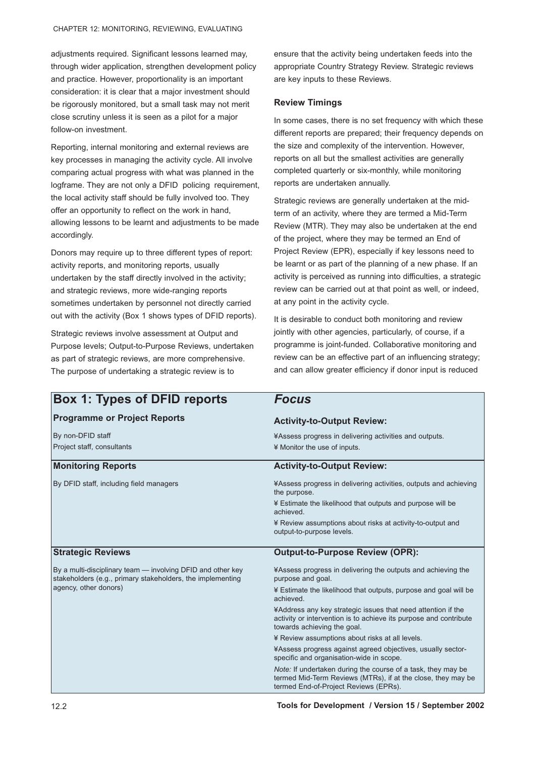adjustments required. Significant lessons learned may, through wider application, strengthen development policy and practice. However, proportionality is an important consideration: it is clear that a major investment should be rigorously monitored, but a small task may not merit close scrutiny unless it is seen as a pilot for a major follow-on investment.

Reporting, internal monitoring and external reviews are key processes in managing the activity cycle. All involve comparing actual progress with what was planned in the logframe. They are not only a DFID policing requirement, the local activity staff should be fully involved too. They offer an opportunity to reflect on the work in hand, allowing lessons to be learnt and adjustments to be made accordingly.

Donors may require up to three different types of report: activity reports, and monitoring reports, usually undertaken by the staff directly involved in the activity; and strategic reviews, more wide-ranging reports sometimes undertaken by personnel not directly carried out with the activity (Box 1 shows types of DFID reports).

Strategic reviews involve assessment at Output and Purpose levels; Output-to-Purpose Reviews, undertaken as part of strategic reviews, are more comprehensive. The purpose of undertaking a strategic review is to

ensure that the activity being undertaken feeds into the appropriate Country Strategy Review. Strategic reviews are key inputs to these Reviews.

#### **Review Timings**

In some cases, there is no set frequency with which these different reports are prepared; their frequency depends on the size and complexity of the intervention. However, reports on all but the smallest activities are generally completed quarterly or six-monthly, while monitoring reports are undertaken annually.

Strategic reviews are generally undertaken at the midterm of an activity, where they are termed a Mid-Term Review (MTR). They may also be undertaken at the end of the project, where they may be termed an End of Project Review (EPR), especially if key lessons need to be learnt or as part of the planning of a new phase. If an activity is perceived as running into difficulties, a strategic review can be carried out at that point as well, or indeed, at any point in the activity cycle.

It is desirable to conduct both monitoring and review jointly with other agencies, particularly, of course, if a programme is joint-funded. Collaborative monitoring and review can be an effective part of an influencing strategy; and can allow greater efficiency if donor input is reduced

| <b>Box 1: Types of DFID reports</b>                                                                                       | <b>Focus</b>                                                                                                                                                          |
|---------------------------------------------------------------------------------------------------------------------------|-----------------------------------------------------------------------------------------------------------------------------------------------------------------------|
| <b>Programme or Project Reports</b>                                                                                       | <b>Activity-to-Output Review:</b>                                                                                                                                     |
| By non-DFID staff                                                                                                         | ¥Assess progress in delivering activities and outputs.                                                                                                                |
| Project staff, consultants                                                                                                | ¥ Monitor the use of inputs.                                                                                                                                          |
| <b>Monitoring Reports</b>                                                                                                 | <b>Activity-to-Output Review:</b>                                                                                                                                     |
| By DFID staff, including field managers                                                                                   | ¥Assess progress in delivering activities, outputs and achieving<br>the purpose.                                                                                      |
|                                                                                                                           | ¥ Estimate the likelihood that outputs and purpose will be<br>achieved.                                                                                               |
|                                                                                                                           | ¥ Review assumptions about risks at activity-to-output and<br>output-to-purpose levels.                                                                               |
| <b>Strategic Reviews</b>                                                                                                  | <b>Output-to-Purpose Review (OPR):</b>                                                                                                                                |
| By a multi-disciplinary team - involving DFID and other key<br>stakeholders (e.g., primary stakeholders, the implementing | ¥Assess progress in delivering the outputs and achieving the<br>purpose and goal.                                                                                     |
| agency, other donors)                                                                                                     | ¥ Estimate the likelihood that outputs, purpose and goal will be<br>achieved.                                                                                         |
|                                                                                                                           | ¥Address any key strategic issues that need attention if the<br>activity or intervention is to achieve its purpose and contribute<br>towards achieving the goal.      |
|                                                                                                                           | ¥ Review assumptions about risks at all levels.                                                                                                                       |
|                                                                                                                           | ¥Assess progress against agreed objectives, usually sector-<br>specific and organisation-wide in scope.                                                               |
|                                                                                                                           | Note: If undertaken during the course of a task, they may be<br>termed Mid-Term Reviews (MTRs), if at the close, they may be<br>termed End-of-Project Reviews (EPRs). |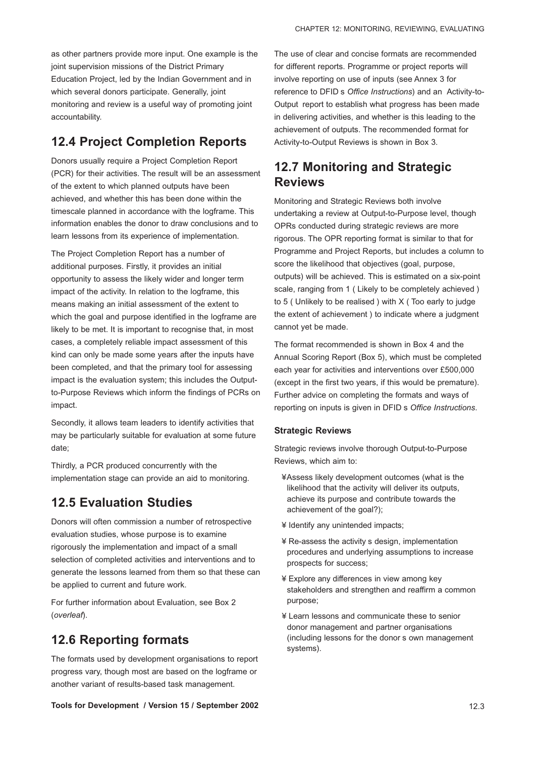as other partners provide more input. One example is the joint supervision missions of the District Primary Education Project, led by the Indian Government and in which several donors participate. Generally, joint monitoring and review is a useful way of promoting joint accountability.

# **12.4 Project Completion Reports**

Donors usually require a Project Completion Report (PCR) for their activities. The result will be an assessment of the extent to which planned outputs have been achieved, and whether this has been done within the timescale planned in accordance with the logframe. This information enables the donor to draw conclusions and to learn lessons from its experience of implementation.

The Project Completion Report has a number of additional purposes. Firstly, it provides an initial opportunity to assess the likely wider and longer term impact of the activity. In relation to the logframe, this means making an initial assessment of the extent to which the goal and purpose identified in the logframe are likely to be met. It is important to recognise that, in most cases, a completely reliable impact assessment of this kind can only be made some years after the inputs have been completed, and that the primary tool for assessing impact is the evaluation system; this includes the Outputto-Purpose Reviews which inform the findings of PCRs on impact.

Secondly, it allows team leaders to identify activities that may be particularly suitable for evaluation at some future date;

Thirdly, a PCR produced concurrently with the implementation stage can provide an aid to monitoring.

### **12.5 Evaluation Studies**

Donors will often commission a number of retrospective evaluation studies, whose purpose is to examine rigorously the implementation and impact of a small selection of completed activities and interventions and to generate the lessons learned from them so that these can be applied to current and future work.

For further information about Evaluation, see Box 2 (*overleaf*).

# **12.6 Reporting formats**

The formats used by development organisations to report progress vary, though most are based on the logframe or another variant of results-based task management.

The use of clear and concise formats are recommended for different reports. Programme or project reports will involve reporting on use of inputs (see Annex 3 for reference to DFID s *Office Instructions*) and an Activity-to-Output report to establish what progress has been made in delivering activities, and whether is this leading to the achievement of outputs. The recommended format for Activity-to-Output Reviews is shown in Box 3.

# **12.7 Monitoring and Strategic Reviews**

Monitoring and Strategic Reviews both involve undertaking a review at Output-to-Purpose level, though OPRs conducted during strategic reviews are more rigorous. The OPR reporting format is similar to that for Programme and Project Reports, but includes a column to score the likelihood that objectives (goal, purpose, outputs) will be achieved. This is estimated on a six-point scale, ranging from 1 ( Likely to be completely achieved ) to 5 ( Unlikely to be realised ) with X ( Too early to judge the extent of achievement ) to indicate where a judgment cannot yet be made.

The format recommended is shown in Box 4 and the Annual Scoring Report (Box 5), which must be completed each year for activities and interventions over £500,000 (except in the first two years, if this would be premature). Further advice on completing the formats and ways of reporting on inputs is given in DFID s *Office Instructions*.

#### **Strategic Reviews**

Strategic reviews involve thorough Output-to-Purpose Reviews, which aim to:

- ¥ Assess likely development outcomes (what is the likelihood that the activity will deliver its outputs, achieve its purpose and contribute towards the achievement of the goal?);
- ¥ Identify any unintended impacts;
- ¥ Re-assess the activity s design, implementation procedures and underlying assumptions to increase prospects for success;
- ¥ Explore any differences in view among key stakeholders and strengthen and reaffirm a common purpose;
- ¥ Learn lessons and communicate these to senior donor management and partner organisations (including lessons for the donor s own management systems).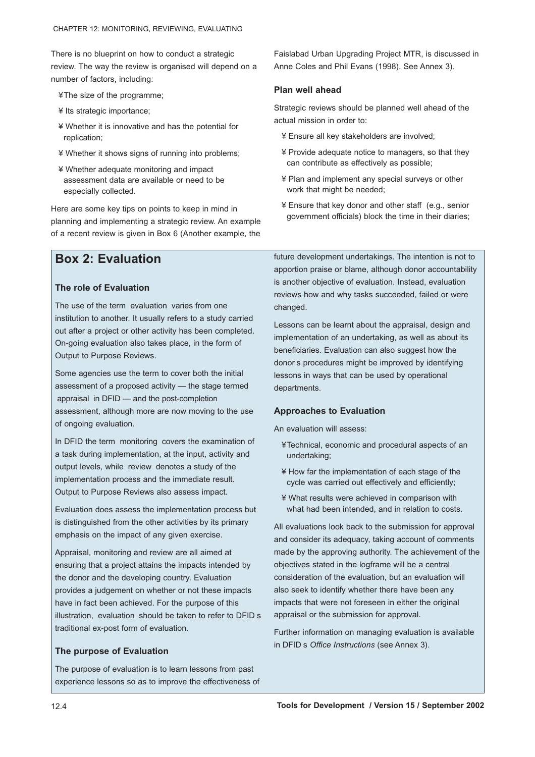There is no blueprint on how to conduct a strategic review. The way the review is organised will depend on a number of factors, including:

¥ The size of the programme;

- ¥ Its strategic importance;
- ¥ Whether it is innovative and has the potential for replication;
- ¥ Whether it shows signs of running into problems;
- ¥ Whether adequate monitoring and impact assessment data are available or need to be especially collected.

Here are some key tips on points to keep in mind in planning and implementing a strategic review. An example of a recent review is given in Box 6 (Another example, the

### **Box 2: Evaluation**

#### **The role of Evaluation**

The use of the term evaluation varies from one institution to another. It usually refers to a study carried out after a project or other activity has been completed. On-going evaluation also takes place, in the form of Output to Purpose Reviews.

Some agencies use the term to cover both the initial assessment of a proposed activity — the stage termed appraisal in DFID — and the post-completion assessment, although more are now moving to the use of ongoing evaluation.

In DFID the term monitoring covers the examination of a task during implementation, at the input, activity and output levels, while review denotes a study of the implementation process and the immediate result. Output to Purpose Reviews also assess impact.

Evaluation does assess the implementation process but is distinguished from the other activities by its primary emphasis on the impact of any given exercise.

Appraisal, monitoring and review are all aimed at ensuring that a project attains the impacts intended by the donor and the developing country. Evaluation provides a judgement on whether or not these impacts have in fact been achieved. For the purpose of this illustration, evaluation should be taken to refer to DFID s traditional ex-post form of evaluation.

#### **The purpose of Evaluation**

The purpose of evaluation is to learn lessons from past experience lessons so as to improve the effectiveness of

Faislabad Urban Upgrading Project MTR, is discussed in Anne Coles and Phil Evans (1998). See Annex 3).

#### **Plan well ahead**

Strategic reviews should be planned well ahead of the actual mission in order to:

- ¥ Ensure all key stakeholders are involved;
- ¥ Provide adequate notice to managers, so that they can contribute as effectively as possible;
- ¥ Plan and implement any special surveys or other work that might be needed;
- ¥ Ensure that key donor and other staff (e.g., senior government officials) block the time in their diaries;

future development undertakings. The intention is not to apportion praise or blame, although donor accountability is another objective of evaluation. Instead, evaluation reviews how and why tasks succeeded, failed or were changed.

Lessons can be learnt about the appraisal, design and implementation of an undertaking, as well as about its beneficiaries. Evaluation can also suggest how the donor s procedures might be improved by identifying lessons in ways that can be used by operational departments.

#### **Approaches to Evaluation**

An evaluation will assess:

- ¥ Technical, economic and procedural aspects of an undertaking;
- ¥ How far the implementation of each stage of the cycle was carried out effectively and efficiently;
- ¥ What results were achieved in comparison with what had been intended, and in relation to costs.

All evaluations look back to the submission for approval and consider its adequacy, taking account of comments made by the approving authority. The achievement of the objectives stated in the logframe will be a central consideration of the evaluation, but an evaluation will also seek to identify whether there have been any impacts that were not foreseen in either the original appraisal or the submission for approval.

Further information on managing evaluation is available in DFID s *Office Instructions* (see Annex 3).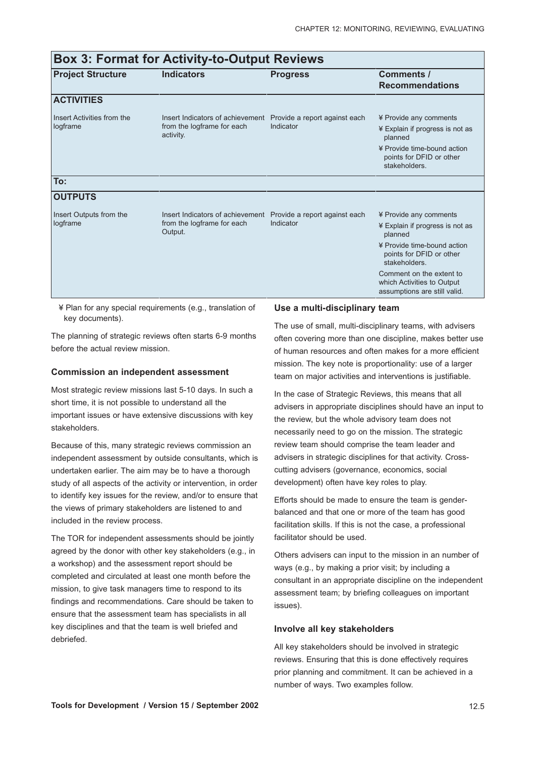|                                        | <b>Box 3: Format for Activity-to-Output Reviews</b>                                                     |                                            |                                                                                                                                                                                                                                            |
|----------------------------------------|---------------------------------------------------------------------------------------------------------|--------------------------------------------|--------------------------------------------------------------------------------------------------------------------------------------------------------------------------------------------------------------------------------------------|
| <b>Project Structure</b>               | <b>Indicators</b>                                                                                       | <b>Progress</b>                            | Comments /<br><b>Recommendations</b>                                                                                                                                                                                                       |
| <b>ACTIVITIES</b>                      |                                                                                                         |                                            |                                                                                                                                                                                                                                            |
| Insert Activities from the<br>logframe | Insert Indicators of achievement<br>from the logframe for each<br>activity.                             | Provide a report against each<br>Indicator | ¥ Provide any comments<br>¥ Explain if progress is not as<br>planned<br>¥ Provide time-bound action<br>points for DFID or other<br>stakeholders.                                                                                           |
| To:                                    |                                                                                                         |                                            |                                                                                                                                                                                                                                            |
| <b>OUTPUTS</b>                         |                                                                                                         |                                            |                                                                                                                                                                                                                                            |
| Insert Outputs from the<br>logframe    | Insert Indicators of achievement Provide a report against each<br>from the logframe for each<br>Output. | Indicator                                  | ¥ Provide any comments<br>¥ Explain if progress is not as<br>planned<br>¥ Provide time-bound action<br>points for DFID or other<br>stakeholders.<br>Comment on the extent to<br>which Activities to Output<br>assumptions are still valid. |

¥ Plan for any special requirements (e.g., translation of key documents).

The planning of strategic reviews often starts 6-9 months before the actual review mission.

#### **Commission an independent assessment**

Most strategic review missions last 5-10 days. In such a short time, it is not possible to understand all the important issues or have extensive discussions with key stakeholders.

Because of this, many strategic reviews commission an independent assessment by outside consultants, which is undertaken earlier. The aim may be to have a thorough study of all aspects of the activity or intervention, in order to identify key issues for the review, and/or to ensure that the views of primary stakeholders are listened to and included in the review process.

The TOR for independent assessments should be jointly agreed by the donor with other key stakeholders (e.g., in a workshop) and the assessment report should be completed and circulated at least one month before the mission, to give task managers time to respond to its findings and recommendations. Care should be taken to ensure that the assessment team has specialists in all key disciplines and that the team is well briefed and debriefed.

#### **Use a multi-disciplinary team**

The use of small, multi-disciplinary teams, with advisers often covering more than one discipline, makes better use of human resources and often makes for a more efficient mission. The key note is proportionality: use of a larger team on major activities and interventions is justifiable.

In the case of Strategic Reviews, this means that all advisers in appropriate disciplines should have an input to the review, but the whole advisory team does not necessarily need to go on the mission. The strategic review team should comprise the team leader and advisers in strategic disciplines for that activity. Crosscutting advisers (governance, economics, social development) often have key roles to play.

Efforts should be made to ensure the team is genderbalanced and that one or more of the team has good facilitation skills. If this is not the case, a professional facilitator should be used.

Others advisers can input to the mission in an number of ways (e.g., by making a prior visit; by including a consultant in an appropriate discipline on the independent assessment team; by briefing colleagues on important issues).

#### **Involve all key stakeholders**

All key stakeholders should be involved in strategic reviews. Ensuring that this is done effectively requires prior planning and commitment. It can be achieved in a number of ways. Two examples follow.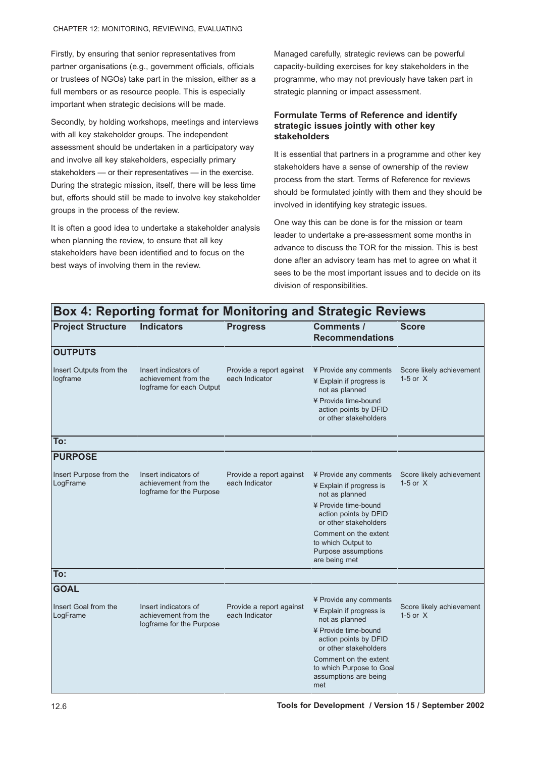Firstly, by ensuring that senior representatives from partner organisations (e.g., government officials, officials or trustees of NGOs) take part in the mission, either as a full members or as resource people. This is especially important when strategic decisions will be made.

Secondly, by holding workshops, meetings and interviews with all key stakeholder groups. The independent assessment should be undertaken in a participatory way and involve all key stakeholders, especially primary stakeholders — or their representatives — in the exercise. During the strategic mission, itself, there will be less time but, efforts should still be made to involve key stakeholder groups in the process of the review.

It is often a good idea to undertake a stakeholder analysis when planning the review, to ensure that all key stakeholders have been identified and to focus on the best ways of involving them in the review.

Managed carefully, strategic reviews can be powerful capacity-building exercises for key stakeholders in the programme, who may not previously have taken part in strategic planning or impact assessment.

#### **Formulate Terms of Reference and identify strategic issues jointly with other key stakeholders**

It is essential that partners in a programme and other key stakeholders have a sense of ownership of the review process from the start. Terms of Reference for reviews should be formulated jointly with them and they should be involved in identifying key strategic issues.

One way this can be done is for the mission or team leader to undertake a pre-assessment some months in advance to discuss the TOR for the mission. This is best done after an advisory team has met to agree on what it sees to be the most important issues and to decide on its division of responsibilities.

| <b>Box 4: Reporting format for Monitoring and Strategic Reviews</b> |                                                                          |                                            |                                                                                                                                                                                                                                       |                                        |  |  |
|---------------------------------------------------------------------|--------------------------------------------------------------------------|--------------------------------------------|---------------------------------------------------------------------------------------------------------------------------------------------------------------------------------------------------------------------------------------|----------------------------------------|--|--|
| <b>Project Structure</b>                                            | <b>Indicators</b>                                                        | <b>Progress</b>                            | <b>Comments /</b><br><b>Recommendations</b>                                                                                                                                                                                           | <b>Score</b>                           |  |  |
| <b>OUTPUTS</b>                                                      |                                                                          |                                            |                                                                                                                                                                                                                                       |                                        |  |  |
| Insert Outputs from the<br>logframe                                 | Insert indicators of<br>achievement from the<br>logframe for each Output | Provide a report against<br>each Indicator | ¥ Provide any comments<br>¥ Explain if progress is<br>not as planned<br>¥ Provide time-bound<br>action points by DFID<br>or other stakeholders                                                                                        | Score likely achievement<br>1-5 or $X$ |  |  |
| To:                                                                 |                                                                          |                                            |                                                                                                                                                                                                                                       |                                        |  |  |
| <b>PURPOSE</b>                                                      |                                                                          |                                            |                                                                                                                                                                                                                                       |                                        |  |  |
| Insert Purpose from the<br>LogFrame                                 | Insert indicators of<br>achievement from the<br>logframe for the Purpose | Provide a report against<br>each Indicator | ¥ Provide any comments<br>¥ Explain if progress is<br>not as planned<br>¥ Provide time-bound<br>action points by DFID<br>or other stakeholders<br>Comment on the extent<br>to which Output to<br>Purpose assumptions<br>are being met | Score likely achievement<br>1-5 or $X$ |  |  |
| To:                                                                 |                                                                          |                                            |                                                                                                                                                                                                                                       |                                        |  |  |
| <b>GOAL</b><br>Insert Goal from the<br>LogFrame                     | Insert indicators of<br>achievement from the<br>logframe for the Purpose | Provide a report against<br>each Indicator | ¥ Provide any comments<br>¥ Explain if progress is<br>not as planned<br>¥ Provide time-bound<br>action points by DFID<br>or other stakeholders<br>Comment on the extent<br>to which Purpose to Goal<br>assumptions are being<br>met   | Score likely achievement<br>1-5 or $X$ |  |  |

12.6 **Tools for Development / Version 15 / September 2002**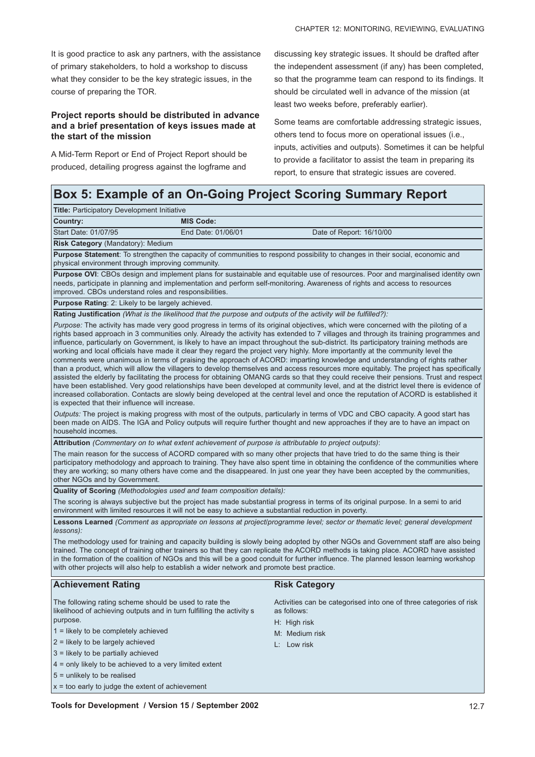It is good practice to ask any partners, with the assistance of primary stakeholders, to hold a workshop to discuss what they consider to be the key strategic issues, in the course of preparing the TOR.

#### **Project reports should be distributed in advance and a brief presentation of keys issues made at the start of the mission**

A Mid-Term Report or End of Project Report should be produced, detailing progress against the logframe and

discussing key strategic issues. It should be drafted after the independent assessment (if any) has been completed, so that the programme team can respond to its findings. It should be circulated well in advance of the mission (at least two weeks before, preferably earlier).

Some teams are comfortable addressing strategic issues, others tend to focus more on operational issues (i.e., inputs, activities and outputs). Sometimes it can be helpful to provide a facilitator to assist the team in preparing its report, to ensure that strategic issues are covered.

# **Box 5: Example of an On-Going Project Scoring Summary Report**

| <b>Title: Participatory Development Initiative</b>                                                                                          |                                                                                                                                                                                                                                                                                                                                                                                                                                                                                                               |                                                                                                                                                                                                                                                                                                                                                                                                                                                                                                                                                                                                                                                                                                                                                                                                                                                                                                                                                                                                                                                                                                                                                                                                                                                             |  |  |  |  |
|---------------------------------------------------------------------------------------------------------------------------------------------|---------------------------------------------------------------------------------------------------------------------------------------------------------------------------------------------------------------------------------------------------------------------------------------------------------------------------------------------------------------------------------------------------------------------------------------------------------------------------------------------------------------|-------------------------------------------------------------------------------------------------------------------------------------------------------------------------------------------------------------------------------------------------------------------------------------------------------------------------------------------------------------------------------------------------------------------------------------------------------------------------------------------------------------------------------------------------------------------------------------------------------------------------------------------------------------------------------------------------------------------------------------------------------------------------------------------------------------------------------------------------------------------------------------------------------------------------------------------------------------------------------------------------------------------------------------------------------------------------------------------------------------------------------------------------------------------------------------------------------------------------------------------------------------|--|--|--|--|
| <b>MIS Code:</b><br>Country:                                                                                                                |                                                                                                                                                                                                                                                                                                                                                                                                                                                                                                               |                                                                                                                                                                                                                                                                                                                                                                                                                                                                                                                                                                                                                                                                                                                                                                                                                                                                                                                                                                                                                                                                                                                                                                                                                                                             |  |  |  |  |
| Start Date: 01/07/95<br>End Date: 01/06/01<br>Date of Report: 16/10/00                                                                      |                                                                                                                                                                                                                                                                                                                                                                                                                                                                                                               |                                                                                                                                                                                                                                                                                                                                                                                                                                                                                                                                                                                                                                                                                                                                                                                                                                                                                                                                                                                                                                                                                                                                                                                                                                                             |  |  |  |  |
| Risk Category (Mandatory): Medium                                                                                                           |                                                                                                                                                                                                                                                                                                                                                                                                                                                                                                               |                                                                                                                                                                                                                                                                                                                                                                                                                                                                                                                                                                                                                                                                                                                                                                                                                                                                                                                                                                                                                                                                                                                                                                                                                                                             |  |  |  |  |
| physical environment through improving community.                                                                                           |                                                                                                                                                                                                                                                                                                                                                                                                                                                                                                               | Purpose Statement: To strengthen the capacity of communities to respond possibility to changes in their social, economic and                                                                                                                                                                                                                                                                                                                                                                                                                                                                                                                                                                                                                                                                                                                                                                                                                                                                                                                                                                                                                                                                                                                                |  |  |  |  |
|                                                                                                                                             | Purpose OVI: CBOs design and implement plans for sustainable and equitable use of resources. Poor and marginalised identity own<br>needs, participate in planning and implementation and perform self-monitoring. Awareness of rights and access to resources<br>improved. CBOs understand roles and responsibilities.                                                                                                                                                                                        |                                                                                                                                                                                                                                                                                                                                                                                                                                                                                                                                                                                                                                                                                                                                                                                                                                                                                                                                                                                                                                                                                                                                                                                                                                                             |  |  |  |  |
| Purpose Rating: 2: Likely to be largely achieved.                                                                                           |                                                                                                                                                                                                                                                                                                                                                                                                                                                                                                               |                                                                                                                                                                                                                                                                                                                                                                                                                                                                                                                                                                                                                                                                                                                                                                                                                                                                                                                                                                                                                                                                                                                                                                                                                                                             |  |  |  |  |
|                                                                                                                                             |                                                                                                                                                                                                                                                                                                                                                                                                                                                                                                               | Rating Justification (What is the likelihood that the purpose and outputs of the activity will be fulfilled?):                                                                                                                                                                                                                                                                                                                                                                                                                                                                                                                                                                                                                                                                                                                                                                                                                                                                                                                                                                                                                                                                                                                                              |  |  |  |  |
| is expected that their influence will increase.                                                                                             |                                                                                                                                                                                                                                                                                                                                                                                                                                                                                                               | Purpose: The activity has made very good progress in terms of its original objectives, which were concerned with the piloting of a<br>rights based approach in 3 communities only. Already the activity has extended to 7 villages and through its training programmes and<br>influence, particularly on Government, is likely to have an impact throughout the sub-district. Its participatory training methods are<br>working and local officials have made it clear they regard the project very highly. More importantly at the community level the<br>comments were unanimous in terms of praising the approach of ACORD: imparting knowledge and understanding of rights rather<br>than a product, which will allow the villagers to develop themselves and access resources more equitably. The project has specifically<br>assisted the elderly by facilitating the process for obtaining OMANG cards so that they could receive their pensions. Trust and respect<br>have been established. Very good relationships have been developed at community level, and at the district level there is evidence of<br>increased collaboration. Contacts are slowly being developed at the central level and once the reputation of ACORD is established it |  |  |  |  |
| household incomes.                                                                                                                          |                                                                                                                                                                                                                                                                                                                                                                                                                                                                                                               | Outputs: The project is making progress with most of the outputs, particularly in terms of VDC and CBO capacity. A good start has<br>been made on AIDS. The IGA and Policy outputs will require further thought and new approaches if they are to have an impact on                                                                                                                                                                                                                                                                                                                                                                                                                                                                                                                                                                                                                                                                                                                                                                                                                                                                                                                                                                                         |  |  |  |  |
|                                                                                                                                             |                                                                                                                                                                                                                                                                                                                                                                                                                                                                                                               | Attribution (Commentary on to what extent achievement of purpose is attributable to project outputs):                                                                                                                                                                                                                                                                                                                                                                                                                                                                                                                                                                                                                                                                                                                                                                                                                                                                                                                                                                                                                                                                                                                                                       |  |  |  |  |
| other NGOs and by Government.                                                                                                               |                                                                                                                                                                                                                                                                                                                                                                                                                                                                                                               | The main reason for the success of ACORD compared with so many other projects that have tried to do the same thing is their<br>participatory methodology and approach to training. They have also spent time in obtaining the confidence of the communities where<br>they are working; so many others have come and the disappeared. In just one year they have been accepted by the communities,                                                                                                                                                                                                                                                                                                                                                                                                                                                                                                                                                                                                                                                                                                                                                                                                                                                           |  |  |  |  |
| Quality of Scoring (Methodologies used and team composition details):                                                                       |                                                                                                                                                                                                                                                                                                                                                                                                                                                                                                               |                                                                                                                                                                                                                                                                                                                                                                                                                                                                                                                                                                                                                                                                                                                                                                                                                                                                                                                                                                                                                                                                                                                                                                                                                                                             |  |  |  |  |
| environment with limited resources it will not be easy to achieve a substantial reduction in poverty.                                       |                                                                                                                                                                                                                                                                                                                                                                                                                                                                                                               | The scoring is always subjective but the project has made substantial progress in terms of its original purpose. In a semi to arid                                                                                                                                                                                                                                                                                                                                                                                                                                                                                                                                                                                                                                                                                                                                                                                                                                                                                                                                                                                                                                                                                                                          |  |  |  |  |
| lessons):                                                                                                                                   |                                                                                                                                                                                                                                                                                                                                                                                                                                                                                                               | Lessons Learned (Comment as appropriate on lessons at project/programme level; sector or thematic level; general development                                                                                                                                                                                                                                                                                                                                                                                                                                                                                                                                                                                                                                                                                                                                                                                                                                                                                                                                                                                                                                                                                                                                |  |  |  |  |
|                                                                                                                                             | The methodology used for training and capacity building is slowly being adopted by other NGOs and Government staff are also being<br>trained. The concept of training other trainers so that they can replicate the ACORD methods is taking place. ACORD have assisted<br>in the formation of the coalition of NGOs and this will be a good conduit for further influence. The planned lesson learning workshop<br>with other projects will also help to establish a wider network and promote best practice. |                                                                                                                                                                                                                                                                                                                                                                                                                                                                                                                                                                                                                                                                                                                                                                                                                                                                                                                                                                                                                                                                                                                                                                                                                                                             |  |  |  |  |
| <b>Achievement Rating</b>                                                                                                                   |                                                                                                                                                                                                                                                                                                                                                                                                                                                                                                               | <b>Risk Category</b>                                                                                                                                                                                                                                                                                                                                                                                                                                                                                                                                                                                                                                                                                                                                                                                                                                                                                                                                                                                                                                                                                                                                                                                                                                        |  |  |  |  |
| The following rating scheme should be used to rate the<br>likelihood of achieving outputs and in turn fulfilling the activity s<br>purpose. |                                                                                                                                                                                                                                                                                                                                                                                                                                                                                                               | Activities can be categorised into one of three categories of risk<br>as follows:<br>H: High risk                                                                                                                                                                                                                                                                                                                                                                                                                                                                                                                                                                                                                                                                                                                                                                                                                                                                                                                                                                                                                                                                                                                                                           |  |  |  |  |
| 1 = likely to be completely achieved                                                                                                        |                                                                                                                                                                                                                                                                                                                                                                                                                                                                                                               | M: Medium risk                                                                                                                                                                                                                                                                                                                                                                                                                                                                                                                                                                                                                                                                                                                                                                                                                                                                                                                                                                                                                                                                                                                                                                                                                                              |  |  |  |  |
| $2$ = likely to be largely achieved                                                                                                         |                                                                                                                                                                                                                                                                                                                                                                                                                                                                                                               | L: Low risk                                                                                                                                                                                                                                                                                                                                                                                                                                                                                                                                                                                                                                                                                                                                                                                                                                                                                                                                                                                                                                                                                                                                                                                                                                                 |  |  |  |  |
| 3 = likely to be partially achieved                                                                                                         |                                                                                                                                                                                                                                                                                                                                                                                                                                                                                                               |                                                                                                                                                                                                                                                                                                                                                                                                                                                                                                                                                                                                                                                                                                                                                                                                                                                                                                                                                                                                                                                                                                                                                                                                                                                             |  |  |  |  |
| 4 = only likely to be achieved to a very limited extent                                                                                     |                                                                                                                                                                                                                                                                                                                                                                                                                                                                                                               |                                                                                                                                                                                                                                                                                                                                                                                                                                                                                                                                                                                                                                                                                                                                                                                                                                                                                                                                                                                                                                                                                                                                                                                                                                                             |  |  |  |  |
| $5 =$ unlikely to be realised                                                                                                               |                                                                                                                                                                                                                                                                                                                                                                                                                                                                                                               |                                                                                                                                                                                                                                                                                                                                                                                                                                                                                                                                                                                                                                                                                                                                                                                                                                                                                                                                                                                                                                                                                                                                                                                                                                                             |  |  |  |  |
| $x =$ too early to judge the extent of achievement                                                                                          |                                                                                                                                                                                                                                                                                                                                                                                                                                                                                                               |                                                                                                                                                                                                                                                                                                                                                                                                                                                                                                                                                                                                                                                                                                                                                                                                                                                                                                                                                                                                                                                                                                                                                                                                                                                             |  |  |  |  |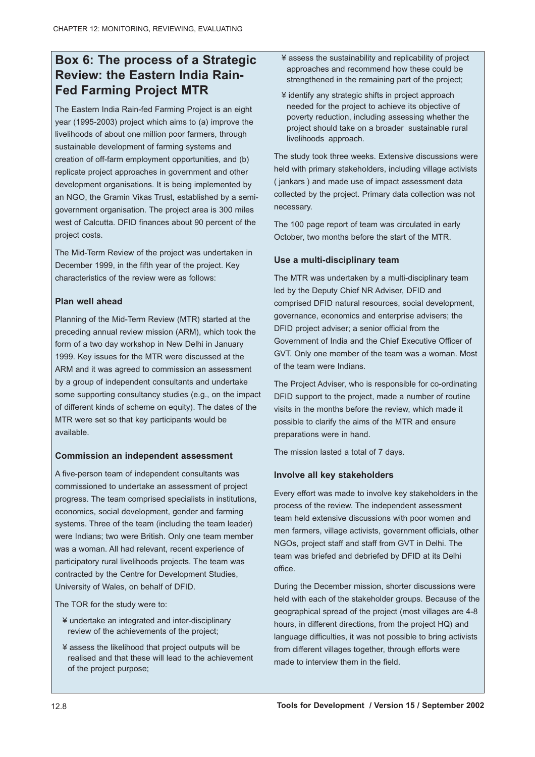# **Box 6: The process of a Strategic Review: the Eastern India Rain-Fed Farming Project MTR**

The Eastern India Rain-fed Farming Project is an eight year (1995-2003) project which aims to (a) improve the livelihoods of about one million poor farmers, through sustainable development of farming systems and creation of off-farm employment opportunities, and (b) replicate project approaches in government and other development organisations. It is being implemented by an NGO, the Gramin Vikas Trust, established by a semigovernment organisation. The project area is 300 miles west of Calcutta. DFID finances about 90 percent of the project costs.

The Mid-Term Review of the project was undertaken in December 1999, in the fifth year of the project. Key characteristics of the review were as follows:

#### **Plan well ahead**

Planning of the Mid-Term Review (MTR) started at the preceding annual review mission (ARM), which took the form of a two day workshop in New Delhi in January 1999. Key issues for the MTR were discussed at the ARM and it was agreed to commission an assessment by a group of independent consultants and undertake some supporting consultancy studies (e.g., on the impact of different kinds of scheme on equity). The dates of the MTR were set so that key participants would be available.

#### **Commission an independent assessment**

A five-person team of independent consultants was commissioned to undertake an assessment of project progress. The team comprised specialists in institutions, economics, social development, gender and farming systems. Three of the team (including the team leader) were Indians; two were British. Only one team member was a woman. All had relevant, recent experience of participatory rural livelihoods projects. The team was contracted by the Centre for Development Studies, University of Wales, on behalf of DFID.

The TOR for the study were to:

- ¥ undertake an integrated and inter-disciplinary review of the achievements of the project;
- ¥ assess the likelihood that project outputs will be realised and that these will lead to the achievement of the project purpose;
- ¥ assess the sustainability and replicability of project approaches and recommend how these could be strengthened in the remaining part of the project;
- ¥ identify any strategic shifts in project approach needed for the project to achieve its objective of poverty reduction, including assessing whether the project should take on a broader sustainable rural livelihoods approach.

The study took three weeks. Extensive discussions were held with primary stakeholders, including village activists ( jankars ) and made use of impact assessment data collected by the project. Primary data collection was not necessary.

The 100 page report of team was circulated in early October, two months before the start of the MTR.

#### **Use a multi-disciplinary team**

The MTR was undertaken by a multi-disciplinary team led by the Deputy Chief NR Adviser, DFID and comprised DFID natural resources, social development, governance, economics and enterprise advisers; the DFID project adviser; a senior official from the Government of India and the Chief Executive Officer of GVT. Only one member of the team was a woman. Most of the team were Indians.

The Project Adviser, who is responsible for co-ordinating DFID support to the project, made a number of routine visits in the months before the review, which made it possible to clarify the aims of the MTR and ensure preparations were in hand.

The mission lasted a total of 7 days.

#### **Involve all key stakeholders**

Every effort was made to involve key stakeholders in the process of the review. The independent assessment team held extensive discussions with poor women and men farmers, village activists, government officials, other NGOs, project staff and staff from GVT in Delhi. The team was briefed and debriefed by DFID at its Delhi office.

During the December mission, shorter discussions were held with each of the stakeholder groups. Because of the geographical spread of the project (most villages are 4-8 hours, in different directions, from the project HQ) and language difficulties, it was not possible to bring activists from different villages together, through efforts were made to interview them in the field.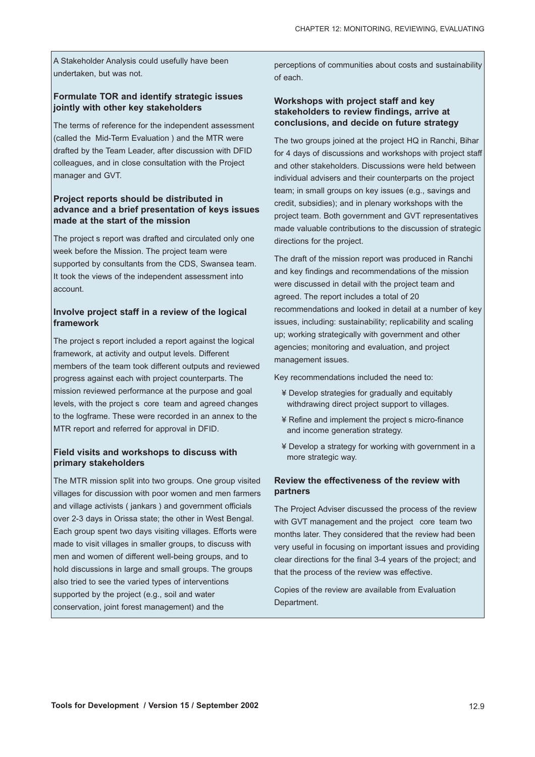A Stakeholder Analysis could usefully have been undertaken, but was not.

#### **Formulate TOR and identify strategic issues jointly with other key stakeholders**

The terms of reference for the independent assessment (called the Mid-Term Evaluation ) and the MTR were drafted by the Team Leader, after discussion with DFID colleagues, and in close consultation with the Project manager and GVT.

#### **Project reports should be distributed in advance and a brief presentation of keys issues made at the start of the mission**

The project s report was drafted and circulated only one week before the Mission. The project team were supported by consultants from the CDS, Swansea team. It took the views of the independent assessment into account.

#### **Involve project staff in a review of the logical framework**

The project s report included a report against the logical framework, at activity and output levels. Different members of the team took different outputs and reviewed progress against each with project counterparts. The mission reviewed performance at the purpose and goal levels, with the project s core team and agreed changes to the logframe. These were recorded in an annex to the MTR report and referred for approval in DFID.

#### **Field visits and workshops to discuss with primary stakeholders**

The MTR mission split into two groups. One group visited villages for discussion with poor women and men farmers and village activists ( jankars ) and government officials over 2-3 days in Orissa state; the other in West Bengal. Each group spent two days visiting villages. Efforts were made to visit villages in smaller groups, to discuss with men and women of different well-being groups, and to hold discussions in large and small groups. The groups also tried to see the varied types of interventions supported by the project (e.g., soil and water conservation, joint forest management) and the

perceptions of communities about costs and sustainability of each.

#### **Workshops with project staff and key stakeholders to review findings, arrive at conclusions, and decide on future strategy**

The two groups joined at the project HQ in Ranchi, Bihar for 4 days of discussions and workshops with project staff and other stakeholders. Discussions were held between individual advisers and their counterparts on the project team; in small groups on key issues (e.g., savings and credit, subsidies); and in plenary workshops with the project team. Both government and GVT representatives made valuable contributions to the discussion of strategic directions for the project.

The draft of the mission report was produced in Ranchi and key findings and recommendations of the mission were discussed in detail with the project team and agreed. The report includes a total of 20 recommendations and looked in detail at a number of key issues, including: sustainability; replicability and scaling up; working strategically with government and other agencies; monitoring and evaluation, and project management issues.

Key recommendations included the need to:

- ¥ Develop strategies for gradually and equitably withdrawing direct project support to villages.
- ¥ Refine and implement the project s micro-finance and income generation strategy.
- ¥ Develop a strategy for working with government in a more strategic way.

#### **Review the effectiveness of the review with partners**

The Project Adviser discussed the process of the review with GVT management and the project core team two months later. They considered that the review had been very useful in focusing on important issues and providing clear directions for the final 3-4 years of the project; and that the process of the review was effective.

Copies of the review are available from Evaluation Department.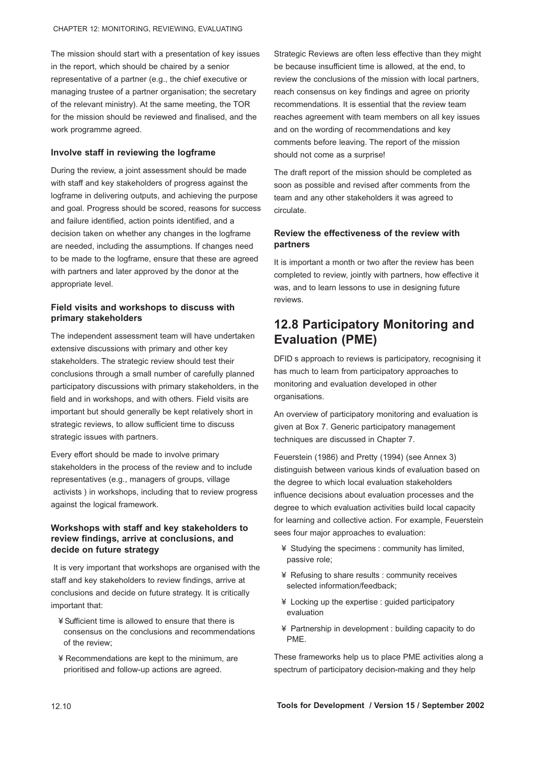The mission should start with a presentation of key issues in the report, which should be chaired by a senior representative of a partner (e.g., the chief executive or managing trustee of a partner organisation; the secretary of the relevant ministry). At the same meeting, the TOR for the mission should be reviewed and finalised, and the work programme agreed.

#### **Involve staff in reviewing the logframe**

During the review, a joint assessment should be made with staff and key stakeholders of progress against the logframe in delivering outputs, and achieving the purpose and goal. Progress should be scored, reasons for success and failure identified, action points identified, and a decision taken on whether any changes in the logframe are needed, including the assumptions. If changes need to be made to the logframe, ensure that these are agreed with partners and later approved by the donor at the appropriate level.

#### **Field visits and workshops to discuss with primary stakeholders**

The independent assessment team will have undertaken extensive discussions with primary and other key stakeholders. The strategic review should test their conclusions through a small number of carefully planned participatory discussions with primary stakeholders, in the field and in workshops, and with others. Field visits are important but should generally be kept relatively short in strategic reviews, to allow sufficient time to discuss strategic issues with partners.

Every effort should be made to involve primary stakeholders in the process of the review and to include representatives (e.g., managers of groups, village activists ) in workshops, including that to review progress against the logical framework.

#### **Workshops with staff and key stakeholders to review findings, arrive at conclusions, and decide on future strategy**

It is very important that workshops are organised with the staff and key stakeholders to review findings, arrive at conclusions and decide on future strategy. It is critically important that:

- ¥ Sufficient time is allowed to ensure that there is consensus on the conclusions and recommendations of the review;
- ¥ Recommendations are kept to the minimum, are prioritised and follow-up actions are agreed.

Strategic Reviews are often less effective than they might be because insufficient time is allowed, at the end, to review the conclusions of the mission with local partners, reach consensus on key findings and agree on priority recommendations. It is essential that the review team reaches agreement with team members on all key issues and on the wording of recommendations and key comments before leaving. The report of the mission should not come as a surprise!

The draft report of the mission should be completed as soon as possible and revised after comments from the team and any other stakeholders it was agreed to circulate.

#### **Review the effectiveness of the review with partners**

It is important a month or two after the review has been completed to review, jointly with partners, how effective it was, and to learn lessons to use in designing future reviews.

### **12.8 Participatory Monitoring and Evaluation (PME)**

DFID s approach to reviews is participatory, recognising it has much to learn from participatory approaches to monitoring and evaluation developed in other organisations.

An overview of participatory monitoring and evaluation is given at Box 7. Generic participatory management techniques are discussed in Chapter 7.

Feuerstein (1986) and Pretty (1994) (see Annex 3) distinguish between various kinds of evaluation based on the degree to which local evaluation stakeholders influence decisions about evaluation processes and the degree to which evaluation activities build local capacity for learning and collective action. For example, Feuerstein sees four major approaches to evaluation:

- ¥ Studying the specimens : community has limited, passive role;
- ¥ Refusing to share results : community receives selected information/feedback;
- ¥ Locking up the expertise : guided participatory evaluation
- ¥ Partnership in development : building capacity to do PME.

These frameworks help us to place PME activities along a spectrum of participatory decision-making and they help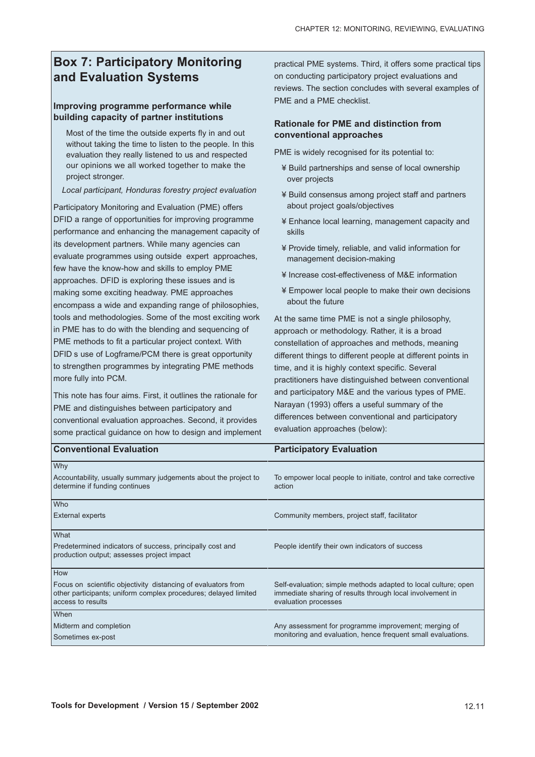# **Box 7: Participatory Monitoring and Evaluation Systems**

#### **Improving programme performance while building capacity of partner institutions**

Most of the time the outside experts fly in and out without taking the time to listen to the people. In this evaluation they really listened to us and respected our opinions we all worked together to make the project stronger.

#### *Local participant, Honduras forestry project evaluation*

Participatory Monitoring and Evaluation (PME) offers DFID a range of opportunities for improving programme performance and enhancing the management capacity of its development partners. While many agencies can evaluate programmes using outside expert approaches, few have the know-how and skills to employ PME approaches. DFID is exploring these issues and is making some exciting headway. PME approaches encompass a wide and expanding range of philosophies, tools and methodologies. Some of the most exciting work in PME has to do with the blending and sequencing of PME methods to fit a particular project context. With DFID s use of Logframe/PCM there is great opportunity to strengthen programmes by integrating PME methods more fully into PCM.

This note has four aims. First, it outlines the rationale for PME and distinguishes between participatory and conventional evaluation approaches. Second, it provides some practical guidance on how to design and implement practical PME systems. Third, it offers some practical tips on conducting participatory project evaluations and reviews. The section concludes with several examples of PME and a PME checklist.

#### **Rationale for PME and distinction from conventional approaches**

PME is widely recognised for its potential to:

- ¥ Build partnerships and sense of local ownership over projects
- ¥ Build consensus among project staff and partners about project goals/objectives
- ¥ Enhance local learning, management capacity and skills
- ¥ Provide timely, reliable, and valid information for management decision-making
- ¥ Increase cost-effectiveness of M&E information
- ¥ Empower local people to make their own decisions about the future

At the same time PME is not a single philosophy, approach or methodology. Rather, it is a broad constellation of approaches and methods, meaning different things to different people at different points in time, and it is highly context specific. Several practitioners have distinguished between conventional and participatory M&E and the various types of PME. Narayan (1993) offers a useful summary of the differences between conventional and participatory evaluation approaches (below):

| <b>Conventional Evaluation</b>                                                                                                                        | <b>Participatory Evaluation</b>                                                                                                                     |
|-------------------------------------------------------------------------------------------------------------------------------------------------------|-----------------------------------------------------------------------------------------------------------------------------------------------------|
| Why                                                                                                                                                   |                                                                                                                                                     |
| Accountability, usually summary judgements about the project to<br>determine if funding continues                                                     | To empower local people to initiate, control and take corrective<br>action                                                                          |
| Who                                                                                                                                                   |                                                                                                                                                     |
| <b>External experts</b>                                                                                                                               | Community members, project staff, facilitator                                                                                                       |
| What                                                                                                                                                  |                                                                                                                                                     |
| Predetermined indicators of success, principally cost and<br>production output; assesses project impact                                               | People identify their own indicators of success                                                                                                     |
| How                                                                                                                                                   |                                                                                                                                                     |
| Focus on scientific objectivity distancing of evaluators from<br>other participants; uniform complex procedures; delayed limited<br>access to results | Self-evaluation; simple methods adapted to local culture; open<br>immediate sharing of results through local involvement in<br>evaluation processes |
| When                                                                                                                                                  |                                                                                                                                                     |
| Midterm and completion                                                                                                                                | Any assessment for programme improvement; merging of                                                                                                |
| Sometimes ex-post                                                                                                                                     | monitoring and evaluation, hence frequent small evaluations.                                                                                        |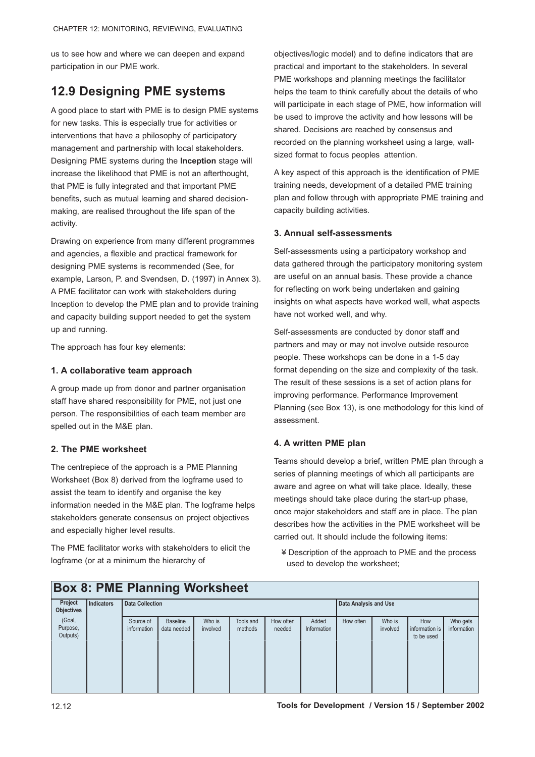us to see how and where we can deepen and expand participation in our PME work.

# **12.9 Designing PME systems**

A good place to start with PME is to design PME systems for new tasks. This is especially true for activities or interventions that have a philosophy of participatory management and partnership with local stakeholders. Designing PME systems during the **Inception** stage will increase the likelihood that PME is not an afterthought, that PME is fully integrated and that important PME benefits, such as mutual learning and shared decisionmaking, are realised throughout the life span of the activity.

Drawing on experience from many different programmes and agencies, a flexible and practical framework for designing PME systems is recommended (See, for example, Larson, P. and Svendsen, D. (1997) in Annex 3). A PME facilitator can work with stakeholders during Inception to develop the PME plan and to provide training and capacity building support needed to get the system up and running.

The approach has four key elements:

#### **1. A collaborative team approach**

A group made up from donor and partner organisation staff have shared responsibility for PME, not just one person. The responsibilities of each team member are spelled out in the M&E plan.

#### **2. The PME worksheet**

The centrepiece of the approach is a PME Planning Worksheet (Box 8) derived from the logframe used to assist the team to identify and organise the key information needed in the M&E plan. The logframe helps stakeholders generate consensus on project objectives and especially higher level results.

The PME facilitator works with stakeholders to elicit the logframe (or at a minimum the hierarchy of

objectives/logic model) and to define indicators that are practical and important to the stakeholders. In several PME workshops and planning meetings the facilitator helps the team to think carefully about the details of who will participate in each stage of PME, how information will be used to improve the activity and how lessons will be shared. Decisions are reached by consensus and recorded on the planning worksheet using a large, wallsized format to focus peoples attention.

A key aspect of this approach is the identification of PME training needs, development of a detailed PME training plan and follow through with appropriate PME training and capacity building activities.

#### **3. Annual self-assessments**

Self-assessments using a participatory workshop and data gathered through the participatory monitoring system are useful on an annual basis. These provide a chance for reflecting on work being undertaken and gaining insights on what aspects have worked well, what aspects have not worked well, and why.

Self-assessments are conducted by donor staff and partners and may or may not involve outside resource people. These workshops can be done in a 1-5 day format depending on the size and complexity of the task. The result of these sessions is a set of action plans for improving performance. Performance Improvement Planning (see Box 13), is one methodology for this kind of assessment.

#### **4. A written PME plan**

Teams should develop a brief, written PME plan through a series of planning meetings of which all participants are aware and agree on what will take place. Ideally, these meetings should take place during the start-up phase, once major stakeholders and staff are in place. The plan describes how the activities in the PME worksheet will be carried out. It should include the following items:

¥ Description of the approach to PME and the process used to develop the worksheet;

|                                | <b>Box 8: PME Planning Worksheet</b> |                          |                                |                    |                      |                     |                      |                       |                    |                                     |                         |
|--------------------------------|--------------------------------------|--------------------------|--------------------------------|--------------------|----------------------|---------------------|----------------------|-----------------------|--------------------|-------------------------------------|-------------------------|
| Project<br><b>Objectives</b>   | Indicators                           | <b>Data Collection</b>   |                                |                    |                      |                     |                      | Data Analysis and Use |                    |                                     |                         |
| (Goal,<br>Purpose,<br>Outputs) |                                      | Source of<br>information | <b>Baseline</b><br>data needed | Who is<br>involved | Tools and<br>methods | How often<br>needed | Added<br>Information | How often             | Who is<br>involved | How<br>information is<br>to be used | Who gets<br>information |

# **Box 8: PME Planning Worksheet**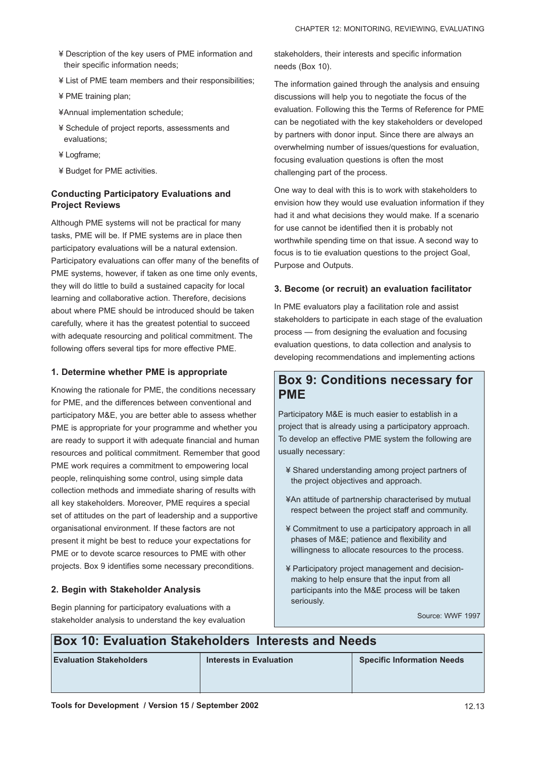- ¥ Description of the key users of PME information and their specific information needs;
- ¥ List of PME team members and their responsibilities;
- ¥ PME training plan;
- ¥ Annual implementation schedule;
- ¥ Schedule of project reports, assessments and evaluations;
- ¥ Logframe;
- ¥ Budget for PME activities.

#### **Conducting Participatory Evaluations and Project Reviews**

Although PME systems will not be practical for many tasks, PME will be. If PME systems are in place then participatory evaluations will be a natural extension. Participatory evaluations can offer many of the benefits of PME systems, however, if taken as one time only events, they will do little to build a sustained capacity for local learning and collaborative action. Therefore, decisions about where PME should be introduced should be taken carefully, where it has the greatest potential to succeed with adequate resourcing and political commitment. The following offers several tips for more effective PME.

#### **1. Determine whether PME is appropriate**

Knowing the rationale for PME, the conditions necessary for PME, and the differences between conventional and participatory M&E, you are better able to assess whether PME is appropriate for your programme and whether you are ready to support it with adequate financial and human resources and political commitment. Remember that good PME work requires a commitment to empowering local people, relinquishing some control, using simple data collection methods and immediate sharing of results with all key stakeholders. Moreover, PME requires a special set of attitudes on the part of leadership and a supportive organisational environment. If these factors are not present it might be best to reduce your expectations for PME or to devote scarce resources to PME with other projects. Box 9 identifies some necessary preconditions.

#### **2. Begin with Stakeholder Analysis**

Begin planning for participatory evaluations with a stakeholder analysis to understand the key evaluation stakeholders, their interests and specific information needs (Box 10).

The information gained through the analysis and ensuing discussions will help you to negotiate the focus of the evaluation. Following this the Terms of Reference for PME can be negotiated with the key stakeholders or developed by partners with donor input. Since there are always an overwhelming number of issues/questions for evaluation, focusing evaluation questions is often the most challenging part of the process.

One way to deal with this is to work with stakeholders to envision how they would use evaluation information if they had it and what decisions they would make. If a scenario for use cannot be identified then it is probably not worthwhile spending time on that issue. A second way to focus is to tie evaluation questions to the project Goal, Purpose and Outputs.

#### **3. Become (or recruit) an evaluation facilitator**

In PME evaluators play a facilitation role and assist stakeholders to participate in each stage of the evaluation process — from designing the evaluation and focusing evaluation questions, to data collection and analysis to developing recommendations and implementing actions

### **Box 9: Conditions necessary for PME**

Participatory M&E is much easier to establish in a project that is already using a participatory approach. To develop an effective PME system the following are usually necessary:

- ¥ Shared understanding among project partners of the project objectives and approach.
- ¥ An attitude of partnership characterised by mutual respect between the project staff and community.
- ¥ Commitment to use a participatory approach in all phases of M&E; patience and flexibility and willingness to allocate resources to the process.
- ¥ Participatory project management and decisionmaking to help ensure that the input from all participants into the M&E process will be taken seriously.

Source: WWF 1997

# **Box 10: Evaluation Stakeholders Interests and Needs**

**Evaluation Stakeholders**  Interests in Evaluation **Specific Information Needs**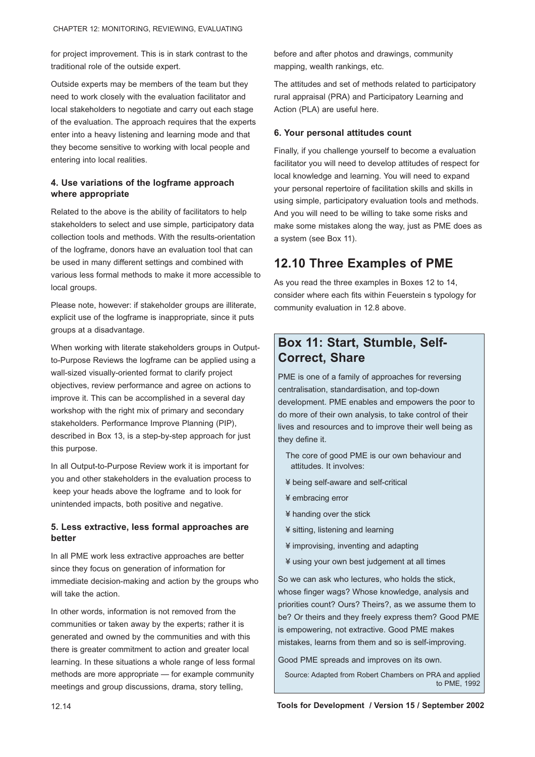for project improvement. This is in stark contrast to the traditional role of the outside expert.

Outside experts may be members of the team but they need to work closely with the evaluation facilitator and local stakeholders to negotiate and carry out each stage of the evaluation. The approach requires that the experts enter into a heavy listening and learning mode and that they become sensitive to working with local people and entering into local realities.

#### **4. Use variations of the logframe approach where appropriate**

Related to the above is the ability of facilitators to help stakeholders to select and use simple, participatory data collection tools and methods. With the results-orientation of the logframe, donors have an evaluation tool that can be used in many different settings and combined with various less formal methods to make it more accessible to local groups.

Please note, however: if stakeholder groups are illiterate, explicit use of the logframe is inappropriate, since it puts groups at a disadvantage.

When working with literate stakeholders groups in Outputto-Purpose Reviews the logframe can be applied using a wall-sized visually-oriented format to clarify project objectives, review performance and agree on actions to improve it. This can be accomplished in a several day workshop with the right mix of primary and secondary stakeholders. Performance Improve Planning (PIP), described in Box 13, is a step-by-step approach for just this purpose.

In all Output-to-Purpose Review work it is important for you and other stakeholders in the evaluation process to keep your heads above the logframe and to look for unintended impacts, both positive and negative.

#### **5. Less extractive, less formal approaches are better**

In all PME work less extractive approaches are better since they focus on generation of information for immediate decision-making and action by the groups who will take the action.

In other words, information is not removed from the communities or taken away by the experts; rather it is generated and owned by the communities and with this there is greater commitment to action and greater local learning. In these situations a whole range of less formal methods are more appropriate — for example community meetings and group discussions, drama, story telling,

before and after photos and drawings, community mapping, wealth rankings, etc.

The attitudes and set of methods related to participatory rural appraisal (PRA) and Participatory Learning and Action (PLA) are useful here.

#### **6. Your personal attitudes count**

Finally, if you challenge yourself to become a evaluation facilitator you will need to develop attitudes of respect for local knowledge and learning. You will need to expand your personal repertoire of facilitation skills and skills in using simple, participatory evaluation tools and methods. And you will need to be willing to take some risks and make some mistakes along the way, just as PME does as a system (see Box 11).

### **12.10 Three Examples of PME**

As you read the three examples in Boxes 12 to 14, consider where each fits within Feuerstein s typology for community evaluation in 12.8 above.

# **Box 11: Start, Stumble, Self-Correct, Share**

PME is one of a family of approaches for reversing centralisation, standardisation, and top-down development. PME enables and empowers the poor to do more of their own analysis, to take control of their lives and resources and to improve their well being as they define it.

- The core of good PME is our own behaviour and attitudes. It involves:
- ¥ being self-aware and self-critical
- ¥ embracing error
- ¥ handing over the stick
- ¥ sitting, listening and learning
- ¥ improvising, inventing and adapting
- ¥ using your own best judgement at all times

So we can ask who lectures, who holds the stick, whose finger wags? Whose knowledge, analysis and priorities count? Ours? Theirs?, as we assume them to be? Or theirs and they freely express them? Good PME is empowering, not extractive. Good PME makes mistakes, learns from them and so is self-improving.

Good PME spreads and improves on its own.

Source: Adapted from Robert Chambers on PRA and applied to PME, 1992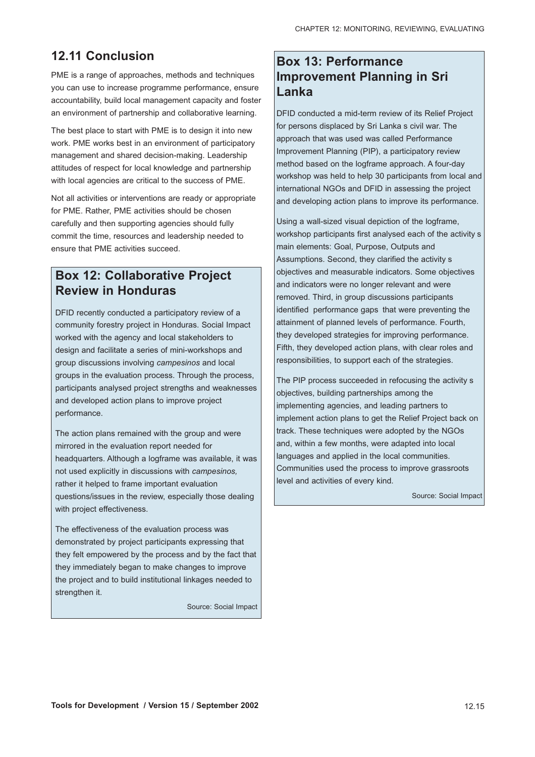# **12.11 Conclusion**

PME is a range of approaches, methods and techniques you can use to increase programme performance, ensure accountability, build local management capacity and foster an environment of partnership and collaborative learning.

The best place to start with PME is to design it into new work. PME works best in an environment of participatory management and shared decision-making. Leadership attitudes of respect for local knowledge and partnership with local agencies are critical to the success of PME.

Not all activities or interventions are ready or appropriate for PME. Rather, PME activities should be chosen carefully and then supporting agencies should fully commit the time, resources and leadership needed to ensure that PME activities succeed.

# **Box 12: Collaborative Project Review in Honduras**

DFID recently conducted a participatory review of a community forestry project in Honduras. Social Impact worked with the agency and local stakeholders to design and facilitate a series of mini-workshops and group discussions involving *campesinos* and local groups in the evaluation process. Through the process, participants analysed project strengths and weaknesses and developed action plans to improve project performance.

The action plans remained with the group and were mirrored in the evaluation report needed for headquarters. Although a logframe was available, it was not used explicitly in discussions with *campesinos,* rather it helped to frame important evaluation questions/issues in the review, especially those dealing with project effectiveness.

The effectiveness of the evaluation process was demonstrated by project participants expressing that they felt empowered by the process and by the fact that they immediately began to make changes to improve the project and to build institutional linkages needed to strengthen it.

Source: Social Impact

# **Box 13: Performance Improvement Planning in Sri Lanka**

DFID conducted a mid-term review of its Relief Project for persons displaced by Sri Lanka s civil war. The approach that was used was called Performance Improvement Planning (PIP), a participatory review method based on the logframe approach. A four-day workshop was held to help 30 participants from local and international NGOs and DFID in assessing the project and developing action plans to improve its performance.

Using a wall-sized visual depiction of the logframe, workshop participants first analysed each of the activity s main elements: Goal, Purpose, Outputs and Assumptions. Second, they clarified the activity s objectives and measurable indicators. Some objectives and indicators were no longer relevant and were removed. Third, in group discussions participants identified performance gaps that were preventing the attainment of planned levels of performance. Fourth, they developed strategies for improving performance. Fifth, they developed action plans, with clear roles and responsibilities, to support each of the strategies.

The PIP process succeeded in refocusing the activity s objectives, building partnerships among the implementing agencies, and leading partners to implement action plans to get the Relief Project back on track. These techniques were adopted by the NGOs and, within a few months, were adapted into local languages and applied in the local communities. Communities used the process to improve grassroots level and activities of every kind.

Source: Social Impact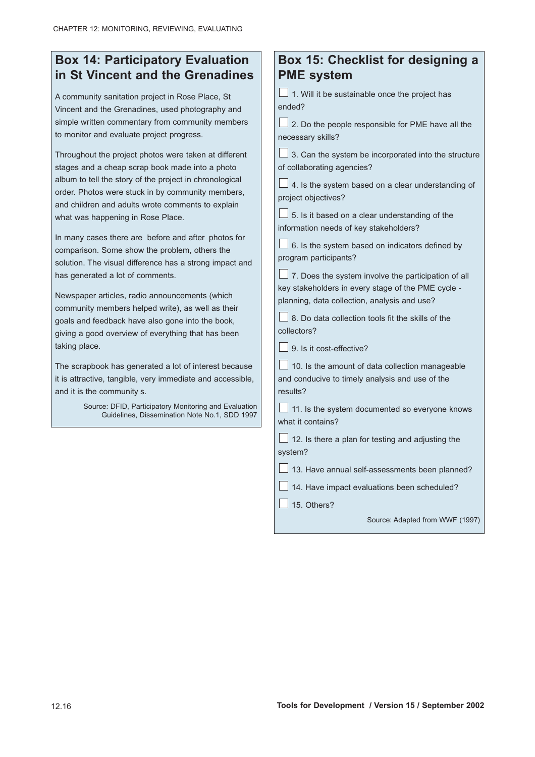# **Box 14: Participatory Evaluati in St Vincent and the Grenadi**

A community sanitation project in Rose Place, St Vincent and the Grenadines, used photography a simple written commentary from community mem to monitor and evaluate project progress.

Throughout the project photos were taken at differ stages and a cheap scrap book made into a photo album to tell the story of the project in chronologic order. Photos were stuck in by community membe and children and adults wrote comments to explain what was happening in Rose Place.

In many cases there are before and after photos comparison. Some show the problem, others the solution. The visual difference has a strong impactual has generated a lot of comments.

Newspaper articles, radio announcements (which community members helped write), as well as the goals and feedback have also gone into the book, giving a good overview of everything that has bee taking place.

The scrapbook has generated a lot of interest bec it is attractive, tangible, very immediate and acces and it is the community s.

> Source: DFID, Participatory Monitoring and Eva Guidelines, Dissemination Note No.1, SD

| on<br>nes          | Box 15: Checklist for designing a<br><b>PME system</b>                                                                                                           |
|--------------------|------------------------------------------------------------------------------------------------------------------------------------------------------------------|
|                    | $\Box$ 1. Will it be sustainable once the project has                                                                                                            |
| nd<br>bers         | ended?<br>$\Box$ 2. Do the people responsible for PME have all the<br>necessary skills?                                                                          |
| rent<br>O          | $\perp$ 3. Can the system be incorporated into the structure<br>of collaborating agencies?                                                                       |
| :al<br>ers,        | 4. Is the system based on a clear understanding of<br>project objectives?                                                                                        |
| in                 | $\Box$ 5. Is it based on a clear understanding of the<br>information needs of key stakeholders?                                                                  |
| for<br>t and:      | $\Box$ 6. Is the system based on indicators defined by<br>program participants?                                                                                  |
|                    | $\Box$ 7. Does the system involve the participation of all<br>key stakeholders in every stage of the PME cycle -<br>planning, data collection, analysis and use? |
| ۱ir<br>'n          | $\Box$ 8. Do data collection tools fit the skills of the<br>collectors?                                                                                          |
|                    | $\Box$ 9. Is it cost-effective?                                                                                                                                  |
| cause<br>ssible,   | $\Box$ 10. Is the amount of data collection manageable<br>and conducive to timely analysis and use of the<br>results?                                            |
| aluation<br>D 1997 | 11. Is the system documented so everyone knows<br>what it contains?                                                                                              |
|                    | 12. Is there a plan for testing and adjusting the<br>system?                                                                                                     |
|                    | 13. Have annual self-assessments been planned?                                                                                                                   |
|                    | 14. Have impact evaluations been scheduled?                                                                                                                      |
|                    | 15. Others?<br>Source: Adapted from WWF (1997)                                                                                                                   |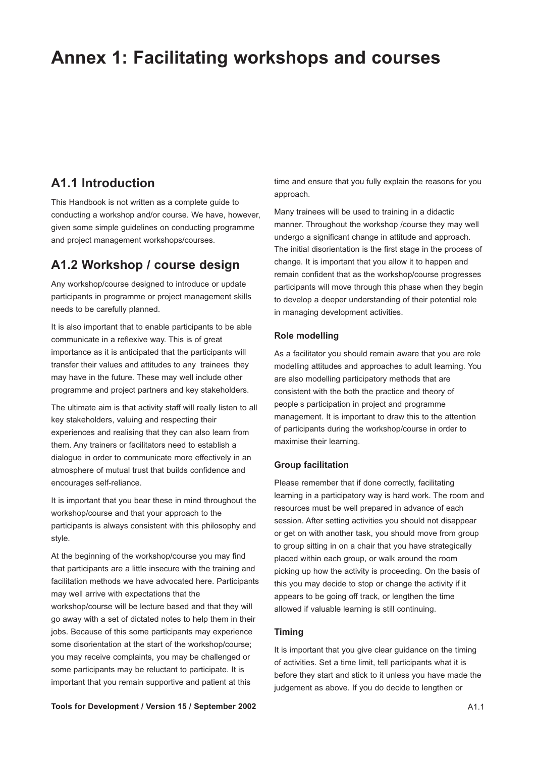# **Annex 1: Facilitating workshops and courses**

### **A1.1 Introduction**

This Handbook is not written as a complete guide to conducting a workshop and/or course. We have, however, given some simple guidelines on conducting programme and project management workshops/courses.

# **A1.2 Workshop / course design**

Any workshop/course designed to introduce or update participants in programme or project management skills needs to be carefully planned.

It is also important that to enable participants to be able communicate in a reflexive way. This is of great importance as it is anticipated that the participants will transfer their values and attitudes to any trainees they may have in the future. These may well include other programme and project partners and key stakeholders.

The ultimate aim is that activity staff will really listen to all key stakeholders, valuing and respecting their experiences and realising that they can also learn from them. Any trainers or facilitators need to establish a dialogue in order to communicate more effectively in an atmosphere of mutual trust that builds confidence and encourages self-reliance.

It is important that you bear these in mind throughout the workshop/course and that your approach to the participants is always consistent with this philosophy and style.

At the beginning of the workshop/course you may find that participants are a little insecure with the training and facilitation methods we have advocated here. Participants may well arrive with expectations that the workshop/course will be lecture based and that they will go away with a set of dictated notes to help them in their jobs. Because of this some participants may experience some disorientation at the start of the workshop/course; you may receive complaints, you may be challenged or some participants may be reluctant to participate. It is important that you remain supportive and patient at this

time and ensure that you fully explain the reasons for you approach.

Many trainees will be used to training in a didactic manner. Throughout the workshop /course they may well undergo a significant change in attitude and approach. The initial disorientation is the first stage in the process of change. It is important that you allow it to happen and remain confident that as the workshop/course progresses participants will move through this phase when they begin to develop a deeper understanding of their potential role in managing development activities.

#### **Role modelling**

As a facilitator you should remain aware that you are role modelling attitudes and approaches to adult learning. You are also modelling participatory methods that are consistent with the both the practice and theory of people s participation in project and programme management. It is important to draw this to the attention of participants during the workshop/course in order to maximise their learning.

#### **Group facilitation**

Please remember that if done correctly, facilitating learning in a participatory way is hard work. The room and resources must be well prepared in advance of each session. After setting activities you should not disappear or get on with another task, you should move from group to group sitting in on a chair that you have strategically placed within each group, or walk around the room picking up how the activity is proceeding. On the basis of this you may decide to stop or change the activity if it appears to be going off track, or lengthen the time allowed if valuable learning is still continuing.

#### **Timing**

It is important that you give clear guidance on the timing of activities. Set a time limit, tell participants what it is before they start and stick to it unless you have made the judgement as above. If you do decide to lengthen or

**Tools for Development / Version 15 / September 2002**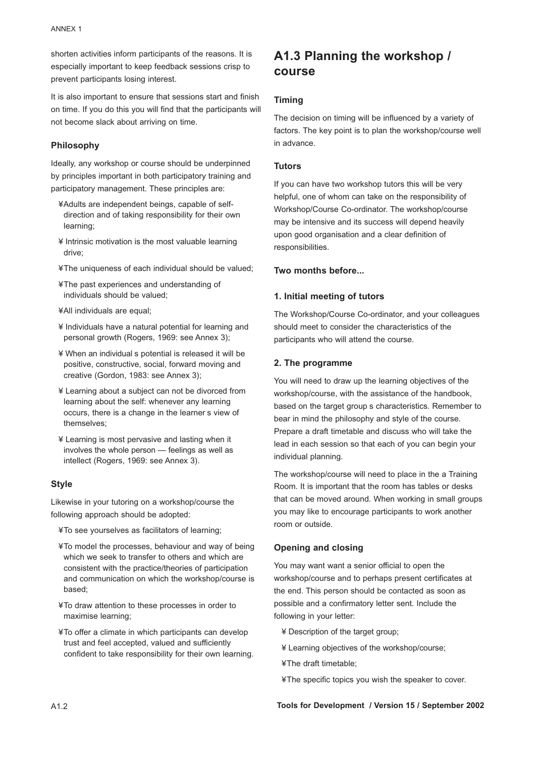shorten activities inform participants of the reasons. It is especially important to keep feedback sessions crisp to prevent participants losing interest.

It is also important to ensure that sessions start and finish on time. If you do this you will find that the participants will not become slack about arriving on time.

#### **Philosophy**

Ideally, any workshop or course should be underpinned by principles important in both participatory training and participatory management. These principles are:

- ¥ Adults are independent beings, capable of selfdirection and of taking responsibility for their own learning;
- ¥ Intrinsic motivation is the most valuable learning drive;
- ¥ The uniqueness of each individual should be valued;
- ¥ The past experiences and understanding of individuals should be valued;
- ¥ All individuals are equal;
- ¥ Individuals have a natural potential for learning and personal growth (Rogers, 1969: see Annex 3);
- ¥ When an individual s potential is released it will be positive, constructive, social, forward moving and creative (Gordon, 1983: see Annex 3);
- ¥ Learning about a subject can not be divorced from learning about the self: whenever any learning occurs, there is a change in the learner s view of themselves;
- ¥ Learning is most pervasive and lasting when it involves the whole person — feelings as well as intellect (Rogers, 1969: see Annex 3).

#### **Style**

Likewise in your tutoring on a workshop/course the following approach should be adopted:

- ¥ To see yourselves as facilitators of learning;
- ¥ To model the processes, behaviour and way of being which we seek to transfer to others and which are consistent with the practice/theories of participation and communication on which the workshop/course is based;
- ¥ To draw attention to these processes in order to maximise learning;
- ¥ To offer a climate in which participants can develop trust and feel accepted, valued and sufficiently confident to take responsibility for their own learning.

# **A1.3 Planning the workshop / course**

#### **Timing**

The decision on timing will be influenced by a variety of factors. The key point is to plan the workshop/course well in advance.

#### **Tutors**

If you can have two workshop tutors this will be very helpful, one of whom can take on the responsibility of Workshop/Course Co-ordinator. The workshop/course may be intensive and its success will depend heavily upon good organisation and a clear definition of responsibilities.

#### **Two months before...**

#### **1. Initial meeting of tutors**

The Workshop/Course Co-ordinator, and your colleagues should meet to consider the characteristics of the participants who will attend the course.

#### **2. The programme**

You will need to draw up the learning objectives of the workshop/course, with the assistance of the handbook, based on the target group s characteristics. Remember to bear in mind the philosophy and style of the course. Prepare a draft timetable and discuss who will take the lead in each session so that each of you can begin your individual planning.

The workshop/course will need to place in the a Training Room. It is important that the room has tables or desks that can be moved around. When working in small groups you may like to encourage participants to work another room or outside.

#### **Opening and closing**

You may want want a senior official to open the workshop/course and to perhaps present certificates at the end. This person should be contacted as soon as possible and a confirmatory letter sent. Include the following in your letter:

- ¥ Description of the target group;
- ¥ Learning objectives of the workshop/course;
- ¥ The draft timetable;
- ¥ The specific topics you wish the speaker to cover.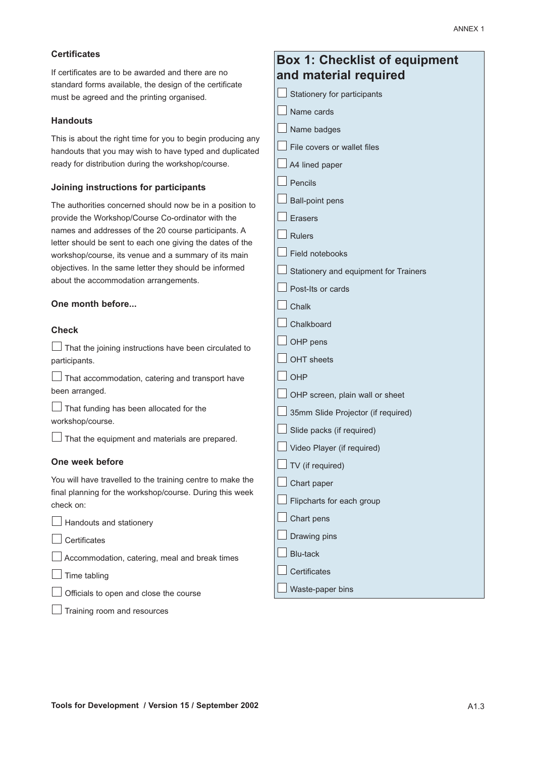#### **Certificates**

If certificates are to be awarded and there are no standard forms available, the design of the certificate must be agreed and the printing organised.

#### **Handouts**

This is about the right time for you to begin producing any handouts that you may wish to have typed and duplicated ready for distribution during the workshop/course.

#### **Joining instructions for participants**

The authorities concerned should now be in a position to provide the Workshop/Course Co-ordinator with the names and addresses of the 20 course participants. A letter should be sent to each one giving the dates of the workshop/course, its venue and a summary of its main objectives. In the same letter they should be informed about the accommodation arrangements.

#### **One month before...**

#### **Check**

 $\Box$  That the joining instructions have been circulated to participants.

 $\Box$  That accommodation, catering and transport have been arranged.

That funding has been allocated for the workshop/course.

 $\Box$  That the equipment and materials are prepared.

#### **One week before**

 $\overline{\phantom{0}}$ 

You will have travelled to the training centre to make the final planning for the workshop/course. During this week check on:

| $\Box$ Handouts and stationery                |
|-----------------------------------------------|
| $\Box$ Certificates                           |
| Accommodation, catering, meal and break times |
| $\Box$ Time tabling                           |
| $\Box$ Officials to open and close the course |
|                                               |

 $\Box$  Training room and resources

| <b>Box 1: Checklist of equipment</b><br>and material required |
|---------------------------------------------------------------|
| Stationery for participants                                   |
| Name cards                                                    |
| $\Box$ Name badges                                            |
| $\Box$ File covers or wallet files                            |
| $\Box$ A4 lined paper                                         |
| Pencils                                                       |
| <b>Ball-point pens</b>                                        |
| Erasers                                                       |
| Rulers                                                        |
| Field notebooks                                               |
| $\Box$ Stationery and equipment for Trainers                  |
| Post-Its or cards                                             |
| Chalk                                                         |
| Chalkboard                                                    |
| OHP pens                                                      |
| OHT sheets                                                    |
| OHP                                                           |
| OHP screen, plain wall or sheet                               |
| 35mm Slide Projector (if required)                            |
| Slide packs (if required)                                     |
| Video Player (if required)                                    |
| TV (if required)                                              |
| Chart paper                                                   |
| Flipcharts for each group                                     |
| Chart pens                                                    |
| Drawing pins                                                  |
| <b>Blu-tack</b>                                               |
| Certificates                                                  |
| Waste-paper bins                                              |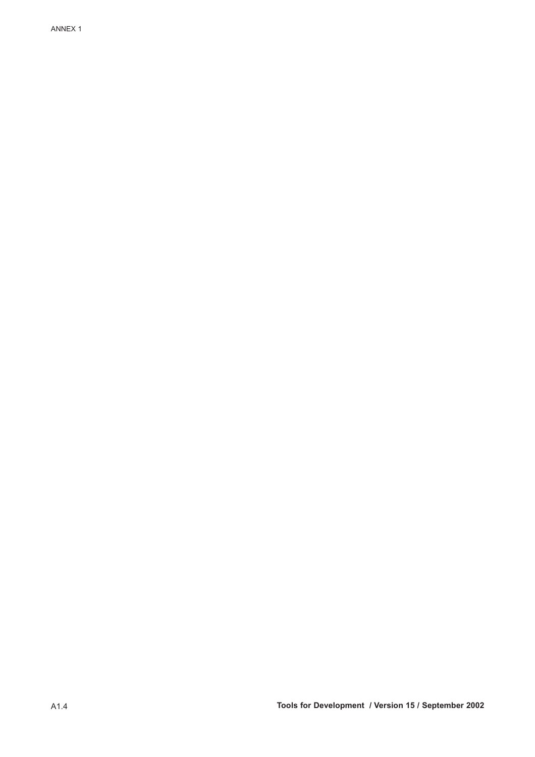ANNEX 1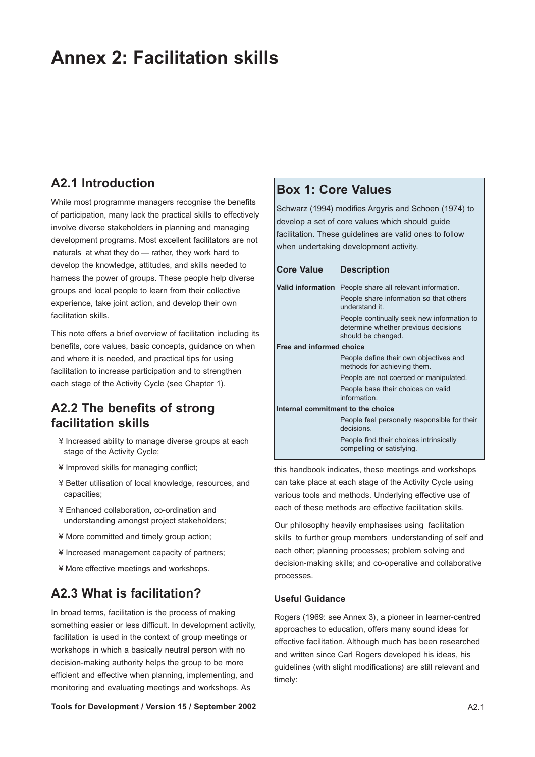# **Annex 2: Facilitation skills**

# **A2.1 Introduction**

While most programme managers recognise the benefits of participation, many lack the practical skills to effectively involve diverse stakeholders in planning and managing development programs. Most excellent facilitators are not naturals at what they do — rather, they work hard to develop the knowledge, attitudes, and skills needed to harness the power of groups. These people help diverse groups and local people to learn from their collective experience, take joint action, and develop their own facilitation skills.

This note offers a brief overview of facilitation including its benefits, core values, basic concepts, guidance on when and where it is needed, and practical tips for using facilitation to increase participation and to strengthen each stage of the Activity Cycle (see Chapter 1).

# **A2.2 The benefits of strong facilitation skills**

- ¥ Increased ability to manage diverse groups at each stage of the Activity Cycle;
- ¥ Improved skills for managing conflict;
- ¥ Better utilisation of local knowledge, resources, and capacities;
- ¥ Enhanced collaboration, co-ordination and understanding amongst project stakeholders;
- ¥ More committed and timely group action;
- ¥ Increased management capacity of partners;
- ¥ More effective meetings and workshops.

# **A2.3 What is facilitation?**

In broad terms, facilitation is the process of making something easier or less difficult. In development activity, facilitation is used in the context of group meetings or workshops in which a basically neutral person with no decision-making authority helps the group to be more efficient and effective when planning, implementing, and monitoring and evaluating meetings and workshops. As

# **Box 1: Core Values**

Schwarz (1994) modifies Argyris and Schoen (1974) to develop a set of core values which should guide facilitation. These guidelines are valid ones to follow when undertaking development activity.

#### **Core Value Description**

|                                   | Valid information People share all relevant information.                                                 |
|-----------------------------------|----------------------------------------------------------------------------------------------------------|
|                                   | People share information so that others<br>understand it.                                                |
|                                   | People continually seek new information to<br>determine whether previous decisions<br>should be changed. |
| Free and informed choice          |                                                                                                          |
|                                   | People define their own objectives and<br>methods for achieving them.                                    |
|                                   | People are not coerced or manipulated.                                                                   |
|                                   | People base their choices on valid<br>information.                                                       |
| Internal commitment to the choice |                                                                                                          |
|                                   | People feel personally responsible for their<br>decisions.                                               |
|                                   | People find their choices intrinsically<br>compelling or satisfying.                                     |

this handbook indicates, these meetings and workshops can take place at each stage of the Activity Cycle using various tools and methods. Underlying effective use of each of these methods are effective facilitation skills.

Our philosophy heavily emphasises using facilitation skills to further group members understanding of self and each other; planning processes; problem solving and decision-making skills; and co-operative and collaborative processes.

#### **Useful Guidance**

Rogers (1969: see Annex 3), a pioneer in learner-centred approaches to education, offers many sound ideas for effective facilitation. Although much has been researched and written since Carl Rogers developed his ideas, his guidelines (with slight modifications) are still relevant and timely:

**Tools for Development / Version 15 / September 2002**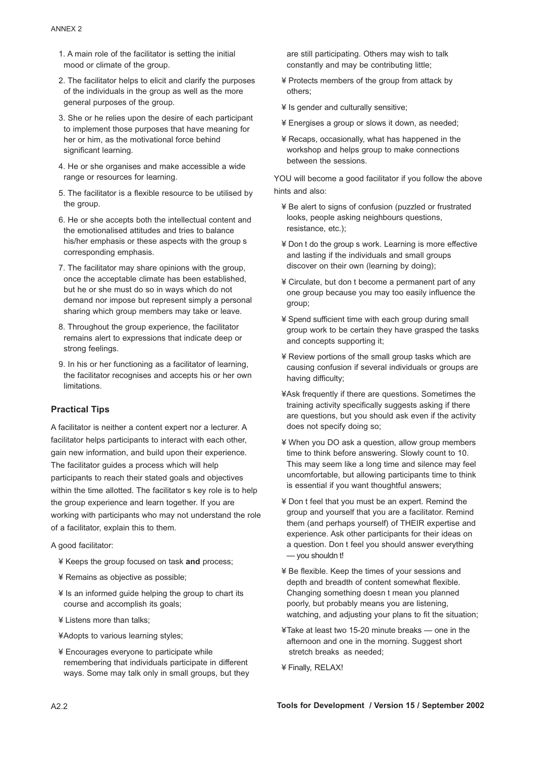- 1. A main role of the facilitator is setting the initial mood or climate of the group.
- 2. The facilitator helps to elicit and clarify the purposes of the individuals in the group as well as the more general purposes of the group.
- 3. She or he relies upon the desire of each participant to implement those purposes that have meaning for her or him, as the motivational force behind significant learning.
- 4. He or she organises and make accessible a wide range or resources for learning.
- 5. The facilitator is a flexible resource to be utilised by the group.
- 6. He or she accepts both the intellectual content and the emotionalised attitudes and tries to balance his/her emphasis or these aspects with the group s corresponding emphasis.
- 7. The facilitator may share opinions with the group, once the acceptable climate has been established, but he or she must do so in ways which do not demand nor impose but represent simply a personal sharing which group members may take or leave.
- 8. Throughout the group experience, the facilitator remains alert to expressions that indicate deep or strong feelings.
- 9. In his or her functioning as a facilitator of learning, the facilitator recognises and accepts his or her own limitations.

#### **Practical Tips**

A facilitator is neither a content expert nor a lecturer. A facilitator helps participants to interact with each other, gain new information, and build upon their experience. The facilitator guides a process which will help participants to reach their stated goals and objectives within the time allotted. The facilitator s key role is to help the group experience and learn together. If you are working with participants who may not understand the role of a facilitator, explain this to them.

#### A good facilitator:

- ¥ Keeps the group focused on task **and** process;
- ¥ Remains as objective as possible;
- ¥ Is an informed guide helping the group to chart its course and accomplish its goals;
- ¥ Listens more than talks;
- ¥ Adopts to various learning styles;
- ¥ Encourages everyone to participate while remembering that individuals participate in different ways. Some may talk only in small groups, but they

are still participating. Others may wish to talk constantly and may be contributing little;

- ¥ Protects members of the group from attack by others;
- ¥ Is gender and culturally sensitive;
- ¥ Energises a group or slows it down, as needed;
- ¥ Recaps, occasionally, what has happened in the workshop and helps group to make connections between the sessions.

YOU will become a good facilitator if you follow the above hints and also:

- ¥ Be alert to signs of confusion (puzzled or frustrated looks, people asking neighbours questions, resistance, etc.);
- ¥ Don t do the group s work. Learning is more effective and lasting if the individuals and small groups discover on their own (learning by doing);
- ¥ Circulate, but don t become a permanent part of any one group because you may too easily influence the group;
- ¥ Spend sufficient time with each group during small group work to be certain they have grasped the tasks and concepts supporting it;
- ¥ Review portions of the small group tasks which are causing confusion if several individuals or groups are having difficulty;
- ¥ Ask frequently if there are questions. Sometimes the training activity specifically suggests asking if there are questions, but you should ask even if the activity does not specify doing so;
- ¥ When you DO ask a question, allow group members time to think before answering. Slowly count to 10. This may seem like a long time and silence may feel uncomfortable, but allowing participants time to think is essential if you want thoughtful answers;
- ¥ Don t feel that you must be an expert. Remind the group and yourself that you are a facilitator. Remind them (and perhaps yourself) of THEIR expertise and experience. Ask other participants for their ideas on a question. Don t feel you should answer everything — you shouldn t!
- ¥ Be flexible. Keep the times of your sessions and depth and breadth of content somewhat flexible. Changing something doesn t mean you planned poorly, but probably means you are listening, watching, and adjusting your plans to fit the situation;
- ¥ Take at least two 15-20 minute breaks one in the afternoon and one in the morning. Suggest short stretch breaks as needed;

¥ Finally, RELAX!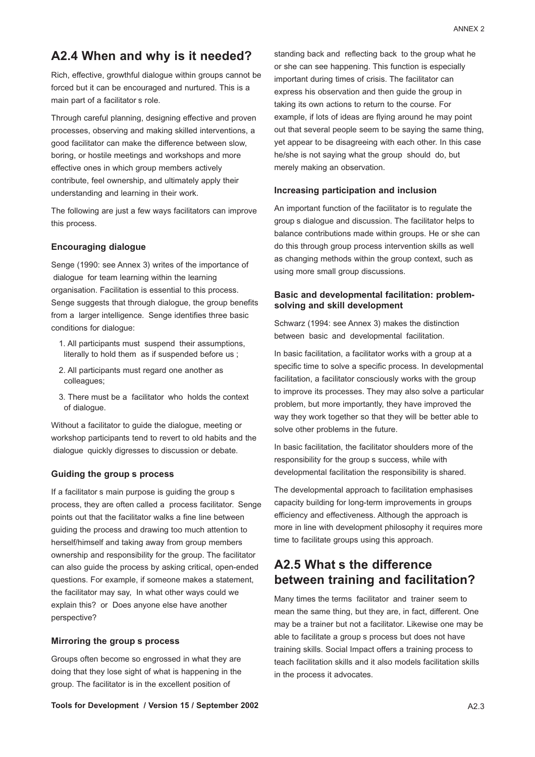### **A2.4 When and why is it needed?**

Rich, effective, growthful dialogue within groups cannot be forced but it can be encouraged and nurtured. This is a main part of a facilitator s role.

Through careful planning, designing effective and proven processes, observing and making skilled interventions, a good facilitator can make the difference between slow, boring, or hostile meetings and workshops and more effective ones in which group members actively contribute, feel ownership, and ultimately apply their understanding and learning in their work.

The following are just a few ways facilitators can improve this process.

#### **Encouraging dialogue**

Senge (1990: see Annex 3) writes of the importance of dialogue for team learning within the learning organisation. Facilitation is essential to this process. Senge suggests that through dialogue, the group benefits from a larger intelligence. Senge identifies three basic conditions for dialogue:

- 1. All participants must suspend their assumptions, literally to hold them as if suspended before us ;
- 2. All participants must regard one another as colleagues;
- 3. There must be a facilitator who holds the context of dialogue.

Without a facilitator to guide the dialogue, meeting or workshop participants tend to revert to old habits and the dialogue quickly digresses to discussion or debate.

#### **Guiding the group s process**

If a facilitator s main purpose is guiding the group s process, they are often called a process facilitator. Senge points out that the facilitator walks a fine line between guiding the process and drawing too much attention to herself/himself and taking away from group members ownership and responsibility for the group. The facilitator can also guide the process by asking critical, open-ended questions. For example, if someone makes a statement, the facilitator may say, In what other ways could we explain this? or Does anyone else have another perspective?

#### **Mirroring the group s process**

Groups often become so engrossed in what they are doing that they lose sight of what is happening in the group. The facilitator is in the excellent position of

standing back and reflecting back to the group what he or she can see happening. This function is especially important during times of crisis. The facilitator can express his observation and then guide the group in taking its own actions to return to the course. For example, if lots of ideas are flying around he may point out that several people seem to be saying the same thing, yet appear to be disagreeing with each other. In this case he/she is not saying what the group should do, but merely making an observation.

#### **Increasing participation and inclusion**

An important function of the facilitator is to regulate the group s dialogue and discussion. The facilitator helps to balance contributions made within groups. He or she can do this through group process intervention skills as well as changing methods within the group context, such as using more small group discussions.

#### **Basic and developmental facilitation: problemsolving and skill development**

Schwarz (1994: see Annex 3) makes the distinction between basic and developmental facilitation.

In basic facilitation, a facilitator works with a group at a specific time to solve a specific process. In developmental facilitation, a facilitator consciously works with the group to improve its processes. They may also solve a particular problem, but more importantly, they have improved the way they work together so that they will be better able to solve other problems in the future.

In basic facilitation, the facilitator shoulders more of the responsibility for the group s success, while with developmental facilitation the responsibility is shared.

The developmental approach to facilitation emphasises capacity building for long-term improvements in groups efficiency and effectiveness. Although the approach is more in line with development philosophy it requires more time to facilitate groups using this approach.

# **A2.5 What s the difference between training and facilitation?**

Many times the terms facilitator and trainer seem to mean the same thing, but they are, in fact, different. One may be a trainer but not a facilitator. Likewise one may be able to facilitate a group s process but does not have training skills. Social Impact offers a training process to teach facilitation skills and it also models facilitation skills in the process it advocates.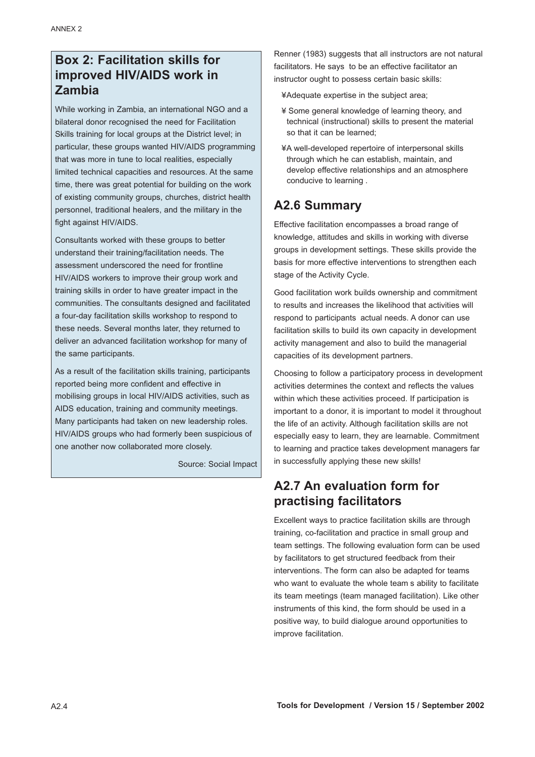# **Box 2: Facilitation skills for improved HIV/AIDS work in Zambia**

While working in Zambia, an international NGO and a bilateral donor recognised the need for Facilitation Skills training for local groups at the District level; in particular, these groups wanted HIV/AIDS programming that was more in tune to local realities, especially limited technical capacities and resources. At the same time, there was great potential for building on the work of existing community groups, churches, district health personnel, traditional healers, and the military in the fight against HIV/AIDS.

Consultants worked with these groups to better understand their training/facilitation needs. The assessment underscored the need for frontline HIV/AIDS workers to improve their group work and training skills in order to have greater impact in the communities. The consultants designed and facilitated a four-day facilitation skills workshop to respond to these needs. Several months later, they returned to deliver an advanced facilitation workshop for many of the same participants.

As a result of the facilitation skills training, participants reported being more confident and effective in mobilising groups in local HIV/AIDS activities, such as AIDS education, training and community meetings. Many participants had taken on new leadership roles. HIV/AIDS groups who had formerly been suspicious of one another now collaborated more closely.

Source: Social Impact

Renner (1983) suggests that all instructors are not natural facilitators. He says to be an effective facilitator an instructor ought to possess certain basic skills:

¥ Adequate expertise in the subject area;

- ¥ Some general knowledge of learning theory, and technical (instructional) skills to present the material so that it can be learned;
- ¥ A well-developed repertoire of interpersonal skills through which he can establish, maintain, and develop effective relationships and an atmosphere conducive to learning .

# **A2.6 Summary**

Effective facilitation encompasses a broad range of knowledge, attitudes and skills in working with diverse groups in development settings. These skills provide the basis for more effective interventions to strengthen each stage of the Activity Cycle.

Good facilitation work builds ownership and commitment to results and increases the likelihood that activities will respond to participants actual needs. A donor can use facilitation skills to build its own capacity in development activity management and also to build the managerial capacities of its development partners.

Choosing to follow a participatory process in development activities determines the context and reflects the values within which these activities proceed. If participation is important to a donor, it is important to model it throughout the life of an activity. Although facilitation skills are not especially easy to learn, they are learnable. Commitment to learning and practice takes development managers far in successfully applying these new skills!

# **A2.7 An evaluation form for practising facilitators**

Excellent ways to practice facilitation skills are through training, co-facilitation and practice in small group and team settings. The following evaluation form can be used by facilitators to get structured feedback from their interventions. The form can also be adapted for teams who want to evaluate the whole team s ability to facilitate its team meetings (team managed facilitation). Like other instruments of this kind, the form should be used in a positive way, to build dialogue around opportunities to improve facilitation.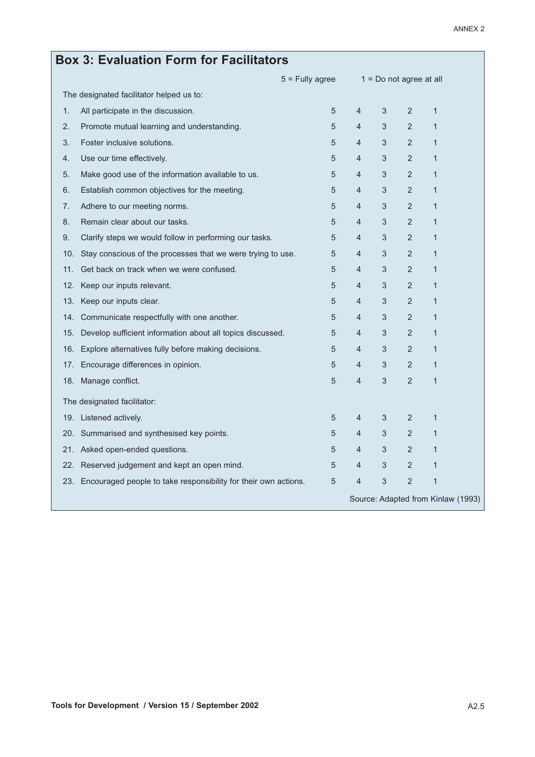ANNEX 2

|     | DOX 3. EVAIUAUON FONN IOI FACINIAIOIS                           |   |                |   |                           |                                    |
|-----|-----------------------------------------------------------------|---|----------------|---|---------------------------|------------------------------------|
|     | $5 =$ Fully agree                                               |   |                |   | $1 = Do$ not agree at all |                                    |
|     | The designated facilitator helped us to:                        |   |                |   |                           |                                    |
| 1.  | All participate in the discussion.                              | 5 | $\overline{4}$ | 3 | 2                         | $\mathbf{1}$                       |
| 2.  | Promote mutual learning and understanding.                      | 5 | $\overline{4}$ | 3 | $\overline{2}$            | $\mathbf{1}$                       |
| 3.  | Foster inclusive solutions.                                     | 5 | $\overline{4}$ | 3 | $\overline{2}$            | 1                                  |
| 4.  | Use our time effectively.                                       | 5 | $\overline{4}$ | 3 | $\overline{c}$            | $\mathbf{1}$                       |
| 5.  | Make good use of the information available to us.               | 5 | $\overline{4}$ | 3 | 2                         | $\mathbf{1}$                       |
| 6.  | Establish common objectives for the meeting.                    | 5 | $\overline{4}$ | 3 | $\overline{c}$            | $\mathbf{1}$                       |
| 7.  | Adhere to our meeting norms.                                    | 5 | $\overline{4}$ | 3 | $\overline{2}$            | $\mathbf{1}$                       |
| 8.  | Remain clear about our tasks.                                   | 5 | $\overline{4}$ | 3 | $\overline{2}$            | $\mathbf{1}$                       |
| 9.  | Clarify steps we would follow in performing our tasks.          | 5 | $\overline{4}$ | 3 | 2                         | $\mathbf{1}$                       |
| 10. | Stay conscious of the processes that we were trying to use.     | 5 | $\overline{4}$ | 3 | $\overline{2}$            | $\mathbf{1}$                       |
| 11. | Get back on track when we were confused.                        | 5 | $\overline{4}$ | 3 | 2                         | $\mathbf{1}$                       |
| 12. | Keep our inputs relevant.                                       | 5 | $\overline{4}$ | 3 | $\overline{2}$            | $\mathbf{1}$                       |
| 13. | Keep our inputs clear.                                          | 5 | $\overline{4}$ | 3 | 2                         | 1                                  |
| 14. | Communicate respectfully with one another.                      | 5 | $\overline{4}$ | 3 | 2                         | $\mathbf{1}$                       |
| 15. | Develop sufficient information about all topics discussed.      | 5 | $\overline{4}$ | 3 | $\overline{2}$            | 1                                  |
| 16. | Explore alternatives fully before making decisions.             | 5 | 4              | 3 | $\overline{2}$            | $\mathbf{1}$                       |
| 17. | Encourage differences in opinion.                               | 5 | $\overline{4}$ | 3 | $\overline{2}$            | $\mathbf{1}$                       |
| 18. | Manage conflict.                                                | 5 | $\overline{4}$ | 3 | $\overline{2}$            | 1                                  |
|     | The designated facilitator:                                     |   |                |   |                           |                                    |
| 19. | Listened actively.                                              | 5 | 4              | 3 | $\overline{2}$            | $\mathbf{1}$                       |
| 20. | Summarised and synthesised key points.                          | 5 | $\overline{4}$ | 3 | $\overline{2}$            | $\mathbf{1}$                       |
| 21. | Asked open-ended questions.                                     | 5 | $\overline{4}$ | 3 | $\overline{c}$            | $\mathbf{1}$                       |
| 22. | Reserved judgement and kept an open mind.                       | 5 | $\overline{4}$ | 3 | 2                         | $\mathbf{1}$                       |
| 23. | Encouraged people to take responsibility for their own actions. | 5 | $\overline{4}$ | 3 | $\overline{2}$            | $\mathbf{1}$                       |
|     |                                                                 |   |                |   |                           | Source: Adapted from Kinlaw (1993) |
|     |                                                                 |   |                |   |                           |                                    |

# **Box 3: Evaluation Form for Facilitators**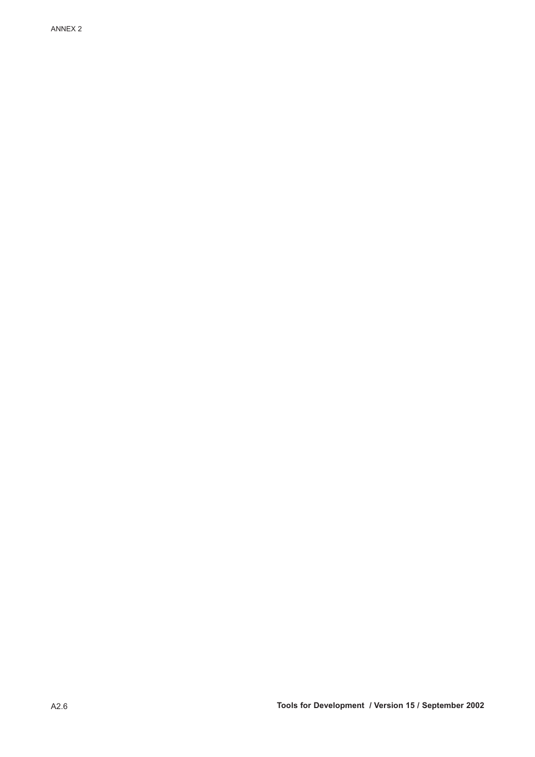ANNEX 2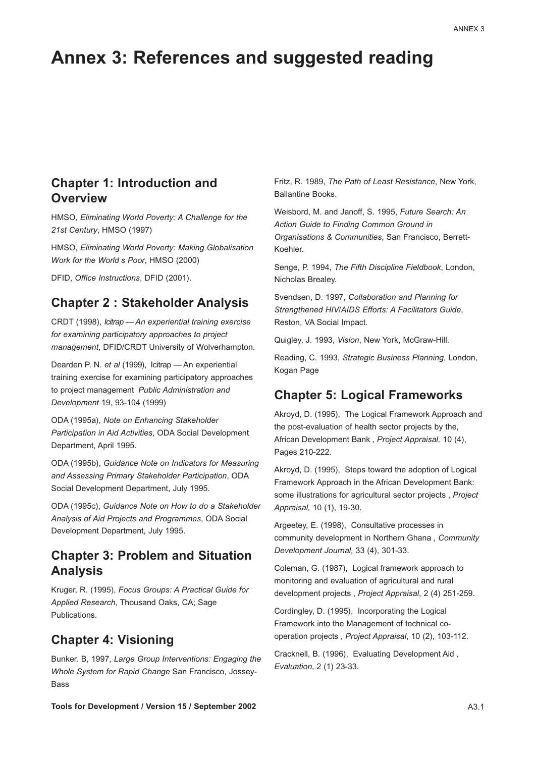# **Annex 3: References and suggested reading**

# **Chapter 1: Introduction and Overview**

HMSO, *Eliminating World Poverty: A Challenge for the 21st Century*, HMSO (1997)

HMSO, *Eliminating World Poverty: Making Globalisation Work for the World s Poor*, HMSO (2000)

DFID, *Office Instructions*, DFID (2001).

# **Chapter 2 : Stakeholder Analysis**

CRDT (1998), *Icitrap — An experiential training exercise for examining participatory approaches to project management*, DFID/CRDT University of Wolverhampton.

Dearden P. N. *et al* (1999), Icitrap — An experiential training exercise for examining participatory approaches to project management *Public Administration and Development* 19, 93-104 (1999)

ODA (1995a), *Note on Enhancing Stakeholder Participation in Aid Activities*, ODA Social Development Department, April 1995.

ODA (1995b), *Guidance Note on Indicators for Measuring and Assessing Primary Stakeholder Participation*, ODA Social Development Department, July 1995.

ODA (1995c), *Guidance Note on How to do a Stakeholder Analysis of Aid Projects and Programmes*, ODA Social Development Department, July 1995.

# **Chapter 3: Problem and Situation Analysis**

Kruger, R. (1995), *Focus Groups: A Practical Guide for Applied Research*, Thousand Oaks, CA; Sage Publications.

# **Chapter 4: Visioning**

Bunker. B, 1997, *Large Group Interventions: Engaging the Whole System for Rapid Change* San Francisco, Jossey-Bass

Fritz, R. 1989, *The Path of Least Resistance*, New York, Ballantine Books.

Weisbord, M. and Janoff, S. 1995, *Future Search: An Action Guide to Finding Common Ground in Organisations & Communities*, San Francisco, Berrett-Koehler.

Senge, P. 1994, *The Fifth Discipline Fieldbook*, London, Nicholas Brealey.

Svendsen, D. 1997, *Collaboration and Planning for Strengthened HIV/AIDS Efforts: A Facilitators Guide*, Reston, VA Social Impact.

Quigley, J. 1993, *Vision*, New York, McGraw-Hill.

Reading, C. 1993, *Strategic Business Planning*, London, Kogan Page

### **Chapter 5: Logical Frameworks**

Akroyd, D. (1995), The Logical Framework Approach and the post-evaluation of health sector projects by the, African Development Bank , *Project Appraisal,* 10 (4), Pages 210-222.

Akroyd, D. (1995), Steps toward the adoption of Logical Framework Approach in the African Development Bank: some illustrations for agricultural sector projects , *Project Appraisal,* 10 (1), 19-30.

Argeetey, E. (1998), Consultative processes in community development in Northern Ghana , *Community Development Journal,* 33 (4), 301-33.

Coleman, G. (1987), Logical framework approach to monitoring and evaluation of agricultural and rural development projects , *Project Appraisal*, 2 (4) 251-259.

Cordingley, D. (1995), Incorporating the Logical Framework into the Management of technical cooperation projects , *Project Appraisal*, 10 (2), 103-112.

Cracknell, B. (1996), Evaluating Development Aid , *Evaluation*, 2 (1) 23-33.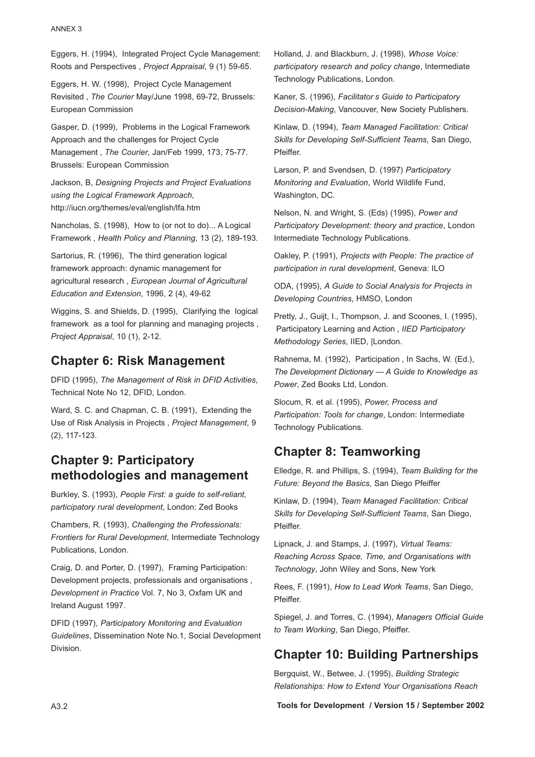Eggers, H. (1994), Integrated Project Cycle Management: Roots and Perspectives , *Project Appraisal*, 9 (1) 59-65.

Eggers, H. W. (1998), Project Cycle Management Revisited , *The Courier* May/June 1998, 69-72, Brussels: European Commission

Gasper, D. (1999), Problems in the Logical Framework Approach and the challenges for Project Cycle Management , *The Courier*, Jan/Feb 1999, 173, 75-77. Brussels: European Commission

Jackson, B, *Designing Projects and Project Evaluations using the Logical Framework Approach*, http://iucn.org/themes/eval/english/lfa.htm

Nancholas, S. (1998), How to (or not to do)... A Logical Framework , *Health Policy and Planning*, 13 (2), 189-193.

Sartorius, R. (1996), The third generation logical framework approach: dynamic management for agricultural research , *European Journal of Agricultural Education and Extension*, 1996, 2 (4), 49-62

Wiggins, S. and Shields, D. (1995), Clarifying the logical framework as a tool for planning and managing projects , *Project Appraisal*, 10 (1), 2-12.

# **Chapter 6: Risk Management**

DFID (1995), *The Management of Risk in DFID Activities*, Technical Note No 12, DFID, London.

Ward, S. C. and Chapman, C. B. (1991), Extending the Use of Risk Analysis in Projects , *Project Management*, 9 (2), 117-123.

# **Chapter 9: Participatory methodologies and management**

Burkley, S. (1993), *People First: a guide to self-reliant, participatory rural development*, London: Zed Books

Chambers, R. (1993), *Challenging the Professionals: Frontiers for Rural Development*, Intermediate Technology Publications, London.

Craig, D. and Porter, D. (1997), Framing Participation: Development projects, professionals and organisations , *Development in Practice* Vol. 7, No 3, Oxfam UK and Ireland August 1997.

DFID (1997), *Participatory Monitoring and Evaluation Guidelines*, Dissemination Note No.1, Social Development Division.

Holland, J. and Blackburn, J. (1998), *Whose Voice: participatory research and policy change*, Intermediate Technology Publications, London.

Kaner, S. (1996), *Facilitator s Guide to Participatory Decision-Making*, Vancouver, New Society Publishers.

Kinlaw, D. (1994), *Team Managed Facilitation: Critical Skills for Developing Self-Sufficient Teams*, San Diego, Pfeiffer.

Larson, P. and Svendsen, D. (1997) *Participatory Monitoring and Evaluation*, World Wildlife Fund, Washington, DC.

Nelson, N. and Wright, S. (Eds) (1995), *Power and Participatory Development: theory and practice*, London Intermediate Technology Publications.

Oakley, P. (1991), *Projects with People: The practice of participation in rural development*, Geneva: ILO

ODA, (1995), *A Guide to Social Analysis for Projects in Developing Countries*, HMSO, London

Pretty, J., Guijt, I., Thompson, J. and Scoones, I. (1995), Participatory Learning and Action , *IIED Participatory Methodology Series*, IIED, |London.

Rahnema, M. (1992), Participation , In Sachs, W. (Ed.), *The Development Dictionary — A Guide to Knowledge as Power*, Zed Books Ltd, London.

Slocum, R. et al. (1995), *Power, Process and Participation: Tools for change*, London: Intermediate Technology Publications.

# **Chapter 8: Teamworking**

Elledge, R. and Phillips, S. (1994), *Team Building for the Future: Beyond the Basics*, San Diego Pfeiffer

Kinlaw, D. (1994), *Team Managed Facilitation: Critical Skills for Developing Self-Sufficient Teams*, San Diego, Pfeiffer.

Lipnack, J. and Stamps, J. (1997), *Virtual Teams: Reaching Across Space, Time, and Organisations with Technology*, John Wiley and Sons, New York

Rees, F. (1991), *How to Lead Work Teams*, San Diego, Pfeiffer.

Spiegel, J. and Torres, C. (1994), *Managers Official Guide to Team Working*, San Diego, Pfeiffer.

# **Chapter 10: Building Partnerships**

Bergquist, W., Betwee, J. (1995), *Building Strategic Relationships: How to Extend Your Organisations Reach*

A3.2 **Tools for Development / Version 15 / September 2002**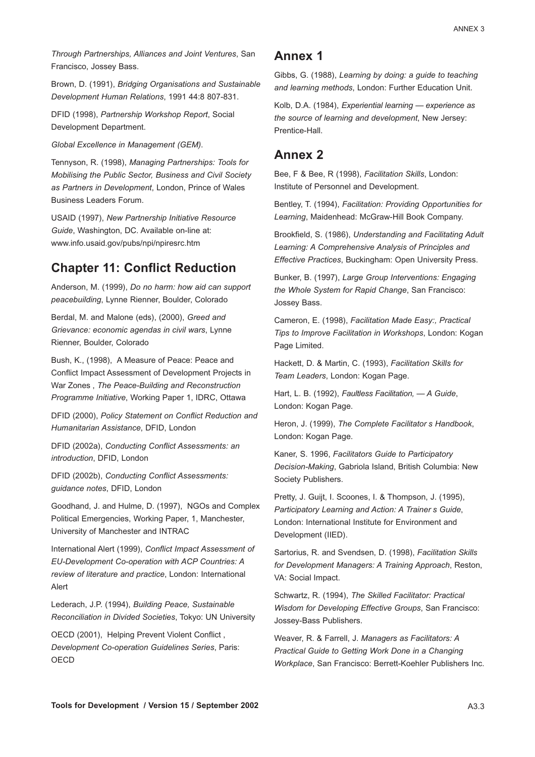*Through Partnerships, Alliances and Joint Ventures*, San Francisco, Jossey Bass.

Brown, D. (1991), *Bridging Organisations and Sustainable Development Human Relations*, 1991 44:8 807-831.

DFID (1998), *Partnership Workshop Report*, Social Development Department.

*Global Excellence in Management (GEM)*.

Tennyson, R. (1998), *Managing Partnerships: Tools for Mobilising the Public Sector, Business and Civil Society as Partners in Development*, London, Prince of Wales Business Leaders Forum.

USAID (1997), *New Partnership Initiative Resource Guide*, Washington, DC. Available on-line at: www.info.usaid.gov/pubs/npi/npiresrc.htm

### **Chapter 11: Conflict Reduction**

Anderson, M. (1999), *Do no harm: how aid can support peacebuilding*, Lynne Rienner, Boulder, Colorado

Berdal, M. and Malone (eds), (2000), *Greed and Grievance: economic agendas in civil wars*, Lynne Rienner, Boulder, Colorado

Bush, K., (1998), A Measure of Peace: Peace and Conflict Impact Assessment of Development Projects in War Zones , *The Peace-Building and Reconstruction Programme Initiative*, Working Paper 1, IDRC, Ottawa

DFID (2000), *Policy Statement on Conflict Reduction and Humanitarian Assistance*, DFID, London

DFID (2002a), *Conducting Conflict Assessments: an introduction*, DFID, London

DFID (2002b), *Conducting Conflict Assessments: guidance notes*, DFID, London

Goodhand, J. and Hulme, D. (1997), NGOs and Complex Political Emergencies, Working Paper, 1, Manchester, University of Manchester and INTRAC

International Alert (1999), *Conflict Impact Assessment of EU-Development Co-operation with ACP Countries: A review of literature and practice*, London: International Alert

Lederach, J.P. (1994), *Building Peace, Sustainable Reconciliation in Divided Societies*, Tokyo: UN University

OECD (2001), Helping Prevent Violent Conflict , *Development Co-operation Guidelines Series*, Paris: **OECD** 

#### **Annex 1**

Gibbs, G. (1988), *Learning by doing: a guide to teaching and learning methods*, London: Further Education Unit.

Kolb, D.A. (1984), *Experiential learning — experience as the source of learning and development*, New Jersey: Prentice-Hall.

### **Annex 2**

Bee, F & Bee, R (1998), *Facilitation Skills*, London: Institute of Personnel and Development.

Bentley, T. (1994), *Facilitation: Providing Opportunities for Learning*, Maidenhead: McGraw-Hill Book Company.

Brookfield, S. (1986), *Understanding and Facilitating Adult Learning: A Comprehensive Analysis of Principles and Effective Practices*, Buckingham: Open University Press.

Bunker, B. (1997), *Large Group Interventions: Engaging the Whole System for Rapid Change*, San Francisco: Jossey Bass.

Cameron, E. (1998), *Facilitation Made Easy:, Practical Tips to Improve Facilitation in Workshops*, London: Kogan Page Limited.

Hackett, D. & Martin, C. (1993), *Facilitation Skills for Team Leaders*, London: Kogan Page.

Hart, L. B. (1992), *Faultless Facilitation, — A Guide*, London: Kogan Page.

Heron, J. (1999), *The Complete Facilitator s Handbook*, London: Kogan Page.

Kaner, S. 1996, *Facilitators Guide to Participatory Decision-Making*, Gabriola Island, British Columbia: New Society Publishers.

Pretty, J. Guijt, I. Scoones, I. & Thompson, J. (1995), *Participatory Learning and Action: A Trainer s Guide*, London: International Institute for Environment and Development (IIED).

Sartorius, R. and Svendsen, D. (1998), *Facilitation Skills for Development Managers: A Training Approach*, Reston, VA: Social Impact.

Schwartz, R. (1994), *The Skilled Facilitator: Practical Wisdom for Developing Effective Groups*, San Francisco: Jossey-Bass Publishers.

Weaver, R. & Farrell, J. *Managers as Facilitators: A Practical Guide to Getting Work Done in a Changing Workplace*, San Francisco: Berrett-Koehler Publishers Inc.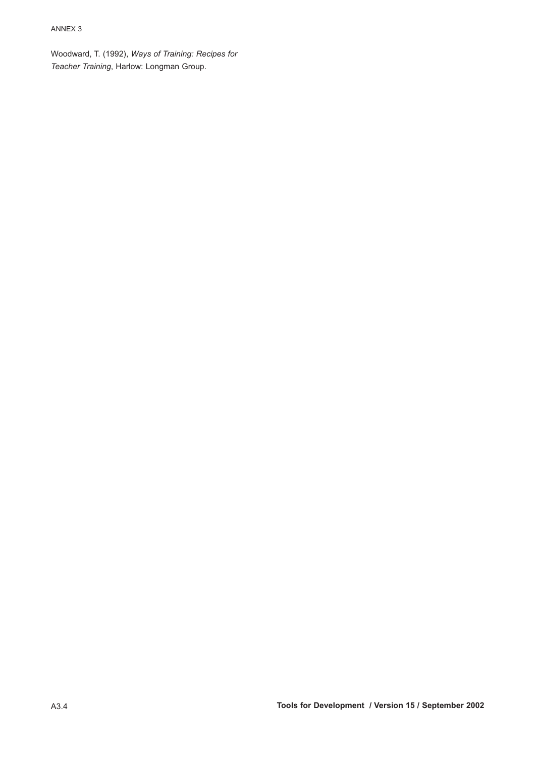#### ANNEX 3

Woodward, T. (1992), *Ways of Training: Recipes for Teacher Training*, Harlow: Longman Group.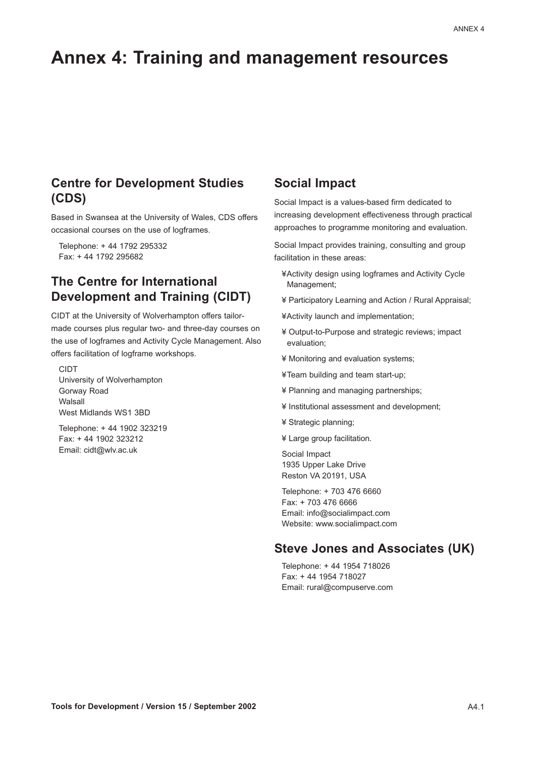# **Annex 4: Training and management resources**

# **Centre for Development Studies (CDS)**

Based in Swansea at the University of Wales, CDS offers occasional courses on the use of logframes.

Telephone: + 44 1792 295332 Fax: + 44 1792 295682

# **The Centre for International Development and Training (CIDT)**

CIDT at the University of Wolverhampton offers tailormade courses plus regular two- and three-day courses on the use of logframes and Activity Cycle Management. Also offers facilitation of logframe workshops.

CIDT University of Wolverhampton Gorway Road Walsall West Midlands WS1 3BD

Telephone: + 44 1902 323219 Fax: + 44 1902 323212 Email: cidt@wlv.ac.uk

### **Social Impact**

Social Impact is a values-based firm dedicated to increasing development effectiveness through practical approaches to programme monitoring and evaluation.

Social Impact provides training, consulting and group facilitation in these areas:

- ¥ Activity design using logframes and Activity Cycle Management;
- ¥ Participatory Learning and Action / Rural Appraisal;
- ¥ Activity launch and implementation;
- ¥ Output-to-Purpose and strategic reviews; impact evaluation;
- ¥ Monitoring and evaluation systems;
- ¥ Team building and team start-up;
- ¥ Planning and managing partnerships;
- ¥ Institutional assessment and development;
- ¥ Strategic planning;
- ¥ Large group facilitation.

Social Impact 1935 Upper Lake Drive Reston VA 20191, USA

Telephone: + 703 476 6660 Fax: + 703 476 6666 Email: info@socialimpact.com Website: www.socialimpact.com

### **Steve Jones and Associates (UK)**

Telephone: + 44 1954 718026 Fax: + 44 1954 718027 Email: rural@compuserve.com